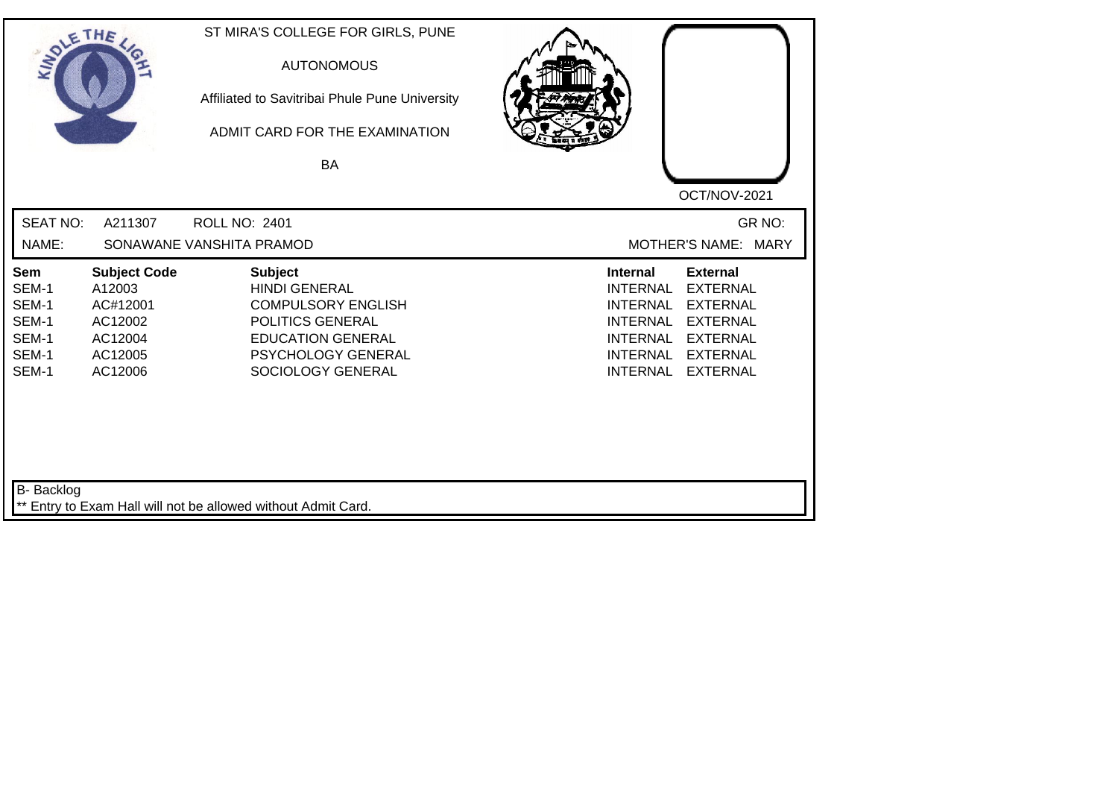| SOLETHE ,                                                        |                                                                                       | ST MIRA'S COLLEGE FOR GIRLS, PUNE<br><b>AUTONOMOUS</b><br>Affiliated to Savitribai Phule Pune University<br>ADMIT CARD FOR THE EXAMINATION<br><b>BA</b>        | OCT/NOV-2021                                                                                                                                                                                                                                                           |
|------------------------------------------------------------------|---------------------------------------------------------------------------------------|----------------------------------------------------------------------------------------------------------------------------------------------------------------|------------------------------------------------------------------------------------------------------------------------------------------------------------------------------------------------------------------------------------------------------------------------|
| <b>SEAT NO:</b><br>NAME:                                         | A211307                                                                               | <b>ROLL NO: 2401</b><br>SONAWANE VANSHITA PRAMOD                                                                                                               | GR NO:<br>MOTHER'S NAME: MARY                                                                                                                                                                                                                                          |
| <b>Sem</b><br>SEM-1<br>SEM-1<br>SEM-1<br>SEM-1<br>SEM-1<br>SEM-1 | <b>Subject Code</b><br>A12003<br>AC#12001<br>AC12002<br>AC12004<br>AC12005<br>AC12006 | <b>Subject</b><br><b>HINDI GENERAL</b><br><b>COMPULSORY ENGLISH</b><br>POLITICS GENERAL<br><b>EDUCATION GENERAL</b><br>PSYCHOLOGY GENERAL<br>SOCIOLOGY GENERAL | <b>Internal</b><br><b>External</b><br><b>INTERNAL</b><br><b>EXTERNAL</b><br><b>INTERNAL</b><br><b>EXTERNAL</b><br><b>INTERNAL</b><br><b>EXTERNAL</b><br><b>EXTERNAL</b><br><b>INTERNAL</b><br><b>INTERNAL</b><br><b>EXTERNAL</b><br><b>INTERNAL</b><br><b>EXTERNAL</b> |
| B- Backlog                                                       |                                                                                       | ** Entry to Exam Hall will not be allowed without Admit Card.                                                                                                  |                                                                                                                                                                                                                                                                        |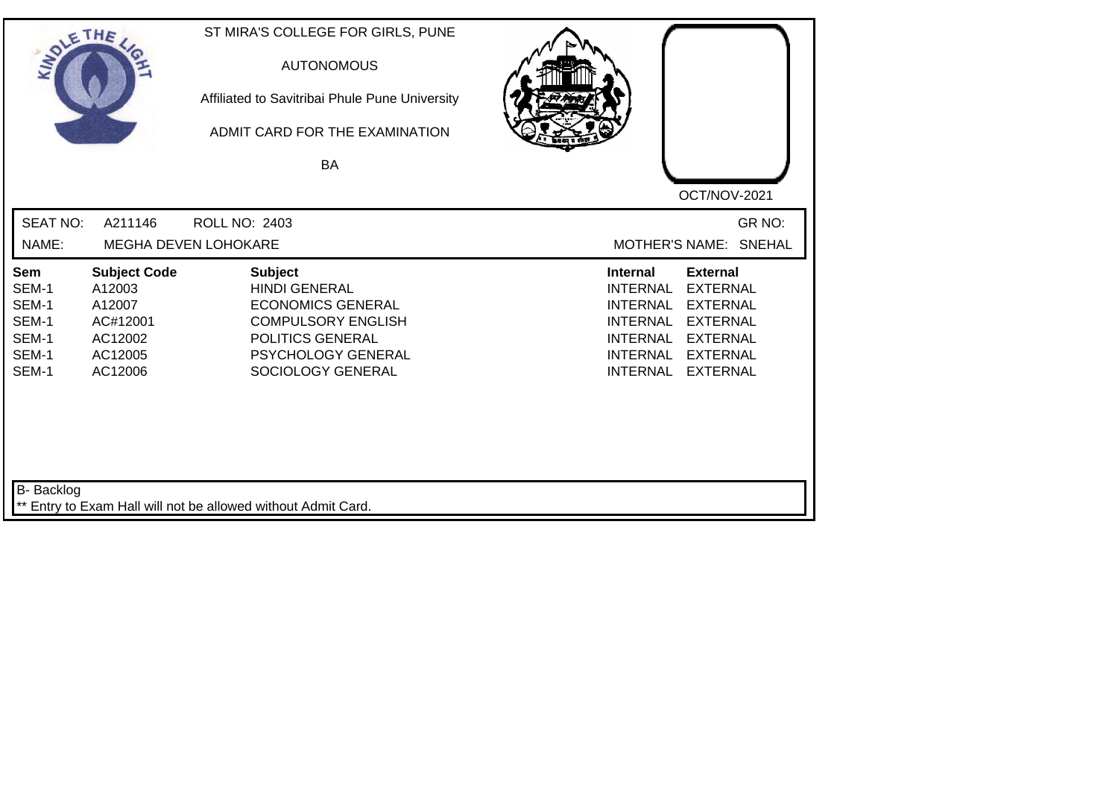| SOLETHE ,                                                        |                                                                                      | ST MIRA'S COLLEGE FOR GIRLS, PUNE<br><b>AUTONOMOUS</b><br>Affiliated to Savitribai Phule Pune University<br>ADMIT CARD FOR THE EXAMINATION<br>BA                      | OCT/NOV-2021                                                                                                                                                                                                                                                           |
|------------------------------------------------------------------|--------------------------------------------------------------------------------------|-----------------------------------------------------------------------------------------------------------------------------------------------------------------------|------------------------------------------------------------------------------------------------------------------------------------------------------------------------------------------------------------------------------------------------------------------------|
| <b>SEAT NO:</b><br>NAME:                                         | A211146                                                                              | <b>ROLL NO: 2403</b><br>MEGHA DEVEN LOHOKARE                                                                                                                          | GR NO:<br>MOTHER'S NAME: SNEHAL                                                                                                                                                                                                                                        |
| <b>Sem</b><br>SEM-1<br>SEM-1<br>SEM-1<br>SEM-1<br>SEM-1<br>SEM-1 | <b>Subject Code</b><br>A12003<br>A12007<br>AC#12001<br>AC12002<br>AC12005<br>AC12006 | <b>Subject</b><br><b>HINDI GENERAL</b><br><b>ECONOMICS GENERAL</b><br><b>COMPULSORY ENGLISH</b><br>POLITICS GENERAL<br><b>PSYCHOLOGY GENERAL</b><br>SOCIOLOGY GENERAL | <b>Internal</b><br><b>External</b><br><b>EXTERNAL</b><br><b>INTERNAL</b><br><b>INTERNAL</b><br><b>EXTERNAL</b><br><b>INTERNAL</b><br><b>EXTERNAL</b><br><b>INTERNAL</b><br><b>EXTERNAL</b><br><b>INTERNAL</b><br><b>EXTERNAL</b><br><b>INTERNAL</b><br><b>EXTERNAL</b> |
| B- Backlog                                                       |                                                                                      | ** Entry to Exam Hall will not be allowed without Admit Card.                                                                                                         |                                                                                                                                                                                                                                                                        |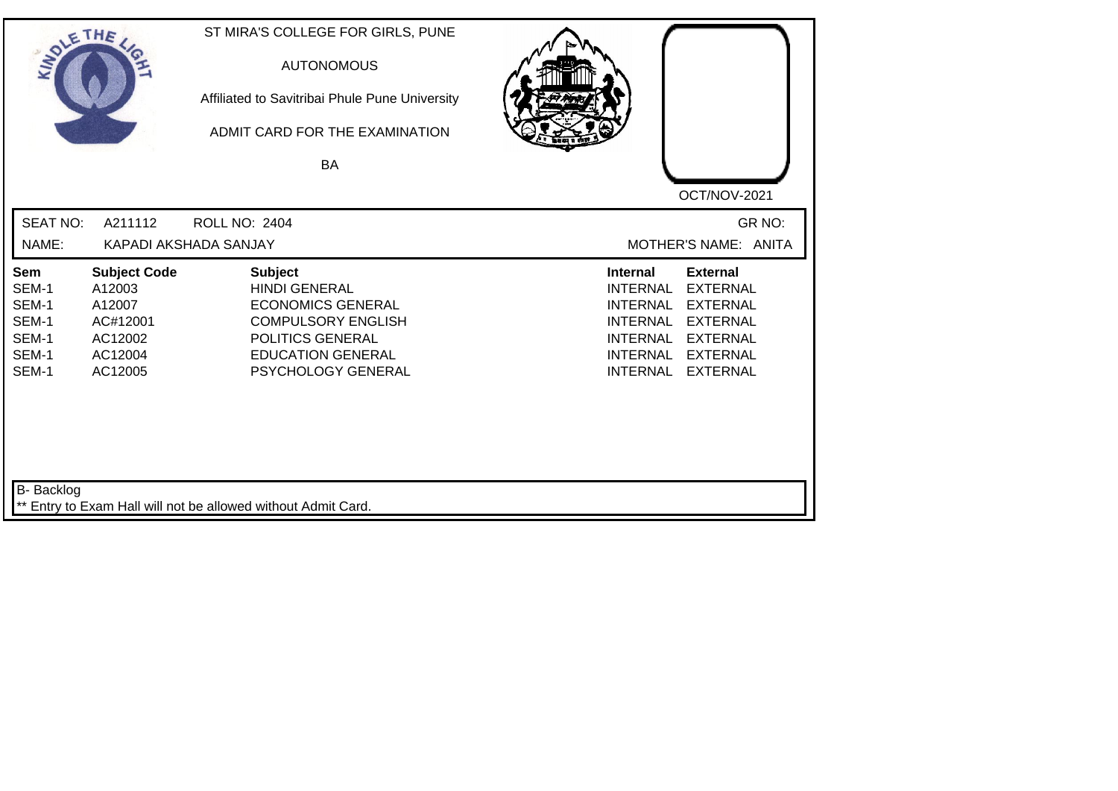| SOLETHE ,                                                 |                                                                                      | ST MIRA'S COLLEGE FOR GIRLS, PUNE<br><b>AUTONOMOUS</b><br>Affiliated to Savitribai Phule Pune University<br>ADMIT CARD FOR THE EXAMINATION<br><b>BA</b>               |                                                                                                                                                                                                                                                                        |
|-----------------------------------------------------------|--------------------------------------------------------------------------------------|-----------------------------------------------------------------------------------------------------------------------------------------------------------------------|------------------------------------------------------------------------------------------------------------------------------------------------------------------------------------------------------------------------------------------------------------------------|
| <b>SEAT NO:</b><br>NAME:                                  | A211112                                                                              | <b>ROLL NO: 2404</b><br>KAPADI AKSHADA SANJAY                                                                                                                         | OCT/NOV-2021<br>GR NO:<br>MOTHER'S NAME: ANITA                                                                                                                                                                                                                         |
| Sem<br>SEM-1<br>SEM-1<br>SEM-1<br>SEM-1<br>SEM-1<br>SEM-1 | <b>Subject Code</b><br>A12003<br>A12007<br>AC#12001<br>AC12002<br>AC12004<br>AC12005 | <b>Subject</b><br><b>HINDI GENERAL</b><br><b>ECONOMICS GENERAL</b><br><b>COMPULSORY ENGLISH</b><br>POLITICS GENERAL<br><b>EDUCATION GENERAL</b><br>PSYCHOLOGY GENERAL | <b>External</b><br><b>Internal</b><br><b>EXTERNAL</b><br><b>INTERNAL</b><br><b>INTERNAL</b><br><b>EXTERNAL</b><br><b>EXTERNAL</b><br><b>INTERNAL</b><br><b>INTERNAL</b><br><b>EXTERNAL</b><br><b>INTERNAL</b><br><b>EXTERNAL</b><br><b>INTERNAL</b><br><b>EXTERNAL</b> |
| B- Backlog                                                |                                                                                      | ** Entry to Exam Hall will not be allowed without Admit Card.                                                                                                         |                                                                                                                                                                                                                                                                        |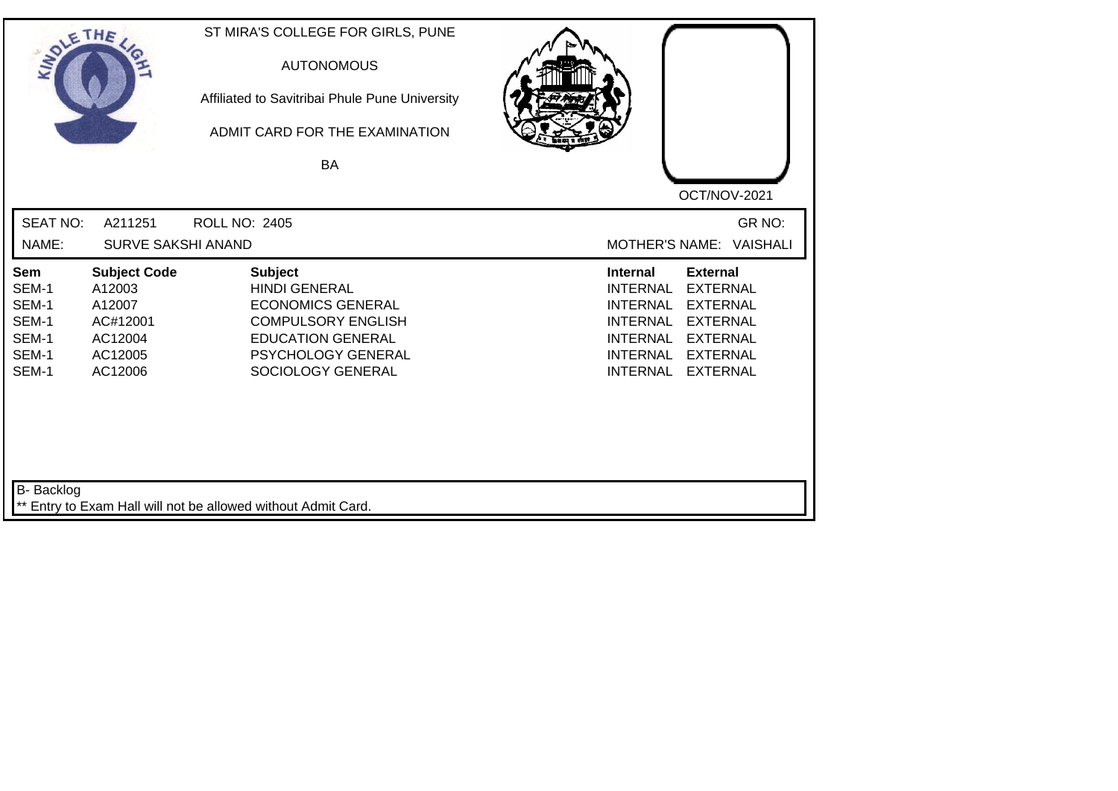| SOLE THE                                                  |                                                                                      | ST MIRA'S COLLEGE FOR GIRLS, PUNE<br><b>AUTONOMOUS</b><br>Affiliated to Savitribai Phule Pune University<br>ADMIT CARD FOR THE EXAMINATION<br>BA                              |                                                                                                                                                                                                                                                                        |
|-----------------------------------------------------------|--------------------------------------------------------------------------------------|-------------------------------------------------------------------------------------------------------------------------------------------------------------------------------|------------------------------------------------------------------------------------------------------------------------------------------------------------------------------------------------------------------------------------------------------------------------|
|                                                           |                                                                                      |                                                                                                                                                                               | OCT/NOV-2021                                                                                                                                                                                                                                                           |
| <b>SEAT NO:</b>                                           | A211251                                                                              | <b>ROLL NO: 2405</b>                                                                                                                                                          | GR NO:                                                                                                                                                                                                                                                                 |
| NAME:                                                     | <b>SURVE SAKSHI ANAND</b>                                                            |                                                                                                                                                                               | MOTHER'S NAME: VAISHALI                                                                                                                                                                                                                                                |
| Sem<br>SEM-1<br>SEM-1<br>SEM-1<br>SEM-1<br>SEM-1<br>SEM-1 | <b>Subject Code</b><br>A12003<br>A12007<br>AC#12001<br>AC12004<br>AC12005<br>AC12006 | <b>Subject</b><br><b>HINDI GENERAL</b><br><b>ECONOMICS GENERAL</b><br><b>COMPULSORY ENGLISH</b><br><b>EDUCATION GENERAL</b><br><b>PSYCHOLOGY GENERAL</b><br>SOCIOLOGY GENERAL | <b>Internal</b><br><b>External</b><br><b>INTERNAL</b><br><b>EXTERNAL</b><br><b>INTERNAL</b><br><b>EXTERNAL</b><br><b>INTERNAL</b><br><b>EXTERNAL</b><br><b>INTERNAL</b><br><b>EXTERNAL</b><br><b>INTERNAL</b><br><b>EXTERNAL</b><br><b>INTERNAL</b><br><b>EXTERNAL</b> |
| <b>B-</b> Backlog                                         |                                                                                      | ** Entry to Exam Hall will not be allowed without Admit Card.                                                                                                                 |                                                                                                                                                                                                                                                                        |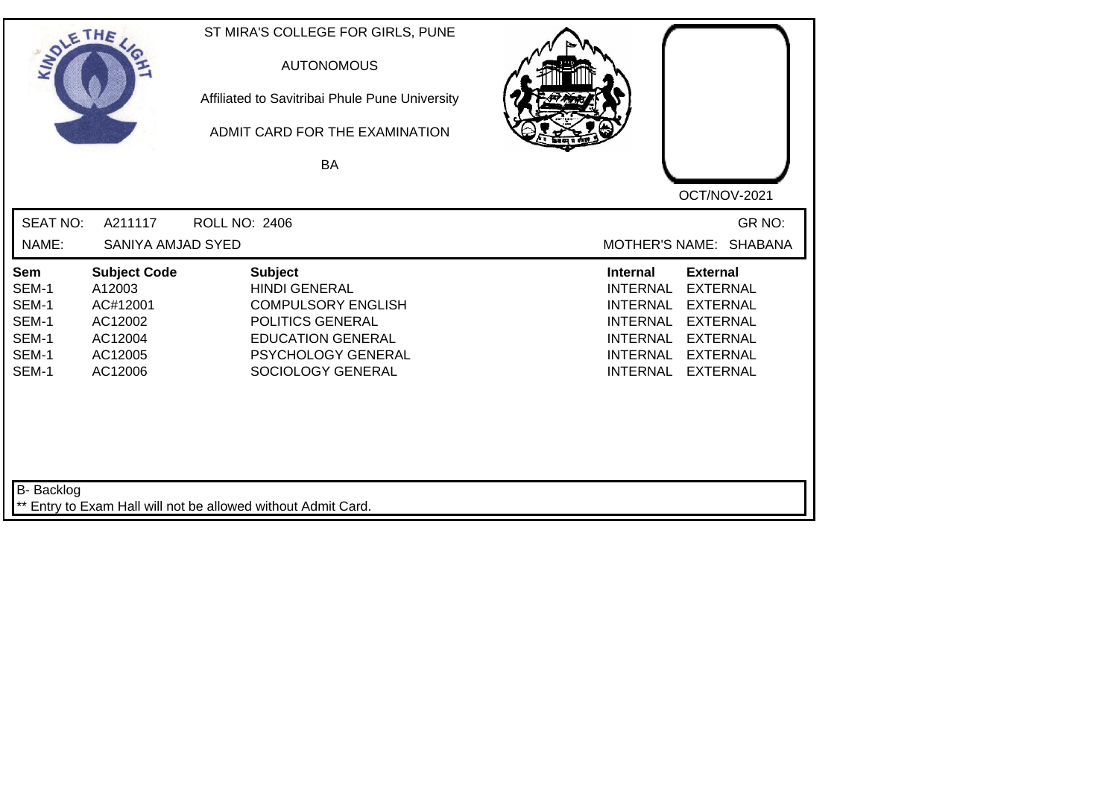| SOLE THE                                                  |                                                                                       | ST MIRA'S COLLEGE FOR GIRLS, PUNE<br><b>AUTONOMOUS</b><br>Affiliated to Savitribai Phule Pune University<br>ADMIT CARD FOR THE EXAMINATION<br>BA                      |                                                                                                                                                                                                                                                                 |
|-----------------------------------------------------------|---------------------------------------------------------------------------------------|-----------------------------------------------------------------------------------------------------------------------------------------------------------------------|-----------------------------------------------------------------------------------------------------------------------------------------------------------------------------------------------------------------------------------------------------------------|
|                                                           |                                                                                       |                                                                                                                                                                       | OCT/NOV-2021                                                                                                                                                                                                                                                    |
| <b>SEAT NO:</b><br>NAME:                                  | A211117<br>SANIYA AMJAD SYED                                                          | <b>ROLL NO: 2406</b>                                                                                                                                                  | GR NO:<br>MOTHER'S NAME: SHABANA                                                                                                                                                                                                                                |
| Sem<br>SEM-1<br>SEM-1<br>SEM-1<br>SEM-1<br>SEM-1<br>SEM-1 | <b>Subject Code</b><br>A12003<br>AC#12001<br>AC12002<br>AC12004<br>AC12005<br>AC12006 | <b>Subject</b><br><b>HINDI GENERAL</b><br><b>COMPULSORY ENGLISH</b><br>POLITICS GENERAL<br><b>EDUCATION GENERAL</b><br><b>PSYCHOLOGY GENERAL</b><br>SOCIOLOGY GENERAL | Internal<br><b>External</b><br><b>EXTERNAL</b><br><b>INTERNAL</b><br><b>EXTERNAL</b><br><b>INTERNAL</b><br><b>INTERNAL</b><br><b>EXTERNAL</b><br><b>INTERNAL</b><br><b>EXTERNAL</b><br><b>INTERNAL</b><br><b>EXTERNAL</b><br><b>INTERNAL</b><br><b>EXTERNAL</b> |
| B- Backlog                                                |                                                                                       | ** Entry to Exam Hall will not be allowed without Admit Card.                                                                                                         |                                                                                                                                                                                                                                                                 |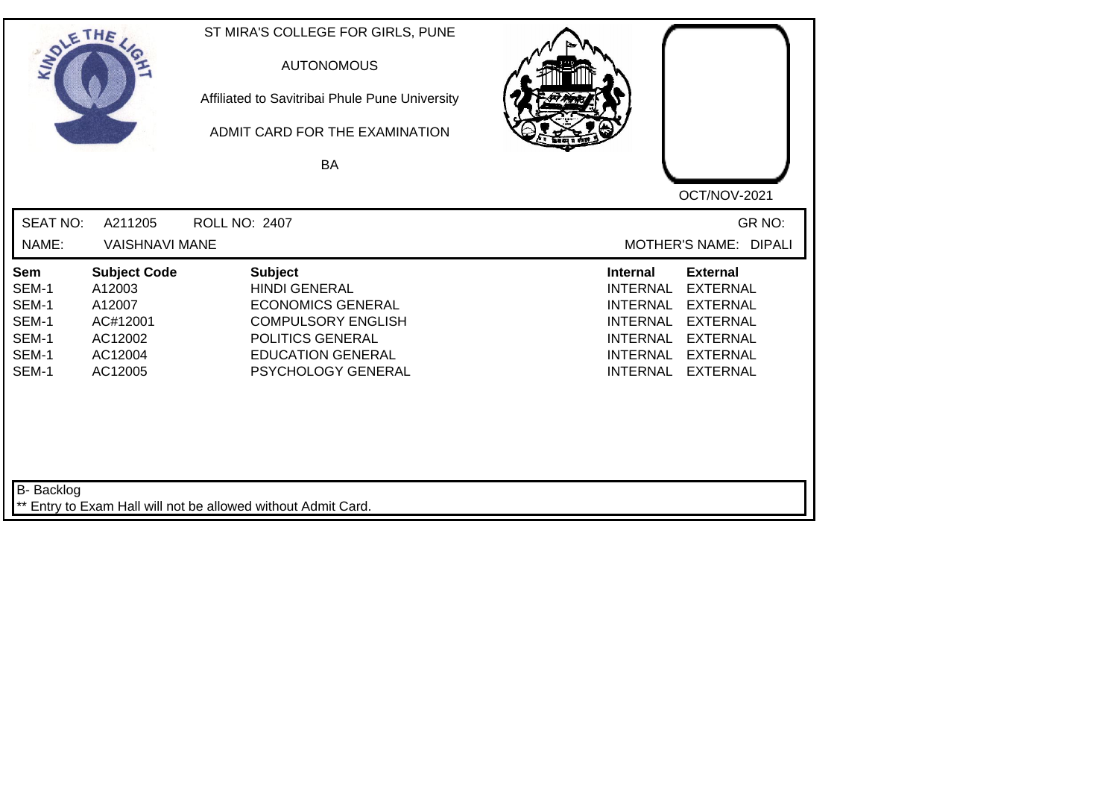| SOLE THE                                                  |                                                                                      | ST MIRA'S COLLEGE FOR GIRLS, PUNE<br><b>AUTONOMOUS</b><br>Affiliated to Savitribai Phule Pune University<br>ADMIT CARD FOR THE EXAMINATION<br><b>BA</b>               |                                                                                                                                                                                                                                                                        |
|-----------------------------------------------------------|--------------------------------------------------------------------------------------|-----------------------------------------------------------------------------------------------------------------------------------------------------------------------|------------------------------------------------------------------------------------------------------------------------------------------------------------------------------------------------------------------------------------------------------------------------|
| <b>SEAT NO:</b>                                           |                                                                                      |                                                                                                                                                                       | OCT/NOV-2021<br>GR NO:                                                                                                                                                                                                                                                 |
| NAME:                                                     | A211205<br><b>VAISHNAVI MANE</b>                                                     | <b>ROLL NO: 2407</b>                                                                                                                                                  | MOTHER'S NAME: DIPALI                                                                                                                                                                                                                                                  |
| Sem<br>SEM-1<br>SEM-1<br>SEM-1<br>SEM-1<br>SEM-1<br>SEM-1 | <b>Subject Code</b><br>A12003<br>A12007<br>AC#12001<br>AC12002<br>AC12004<br>AC12005 | <b>Subject</b><br><b>HINDI GENERAL</b><br><b>ECONOMICS GENERAL</b><br><b>COMPULSORY ENGLISH</b><br>POLITICS GENERAL<br><b>EDUCATION GENERAL</b><br>PSYCHOLOGY GENERAL | <b>Internal</b><br><b>External</b><br><b>INTERNAL</b><br><b>EXTERNAL</b><br><b>INTERNAL</b><br><b>EXTERNAL</b><br><b>INTERNAL</b><br><b>EXTERNAL</b><br><b>INTERNAL</b><br><b>EXTERNAL</b><br><b>INTERNAL</b><br><b>EXTERNAL</b><br><b>INTERNAL</b><br><b>EXTERNAL</b> |
| <b>B-</b> Backlog                                         |                                                                                      | ** Entry to Exam Hall will not be allowed without Admit Card.                                                                                                         |                                                                                                                                                                                                                                                                        |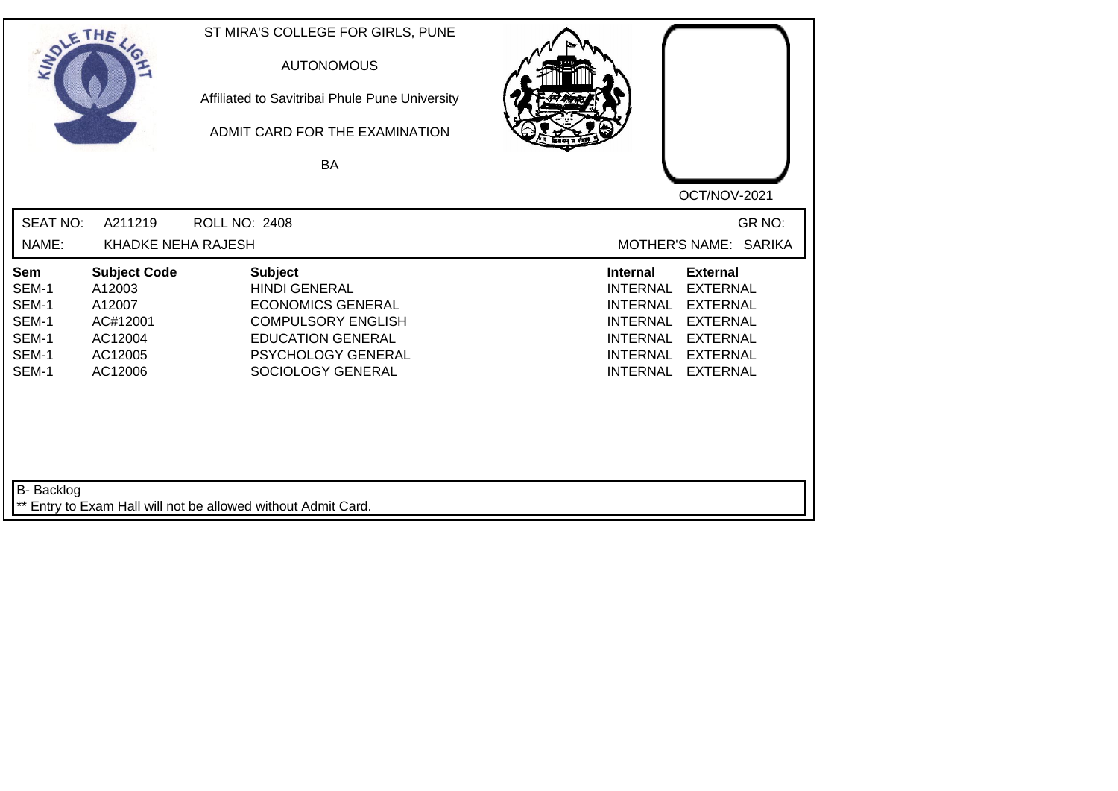| <b>SOLETHE</b>                                            |                                                                                      | ST MIRA'S COLLEGE FOR GIRLS, PUNE<br><b>AUTONOMOUS</b><br>Affiliated to Savitribai Phule Pune University<br>ADMIT CARD FOR THE EXAMINATION<br><b>BA</b>                       |                                                                                                                                                                                                                                                                 |
|-----------------------------------------------------------|--------------------------------------------------------------------------------------|-------------------------------------------------------------------------------------------------------------------------------------------------------------------------------|-----------------------------------------------------------------------------------------------------------------------------------------------------------------------------------------------------------------------------------------------------------------|
| <b>SEAT NO:</b>                                           |                                                                                      |                                                                                                                                                                               | OCT/NOV-2021<br>GR NO:                                                                                                                                                                                                                                          |
| NAME:                                                     | A211219<br>KHADKE NEHA RAJESH                                                        | <b>ROLL NO: 2408</b>                                                                                                                                                          | MOTHER'S NAME: SARIKA                                                                                                                                                                                                                                           |
| Sem<br>SEM-1<br>SEM-1<br>SEM-1<br>SEM-1<br>SEM-1<br>SEM-1 | <b>Subject Code</b><br>A12003<br>A12007<br>AC#12001<br>AC12004<br>AC12005<br>AC12006 | <b>Subject</b><br><b>HINDI GENERAL</b><br><b>ECONOMICS GENERAL</b><br><b>COMPULSORY ENGLISH</b><br><b>EDUCATION GENERAL</b><br><b>PSYCHOLOGY GENERAL</b><br>SOCIOLOGY GENERAL | Internal<br><b>External</b><br><b>INTERNAL</b><br><b>EXTERNAL</b><br><b>INTERNAL</b><br><b>EXTERNAL</b><br><b>INTERNAL</b><br><b>EXTERNAL</b><br><b>EXTERNAL</b><br><b>INTERNAL</b><br><b>INTERNAL</b><br><b>EXTERNAL</b><br><b>INTERNAL</b><br><b>EXTERNAL</b> |
| B- Backlog                                                |                                                                                      | ** Entry to Exam Hall will not be allowed without Admit Card.                                                                                                                 |                                                                                                                                                                                                                                                                 |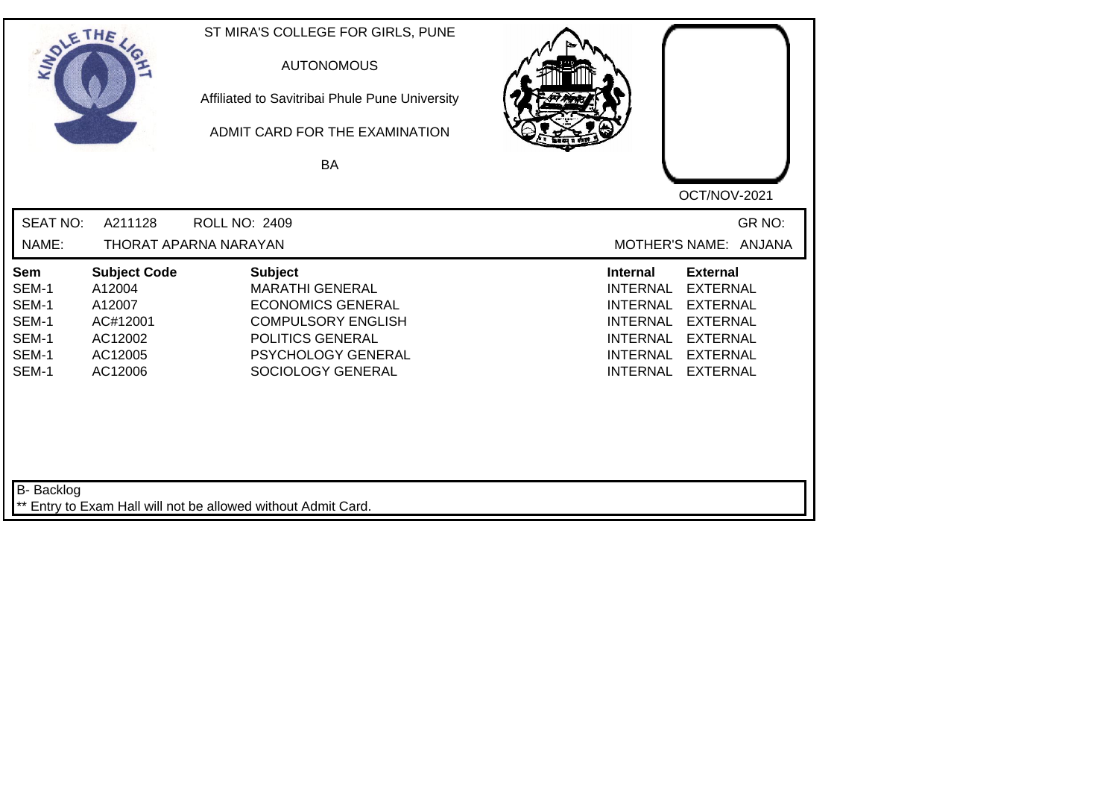| SOLETHE ,                                                 |                                                                                      | ST MIRA'S COLLEGE FOR GIRLS, PUNE<br><b>AUTONOMOUS</b><br>Affiliated to Savitribai Phule Pune University<br>ADMIT CARD FOR THE EXAMINATION<br>BA                 | OCT/NOV-2021                                                                                                                                                                                                                                                           |
|-----------------------------------------------------------|--------------------------------------------------------------------------------------|------------------------------------------------------------------------------------------------------------------------------------------------------------------|------------------------------------------------------------------------------------------------------------------------------------------------------------------------------------------------------------------------------------------------------------------------|
| <b>SEAT NO:</b><br>NAME:                                  | A211128                                                                              | <b>ROLL NO: 2409</b><br>THORAT APARNA NARAYAN                                                                                                                    | GR NO:<br>MOTHER'S NAME: ANJANA                                                                                                                                                                                                                                        |
| Sem<br>SEM-1<br>SEM-1<br>SEM-1<br>SEM-1<br>SEM-1<br>SEM-1 | <b>Subject Code</b><br>A12004<br>A12007<br>AC#12001<br>AC12002<br>AC12005<br>AC12006 | <b>Subject</b><br><b>MARATHI GENERAL</b><br><b>ECONOMICS GENERAL</b><br><b>COMPULSORY ENGLISH</b><br>POLITICS GENERAL<br>PSYCHOLOGY GENERAL<br>SOCIOLOGY GENERAL | <b>External</b><br><b>Internal</b><br><b>INTERNAL</b><br><b>EXTERNAL</b><br><b>INTERNAL</b><br><b>EXTERNAL</b><br><b>INTERNAL</b><br><b>EXTERNAL</b><br><b>EXTERNAL</b><br><b>INTERNAL</b><br><b>INTERNAL</b><br><b>EXTERNAL</b><br><b>EXTERNAL</b><br><b>INTERNAL</b> |
| <b>B-</b> Backlog                                         |                                                                                      | ** Entry to Exam Hall will not be allowed without Admit Card.                                                                                                    |                                                                                                                                                                                                                                                                        |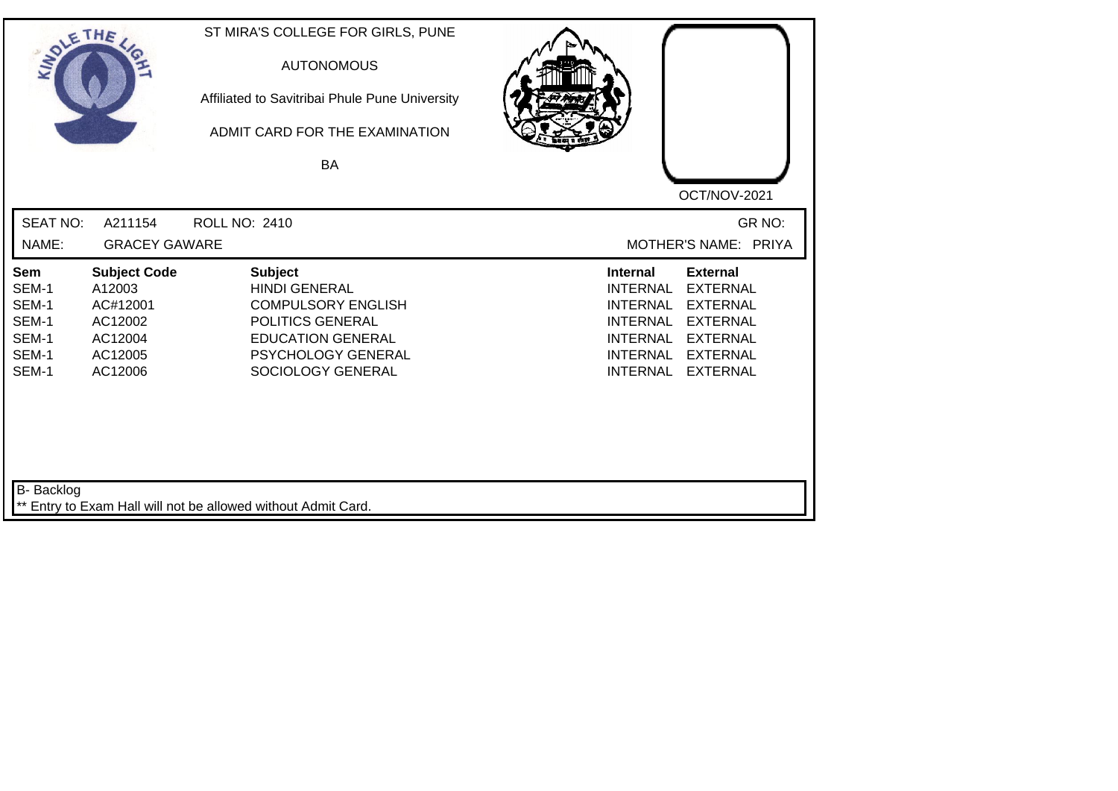| SOLE THE                                                  |                                                                                       | ST MIRA'S COLLEGE FOR GIRLS, PUNE<br><b>AUTONOMOUS</b><br>Affiliated to Savitribai Phule Pune University<br>ADMIT CARD FOR THE EXAMINATION<br><b>BA</b>        |                                                                                                                                                                                                                                                                        |
|-----------------------------------------------------------|---------------------------------------------------------------------------------------|----------------------------------------------------------------------------------------------------------------------------------------------------------------|------------------------------------------------------------------------------------------------------------------------------------------------------------------------------------------------------------------------------------------------------------------------|
|                                                           |                                                                                       |                                                                                                                                                                | OCT/NOV-2021                                                                                                                                                                                                                                                           |
| <b>SEAT NO:</b>                                           | A211154                                                                               | <b>ROLL NO: 2410</b>                                                                                                                                           | GR NO:                                                                                                                                                                                                                                                                 |
| NAME:                                                     | <b>GRACEY GAWARE</b>                                                                  |                                                                                                                                                                | MOTHER'S NAME: PRIYA                                                                                                                                                                                                                                                   |
| Sem<br>SEM-1<br>SEM-1<br>SEM-1<br>SEM-1<br>SEM-1<br>SEM-1 | <b>Subject Code</b><br>A12003<br>AC#12001<br>AC12002<br>AC12004<br>AC12005<br>AC12006 | <b>Subject</b><br><b>HINDI GENERAL</b><br><b>COMPULSORY ENGLISH</b><br>POLITICS GENERAL<br><b>EDUCATION GENERAL</b><br>PSYCHOLOGY GENERAL<br>SOCIOLOGY GENERAL | <b>External</b><br><b>Internal</b><br><b>EXTERNAL</b><br><b>INTERNAL</b><br><b>INTERNAL</b><br><b>EXTERNAL</b><br><b>EXTERNAL</b><br><b>INTERNAL</b><br><b>INTERNAL</b><br><b>EXTERNAL</b><br><b>INTERNAL</b><br><b>EXTERNAL</b><br><b>INTERNAL</b><br><b>EXTERNAL</b> |
| B- Backlog                                                |                                                                                       |                                                                                                                                                                |                                                                                                                                                                                                                                                                        |
|                                                           |                                                                                       | ** Entry to Exam Hall will not be allowed without Admit Card.                                                                                                  |                                                                                                                                                                                                                                                                        |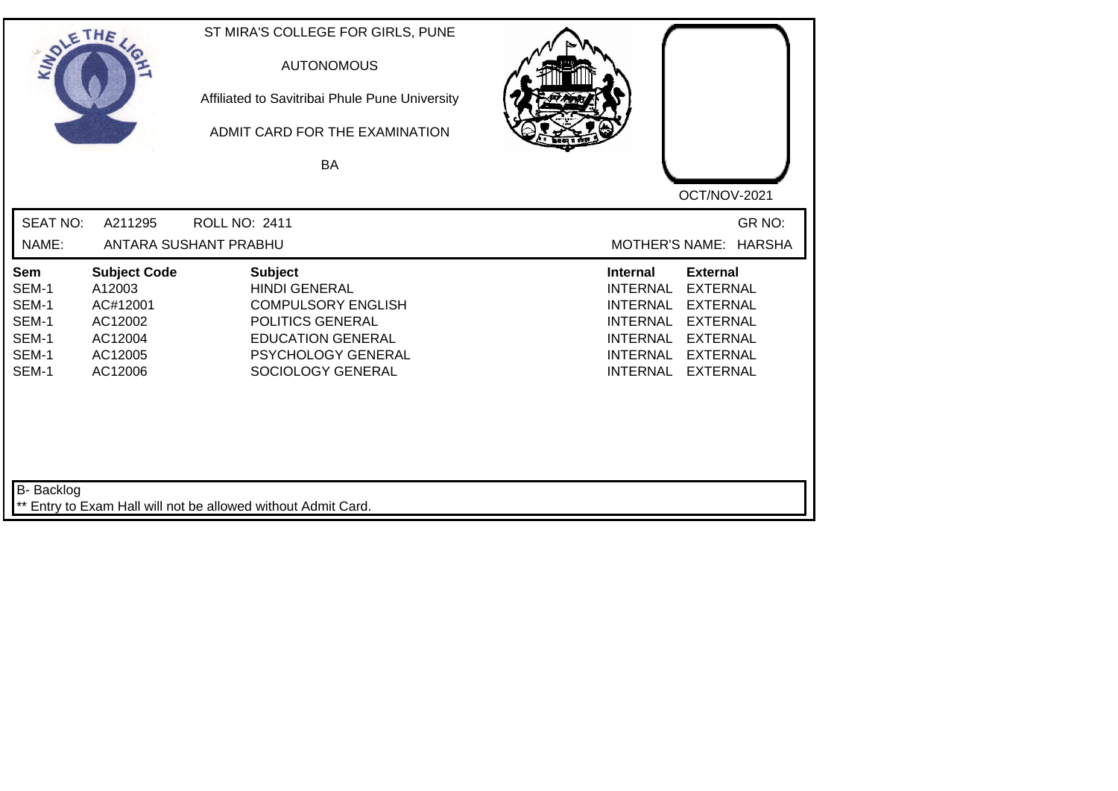| SOLETHE .                                                 |                                                                                       | ST MIRA'S COLLEGE FOR GIRLS, PUNE<br><b>AUTONOMOUS</b><br>Affiliated to Savitribai Phule Pune University<br>ADMIT CARD FOR THE EXAMINATION<br><b>BA</b>        |                                                                                                                                                                                                                                                                        |
|-----------------------------------------------------------|---------------------------------------------------------------------------------------|----------------------------------------------------------------------------------------------------------------------------------------------------------------|------------------------------------------------------------------------------------------------------------------------------------------------------------------------------------------------------------------------------------------------------------------------|
| <b>SEAT NO:</b><br>NAME:                                  | A211295                                                                               | <b>ROLL NO: 2411</b><br>ANTARA SUSHANT PRABHU                                                                                                                  | OCT/NOV-2021<br>GR NO:<br><b>MOTHER'S NAME:</b><br><b>HARSHA</b>                                                                                                                                                                                                       |
| Sem<br>SEM-1<br>SEM-1<br>SEM-1<br>SEM-1<br>SEM-1<br>SEM-1 | <b>Subject Code</b><br>A12003<br>AC#12001<br>AC12002<br>AC12004<br>AC12005<br>AC12006 | <b>Subject</b><br><b>HINDI GENERAL</b><br><b>COMPULSORY ENGLISH</b><br>POLITICS GENERAL<br><b>EDUCATION GENERAL</b><br>PSYCHOLOGY GENERAL<br>SOCIOLOGY GENERAL | <b>External</b><br><b>Internal</b><br><b>EXTERNAL</b><br><b>INTERNAL</b><br><b>INTERNAL</b><br><b>EXTERNAL</b><br><b>EXTERNAL</b><br><b>INTERNAL</b><br><b>INTERNAL</b><br><b>EXTERNAL</b><br><b>INTERNAL</b><br><b>EXTERNAL</b><br><b>INTERNAL</b><br><b>EXTERNAL</b> |
| B- Backlog                                                |                                                                                       | ** Entry to Exam Hall will not be allowed without Admit Card.                                                                                                  |                                                                                                                                                                                                                                                                        |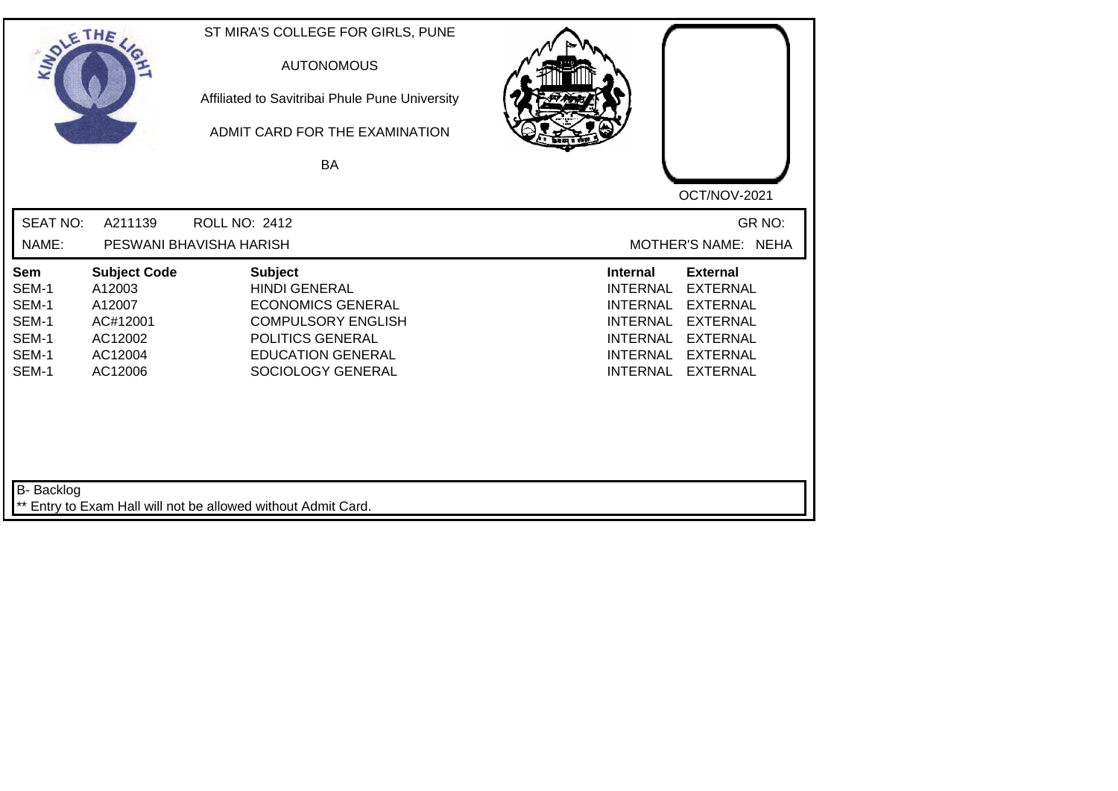| SOLETHE ,                                                        |                                                                                      | ST MIRA'S COLLEGE FOR GIRLS, PUNE<br><b>AUTONOMOUS</b><br>Affiliated to Savitribai Phule Pune University<br>ADMIT CARD FOR THE EXAMINATION<br><b>BA</b>              | OCT/NOV-2021                                                                                                                                                                                                                                                           |
|------------------------------------------------------------------|--------------------------------------------------------------------------------------|----------------------------------------------------------------------------------------------------------------------------------------------------------------------|------------------------------------------------------------------------------------------------------------------------------------------------------------------------------------------------------------------------------------------------------------------------|
| <b>SEAT NO:</b><br>NAME:                                         | A211139                                                                              | <b>ROLL NO: 2412</b><br>PESWANI BHAVISHA HARISH                                                                                                                      | GR NO:<br>MOTHER'S NAME: NEHA                                                                                                                                                                                                                                          |
| <b>Sem</b><br>SEM-1<br>SEM-1<br>SEM-1<br>SEM-1<br>SEM-1<br>SEM-1 | <b>Subject Code</b><br>A12003<br>A12007<br>AC#12001<br>AC12002<br>AC12004<br>AC12006 | <b>Subject</b><br><b>HINDI GENERAL</b><br><b>ECONOMICS GENERAL</b><br><b>COMPULSORY ENGLISH</b><br>POLITICS GENERAL<br><b>EDUCATION GENERAL</b><br>SOCIOLOGY GENERAL | <b>Internal</b><br><b>External</b><br><b>INTERNAL</b><br><b>EXTERNAL</b><br><b>INTERNAL</b><br><b>EXTERNAL</b><br><b>INTERNAL</b><br><b>EXTERNAL</b><br><b>EXTERNAL</b><br><b>INTERNAL</b><br><b>INTERNAL</b><br><b>EXTERNAL</b><br><b>INTERNAL</b><br><b>EXTERNAL</b> |
| B- Backlog                                                       |                                                                                      | ** Entry to Exam Hall will not be allowed without Admit Card.                                                                                                        |                                                                                                                                                                                                                                                                        |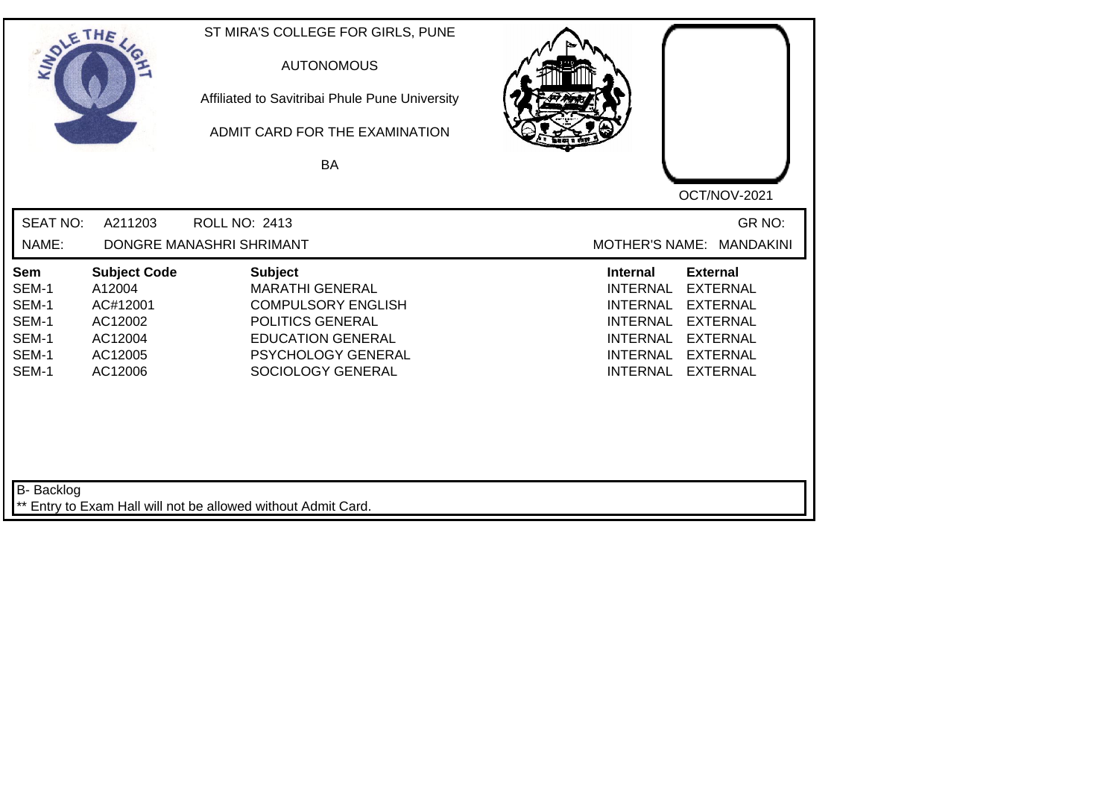| SOLETHE ,                                                 |                                                                                       | ST MIRA'S COLLEGE FOR GIRLS, PUNE<br><b>AUTONOMOUS</b><br>Affiliated to Savitribai Phule Pune University<br>ADMIT CARD FOR THE EXAMINATION<br>BA                        |                                                                                                                                                                                                                                                                        |
|-----------------------------------------------------------|---------------------------------------------------------------------------------------|-------------------------------------------------------------------------------------------------------------------------------------------------------------------------|------------------------------------------------------------------------------------------------------------------------------------------------------------------------------------------------------------------------------------------------------------------------|
| <b>SEAT NO:</b><br>NAME:                                  | A211203                                                                               | <b>ROLL NO: 2413</b><br>DONGRE MANASHRI SHRIMANT                                                                                                                        | OCT/NOV-2021<br>GR NO:<br>MOTHER'S NAME: MANDAKINI                                                                                                                                                                                                                     |
| Sem<br>SEM-1<br>SEM-1<br>SEM-1<br>SEM-1<br>SEM-1<br>SEM-1 | <b>Subject Code</b><br>A12004<br>AC#12001<br>AC12002<br>AC12004<br>AC12005<br>AC12006 | <b>Subject</b><br><b>MARATHI GENERAL</b><br><b>COMPULSORY ENGLISH</b><br>POLITICS GENERAL<br><b>EDUCATION GENERAL</b><br><b>PSYCHOLOGY GENERAL</b><br>SOCIOLOGY GENERAL | <b>Internal</b><br><b>External</b><br><b>INTERNAL</b><br><b>EXTERNAL</b><br><b>EXTERNAL</b><br><b>INTERNAL</b><br><b>INTERNAL</b><br><b>EXTERNAL</b><br><b>INTERNAL</b><br><b>EXTERNAL</b><br><b>INTERNAL</b><br><b>EXTERNAL</b><br><b>INTERNAL</b><br><b>EXTERNAL</b> |
| B- Backlog                                                |                                                                                       | ** Entry to Exam Hall will not be allowed without Admit Card.                                                                                                           |                                                                                                                                                                                                                                                                        |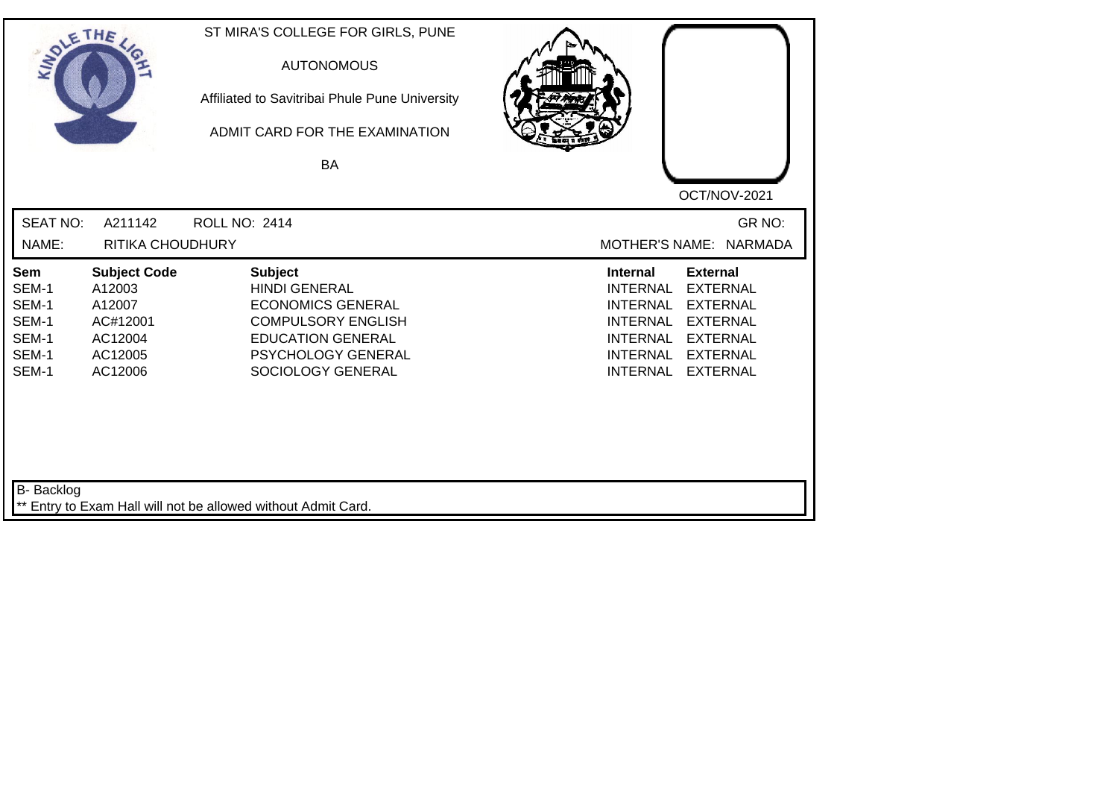| SOLE THE                                                  |                                                                                      | ST MIRA'S COLLEGE FOR GIRLS, PUNE<br><b>AUTONOMOUS</b><br>Affiliated to Savitribai Phule Pune University<br>ADMIT CARD FOR THE EXAMINATION<br><b>BA</b>                |                                                                                                                                                                                                                                                                        |
|-----------------------------------------------------------|--------------------------------------------------------------------------------------|------------------------------------------------------------------------------------------------------------------------------------------------------------------------|------------------------------------------------------------------------------------------------------------------------------------------------------------------------------------------------------------------------------------------------------------------------|
| <b>SEAT NO:</b><br>NAME:                                  | A211142<br>RITIKA CHOUDHURY                                                          | <b>ROLL NO: 2414</b>                                                                                                                                                   | OCT/NOV-2021<br>GR NO:<br>MOTHER'S NAME: NARMADA                                                                                                                                                                                                                       |
| Sem<br>SEM-1<br>SEM-1<br>SEM-1<br>SEM-1<br>SEM-1<br>SEM-1 | <b>Subject Code</b><br>A12003<br>A12007<br>AC#12001<br>AC12004<br>AC12005<br>AC12006 | <b>Subject</b><br><b>HINDI GENERAL</b><br><b>ECONOMICS GENERAL</b><br><b>COMPULSORY ENGLISH</b><br><b>EDUCATION GENERAL</b><br>PSYCHOLOGY GENERAL<br>SOCIOLOGY GENERAL | <b>Internal</b><br><b>External</b><br><b>EXTERNAL</b><br><b>INTERNAL</b><br><b>EXTERNAL</b><br><b>INTERNAL</b><br><b>INTERNAL</b><br><b>EXTERNAL</b><br><b>EXTERNAL</b><br><b>INTERNAL</b><br><b>INTERNAL</b><br><b>EXTERNAL</b><br><b>INTERNAL</b><br><b>EXTERNAL</b> |
| <b>B-</b> Backlog                                         |                                                                                      | ** Entry to Exam Hall will not be allowed without Admit Card.                                                                                                          |                                                                                                                                                                                                                                                                        |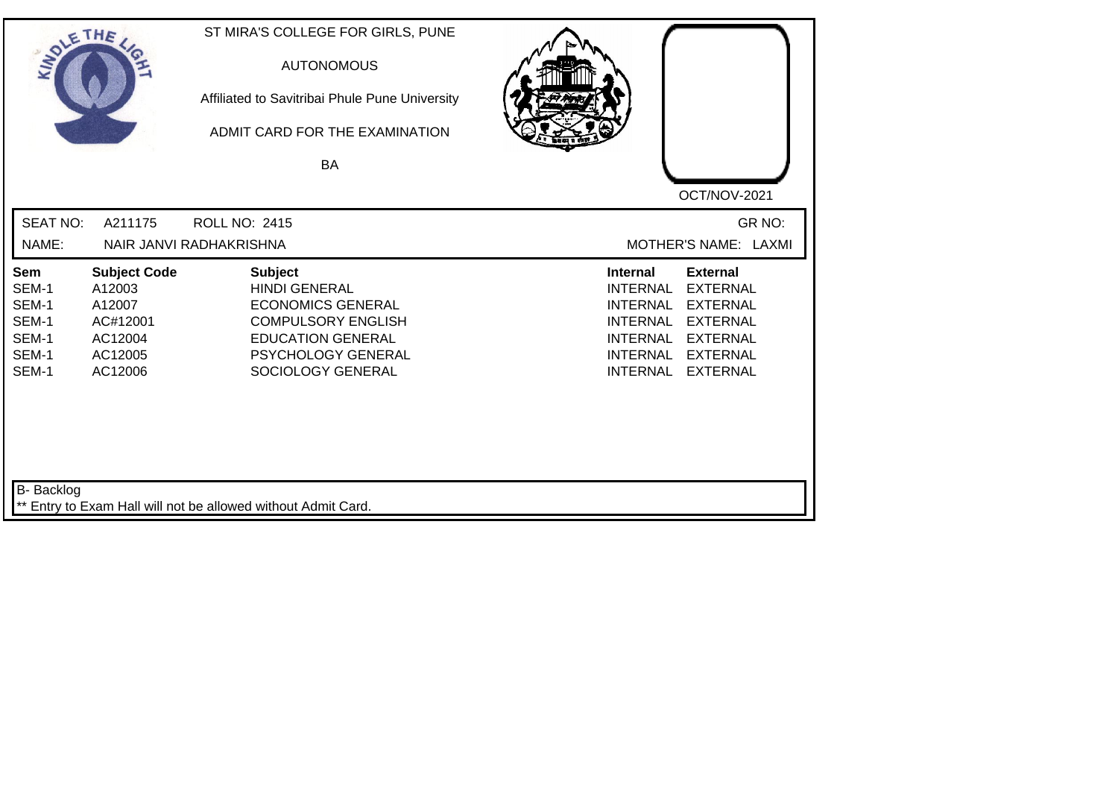| SOLETHE ,                                                        |                                                                                      | ST MIRA'S COLLEGE FOR GIRLS, PUNE<br><b>AUTONOMOUS</b><br>Affiliated to Savitribai Phule Pune University<br>ADMIT CARD FOR THE EXAMINATION<br><b>BA</b>                | OCT/NOV-2021                                                                                                                                                                                                                                                           |
|------------------------------------------------------------------|--------------------------------------------------------------------------------------|------------------------------------------------------------------------------------------------------------------------------------------------------------------------|------------------------------------------------------------------------------------------------------------------------------------------------------------------------------------------------------------------------------------------------------------------------|
| <b>SEAT NO:</b><br>NAME:                                         | A211175                                                                              | <b>ROLL NO: 2415</b><br>NAIR JANVI RADHAKRISHNA                                                                                                                        | GR NO:<br>MOTHER'S NAME: LAXMI                                                                                                                                                                                                                                         |
| <b>Sem</b><br>SEM-1<br>SEM-1<br>SEM-1<br>SEM-1<br>SEM-1<br>SEM-1 | <b>Subject Code</b><br>A12003<br>A12007<br>AC#12001<br>AC12004<br>AC12005<br>AC12006 | <b>Subject</b><br><b>HINDI GENERAL</b><br><b>ECONOMICS GENERAL</b><br><b>COMPULSORY ENGLISH</b><br><b>EDUCATION GENERAL</b><br>PSYCHOLOGY GENERAL<br>SOCIOLOGY GENERAL | <b>External</b><br><b>Internal</b><br><b>INTERNAL</b><br><b>EXTERNAL</b><br><b>INTERNAL</b><br><b>EXTERNAL</b><br><b>INTERNAL</b><br><b>EXTERNAL</b><br><b>EXTERNAL</b><br><b>INTERNAL</b><br><b>INTERNAL</b><br><b>EXTERNAL</b><br><b>INTERNAL</b><br><b>EXTERNAL</b> |
| B- Backlog                                                       |                                                                                      | ** Entry to Exam Hall will not be allowed without Admit Card.                                                                                                          |                                                                                                                                                                                                                                                                        |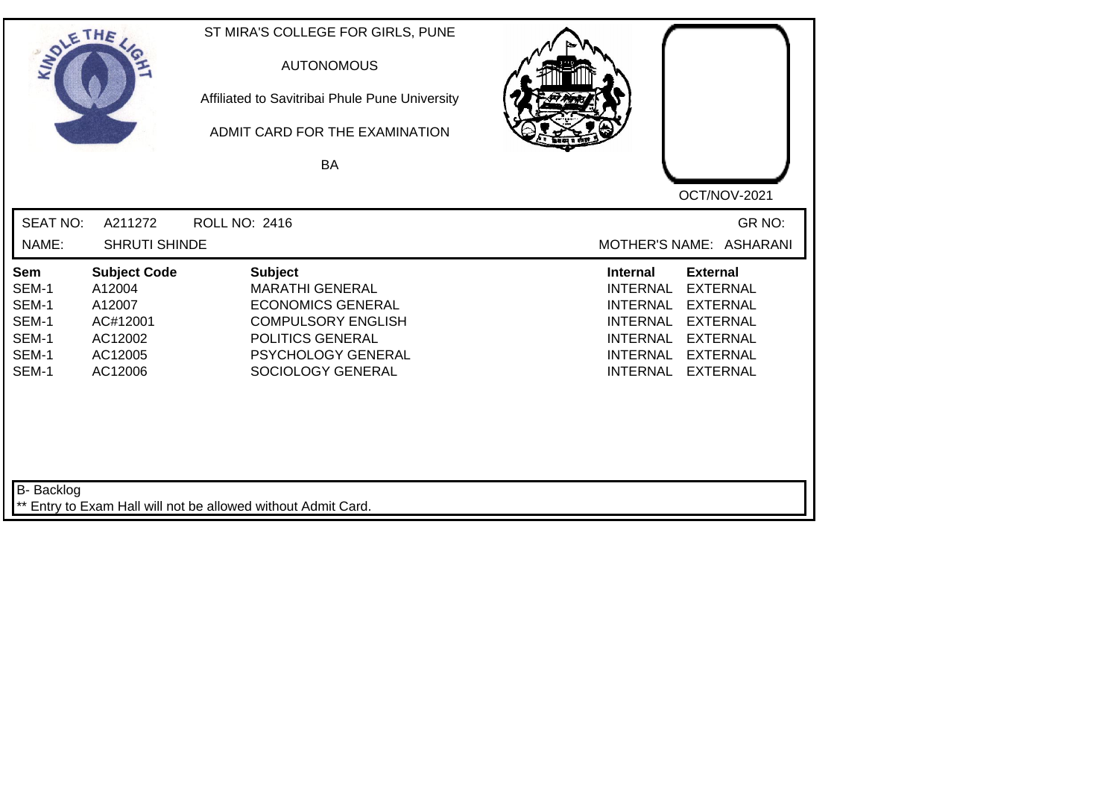| SOLE THE                                                  |                                                                                      | ST MIRA'S COLLEGE FOR GIRLS, PUNE<br><b>AUTONOMOUS</b><br>Affiliated to Savitribai Phule Pune University<br>ADMIT CARD FOR THE EXAMINATION<br><b>BA</b>                 |                                                                                                                                                                                                                                                                        |
|-----------------------------------------------------------|--------------------------------------------------------------------------------------|-------------------------------------------------------------------------------------------------------------------------------------------------------------------------|------------------------------------------------------------------------------------------------------------------------------------------------------------------------------------------------------------------------------------------------------------------------|
|                                                           |                                                                                      |                                                                                                                                                                         | OCT/NOV-2021                                                                                                                                                                                                                                                           |
| <b>SEAT NO:</b><br>NAME:                                  | A211272<br>SHRUTI SHINDE                                                             | <b>ROLL NO: 2416</b>                                                                                                                                                    | GR NO:<br>MOTHER'S NAME: ASHARANI                                                                                                                                                                                                                                      |
| Sem<br>SEM-1<br>SEM-1<br>SEM-1<br>SEM-1<br>SEM-1<br>SEM-1 | <b>Subject Code</b><br>A12004<br>A12007<br>AC#12001<br>AC12002<br>AC12005<br>AC12006 | <b>Subject</b><br><b>MARATHI GENERAL</b><br><b>ECONOMICS GENERAL</b><br><b>COMPULSORY ENGLISH</b><br>POLITICS GENERAL<br><b>PSYCHOLOGY GENERAL</b><br>SOCIOLOGY GENERAL | <b>Internal</b><br><b>External</b><br><b>EXTERNAL</b><br><b>INTERNAL</b><br><b>EXTERNAL</b><br><b>INTERNAL</b><br><b>INTERNAL</b><br><b>EXTERNAL</b><br><b>INTERNAL</b><br><b>EXTERNAL</b><br><b>INTERNAL</b><br><b>EXTERNAL</b><br><b>INTERNAL</b><br><b>EXTERNAL</b> |
| <b>B-</b> Backlog                                         |                                                                                      | ** Entry to Exam Hall will not be allowed without Admit Card.                                                                                                           |                                                                                                                                                                                                                                                                        |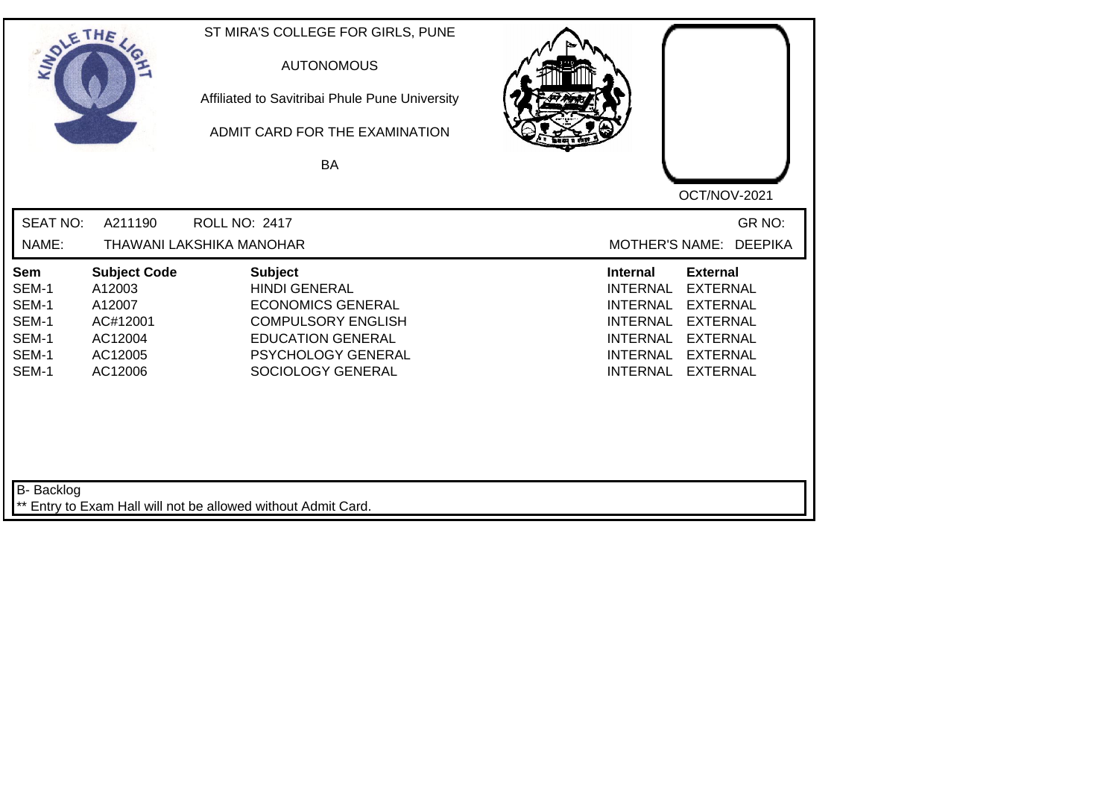| SOLE THE                                                  |                                                                                      | ST MIRA'S COLLEGE FOR GIRLS, PUNE<br><b>AUTONOMOUS</b><br>Affiliated to Savitribai Phule Pune University<br>ADMIT CARD FOR THE EXAMINATION<br><b>BA</b>                |                                                                                                                                                                                                                                                                        |
|-----------------------------------------------------------|--------------------------------------------------------------------------------------|------------------------------------------------------------------------------------------------------------------------------------------------------------------------|------------------------------------------------------------------------------------------------------------------------------------------------------------------------------------------------------------------------------------------------------------------------|
|                                                           |                                                                                      |                                                                                                                                                                        | OCT/NOV-2021                                                                                                                                                                                                                                                           |
| <b>SEAT NO:</b>                                           | A211190                                                                              | <b>ROLL NO: 2417</b>                                                                                                                                                   | GR NO:                                                                                                                                                                                                                                                                 |
| NAME:                                                     |                                                                                      | THAWANI LAKSHIKA MANOHAR                                                                                                                                               | MOTHER'S NAME: DEEPIKA                                                                                                                                                                                                                                                 |
| Sem<br>SEM-1<br>SEM-1<br>SEM-1<br>SEM-1<br>SEM-1<br>SEM-1 | <b>Subject Code</b><br>A12003<br>A12007<br>AC#12001<br>AC12004<br>AC12005<br>AC12006 | <b>Subject</b><br><b>HINDI GENERAL</b><br><b>ECONOMICS GENERAL</b><br><b>COMPULSORY ENGLISH</b><br><b>EDUCATION GENERAL</b><br>PSYCHOLOGY GENERAL<br>SOCIOLOGY GENERAL | <b>Internal</b><br><b>External</b><br><b>INTERNAL</b><br><b>EXTERNAL</b><br><b>INTERNAL</b><br><b>EXTERNAL</b><br><b>INTERNAL</b><br><b>EXTERNAL</b><br><b>INTERNAL</b><br><b>EXTERNAL</b><br><b>INTERNAL</b><br><b>EXTERNAL</b><br><b>INTERNAL</b><br><b>EXTERNAL</b> |
| <b>B-</b> Backlog                                         |                                                                                      | ** Entry to Exam Hall will not be allowed without Admit Card.                                                                                                          |                                                                                                                                                                                                                                                                        |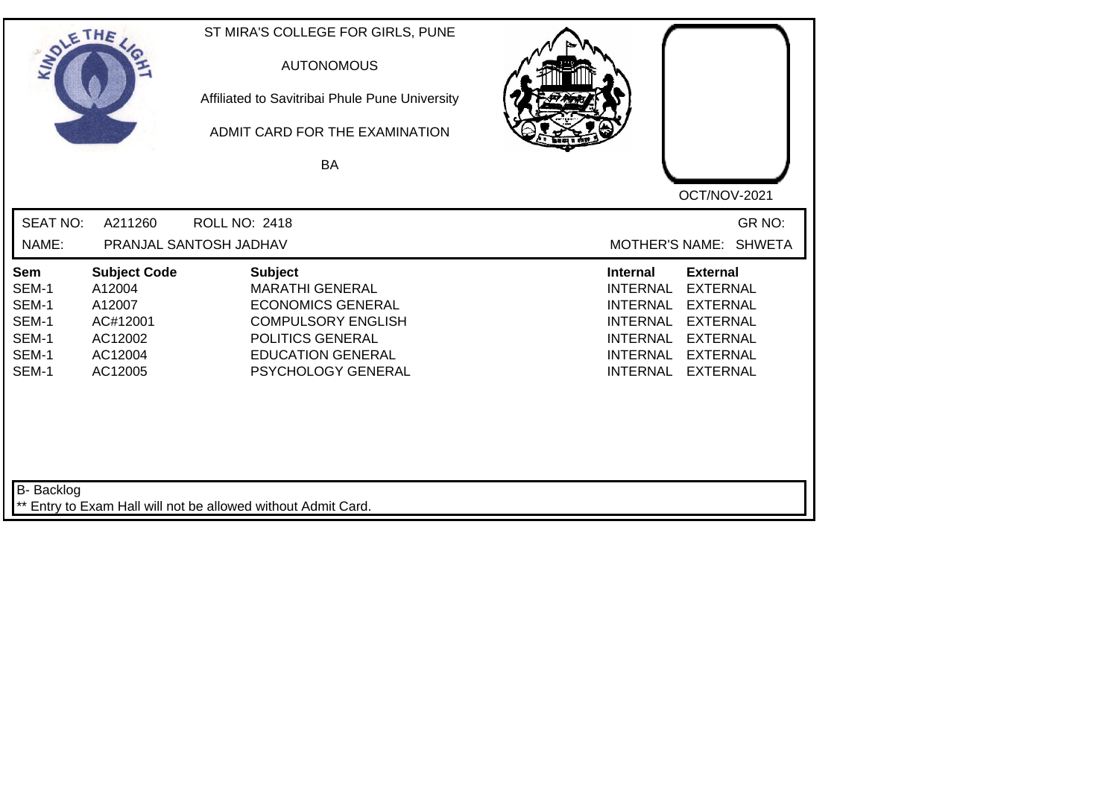| SOLETHE ,                                                        |                                                                                      | ST MIRA'S COLLEGE FOR GIRLS, PUNE<br><b>AUTONOMOUS</b><br>Affiliated to Savitribai Phule Pune University<br>ADMIT CARD FOR THE EXAMINATION<br>BA                        | OCT/NOV-2021                                                                                                                                                                                                                                                           |
|------------------------------------------------------------------|--------------------------------------------------------------------------------------|-------------------------------------------------------------------------------------------------------------------------------------------------------------------------|------------------------------------------------------------------------------------------------------------------------------------------------------------------------------------------------------------------------------------------------------------------------|
| <b>SEAT NO:</b><br>NAME:                                         | A211260                                                                              | <b>ROLL NO: 2418</b><br>PRANJAL SANTOSH JADHAV                                                                                                                          | GR NO:<br><b>MOTHER'S NAME:</b><br><b>SHWETA</b>                                                                                                                                                                                                                       |
| <b>Sem</b><br>SEM-1<br>SEM-1<br>SEM-1<br>SEM-1<br>SEM-1<br>SEM-1 | <b>Subject Code</b><br>A12004<br>A12007<br>AC#12001<br>AC12002<br>AC12004<br>AC12005 | <b>Subject</b><br><b>MARATHI GENERAL</b><br><b>ECONOMICS GENERAL</b><br><b>COMPULSORY ENGLISH</b><br>POLITICS GENERAL<br><b>EDUCATION GENERAL</b><br>PSYCHOLOGY GENERAL | <b>External</b><br><b>Internal</b><br><b>INTERNAL</b><br><b>EXTERNAL</b><br><b>EXTERNAL</b><br><b>INTERNAL</b><br><b>INTERNAL</b><br><b>EXTERNAL</b><br><b>INTERNAL</b><br><b>EXTERNAL</b><br><b>INTERNAL</b><br><b>EXTERNAL</b><br><b>EXTERNAL</b><br><b>INTERNAL</b> |
| B- Backlog                                                       |                                                                                      | ** Entry to Exam Hall will not be allowed without Admit Card.                                                                                                           |                                                                                                                                                                                                                                                                        |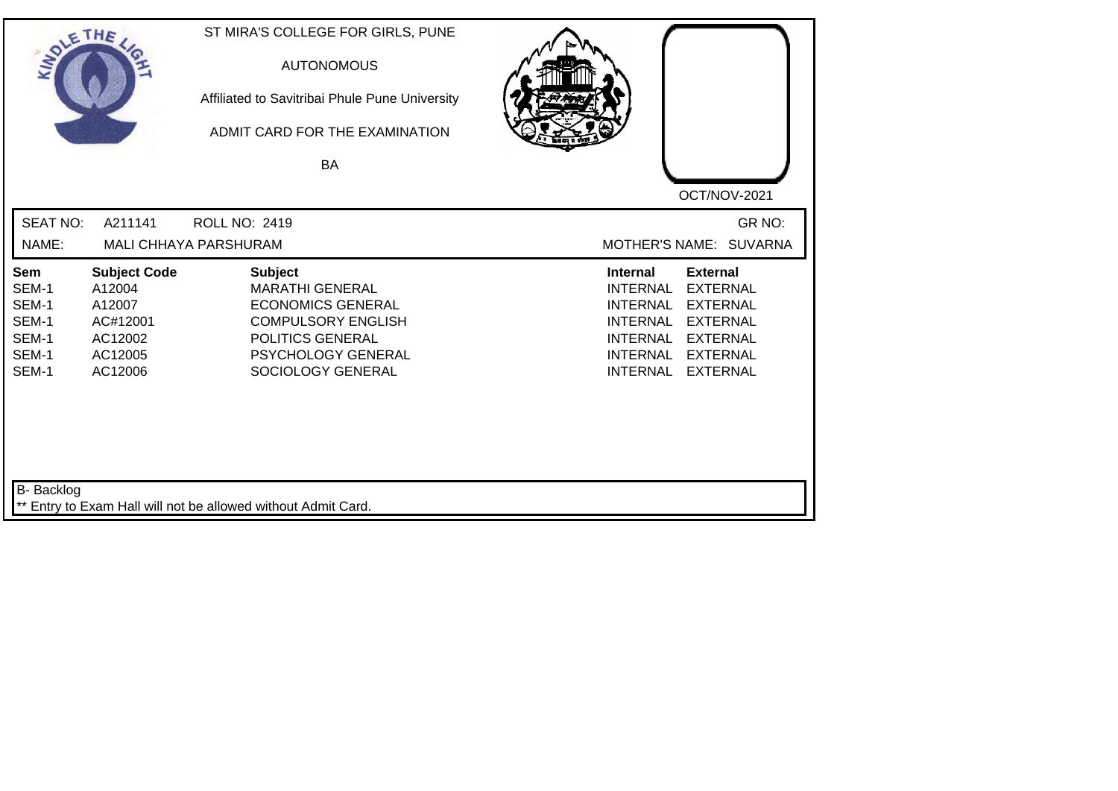| SOLETHE ,                                                        |                                                                                      | ST MIRA'S COLLEGE FOR GIRLS, PUNE<br><b>AUTONOMOUS</b><br>Affiliated to Savitribai Phule Pune University<br>ADMIT CARD FOR THE EXAMINATION<br>BA                        | OCT/NOV-2021                                                                                                                                                                                                                                                           |
|------------------------------------------------------------------|--------------------------------------------------------------------------------------|-------------------------------------------------------------------------------------------------------------------------------------------------------------------------|------------------------------------------------------------------------------------------------------------------------------------------------------------------------------------------------------------------------------------------------------------------------|
| <b>SEAT NO:</b><br>NAME:                                         | A211141                                                                              | <b>ROLL NO: 2419</b><br>MALI CHHAYA PARSHURAM                                                                                                                           | GR NO:<br>MOTHER'S NAME: SUVARNA                                                                                                                                                                                                                                       |
| <b>Sem</b><br>SEM-1<br>SEM-1<br>SEM-1<br>SEM-1<br>SEM-1<br>SEM-1 | <b>Subject Code</b><br>A12004<br>A12007<br>AC#12001<br>AC12002<br>AC12005<br>AC12006 | <b>Subject</b><br><b>MARATHI GENERAL</b><br><b>ECONOMICS GENERAL</b><br><b>COMPULSORY ENGLISH</b><br>POLITICS GENERAL<br><b>PSYCHOLOGY GENERAL</b><br>SOCIOLOGY GENERAL | <b>Internal</b><br><b>External</b><br><b>EXTERNAL</b><br><b>INTERNAL</b><br><b>INTERNAL</b><br><b>EXTERNAL</b><br><b>INTERNAL</b><br><b>EXTERNAL</b><br><b>INTERNAL</b><br><b>EXTERNAL</b><br><b>INTERNAL</b><br><b>EXTERNAL</b><br><b>INTERNAL</b><br><b>EXTERNAL</b> |
| B- Backlog                                                       |                                                                                      | ** Entry to Exam Hall will not be allowed without Admit Card.                                                                                                           |                                                                                                                                                                                                                                                                        |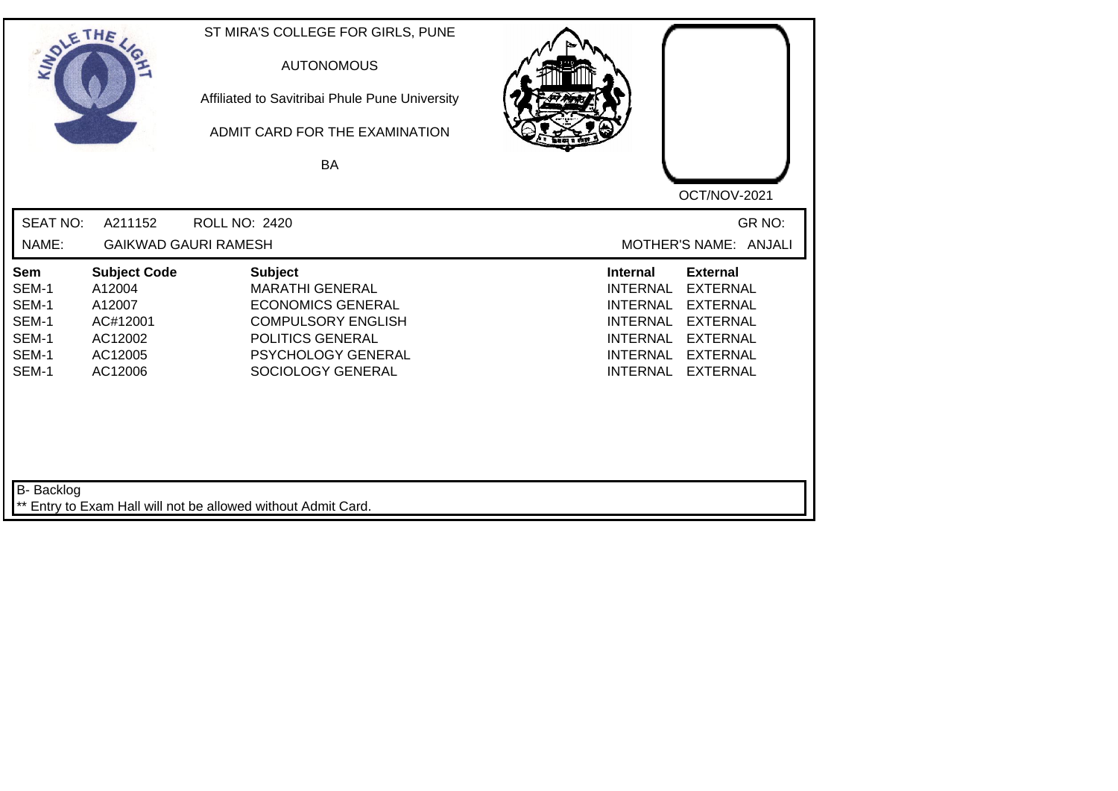| SOLETHE .                                                 |                                                                                      | ST MIRA'S COLLEGE FOR GIRLS, PUNE<br><b>AUTONOMOUS</b><br>Affiliated to Savitribai Phule Pune University<br>ADMIT CARD FOR THE EXAMINATION<br>BA                 | OCT/NOV-2021                                                                                                                                                                                                                                                           |
|-----------------------------------------------------------|--------------------------------------------------------------------------------------|------------------------------------------------------------------------------------------------------------------------------------------------------------------|------------------------------------------------------------------------------------------------------------------------------------------------------------------------------------------------------------------------------------------------------------------------|
| <b>SEAT NO:</b><br>NAME:                                  | A211152                                                                              | <b>ROLL NO: 2420</b><br><b>GAIKWAD GAURI RAMESH</b>                                                                                                              | GR NO:<br>MOTHER'S NAME: ANJALI                                                                                                                                                                                                                                        |
| Sem<br>SEM-1<br>SEM-1<br>SEM-1<br>SEM-1<br>SEM-1<br>SEM-1 | <b>Subject Code</b><br>A12004<br>A12007<br>AC#12001<br>AC12002<br>AC12005<br>AC12006 | <b>Subject</b><br><b>MARATHI GENERAL</b><br><b>ECONOMICS GENERAL</b><br><b>COMPULSORY ENGLISH</b><br>POLITICS GENERAL<br>PSYCHOLOGY GENERAL<br>SOCIOLOGY GENERAL | <b>External</b><br><b>Internal</b><br><b>EXTERNAL</b><br><b>INTERNAL</b><br><b>INTERNAL</b><br><b>EXTERNAL</b><br><b>EXTERNAL</b><br><b>INTERNAL</b><br><b>INTERNAL</b><br><b>EXTERNAL</b><br><b>INTERNAL</b><br><b>EXTERNAL</b><br><b>EXTERNAL</b><br><b>INTERNAL</b> |
| B- Backlog                                                |                                                                                      | ** Entry to Exam Hall will not be allowed without Admit Card.                                                                                                    |                                                                                                                                                                                                                                                                        |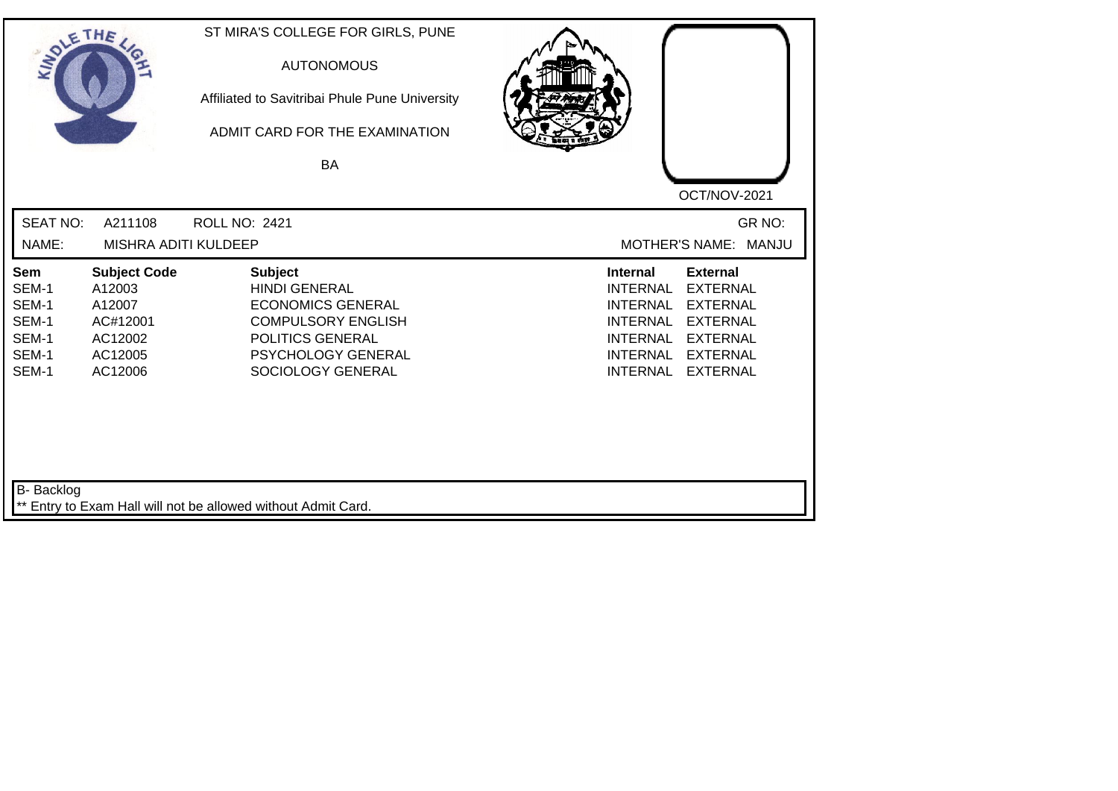| SOLE THE                                                  |                                                                                      | ST MIRA'S COLLEGE FOR GIRLS, PUNE<br><b>AUTONOMOUS</b><br>Affiliated to Savitribai Phule Pune University<br>ADMIT CARD FOR THE EXAMINATION<br>BA                      |                                                                                                                                                                                                                                                                        |
|-----------------------------------------------------------|--------------------------------------------------------------------------------------|-----------------------------------------------------------------------------------------------------------------------------------------------------------------------|------------------------------------------------------------------------------------------------------------------------------------------------------------------------------------------------------------------------------------------------------------------------|
| <b>SEAT NO:</b>                                           | A211108                                                                              | <b>ROLL NO: 2421</b>                                                                                                                                                  | OCT/NOV-2021<br>GR NO:                                                                                                                                                                                                                                                 |
| NAME:                                                     | MISHRA ADITI KULDEEP                                                                 |                                                                                                                                                                       | MOTHER'S NAME: MANJU                                                                                                                                                                                                                                                   |
| Sem<br>SEM-1<br>SEM-1<br>SEM-1<br>SEM-1<br>SEM-1<br>SEM-1 | <b>Subject Code</b><br>A12003<br>A12007<br>AC#12001<br>AC12002<br>AC12005<br>AC12006 | <b>Subject</b><br><b>HINDI GENERAL</b><br><b>ECONOMICS GENERAL</b><br><b>COMPULSORY ENGLISH</b><br>POLITICS GENERAL<br><b>PSYCHOLOGY GENERAL</b><br>SOCIOLOGY GENERAL | <b>External</b><br><b>Internal</b><br><b>INTERNAL</b><br><b>EXTERNAL</b><br><b>INTERNAL</b><br><b>EXTERNAL</b><br><b>INTERNAL</b><br><b>EXTERNAL</b><br><b>INTERNAL</b><br><b>EXTERNAL</b><br><b>INTERNAL</b><br><b>EXTERNAL</b><br><b>INTERNAL</b><br><b>EXTERNAL</b> |
| <b>B-</b> Backlog                                         |                                                                                      | ** Entry to Exam Hall will not be allowed without Admit Card.                                                                                                         |                                                                                                                                                                                                                                                                        |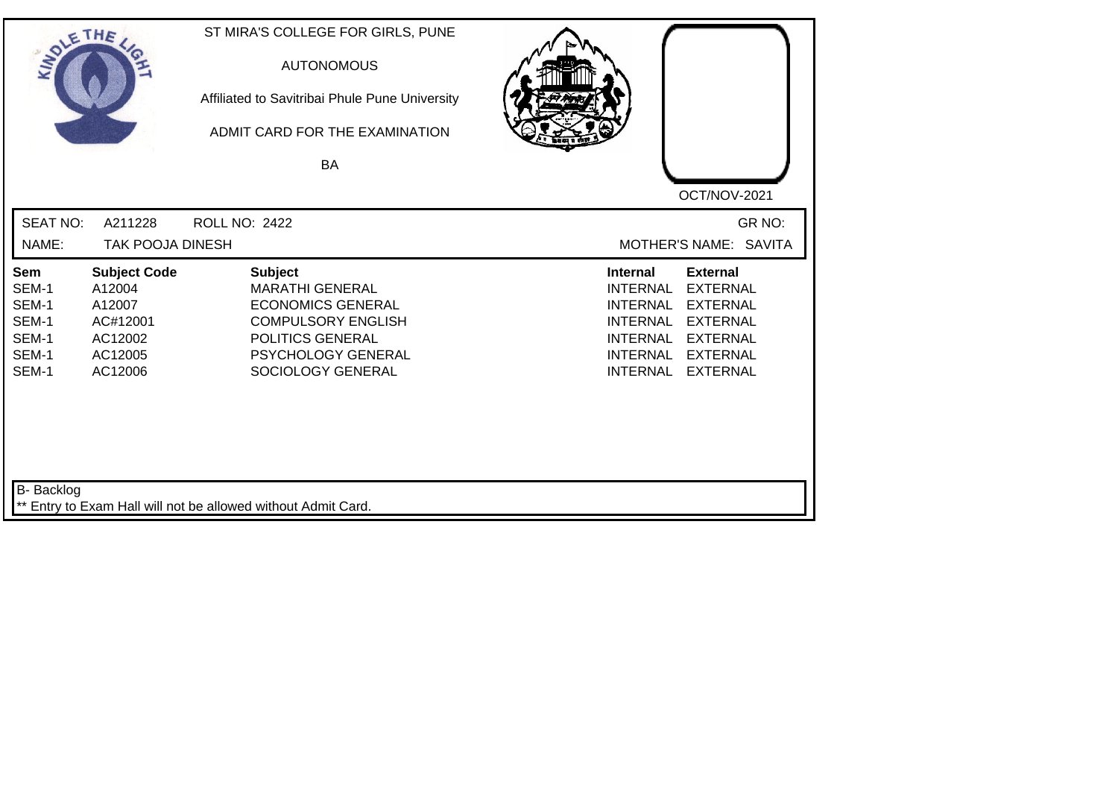| SOLE THE                                                  |                                                                                      | ST MIRA'S COLLEGE FOR GIRLS, PUNE<br><b>AUTONOMOUS</b><br>Affiliated to Savitribai Phule Pune University<br>ADMIT CARD FOR THE EXAMINATION<br>BA                 |                                                                                                                                                                                                                                                                        |
|-----------------------------------------------------------|--------------------------------------------------------------------------------------|------------------------------------------------------------------------------------------------------------------------------------------------------------------|------------------------------------------------------------------------------------------------------------------------------------------------------------------------------------------------------------------------------------------------------------------------|
| <b>SEAT NO:</b><br>NAME:                                  | A211228<br><b>TAK POOJA DINESH</b>                                                   | <b>ROLL NO: 2422</b>                                                                                                                                             | OCT/NOV-2021<br>GR NO:<br>MOTHER'S NAME: SAVITA                                                                                                                                                                                                                        |
| Sem<br>SEM-1<br>SEM-1<br>SEM-1<br>SEM-1<br>SEM-1<br>SEM-1 | <b>Subject Code</b><br>A12004<br>A12007<br>AC#12001<br>AC12002<br>AC12005<br>AC12006 | <b>Subject</b><br><b>MARATHI GENERAL</b><br><b>ECONOMICS GENERAL</b><br><b>COMPULSORY ENGLISH</b><br>POLITICS GENERAL<br>PSYCHOLOGY GENERAL<br>SOCIOLOGY GENERAL | <b>External</b><br><b>Internal</b><br><b>EXTERNAL</b><br><b>INTERNAL</b><br><b>INTERNAL</b><br><b>EXTERNAL</b><br><b>EXTERNAL</b><br><b>INTERNAL</b><br><b>INTERNAL</b><br><b>EXTERNAL</b><br><b>INTERNAL</b><br><b>EXTERNAL</b><br><b>INTERNAL</b><br><b>EXTERNAL</b> |
| <b>B-</b> Backlog                                         |                                                                                      | ** Entry to Exam Hall will not be allowed without Admit Card.                                                                                                    |                                                                                                                                                                                                                                                                        |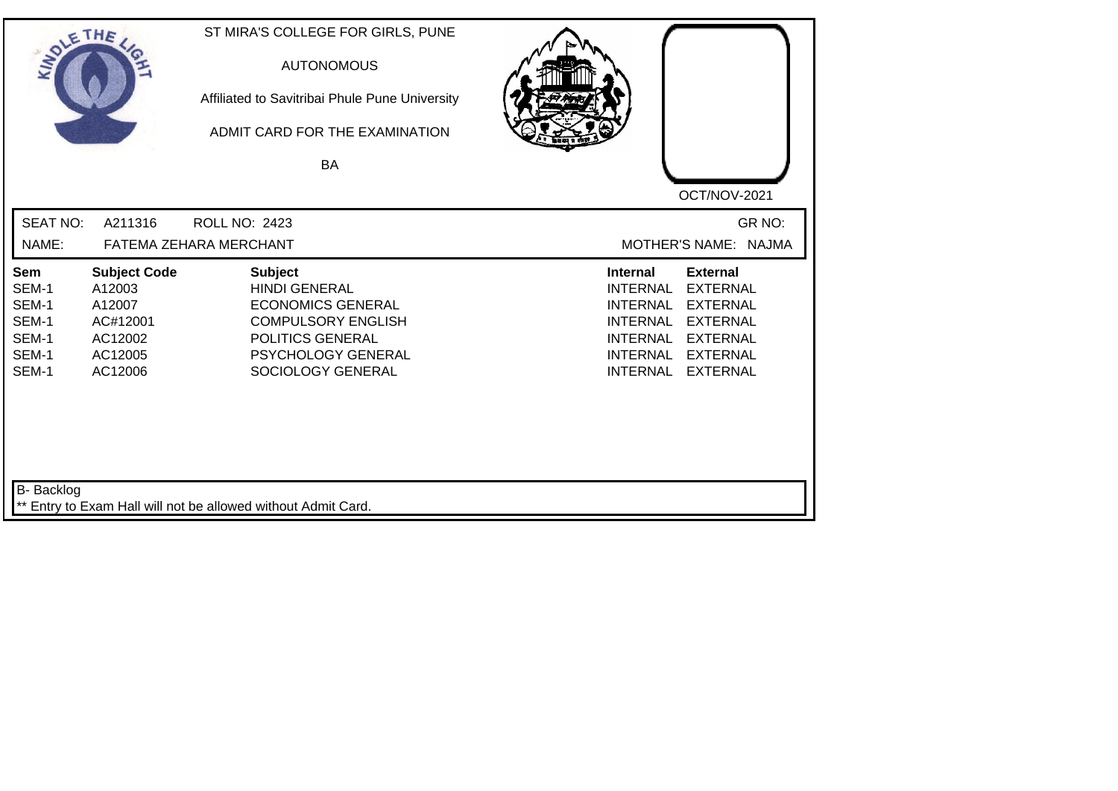| SOLETHE ,                                                 |                                                                                      | ST MIRA'S COLLEGE FOR GIRLS, PUNE<br><b>AUTONOMOUS</b><br>Affiliated to Savitribai Phule Pune University<br>ADMIT CARD FOR THE EXAMINATION<br><b>BA</b>        |                                                                                                                                                                                                                                                                        |
|-----------------------------------------------------------|--------------------------------------------------------------------------------------|----------------------------------------------------------------------------------------------------------------------------------------------------------------|------------------------------------------------------------------------------------------------------------------------------------------------------------------------------------------------------------------------------------------------------------------------|
| <b>SEAT NO:</b><br>NAME:                                  | A211316                                                                              | <b>ROLL NO: 2423</b><br>FATEMA ZEHARA MERCHANT                                                                                                                 | OCT/NOV-2021<br>GR NO:<br>MOTHER'S NAME: NAJMA                                                                                                                                                                                                                         |
| Sem<br>SEM-1<br>SEM-1<br>SEM-1<br>SEM-1<br>SEM-1<br>SEM-1 | <b>Subject Code</b><br>A12003<br>A12007<br>AC#12001<br>AC12002<br>AC12005<br>AC12006 | <b>Subject</b><br><b>HINDI GENERAL</b><br><b>ECONOMICS GENERAL</b><br><b>COMPULSORY ENGLISH</b><br>POLITICS GENERAL<br>PSYCHOLOGY GENERAL<br>SOCIOLOGY GENERAL | <b>External</b><br><b>Internal</b><br><b>EXTERNAL</b><br><b>INTERNAL</b><br><b>INTERNAL</b><br><b>EXTERNAL</b><br><b>EXTERNAL</b><br><b>INTERNAL</b><br><b>INTERNAL</b><br><b>EXTERNAL</b><br><b>INTERNAL</b><br><b>EXTERNAL</b><br><b>INTERNAL</b><br><b>EXTERNAL</b> |
| B- Backlog                                                |                                                                                      | ** Entry to Exam Hall will not be allowed without Admit Card.                                                                                                  |                                                                                                                                                                                                                                                                        |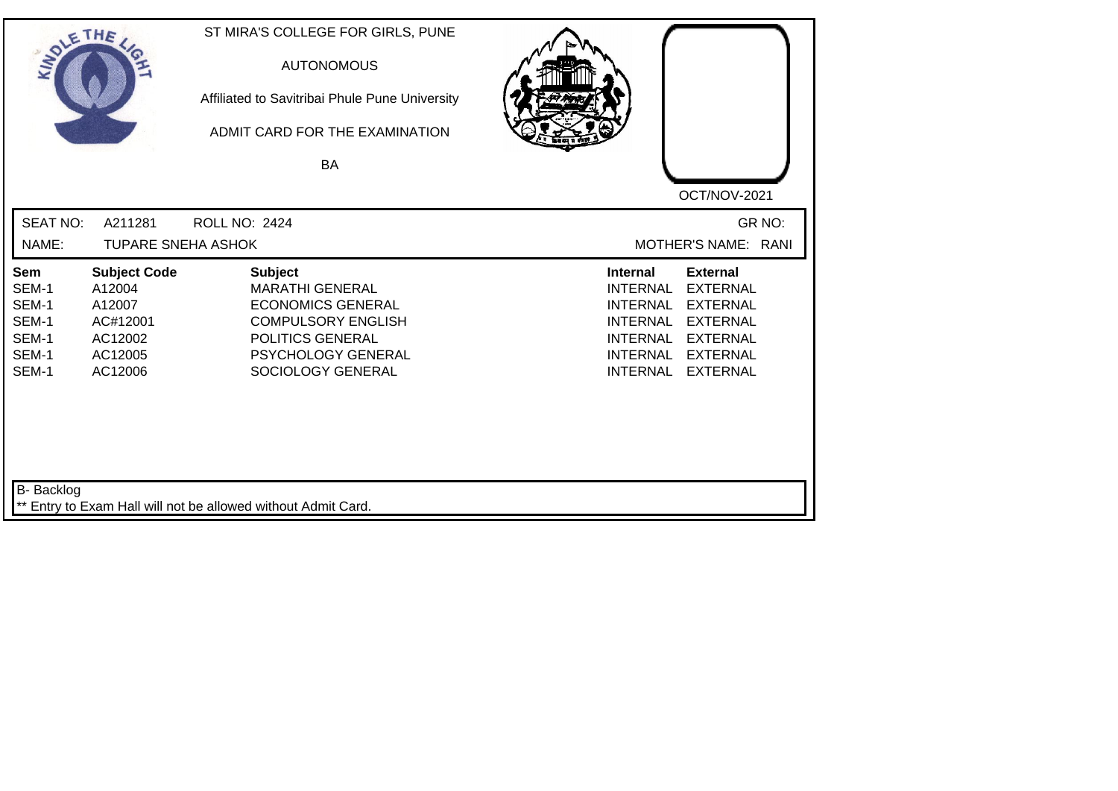| SOLE THE                                                  |                                                                                      | ST MIRA'S COLLEGE FOR GIRLS, PUNE<br><b>AUTONOMOUS</b><br>Affiliated to Savitribai Phule Pune University<br>ADMIT CARD FOR THE EXAMINATION<br><b>BA</b>          |                                                                                                                                                                                                                                                                        |
|-----------------------------------------------------------|--------------------------------------------------------------------------------------|------------------------------------------------------------------------------------------------------------------------------------------------------------------|------------------------------------------------------------------------------------------------------------------------------------------------------------------------------------------------------------------------------------------------------------------------|
| <b>SEAT NO:</b><br>NAME:                                  | A211281<br><b>TUPARE SNEHA ASHOK</b>                                                 | <b>ROLL NO: 2424</b>                                                                                                                                             | OCT/NOV-2021<br>GR NO:<br>MOTHER'S NAME: RANI                                                                                                                                                                                                                          |
| Sem<br>SEM-1<br>SEM-1<br>SEM-1<br>SEM-1<br>SEM-1<br>SEM-1 | <b>Subject Code</b><br>A12004<br>A12007<br>AC#12001<br>AC12002<br>AC12005<br>AC12006 | <b>Subject</b><br><b>MARATHI GENERAL</b><br><b>ECONOMICS GENERAL</b><br><b>COMPULSORY ENGLISH</b><br>POLITICS GENERAL<br>PSYCHOLOGY GENERAL<br>SOCIOLOGY GENERAL | <b>Internal</b><br><b>External</b><br><b>INTERNAL</b><br><b>EXTERNAL</b><br><b>INTERNAL</b><br><b>EXTERNAL</b><br><b>INTERNAL</b><br><b>EXTERNAL</b><br><b>EXTERNAL</b><br><b>INTERNAL</b><br><b>INTERNAL</b><br><b>EXTERNAL</b><br><b>INTERNAL</b><br><b>EXTERNAL</b> |
| B- Backlog                                                |                                                                                      | ** Entry to Exam Hall will not be allowed without Admit Card.                                                                                                    |                                                                                                                                                                                                                                                                        |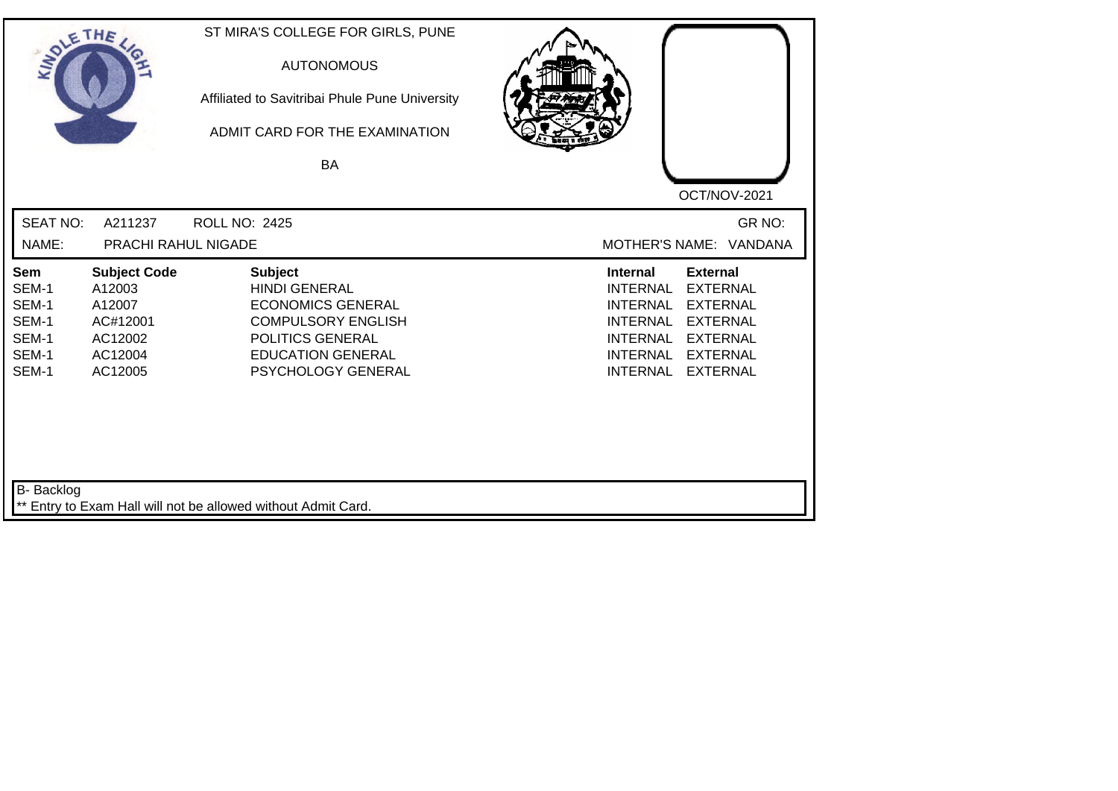| SOLETHE .                                                 |                                                                                      | ST MIRA'S COLLEGE FOR GIRLS, PUNE<br><b>AUTONOMOUS</b><br>Affiliated to Savitribai Phule Pune University<br>ADMIT CARD FOR THE EXAMINATION<br>BA                      | OCT/NOV-2021                                                                                                                                                                                                                                                           |
|-----------------------------------------------------------|--------------------------------------------------------------------------------------|-----------------------------------------------------------------------------------------------------------------------------------------------------------------------|------------------------------------------------------------------------------------------------------------------------------------------------------------------------------------------------------------------------------------------------------------------------|
| <b>SEAT NO:</b><br>NAME:                                  | A211237<br><b>PRACHI RAHUL NIGADE</b>                                                | <b>ROLL NO: 2425</b>                                                                                                                                                  | GR NO:<br>MOTHER'S NAME: VANDANA                                                                                                                                                                                                                                       |
| Sem<br>SEM-1<br>SEM-1<br>SEM-1<br>SEM-1<br>SEM-1<br>SEM-1 | <b>Subject Code</b><br>A12003<br>A12007<br>AC#12001<br>AC12002<br>AC12004<br>AC12005 | <b>Subject</b><br><b>HINDI GENERAL</b><br><b>ECONOMICS GENERAL</b><br><b>COMPULSORY ENGLISH</b><br>POLITICS GENERAL<br><b>EDUCATION GENERAL</b><br>PSYCHOLOGY GENERAL | <b>External</b><br><b>Internal</b><br><b>EXTERNAL</b><br><b>INTERNAL</b><br><b>INTERNAL</b><br><b>EXTERNAL</b><br><b>EXTERNAL</b><br><b>INTERNAL</b><br><b>EXTERNAL</b><br><b>INTERNAL</b><br><b>INTERNAL</b><br><b>EXTERNAL</b><br><b>EXTERNAL</b><br><b>INTERNAL</b> |
| B- Backlog                                                |                                                                                      | ** Entry to Exam Hall will not be allowed without Admit Card.                                                                                                         |                                                                                                                                                                                                                                                                        |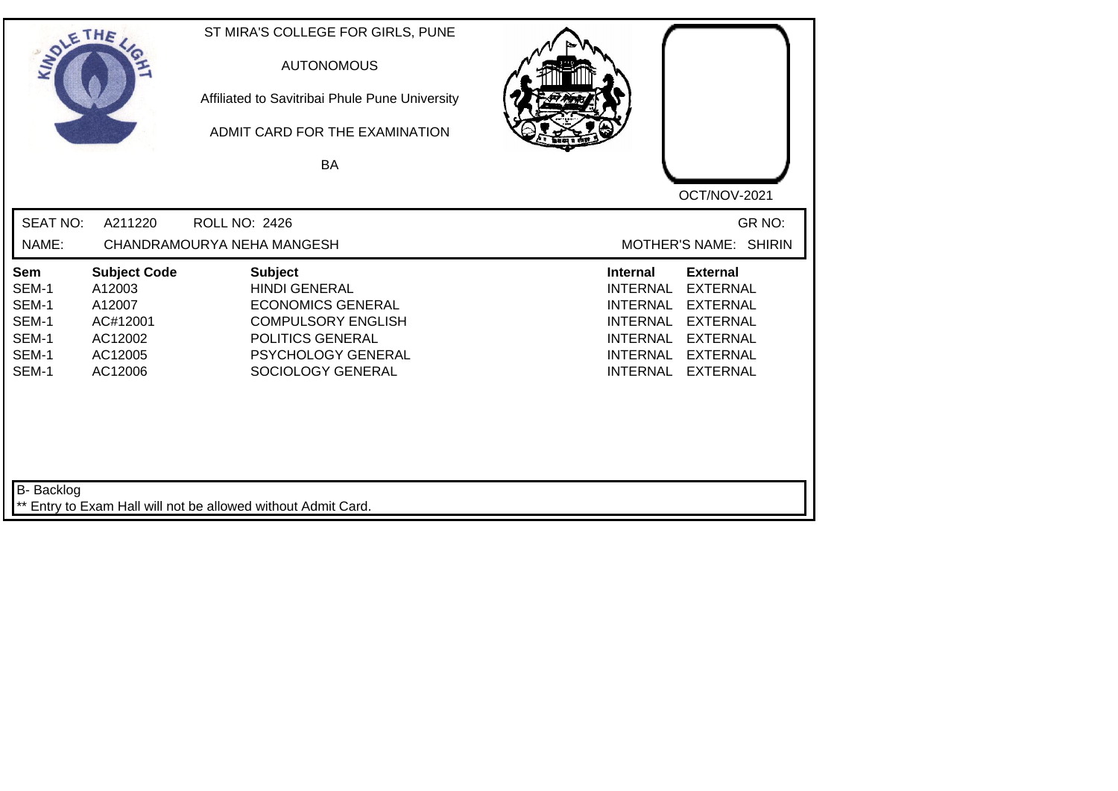| SOLETHE ,                                                        |                                                                                      | ST MIRA'S COLLEGE FOR GIRLS, PUNE<br><b>AUTONOMOUS</b><br>Affiliated to Savitribai Phule Pune University<br>ADMIT CARD FOR THE EXAMINATION<br>BA               | OCT/NOV-2021                                                                                                                                                                                                                                                           |
|------------------------------------------------------------------|--------------------------------------------------------------------------------------|----------------------------------------------------------------------------------------------------------------------------------------------------------------|------------------------------------------------------------------------------------------------------------------------------------------------------------------------------------------------------------------------------------------------------------------------|
| <b>SEAT NO:</b>                                                  | A211220                                                                              | <b>ROLL NO: 2426</b>                                                                                                                                           | GR NO:                                                                                                                                                                                                                                                                 |
| NAME:                                                            |                                                                                      | CHANDRAMOURYA NEHA MANGESH                                                                                                                                     | MOTHER'S NAME: SHIRIN                                                                                                                                                                                                                                                  |
| <b>Sem</b><br>SEM-1<br>SEM-1<br>SEM-1<br>SEM-1<br>SEM-1<br>SEM-1 | <b>Subject Code</b><br>A12003<br>A12007<br>AC#12001<br>AC12002<br>AC12005<br>AC12006 | <b>Subject</b><br><b>HINDI GENERAL</b><br><b>ECONOMICS GENERAL</b><br><b>COMPULSORY ENGLISH</b><br>POLITICS GENERAL<br>PSYCHOLOGY GENERAL<br>SOCIOLOGY GENERAL | <b>External</b><br><b>Internal</b><br><b>INTERNAL</b><br><b>EXTERNAL</b><br><b>INTERNAL</b><br><b>EXTERNAL</b><br><b>EXTERNAL</b><br><b>INTERNAL</b><br><b>INTERNAL</b><br><b>EXTERNAL</b><br><b>INTERNAL</b><br><b>EXTERNAL</b><br><b>INTERNAL</b><br><b>EXTERNAL</b> |
| B- Backlog                                                       |                                                                                      | ** Entry to Exam Hall will not be allowed without Admit Card.                                                                                                  |                                                                                                                                                                                                                                                                        |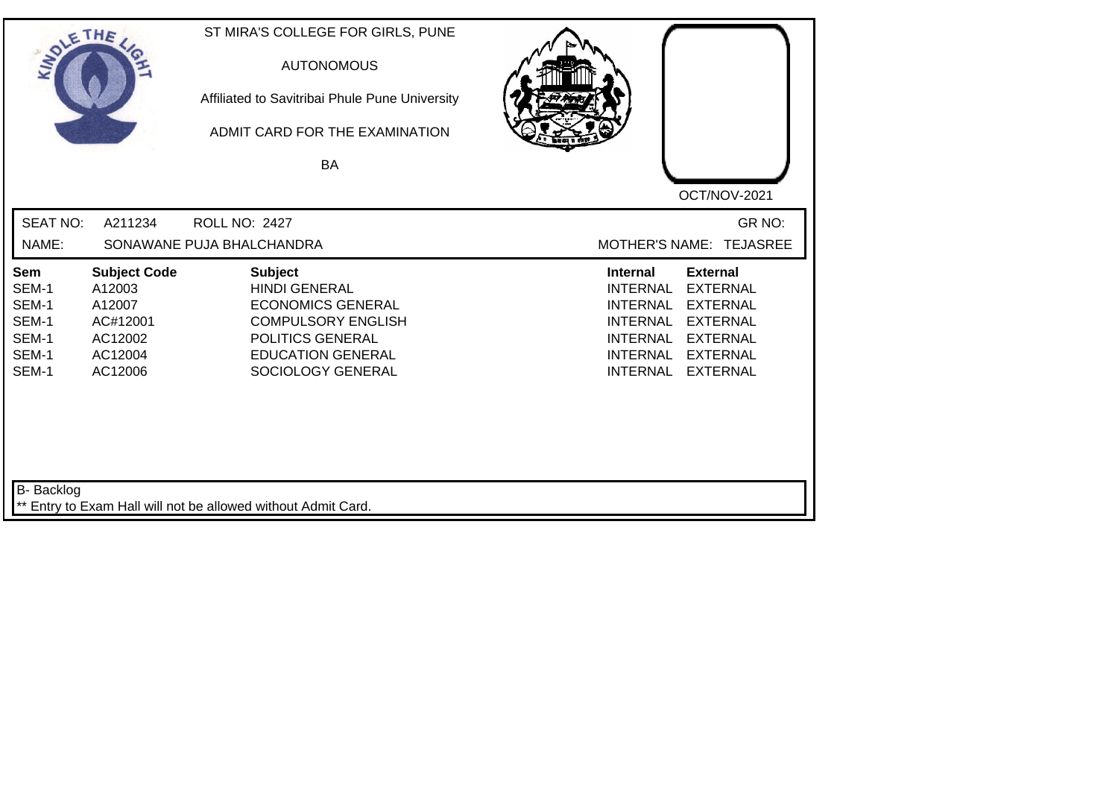| SOLE THE                                                  |                                                                                      | ST MIRA'S COLLEGE FOR GIRLS, PUNE<br><b>AUTONOMOUS</b><br>Affiliated to Savitribai Phule Pune University<br>ADMIT CARD FOR THE EXAMINATION<br><b>BA</b>              |                                                                                                                                                                                                                                                                        |
|-----------------------------------------------------------|--------------------------------------------------------------------------------------|----------------------------------------------------------------------------------------------------------------------------------------------------------------------|------------------------------------------------------------------------------------------------------------------------------------------------------------------------------------------------------------------------------------------------------------------------|
|                                                           |                                                                                      |                                                                                                                                                                      | OCT/NOV-2021                                                                                                                                                                                                                                                           |
| <b>SEAT NO:</b>                                           | A211234                                                                              | <b>ROLL NO: 2427</b>                                                                                                                                                 | GR NO:                                                                                                                                                                                                                                                                 |
| NAME:                                                     |                                                                                      | SONAWANE PUJA BHALCHANDRA                                                                                                                                            | MOTHER'S NAME: TEJASREE                                                                                                                                                                                                                                                |
| Sem<br>SEM-1<br>SEM-1<br>SEM-1<br>SEM-1<br>SEM-1<br>SEM-1 | <b>Subject Code</b><br>A12003<br>A12007<br>AC#12001<br>AC12002<br>AC12004<br>AC12006 | <b>Subject</b><br><b>HINDI GENERAL</b><br><b>ECONOMICS GENERAL</b><br><b>COMPULSORY ENGLISH</b><br>POLITICS GENERAL<br><b>EDUCATION GENERAL</b><br>SOCIOLOGY GENERAL | <b>External</b><br><b>Internal</b><br><b>EXTERNAL</b><br><b>INTERNAL</b><br><b>INTERNAL</b><br><b>EXTERNAL</b><br><b>EXTERNAL</b><br><b>INTERNAL</b><br><b>INTERNAL</b><br><b>EXTERNAL</b><br><b>INTERNAL</b><br><b>EXTERNAL</b><br><b>INTERNAL</b><br><b>EXTERNAL</b> |
| B- Backlog                                                |                                                                                      | ** Entry to Exam Hall will not be allowed without Admit Card.                                                                                                        |                                                                                                                                                                                                                                                                        |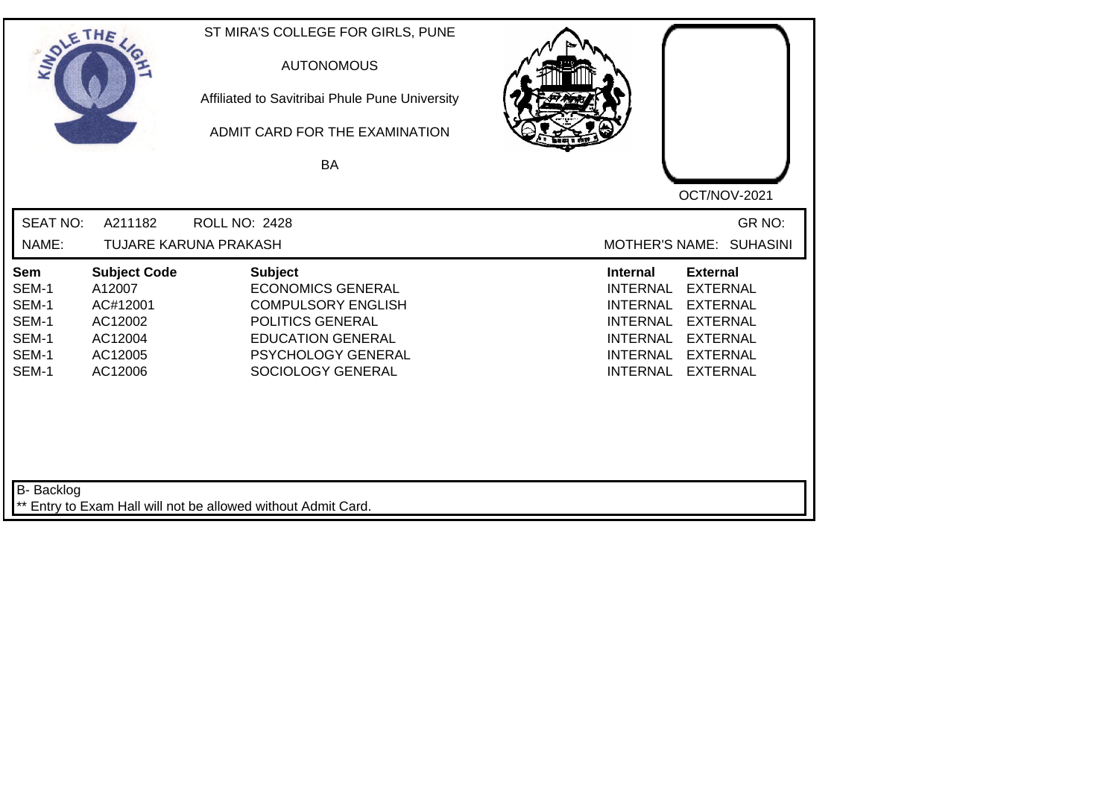| SOLETHE ,                                                        |                                                                                       | ST MIRA'S COLLEGE FOR GIRLS, PUNE<br><b>AUTONOMOUS</b><br>Affiliated to Savitribai Phule Pune University<br>ADMIT CARD FOR THE EXAMINATION<br>BA                          | OCT/NOV-2021                                                                                                                                                                                                                                                           |
|------------------------------------------------------------------|---------------------------------------------------------------------------------------|---------------------------------------------------------------------------------------------------------------------------------------------------------------------------|------------------------------------------------------------------------------------------------------------------------------------------------------------------------------------------------------------------------------------------------------------------------|
| <b>SEAT NO:</b><br>NAME:                                         | A211182                                                                               | <b>ROLL NO: 2428</b><br>TUJARE KARUNA PRAKASH                                                                                                                             | GR NO:<br>MOTHER'S NAME: SUHASINI                                                                                                                                                                                                                                      |
| <b>Sem</b><br>SEM-1<br>SEM-1<br>SEM-1<br>SEM-1<br>SEM-1<br>SEM-1 | <b>Subject Code</b><br>A12007<br>AC#12001<br>AC12002<br>AC12004<br>AC12005<br>AC12006 | <b>Subject</b><br><b>ECONOMICS GENERAL</b><br><b>COMPULSORY ENGLISH</b><br>POLITICS GENERAL<br><b>EDUCATION GENERAL</b><br><b>PSYCHOLOGY GENERAL</b><br>SOCIOLOGY GENERAL | <b>Internal</b><br><b>External</b><br><b>EXTERNAL</b><br><b>INTERNAL</b><br><b>EXTERNAL</b><br><b>INTERNAL</b><br><b>INTERNAL</b><br><b>EXTERNAL</b><br><b>INTERNAL</b><br><b>EXTERNAL</b><br><b>INTERNAL</b><br><b>EXTERNAL</b><br><b>INTERNAL</b><br><b>EXTERNAL</b> |
| B- Backlog                                                       |                                                                                       | ** Entry to Exam Hall will not be allowed without Admit Card.                                                                                                             |                                                                                                                                                                                                                                                                        |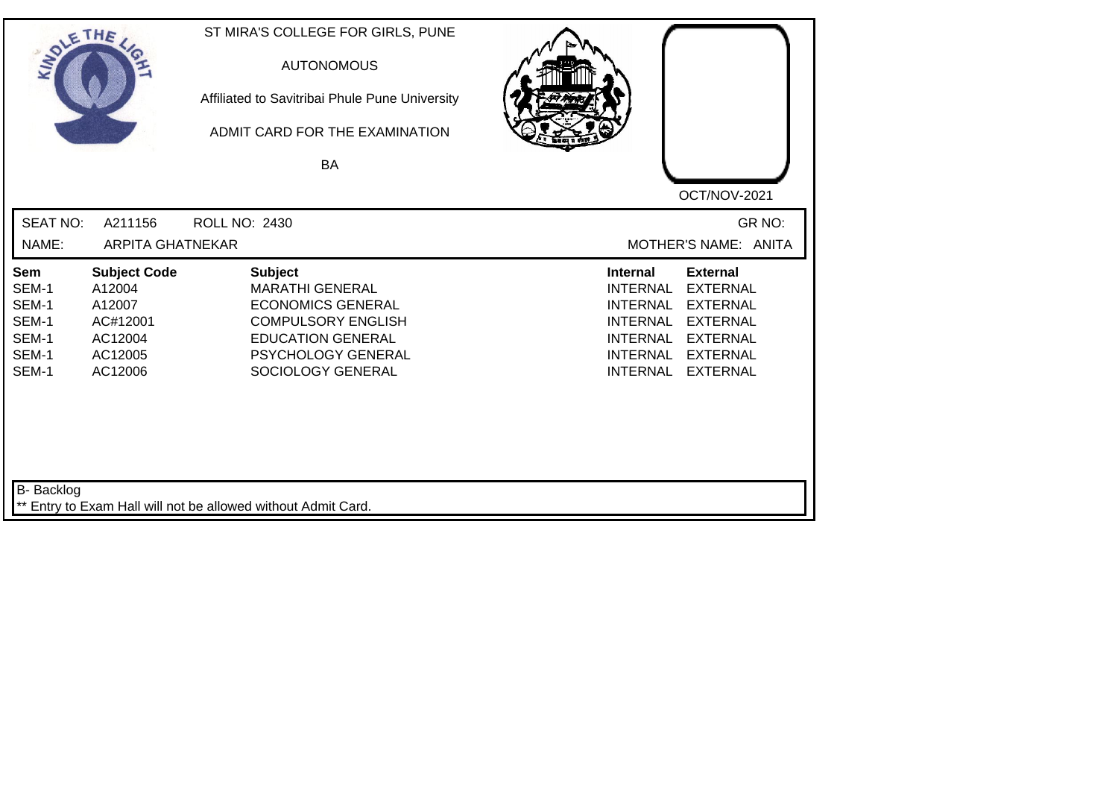| SOLE THE                                                         |                                                                                      | ST MIRA'S COLLEGE FOR GIRLS, PUNE<br><b>AUTONOMOUS</b><br>Affiliated to Savitribai Phule Pune University<br>ADMIT CARD FOR THE EXAMINATION<br><b>BA</b>                  |                                                                                                                                                                                                                                                                        |
|------------------------------------------------------------------|--------------------------------------------------------------------------------------|--------------------------------------------------------------------------------------------------------------------------------------------------------------------------|------------------------------------------------------------------------------------------------------------------------------------------------------------------------------------------------------------------------------------------------------------------------|
|                                                                  |                                                                                      |                                                                                                                                                                          | OCT/NOV-2021                                                                                                                                                                                                                                                           |
| <b>SEAT NO:</b>                                                  | A211156                                                                              | ROLL NO: 2430                                                                                                                                                            | GR NO:                                                                                                                                                                                                                                                                 |
| NAME:                                                            | <b>ARPITA GHATNEKAR</b>                                                              |                                                                                                                                                                          | MOTHER'S NAME: ANITA                                                                                                                                                                                                                                                   |
| <b>Sem</b><br>SEM-1<br>SEM-1<br>SEM-1<br>SEM-1<br>SEM-1<br>SEM-1 | <b>Subject Code</b><br>A12004<br>A12007<br>AC#12001<br>AC12004<br>AC12005<br>AC12006 | <b>Subject</b><br><b>MARATHI GENERAL</b><br><b>ECONOMICS GENERAL</b><br><b>COMPULSORY ENGLISH</b><br><b>EDUCATION GENERAL</b><br>PSYCHOLOGY GENERAL<br>SOCIOLOGY GENERAL | <b>Internal</b><br><b>External</b><br><b>INTERNAL</b><br><b>EXTERNAL</b><br><b>EXTERNAL</b><br><b>INTERNAL</b><br><b>INTERNAL</b><br><b>EXTERNAL</b><br><b>EXTERNAL</b><br><b>INTERNAL</b><br><b>INTERNAL</b><br><b>EXTERNAL</b><br><b>INTERNAL</b><br><b>EXTERNAL</b> |
| B- Backlog                                                       |                                                                                      | ** Entry to Exam Hall will not be allowed without Admit Card.                                                                                                            |                                                                                                                                                                                                                                                                        |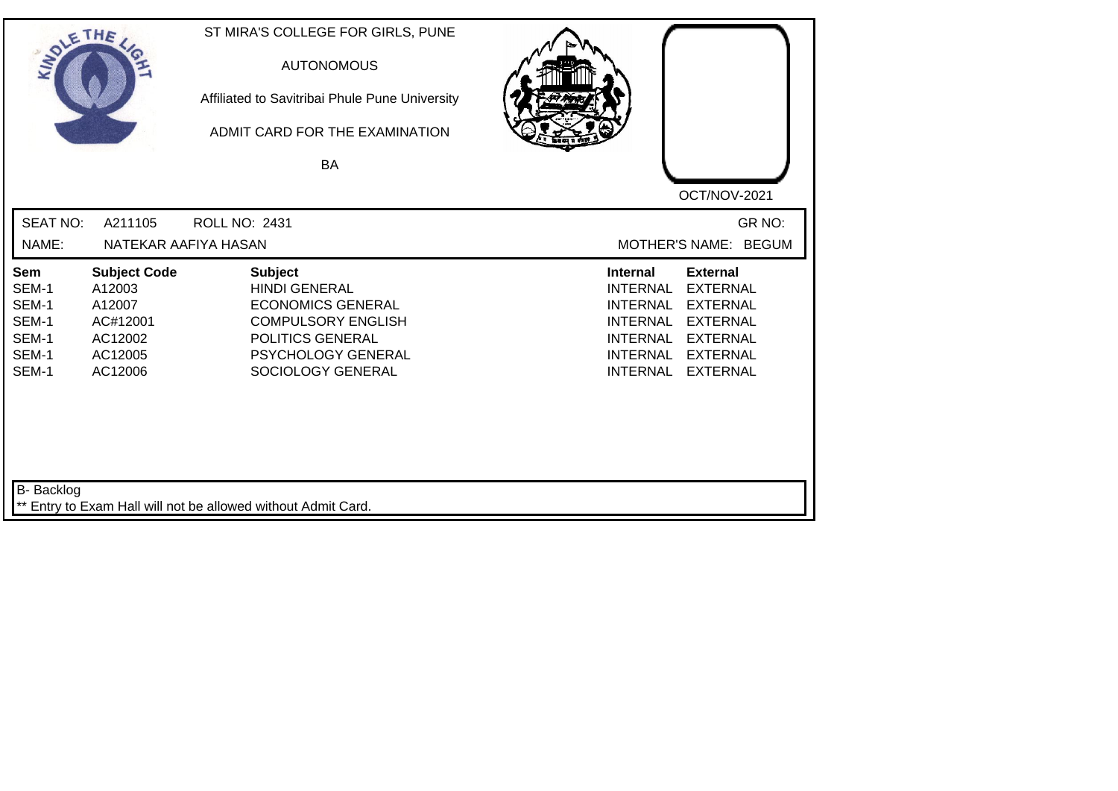| SOLE THE                                                         |                                                                                      | ST MIRA'S COLLEGE FOR GIRLS, PUNE<br><b>AUTONOMOUS</b><br>Affiliated to Savitribai Phule Pune University<br>ADMIT CARD FOR THE EXAMINATION<br>BA                      |                                                                                                                                                                                                                                                                        |
|------------------------------------------------------------------|--------------------------------------------------------------------------------------|-----------------------------------------------------------------------------------------------------------------------------------------------------------------------|------------------------------------------------------------------------------------------------------------------------------------------------------------------------------------------------------------------------------------------------------------------------|
| <b>SEAT NO:</b><br>NAME:                                         | A211105<br>NATEKAR AAFIYA HASAN                                                      | <b>ROLL NO: 2431</b>                                                                                                                                                  | OCT/NOV-2021<br>GR NO:<br>MOTHER'S NAME: BEGUM                                                                                                                                                                                                                         |
| <b>Sem</b><br>SEM-1<br>SEM-1<br>SEM-1<br>SEM-1<br>SEM-1<br>SEM-1 | <b>Subject Code</b><br>A12003<br>A12007<br>AC#12001<br>AC12002<br>AC12005<br>AC12006 | <b>Subject</b><br><b>HINDI GENERAL</b><br><b>ECONOMICS GENERAL</b><br><b>COMPULSORY ENGLISH</b><br>POLITICS GENERAL<br><b>PSYCHOLOGY GENERAL</b><br>SOCIOLOGY GENERAL | <b>Internal</b><br><b>External</b><br><b>INTERNAL</b><br><b>EXTERNAL</b><br><b>EXTERNAL</b><br><b>INTERNAL</b><br><b>INTERNAL</b><br><b>EXTERNAL</b><br><b>INTERNAL</b><br><b>EXTERNAL</b><br><b>INTERNAL</b><br><b>EXTERNAL</b><br><b>EXTERNAL</b><br><b>INTERNAL</b> |
| B- Backlog                                                       |                                                                                      | ** Entry to Exam Hall will not be allowed without Admit Card.                                                                                                         |                                                                                                                                                                                                                                                                        |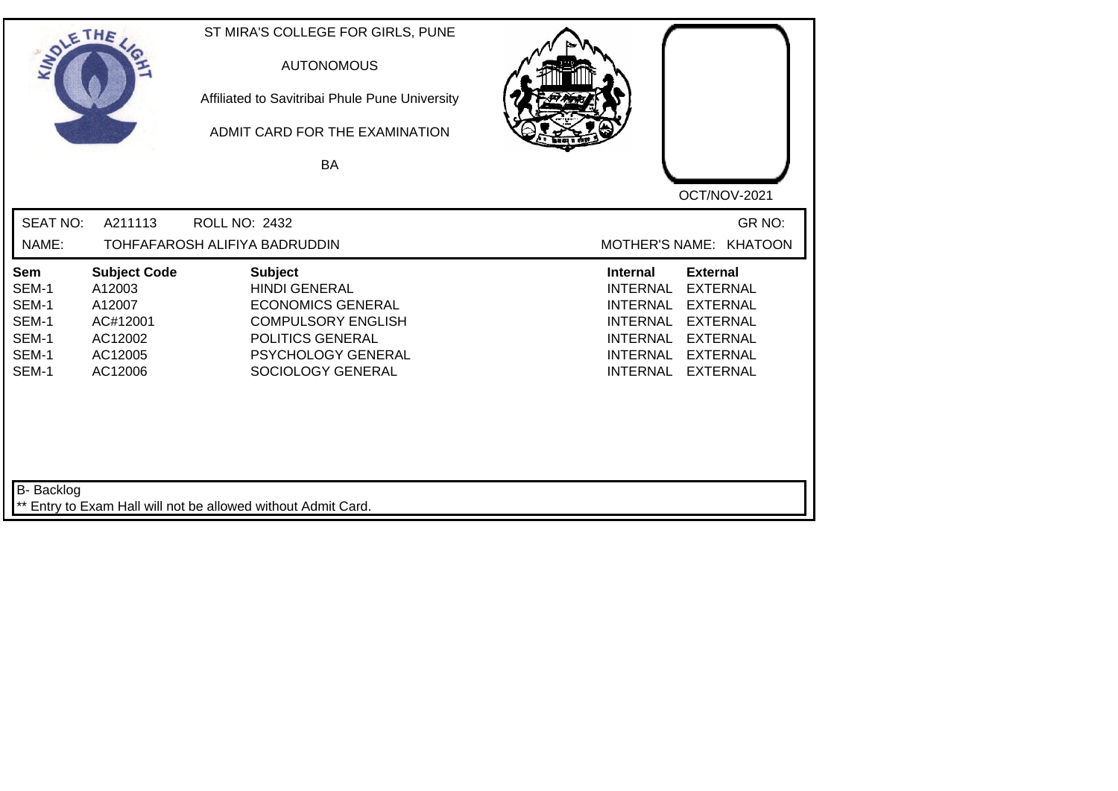| SOLETHE ,                                                        |                                                                                      | ST MIRA'S COLLEGE FOR GIRLS, PUNE<br><b>AUTONOMOUS</b><br>Affiliated to Savitribai Phule Pune University<br>ADMIT CARD FOR THE EXAMINATION<br>BA               | OCT/NOV-2021                                                                                                                                                                                                                                                           |
|------------------------------------------------------------------|--------------------------------------------------------------------------------------|----------------------------------------------------------------------------------------------------------------------------------------------------------------|------------------------------------------------------------------------------------------------------------------------------------------------------------------------------------------------------------------------------------------------------------------------|
| <b>SEAT NO:</b><br>NAME:                                         | A211113                                                                              | <b>ROLL NO: 2432</b><br>TOHFAFAROSH ALIFIYA BADRUDDIN                                                                                                          | GR NO:<br>MOTHER'S NAME: KHATOON                                                                                                                                                                                                                                       |
| <b>Sem</b><br>SEM-1<br>SEM-1<br>SEM-1<br>SEM-1<br>SEM-1<br>SEM-1 | <b>Subject Code</b><br>A12003<br>A12007<br>AC#12001<br>AC12002<br>AC12005<br>AC12006 | <b>Subject</b><br><b>HINDI GENERAL</b><br><b>ECONOMICS GENERAL</b><br><b>COMPULSORY ENGLISH</b><br>POLITICS GENERAL<br>PSYCHOLOGY GENERAL<br>SOCIOLOGY GENERAL | <b>External</b><br><b>Internal</b><br><b>EXTERNAL</b><br><b>INTERNAL</b><br><b>INTERNAL</b><br><b>EXTERNAL</b><br><b>EXTERNAL</b><br><b>INTERNAL</b><br><b>INTERNAL</b><br><b>EXTERNAL</b><br><b>INTERNAL</b><br><b>EXTERNAL</b><br><b>INTERNAL</b><br><b>EXTERNAL</b> |
| <b>B-</b> Backlog                                                |                                                                                      | ** Entry to Exam Hall will not be allowed without Admit Card.                                                                                                  |                                                                                                                                                                                                                                                                        |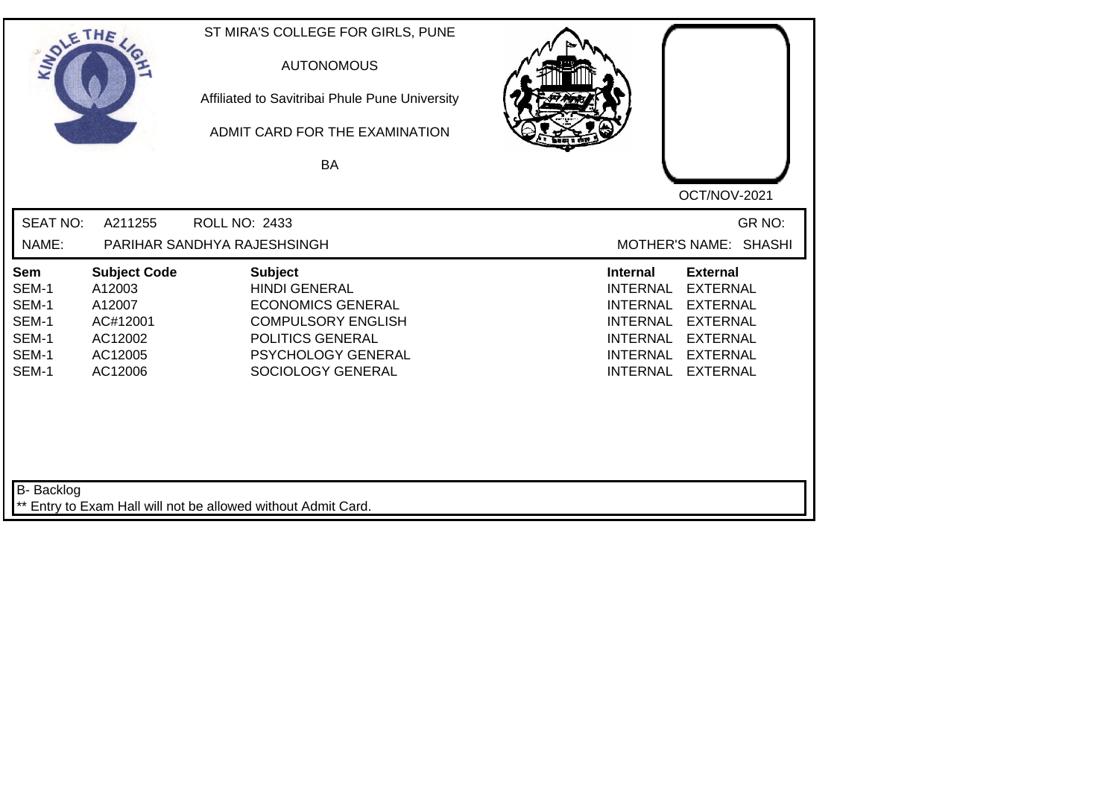| SOLETHE ,                                                                   |                                                                                      | ST MIRA'S COLLEGE FOR GIRLS, PUNE<br><b>AUTONOMOUS</b><br>Affiliated to Savitribai Phule Pune University<br>ADMIT CARD FOR THE EXAMINATION<br><b>BA</b>               | OCT/NOV-2021                                                                                                                                                                                                                                                    |  |
|-----------------------------------------------------------------------------|--------------------------------------------------------------------------------------|-----------------------------------------------------------------------------------------------------------------------------------------------------------------------|-----------------------------------------------------------------------------------------------------------------------------------------------------------------------------------------------------------------------------------------------------------------|--|
| <b>SEAT NO:</b><br>NAME:                                                    | A211255                                                                              | ROLL NO: 2433<br>PARIHAR SANDHYA RAJESHSINGH                                                                                                                          | GR NO:<br>MOTHER'S NAME: SHASHI                                                                                                                                                                                                                                 |  |
| <b>Sem</b><br>SEM-1<br>SEM-1<br>SEM-1<br>SEM-1<br>SEM-1<br>SEM-1            | <b>Subject Code</b><br>A12003<br>A12007<br>AC#12001<br>AC12002<br>AC12005<br>AC12006 | <b>Subject</b><br><b>HINDI GENERAL</b><br><b>ECONOMICS GENERAL</b><br><b>COMPULSORY ENGLISH</b><br><b>POLITICS GENERAL</b><br>PSYCHOLOGY GENERAL<br>SOCIOLOGY GENERAL | Internal<br><b>External</b><br><b>INTERNAL</b><br><b>EXTERNAL</b><br><b>INTERNAL</b><br><b>EXTERNAL</b><br><b>INTERNAL</b><br><b>EXTERNAL</b><br><b>EXTERNAL</b><br><b>INTERNAL</b><br><b>INTERNAL</b><br><b>EXTERNAL</b><br><b>INTERNAL</b><br><b>EXTERNAL</b> |  |
| B- Backlog<br>** Entry to Exam Hall will not be allowed without Admit Card. |                                                                                      |                                                                                                                                                                       |                                                                                                                                                                                                                                                                 |  |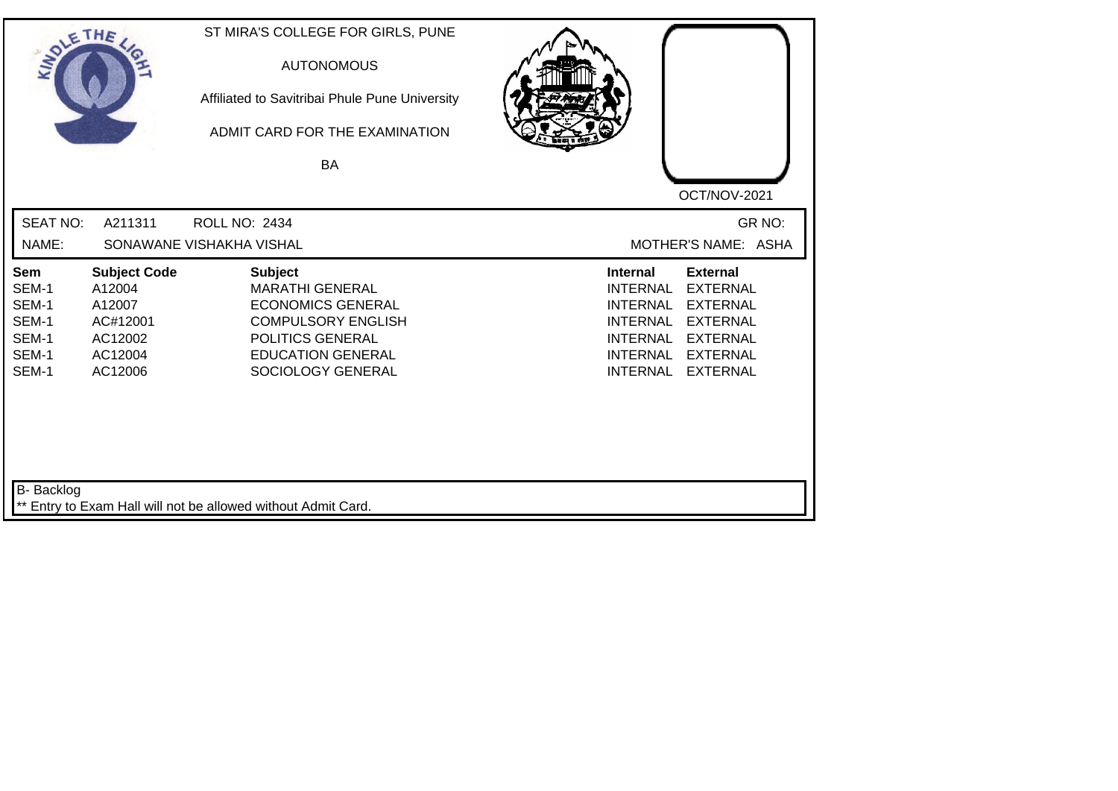| SOLETHE ,                                                        |                                                                                      | ST MIRA'S COLLEGE FOR GIRLS, PUNE<br><b>AUTONOMOUS</b><br>Affiliated to Savitribai Phule Pune University<br>ADMIT CARD FOR THE EXAMINATION<br><b>BA</b>                | OCT/NOV-2021                                                                                                                                                                                                                                                           |
|------------------------------------------------------------------|--------------------------------------------------------------------------------------|------------------------------------------------------------------------------------------------------------------------------------------------------------------------|------------------------------------------------------------------------------------------------------------------------------------------------------------------------------------------------------------------------------------------------------------------------|
| <b>SEAT NO:</b><br>NAME:                                         | A211311                                                                              | <b>ROLL NO: 2434</b><br>SONAWANE VISHAKHA VISHAL                                                                                                                       | GR NO:<br>MOTHER'S NAME: ASHA                                                                                                                                                                                                                                          |
| <b>Sem</b><br>SEM-1<br>SEM-1<br>SEM-1<br>SEM-1<br>SEM-1<br>SEM-1 | <b>Subject Code</b><br>A12004<br>A12007<br>AC#12001<br>AC12002<br>AC12004<br>AC12006 | <b>Subject</b><br><b>MARATHI GENERAL</b><br><b>ECONOMICS GENERAL</b><br><b>COMPULSORY ENGLISH</b><br>POLITICS GENERAL<br><b>EDUCATION GENERAL</b><br>SOCIOLOGY GENERAL | <b>Internal</b><br><b>External</b><br><b>INTERNAL</b><br><b>EXTERNAL</b><br><b>INTERNAL</b><br><b>EXTERNAL</b><br><b>INTERNAL</b><br><b>EXTERNAL</b><br><b>EXTERNAL</b><br><b>INTERNAL</b><br><b>INTERNAL</b><br><b>EXTERNAL</b><br><b>INTERNAL</b><br><b>EXTERNAL</b> |
| B- Backlog                                                       |                                                                                      | ** Entry to Exam Hall will not be allowed without Admit Card.                                                                                                          |                                                                                                                                                                                                                                                                        |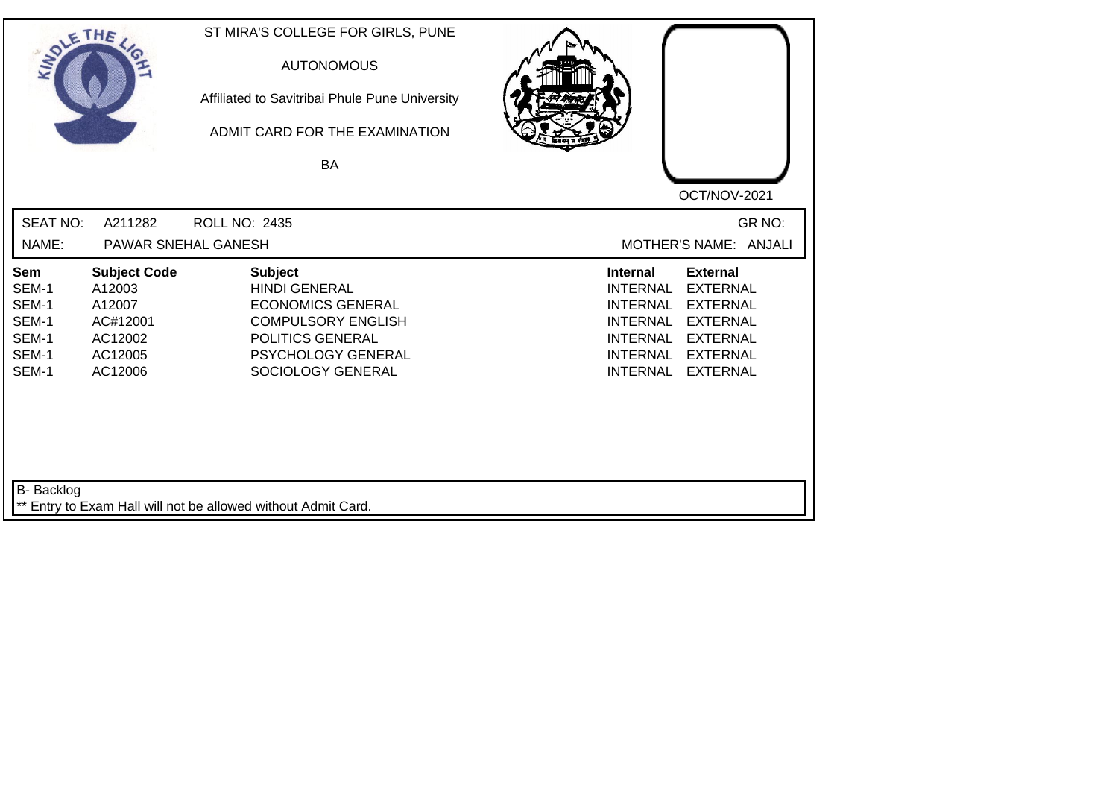| SOLETHE .                                                        |                                                                                      | ST MIRA'S COLLEGE FOR GIRLS, PUNE<br><b>AUTONOMOUS</b><br>Affiliated to Savitribai Phule Pune University<br>ADMIT CARD FOR THE EXAMINATION<br><b>BA</b>               | OCT/NOV-2021                                                                                                                                                                                                                                                           |
|------------------------------------------------------------------|--------------------------------------------------------------------------------------|-----------------------------------------------------------------------------------------------------------------------------------------------------------------------|------------------------------------------------------------------------------------------------------------------------------------------------------------------------------------------------------------------------------------------------------------------------|
| <b>SEAT NO:</b><br>NAME:                                         | A211282                                                                              | <b>ROLL NO: 2435</b><br>PAWAR SNEHAL GANESH                                                                                                                           | GR NO:<br>MOTHER'S NAME: ANJALI                                                                                                                                                                                                                                        |
| <b>Sem</b><br>SEM-1<br>SEM-1<br>SEM-1<br>SEM-1<br>SEM-1<br>SEM-1 | <b>Subject Code</b><br>A12003<br>A12007<br>AC#12001<br>AC12002<br>AC12005<br>AC12006 | <b>Subject</b><br><b>HINDI GENERAL</b><br><b>ECONOMICS GENERAL</b><br><b>COMPULSORY ENGLISH</b><br>POLITICS GENERAL<br><b>PSYCHOLOGY GENERAL</b><br>SOCIOLOGY GENERAL | <b>External</b><br><b>Internal</b><br><b>EXTERNAL</b><br><b>INTERNAL</b><br><b>EXTERNAL</b><br><b>INTERNAL</b><br><b>INTERNAL</b><br><b>EXTERNAL</b><br><b>INTERNAL</b><br><b>EXTERNAL</b><br><b>INTERNAL</b><br><b>EXTERNAL</b><br><b>INTERNAL</b><br><b>EXTERNAL</b> |
| B- Backlog                                                       |                                                                                      | ** Entry to Exam Hall will not be allowed without Admit Card.                                                                                                         |                                                                                                                                                                                                                                                                        |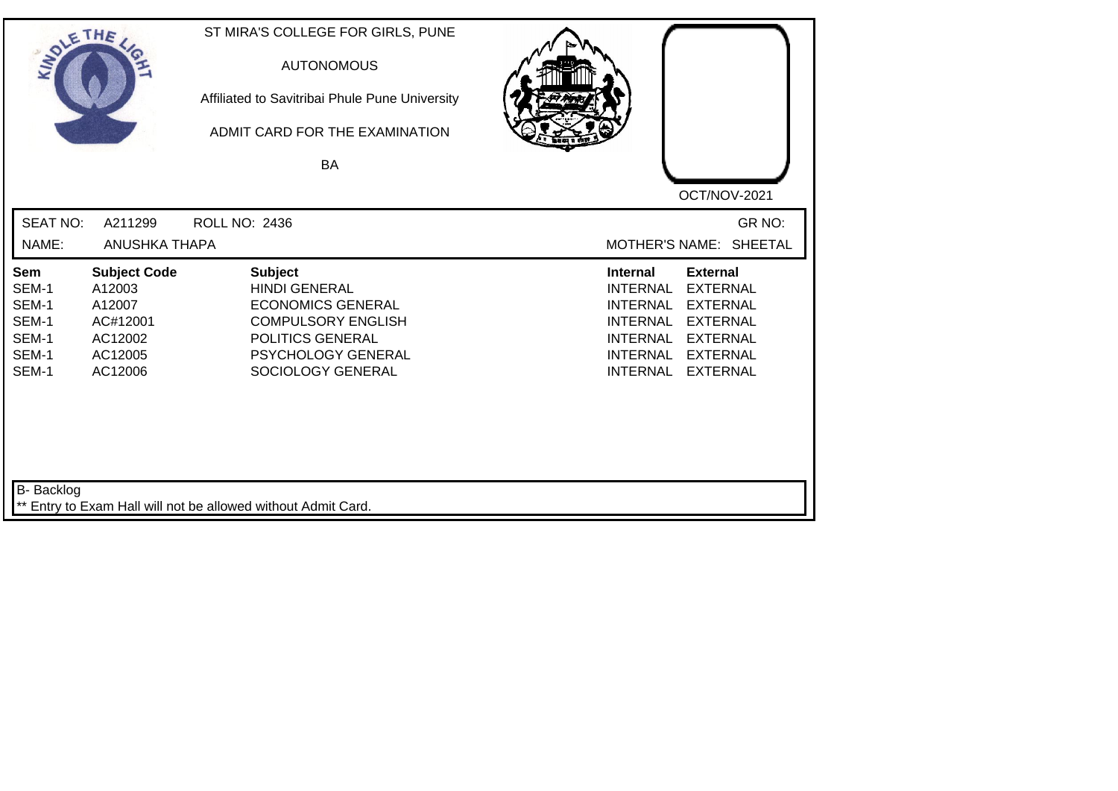| SOLE THE                                                  |                                                                                      | ST MIRA'S COLLEGE FOR GIRLS, PUNE<br><b>AUTONOMOUS</b><br>Affiliated to Savitribai Phule Pune University<br>ADMIT CARD FOR THE EXAMINATION<br>BA               |                                                                                                                                                                                                                                                                        |
|-----------------------------------------------------------|--------------------------------------------------------------------------------------|----------------------------------------------------------------------------------------------------------------------------------------------------------------|------------------------------------------------------------------------------------------------------------------------------------------------------------------------------------------------------------------------------------------------------------------------|
| <b>SEAT NO:</b><br>NAME:                                  | A211299<br><b>ANUSHKA THAPA</b>                                                      | ROLL NO: 2436                                                                                                                                                  | OCT/NOV-2021<br>GR NO:<br>MOTHER'S NAME: SHEETAL                                                                                                                                                                                                                       |
| Sem<br>SEM-1<br>SEM-1<br>SEM-1<br>SEM-1<br>SEM-1<br>SEM-1 | <b>Subject Code</b><br>A12003<br>A12007<br>AC#12001<br>AC12002<br>AC12005<br>AC12006 | <b>Subject</b><br><b>HINDI GENERAL</b><br><b>ECONOMICS GENERAL</b><br><b>COMPULSORY ENGLISH</b><br>POLITICS GENERAL<br>PSYCHOLOGY GENERAL<br>SOCIOLOGY GENERAL | <b>Internal</b><br><b>External</b><br><b>INTERNAL</b><br><b>EXTERNAL</b><br><b>EXTERNAL</b><br><b>INTERNAL</b><br><b>EXTERNAL</b><br><b>INTERNAL</b><br><b>INTERNAL</b><br><b>EXTERNAL</b><br><b>INTERNAL</b><br><b>EXTERNAL</b><br><b>INTERNAL</b><br><b>EXTERNAL</b> |
| <b>B-</b> Backlog                                         |                                                                                      | ** Entry to Exam Hall will not be allowed without Admit Card.                                                                                                  |                                                                                                                                                                                                                                                                        |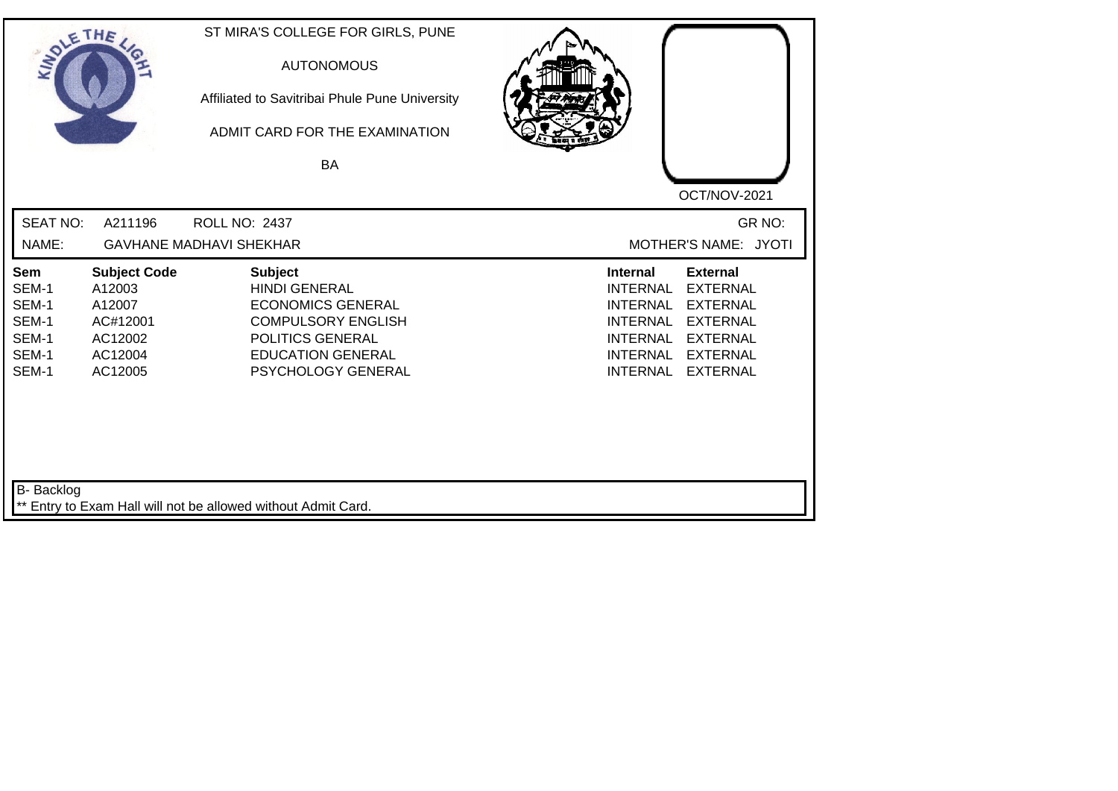| SOLETHE ,                                                        |                                                                                      | ST MIRA'S COLLEGE FOR GIRLS, PUNE<br><b>AUTONOMOUS</b><br>Affiliated to Savitribai Phule Pune University<br>ADMIT CARD FOR THE EXAMINATION<br><b>BA</b>               | OCT/NOV-2021                                                                                                                                                                                                                                                           |
|------------------------------------------------------------------|--------------------------------------------------------------------------------------|-----------------------------------------------------------------------------------------------------------------------------------------------------------------------|------------------------------------------------------------------------------------------------------------------------------------------------------------------------------------------------------------------------------------------------------------------------|
| <b>SEAT NO:</b><br>NAME:                                         | A211196                                                                              | ROLL NO: 2437<br><b>GAVHANE MADHAVI SHEKHAR</b>                                                                                                                       | GR NO:<br>MOTHER'S NAME: JYOTI                                                                                                                                                                                                                                         |
| <b>Sem</b><br>SEM-1<br>SEM-1<br>SEM-1<br>SEM-1<br>SEM-1<br>SEM-1 | <b>Subject Code</b><br>A12003<br>A12007<br>AC#12001<br>AC12002<br>AC12004<br>AC12005 | <b>Subject</b><br><b>HINDI GENERAL</b><br><b>ECONOMICS GENERAL</b><br><b>COMPULSORY ENGLISH</b><br>POLITICS GENERAL<br><b>EDUCATION GENERAL</b><br>PSYCHOLOGY GENERAL | <b>Internal</b><br><b>External</b><br><b>INTERNAL</b><br><b>EXTERNAL</b><br><b>INTERNAL</b><br><b>EXTERNAL</b><br><b>INTERNAL</b><br><b>EXTERNAL</b><br><b>EXTERNAL</b><br><b>INTERNAL</b><br><b>INTERNAL</b><br><b>EXTERNAL</b><br><b>INTERNAL</b><br><b>EXTERNAL</b> |
| B- Backlog                                                       |                                                                                      | ** Entry to Exam Hall will not be allowed without Admit Card.                                                                                                         |                                                                                                                                                                                                                                                                        |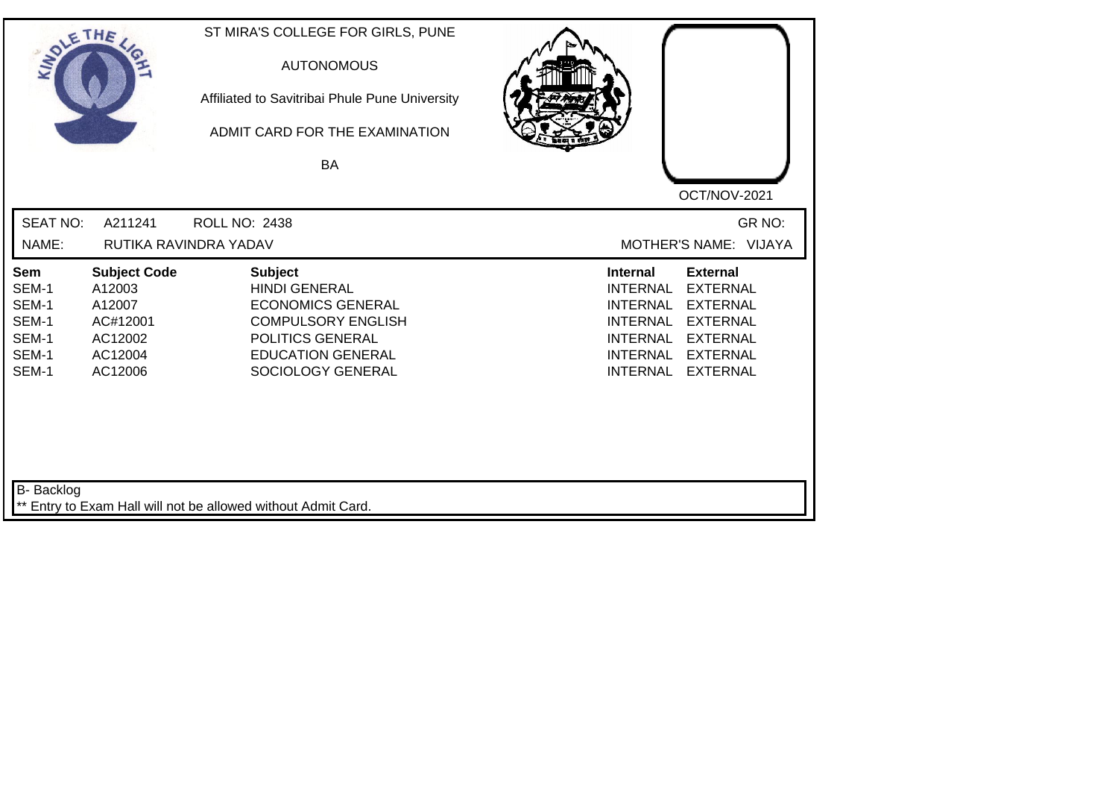| SOLETHE ,                                                 |                                                                                      | ST MIRA'S COLLEGE FOR GIRLS, PUNE<br><b>AUTONOMOUS</b><br>Affiliated to Savitribai Phule Pune University<br>ADMIT CARD FOR THE EXAMINATION<br>BA                     | OCT/NOV-2021                                                                                                                                                                                                                                                           |
|-----------------------------------------------------------|--------------------------------------------------------------------------------------|----------------------------------------------------------------------------------------------------------------------------------------------------------------------|------------------------------------------------------------------------------------------------------------------------------------------------------------------------------------------------------------------------------------------------------------------------|
| <b>SEAT NO:</b><br>NAME:                                  | A211241                                                                              | ROLL NO: 2438<br>RUTIKA RAVINDRA YADAV                                                                                                                               | GR NO:<br>MOTHER'S NAME: VIJAYA                                                                                                                                                                                                                                        |
| Sem<br>SEM-1<br>SEM-1<br>SEM-1<br>SEM-1<br>SEM-1<br>SEM-1 | <b>Subject Code</b><br>A12003<br>A12007<br>AC#12001<br>AC12002<br>AC12004<br>AC12006 | <b>Subject</b><br><b>HINDI GENERAL</b><br><b>ECONOMICS GENERAL</b><br><b>COMPULSORY ENGLISH</b><br>POLITICS GENERAL<br><b>EDUCATION GENERAL</b><br>SOCIOLOGY GENERAL | <b>External</b><br><b>Internal</b><br><b>EXTERNAL</b><br><b>INTERNAL</b><br><b>INTERNAL</b><br><b>EXTERNAL</b><br><b>EXTERNAL</b><br><b>INTERNAL</b><br><b>INTERNAL</b><br><b>EXTERNAL</b><br><b>EXTERNAL</b><br><b>INTERNAL</b><br><b>INTERNAL</b><br><b>EXTERNAL</b> |
| B- Backlog                                                |                                                                                      | ** Entry to Exam Hall will not be allowed without Admit Card.                                                                                                        |                                                                                                                                                                                                                                                                        |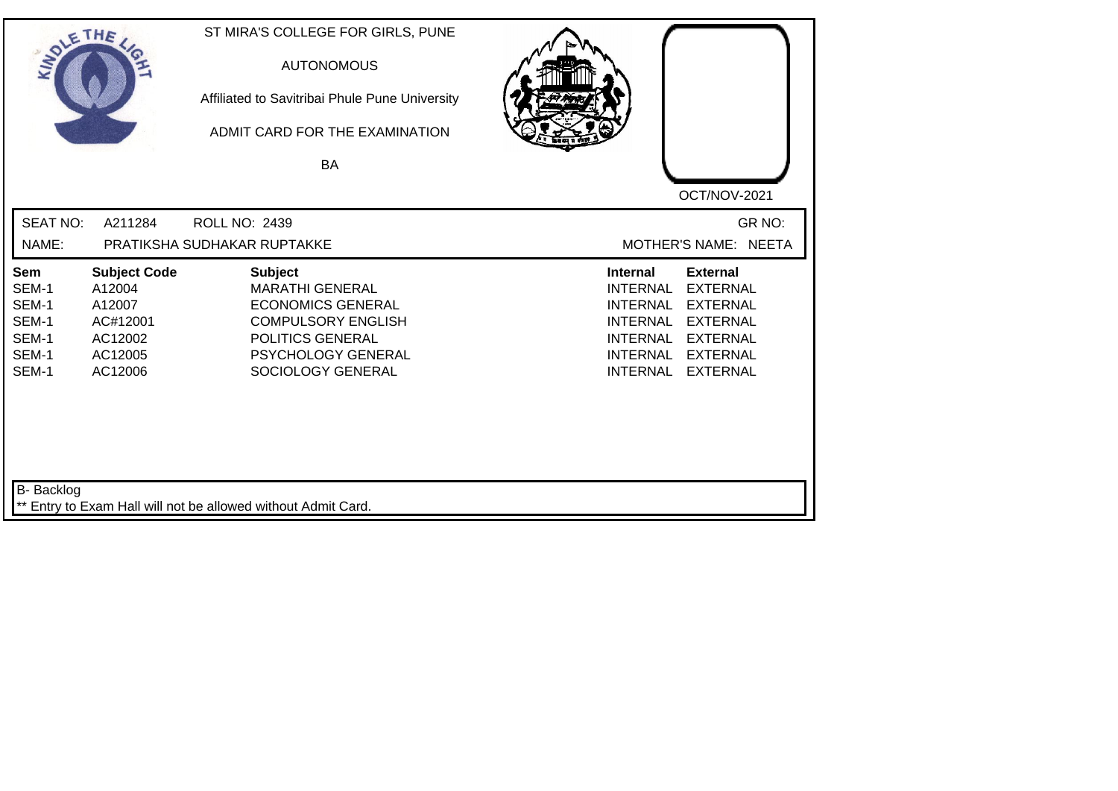| SOLETHE .                                                        |                                                                                      | ST MIRA'S COLLEGE FOR GIRLS, PUNE<br><b>AUTONOMOUS</b><br>Affiliated to Savitribai Phule Pune University<br>ADMIT CARD FOR THE EXAMINATION<br><b>BA</b>          | OCT/NOV-2021                                                                                                                                                                                                                                                           |
|------------------------------------------------------------------|--------------------------------------------------------------------------------------|------------------------------------------------------------------------------------------------------------------------------------------------------------------|------------------------------------------------------------------------------------------------------------------------------------------------------------------------------------------------------------------------------------------------------------------------|
| <b>SEAT NO:</b><br>NAME:                                         | A211284                                                                              | ROLL NO: 2439<br>PRATIKSHA SUDHAKAR RUPTAKKE                                                                                                                     | GR NO:<br>MOTHER'S NAME: NEETA                                                                                                                                                                                                                                         |
| <b>Sem</b><br>SEM-1<br>SEM-1<br>SEM-1<br>SEM-1<br>SEM-1<br>SEM-1 | <b>Subject Code</b><br>A12004<br>A12007<br>AC#12001<br>AC12002<br>AC12005<br>AC12006 | <b>Subject</b><br><b>MARATHI GENERAL</b><br><b>ECONOMICS GENERAL</b><br><b>COMPULSORY ENGLISH</b><br>POLITICS GENERAL<br>PSYCHOLOGY GENERAL<br>SOCIOLOGY GENERAL | <b>External</b><br><b>Internal</b><br><b>INTERNAL</b><br><b>EXTERNAL</b><br><b>INTERNAL</b><br><b>EXTERNAL</b><br><b>EXTERNAL</b><br><b>INTERNAL</b><br><b>INTERNAL</b><br><b>EXTERNAL</b><br><b>INTERNAL</b><br><b>EXTERNAL</b><br><b>INTERNAL</b><br><b>EXTERNAL</b> |
| B- Backlog                                                       |                                                                                      | ** Entry to Exam Hall will not be allowed without Admit Card.                                                                                                    |                                                                                                                                                                                                                                                                        |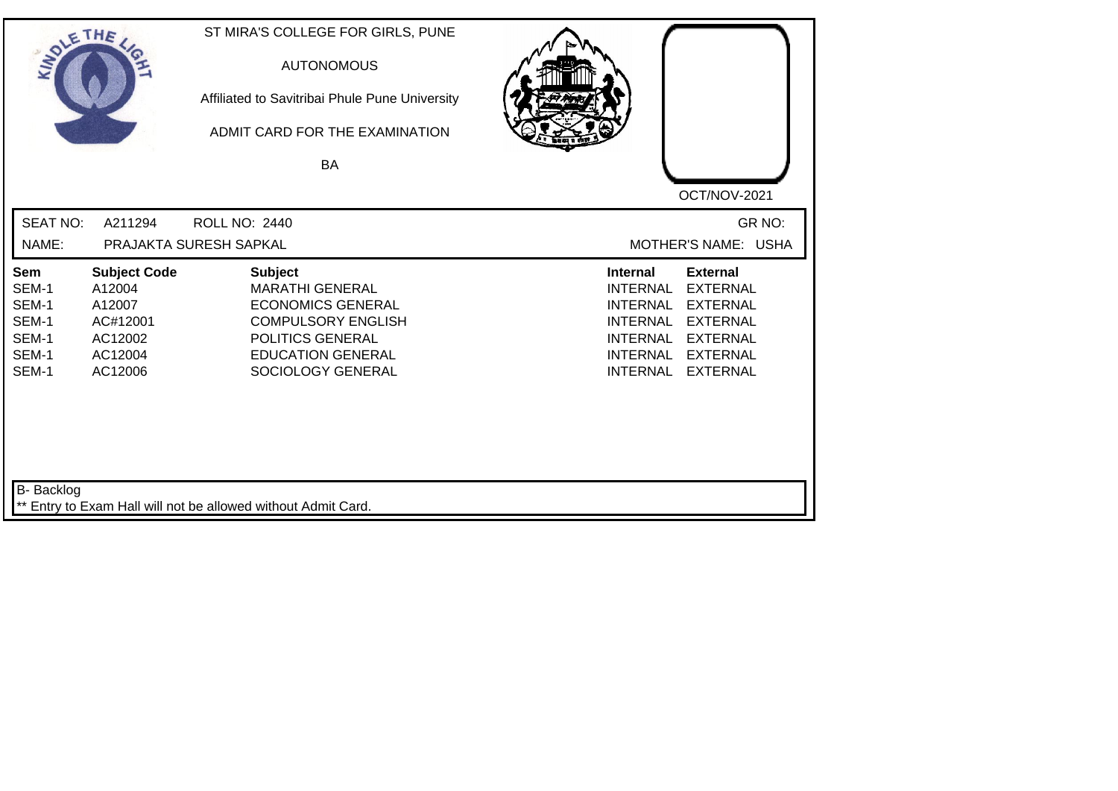| SOLETHE ,                                                 |                                                                                      | ST MIRA'S COLLEGE FOR GIRLS, PUNE<br><b>AUTONOMOUS</b><br>Affiliated to Savitribai Phule Pune University<br>ADMIT CARD FOR THE EXAMINATION<br>BA                       |                                                                                                                                                                                                                                                                        |
|-----------------------------------------------------------|--------------------------------------------------------------------------------------|------------------------------------------------------------------------------------------------------------------------------------------------------------------------|------------------------------------------------------------------------------------------------------------------------------------------------------------------------------------------------------------------------------------------------------------------------|
| <b>SEAT NO:</b><br>NAME:                                  | A211294                                                                              | <b>ROLL NO: 2440</b><br>PRAJAKTA SURESH SAPKAL                                                                                                                         | OCT/NOV-2021<br>GR NO:<br>MOTHER'S NAME: USHA                                                                                                                                                                                                                          |
| Sem<br>SEM-1<br>SEM-1<br>SEM-1<br>SEM-1<br>SEM-1<br>SEM-1 | <b>Subject Code</b><br>A12004<br>A12007<br>AC#12001<br>AC12002<br>AC12004<br>AC12006 | <b>Subject</b><br><b>MARATHI GENERAL</b><br><b>ECONOMICS GENERAL</b><br><b>COMPULSORY ENGLISH</b><br>POLITICS GENERAL<br><b>EDUCATION GENERAL</b><br>SOCIOLOGY GENERAL | <b>External</b><br><b>Internal</b><br><b>EXTERNAL</b><br><b>INTERNAL</b><br><b>INTERNAL</b><br><b>EXTERNAL</b><br><b>EXTERNAL</b><br><b>INTERNAL</b><br><b>INTERNAL</b><br><b>EXTERNAL</b><br><b>EXTERNAL</b><br><b>INTERNAL</b><br><b>INTERNAL</b><br><b>EXTERNAL</b> |
| <b>B-</b> Backlog                                         |                                                                                      | ** Entry to Exam Hall will not be allowed without Admit Card.                                                                                                          |                                                                                                                                                                                                                                                                        |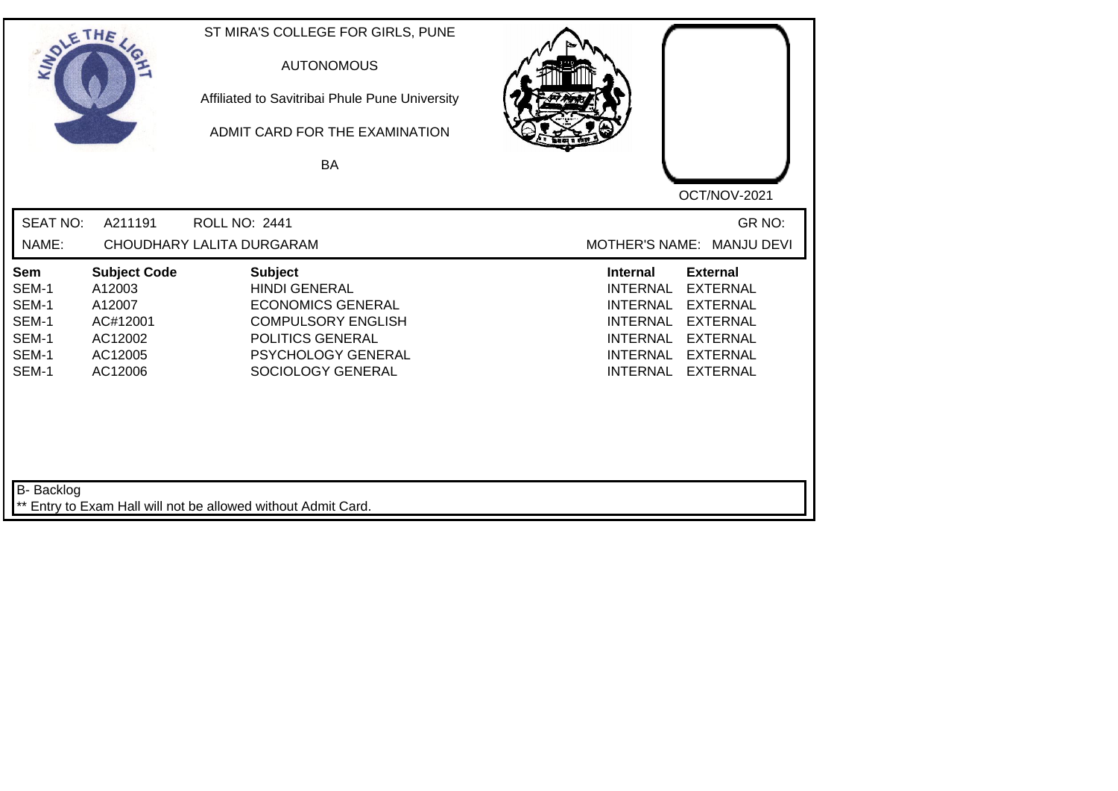| SOLE THE                                                  |                                                                                      | ST MIRA'S COLLEGE FOR GIRLS, PUNE<br><b>AUTONOMOUS</b><br>Affiliated to Savitribai Phule Pune University<br>ADMIT CARD FOR THE EXAMINATION<br><b>BA</b>        |                                                                                                                                                                                                                                                                        |
|-----------------------------------------------------------|--------------------------------------------------------------------------------------|----------------------------------------------------------------------------------------------------------------------------------------------------------------|------------------------------------------------------------------------------------------------------------------------------------------------------------------------------------------------------------------------------------------------------------------------|
|                                                           |                                                                                      |                                                                                                                                                                | OCT/NOV-2021                                                                                                                                                                                                                                                           |
| <b>SEAT NO:</b>                                           | A211191                                                                              | <b>ROLL NO: 2441</b>                                                                                                                                           | GR NO:                                                                                                                                                                                                                                                                 |
| NAME:                                                     |                                                                                      | CHOUDHARY LALITA DURGARAM                                                                                                                                      | MOTHER'S NAME: MANJU DEVI                                                                                                                                                                                                                                              |
| Sem<br>SEM-1<br>SEM-1<br>SEM-1<br>SEM-1<br>SEM-1<br>SEM-1 | <b>Subject Code</b><br>A12003<br>A12007<br>AC#12001<br>AC12002<br>AC12005<br>AC12006 | <b>Subject</b><br><b>HINDI GENERAL</b><br><b>ECONOMICS GENERAL</b><br><b>COMPULSORY ENGLISH</b><br>POLITICS GENERAL<br>PSYCHOLOGY GENERAL<br>SOCIOLOGY GENERAL | <b>External</b><br><b>Internal</b><br><b>EXTERNAL</b><br><b>INTERNAL</b><br><b>INTERNAL</b><br><b>EXTERNAL</b><br><b>INTERNAL</b><br><b>EXTERNAL</b><br><b>INTERNAL</b><br><b>EXTERNAL</b><br><b>INTERNAL</b><br><b>EXTERNAL</b><br><b>INTERNAL</b><br><b>EXTERNAL</b> |
| B- Backlog                                                |                                                                                      | ** Entry to Exam Hall will not be allowed without Admit Card.                                                                                                  |                                                                                                                                                                                                                                                                        |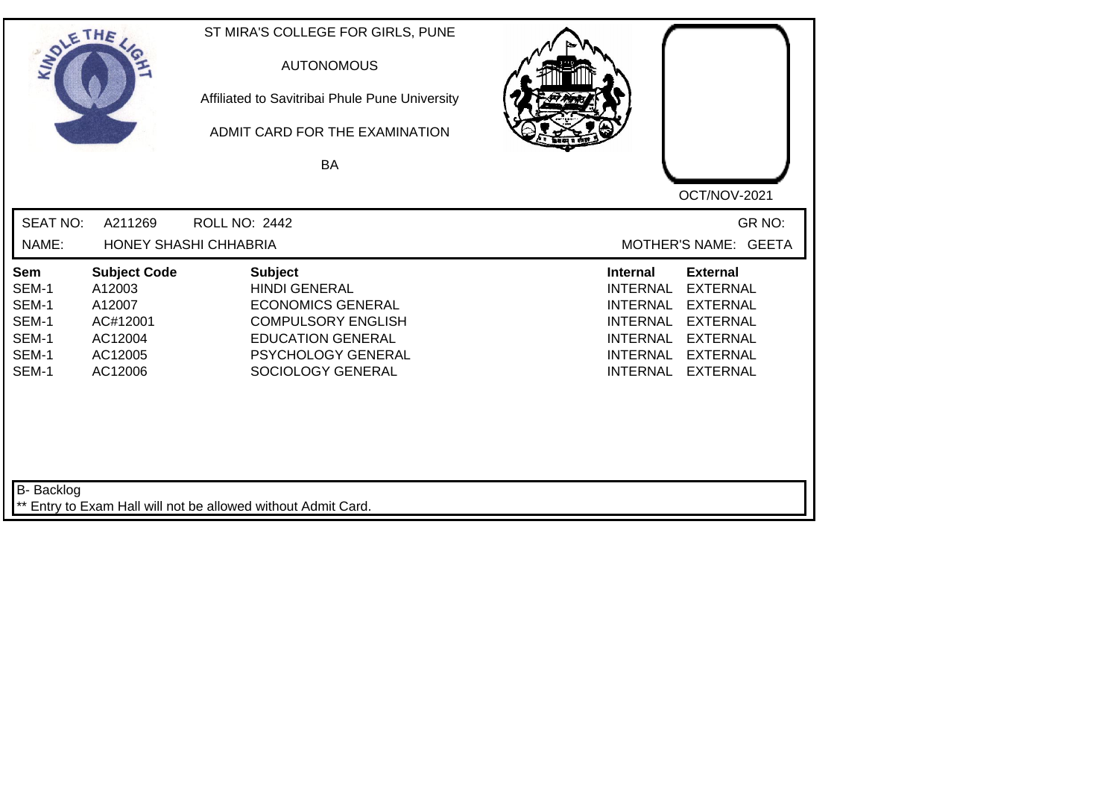| SOLETHE ,                |                               | ST MIRA'S COLLEGE FOR GIRLS, PUNE<br><b>AUTONOMOUS</b><br>Affiliated to Savitribai Phule Pune University<br>ADMIT CARD FOR THE EXAMINATION<br><b>BA</b> | OCT/NOV-2021                                                             |
|--------------------------|-------------------------------|---------------------------------------------------------------------------------------------------------------------------------------------------------|--------------------------------------------------------------------------|
| <b>SEAT NO:</b><br>NAME: | A211269                       | <b>ROLL NO: 2442</b><br>HONEY SHASHI CHHABRIA                                                                                                           | GR NO:<br>MOTHER'S NAME: GEETA                                           |
|                          |                               |                                                                                                                                                         |                                                                          |
| Sem<br>SEM-1             | <b>Subject Code</b><br>A12003 | <b>Subject</b><br><b>HINDI GENERAL</b>                                                                                                                  | <b>External</b><br><b>Internal</b><br><b>EXTERNAL</b><br><b>INTERNAL</b> |
| SEM-1                    | A12007                        | <b>ECONOMICS GENERAL</b>                                                                                                                                | <b>INTERNAL</b><br><b>EXTERNAL</b>                                       |
| SEM-1                    | AC#12001                      | <b>COMPULSORY ENGLISH</b>                                                                                                                               | <b>INTERNAL</b><br><b>EXTERNAL</b>                                       |
| SEM-1                    | AC12004                       | <b>EDUCATION GENERAL</b>                                                                                                                                | <b>EXTERNAL</b><br><b>INTERNAL</b>                                       |
| SEM-1                    | AC12005                       | PSYCHOLOGY GENERAL                                                                                                                                      | <b>INTERNAL</b><br><b>EXTERNAL</b>                                       |
| SEM-1                    | AC12006                       | SOCIOLOGY GENERAL                                                                                                                                       | <b>INTERNAL</b><br><b>EXTERNAL</b>                                       |
|                          |                               |                                                                                                                                                         |                                                                          |
| B- Backlog               |                               | ** Entry to Exam Hall will not be allowed without Admit Card.                                                                                           |                                                                          |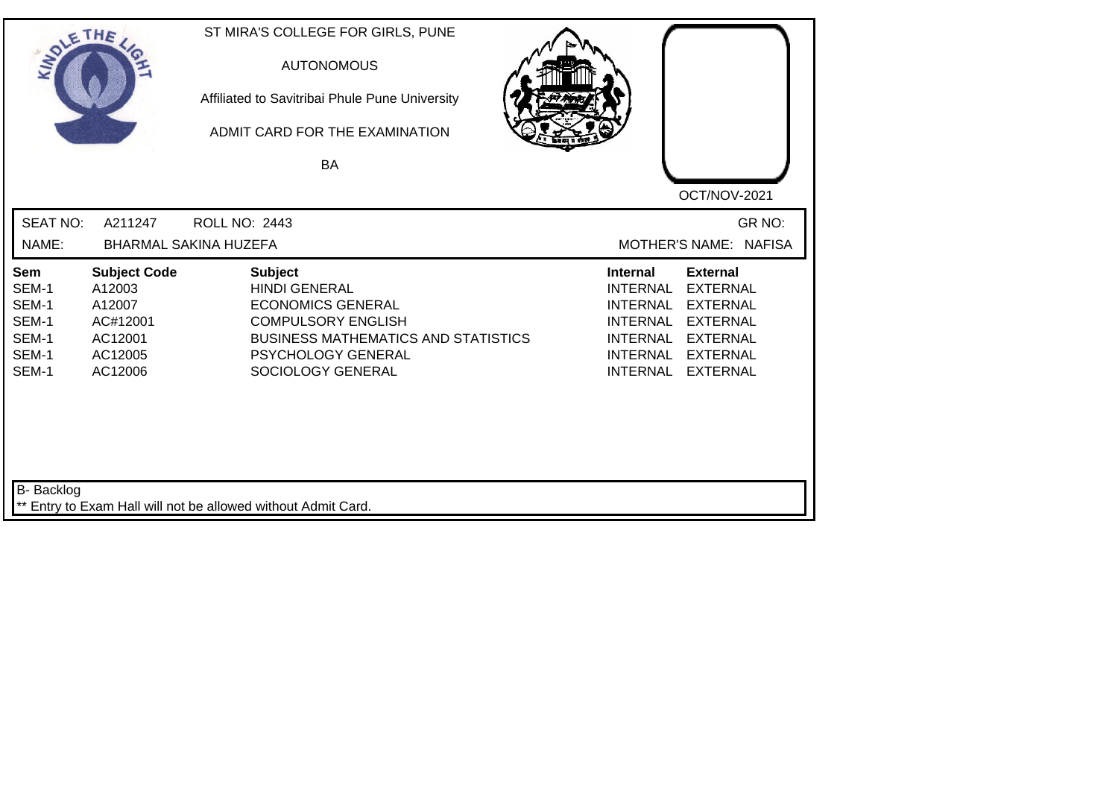| SOLE THE                                                  |                                                                                      | ST MIRA'S COLLEGE FOR GIRLS, PUNE<br><b>AUTONOMOUS</b><br>Affiliated to Savitribai Phule Pune University<br>ADMIT CARD FOR THE EXAMINATION<br><b>BA</b>                                  | OCT/NOV-2021                                                                                                                                                                                                                                                           |
|-----------------------------------------------------------|--------------------------------------------------------------------------------------|------------------------------------------------------------------------------------------------------------------------------------------------------------------------------------------|------------------------------------------------------------------------------------------------------------------------------------------------------------------------------------------------------------------------------------------------------------------------|
| <b>SEAT NO:</b><br>NAME:                                  | A211247                                                                              | <b>ROLL NO: 2443</b><br><b>BHARMAL SAKINA HUZEFA</b>                                                                                                                                     | GR NO:<br>MOTHER'S NAME: NAFISA                                                                                                                                                                                                                                        |
| Sem<br>SEM-1<br>SEM-1<br>SEM-1<br>SEM-1<br>SEM-1<br>SEM-1 | <b>Subject Code</b><br>A12003<br>A12007<br>AC#12001<br>AC12001<br>AC12005<br>AC12006 | <b>Subject</b><br><b>HINDI GENERAL</b><br><b>ECONOMICS GENERAL</b><br><b>COMPULSORY ENGLISH</b><br><b>BUSINESS MATHEMATICS AND STATISTICS</b><br>PSYCHOLOGY GENERAL<br>SOCIOLOGY GENERAL | <b>External</b><br><b>Internal</b><br><b>EXTERNAL</b><br><b>INTERNAL</b><br><b>INTERNAL</b><br><b>EXTERNAL</b><br><b>EXTERNAL</b><br><b>INTERNAL</b><br><b>INTERNAL</b><br><b>EXTERNAL</b><br><b>INTERNAL</b><br><b>EXTERNAL</b><br><b>INTERNAL</b><br><b>EXTERNAL</b> |
| B- Backlog                                                |                                                                                      | ** Entry to Exam Hall will not be allowed without Admit Card.                                                                                                                            |                                                                                                                                                                                                                                                                        |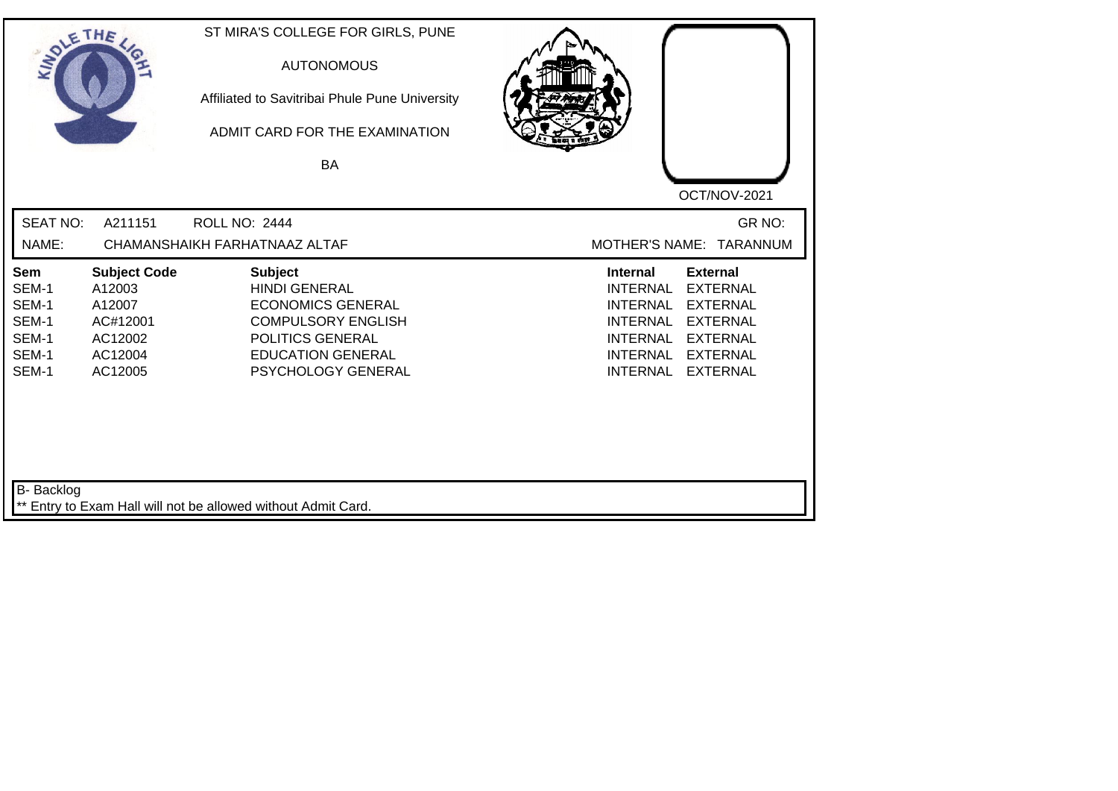| SOLETHE .                                                 |                                                                                      | ST MIRA'S COLLEGE FOR GIRLS, PUNE<br><b>AUTONOMOUS</b><br>Affiliated to Savitribai Phule Pune University<br>ADMIT CARD FOR THE EXAMINATION<br>BA                      | OCT/NOV-2021                                                                                                                                                                                                                                                           |
|-----------------------------------------------------------|--------------------------------------------------------------------------------------|-----------------------------------------------------------------------------------------------------------------------------------------------------------------------|------------------------------------------------------------------------------------------------------------------------------------------------------------------------------------------------------------------------------------------------------------------------|
| <b>SEAT NO:</b><br>NAME:                                  | A211151                                                                              | <b>ROLL NO: 2444</b><br>CHAMANSHAIKH FARHATNAAZ ALTAF                                                                                                                 | GR NO:<br>MOTHER'S NAME: TARANNUM                                                                                                                                                                                                                                      |
| Sem<br>SEM-1<br>SEM-1<br>SEM-1<br>SEM-1<br>SEM-1<br>SEM-1 | <b>Subject Code</b><br>A12003<br>A12007<br>AC#12001<br>AC12002<br>AC12004<br>AC12005 | <b>Subject</b><br><b>HINDI GENERAL</b><br><b>ECONOMICS GENERAL</b><br><b>COMPULSORY ENGLISH</b><br>POLITICS GENERAL<br><b>EDUCATION GENERAL</b><br>PSYCHOLOGY GENERAL | <b>Internal</b><br><b>External</b><br><b>INTERNAL</b><br><b>EXTERNAL</b><br><b>INTERNAL</b><br><b>EXTERNAL</b><br><b>INTERNAL</b><br><b>EXTERNAL</b><br><b>INTERNAL</b><br><b>EXTERNAL</b><br><b>INTERNAL</b><br><b>EXTERNAL</b><br><b>INTERNAL</b><br><b>EXTERNAL</b> |
| B- Backlog                                                |                                                                                      | ** Entry to Exam Hall will not be allowed without Admit Card.                                                                                                         |                                                                                                                                                                                                                                                                        |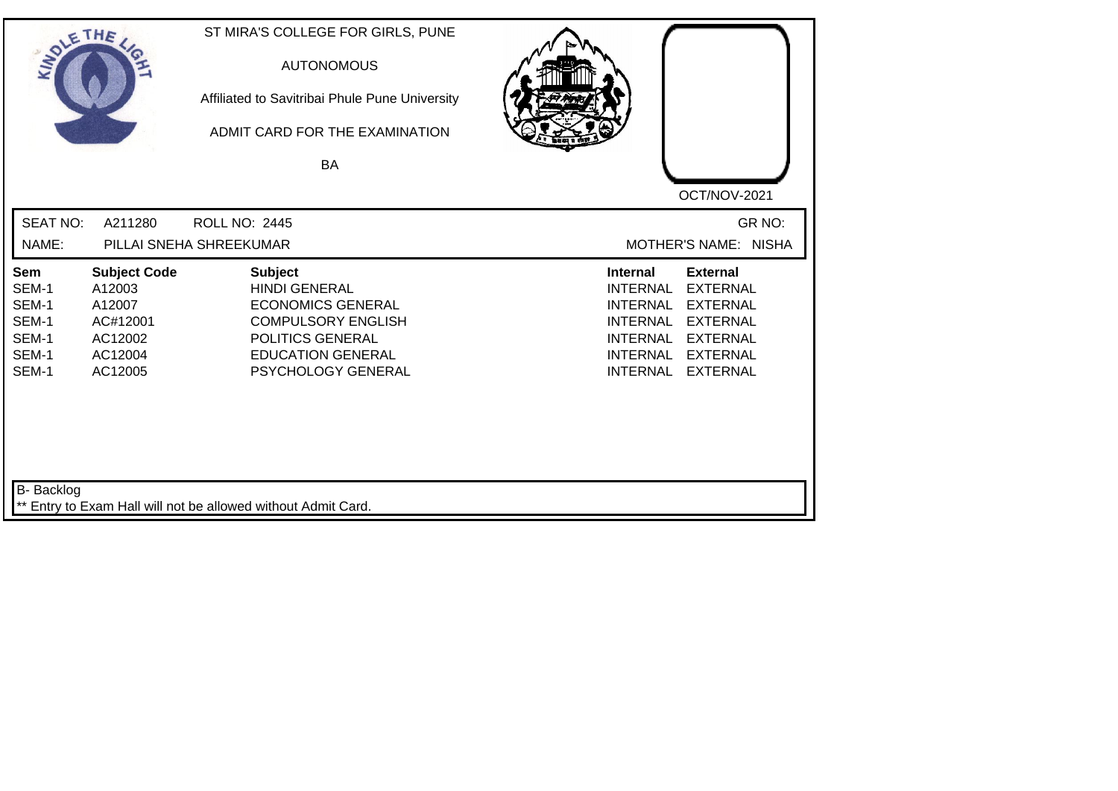| SOLETHE ,                                                        |                                                                                      | ST MIRA'S COLLEGE FOR GIRLS, PUNE<br><b>AUTONOMOUS</b><br>Affiliated to Savitribai Phule Pune University<br>ADMIT CARD FOR THE EXAMINATION<br>BA                      | OCT/NOV-2021                                                                                                                                                                                                                                                           |
|------------------------------------------------------------------|--------------------------------------------------------------------------------------|-----------------------------------------------------------------------------------------------------------------------------------------------------------------------|------------------------------------------------------------------------------------------------------------------------------------------------------------------------------------------------------------------------------------------------------------------------|
| <b>SEAT NO:</b><br>NAME:                                         | A211280                                                                              | <b>ROLL NO: 2445</b><br>PILLAI SNEHA SHREEKUMAR                                                                                                                       | GR NO:<br>MOTHER'S NAME: NISHA                                                                                                                                                                                                                                         |
| <b>Sem</b><br>SEM-1<br>SEM-1<br>SEM-1<br>SEM-1<br>SEM-1<br>SEM-1 | <b>Subject Code</b><br>A12003<br>A12007<br>AC#12001<br>AC12002<br>AC12004<br>AC12005 | <b>Subject</b><br><b>HINDI GENERAL</b><br><b>ECONOMICS GENERAL</b><br><b>COMPULSORY ENGLISH</b><br>POLITICS GENERAL<br><b>EDUCATION GENERAL</b><br>PSYCHOLOGY GENERAL | <b>Internal</b><br><b>External</b><br><b>INTERNAL</b><br><b>EXTERNAL</b><br><b>EXTERNAL</b><br><b>INTERNAL</b><br><b>INTERNAL</b><br><b>EXTERNAL</b><br><b>INTERNAL</b><br><b>EXTERNAL</b><br><b>INTERNAL</b><br><b>EXTERNAL</b><br><b>INTERNAL</b><br><b>EXTERNAL</b> |
| B- Backlog                                                       |                                                                                      | ** Entry to Exam Hall will not be allowed without Admit Card.                                                                                                         |                                                                                                                                                                                                                                                                        |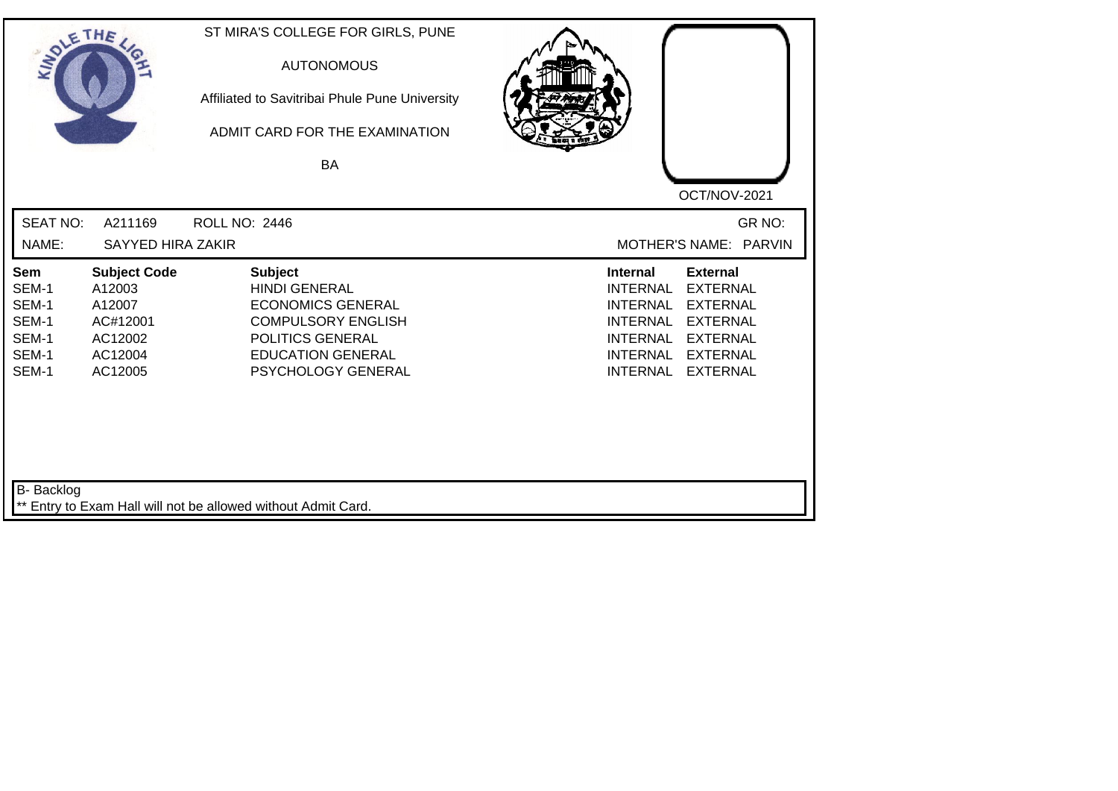| SOLE THE                                                  |                                                                                      | ST MIRA'S COLLEGE FOR GIRLS, PUNE<br><b>AUTONOMOUS</b><br>Affiliated to Savitribai Phule Pune University<br>ADMIT CARD FOR THE EXAMINATION<br><b>BA</b>               |                                                                                                                                                                                                                                                                        |
|-----------------------------------------------------------|--------------------------------------------------------------------------------------|-----------------------------------------------------------------------------------------------------------------------------------------------------------------------|------------------------------------------------------------------------------------------------------------------------------------------------------------------------------------------------------------------------------------------------------------------------|
| <b>SEAT NO:</b><br>NAME:                                  | A211169<br>SAYYED HIRA ZAKIR                                                         | <b>ROLL NO: 2446</b>                                                                                                                                                  | OCT/NOV-2021<br>GR NO:<br>MOTHER'S NAME: PARVIN                                                                                                                                                                                                                        |
| Sem<br>SEM-1<br>SEM-1<br>SEM-1<br>SEM-1<br>SEM-1<br>SEM-1 | <b>Subject Code</b><br>A12003<br>A12007<br>AC#12001<br>AC12002<br>AC12004<br>AC12005 | <b>Subject</b><br><b>HINDI GENERAL</b><br><b>ECONOMICS GENERAL</b><br><b>COMPULSORY ENGLISH</b><br>POLITICS GENERAL<br><b>EDUCATION GENERAL</b><br>PSYCHOLOGY GENERAL | <b>External</b><br><b>Internal</b><br><b>EXTERNAL</b><br><b>INTERNAL</b><br><b>INTERNAL</b><br><b>EXTERNAL</b><br><b>EXTERNAL</b><br><b>INTERNAL</b><br><b>INTERNAL</b><br><b>EXTERNAL</b><br><b>INTERNAL</b><br><b>EXTERNAL</b><br><b>INTERNAL</b><br><b>EXTERNAL</b> |
| B- Backlog                                                |                                                                                      | ** Entry to Exam Hall will not be allowed without Admit Card.                                                                                                         |                                                                                                                                                                                                                                                                        |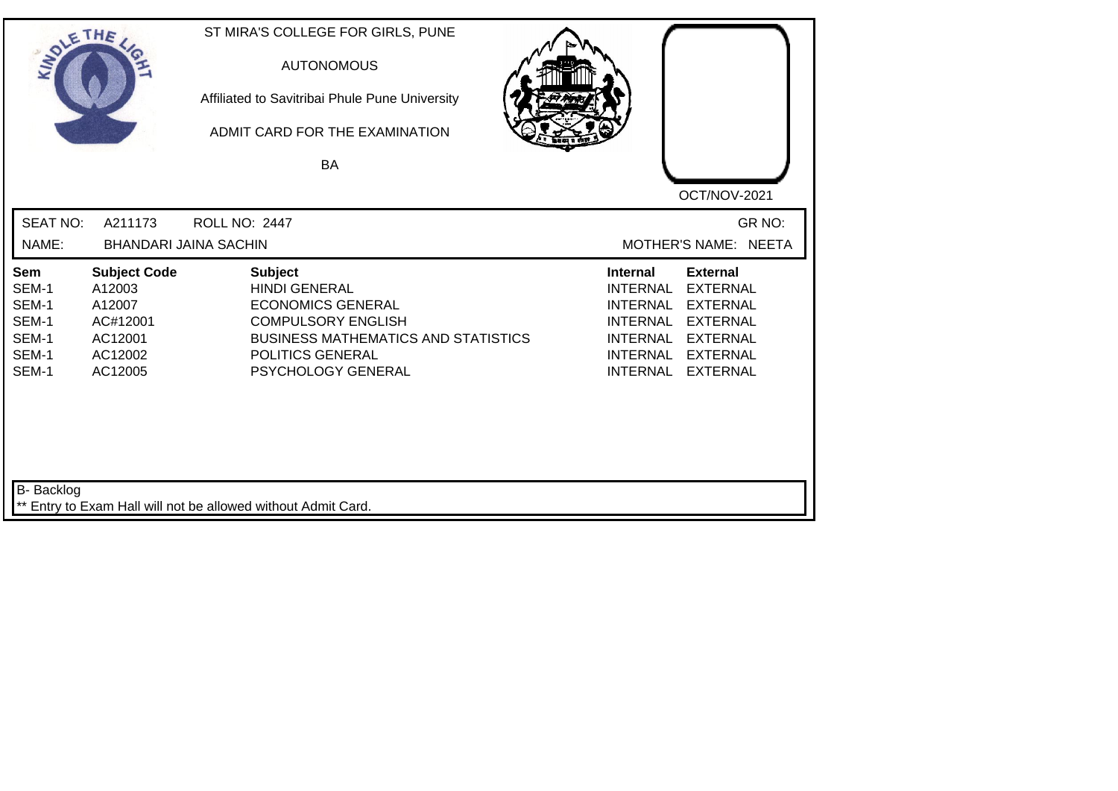| SOLE THE                                                  |                                                                                      | ST MIRA'S COLLEGE FOR GIRLS, PUNE<br><b>AUTONOMOUS</b><br>Affiliated to Savitribai Phule Pune University<br>ADMIT CARD FOR THE EXAMINATION<br>BA                                               | OCT/NOV-2021                                                                                                                                                                                                                                                           |
|-----------------------------------------------------------|--------------------------------------------------------------------------------------|------------------------------------------------------------------------------------------------------------------------------------------------------------------------------------------------|------------------------------------------------------------------------------------------------------------------------------------------------------------------------------------------------------------------------------------------------------------------------|
| <b>SEAT NO:</b><br>NAME:                                  | A211173                                                                              | <b>ROLL NO: 2447</b><br><b>BHANDARI JAINA SACHIN</b>                                                                                                                                           | GR NO:<br>MOTHER'S NAME: NEETA                                                                                                                                                                                                                                         |
| Sem<br>SEM-1<br>SEM-1<br>SEM-1<br>SEM-1<br>SEM-1<br>SEM-1 | <b>Subject Code</b><br>A12003<br>A12007<br>AC#12001<br>AC12001<br>AC12002<br>AC12005 | <b>Subject</b><br><b>HINDI GENERAL</b><br><b>ECONOMICS GENERAL</b><br><b>COMPULSORY ENGLISH</b><br><b>BUSINESS MATHEMATICS AND STATISTICS</b><br><b>POLITICS GENERAL</b><br>PSYCHOLOGY GENERAL | <b>Internal</b><br><b>External</b><br><b>INTERNAL</b><br><b>EXTERNAL</b><br><b>INTERNAL</b><br><b>EXTERNAL</b><br><b>EXTERNAL</b><br><b>INTERNAL</b><br><b>INTERNAL</b><br><b>EXTERNAL</b><br><b>INTERNAL</b><br><b>EXTERNAL</b><br><b>INTERNAL</b><br><b>EXTERNAL</b> |
| <b>B-</b> Backlog                                         |                                                                                      | ** Entry to Exam Hall will not be allowed without Admit Card.                                                                                                                                  |                                                                                                                                                                                                                                                                        |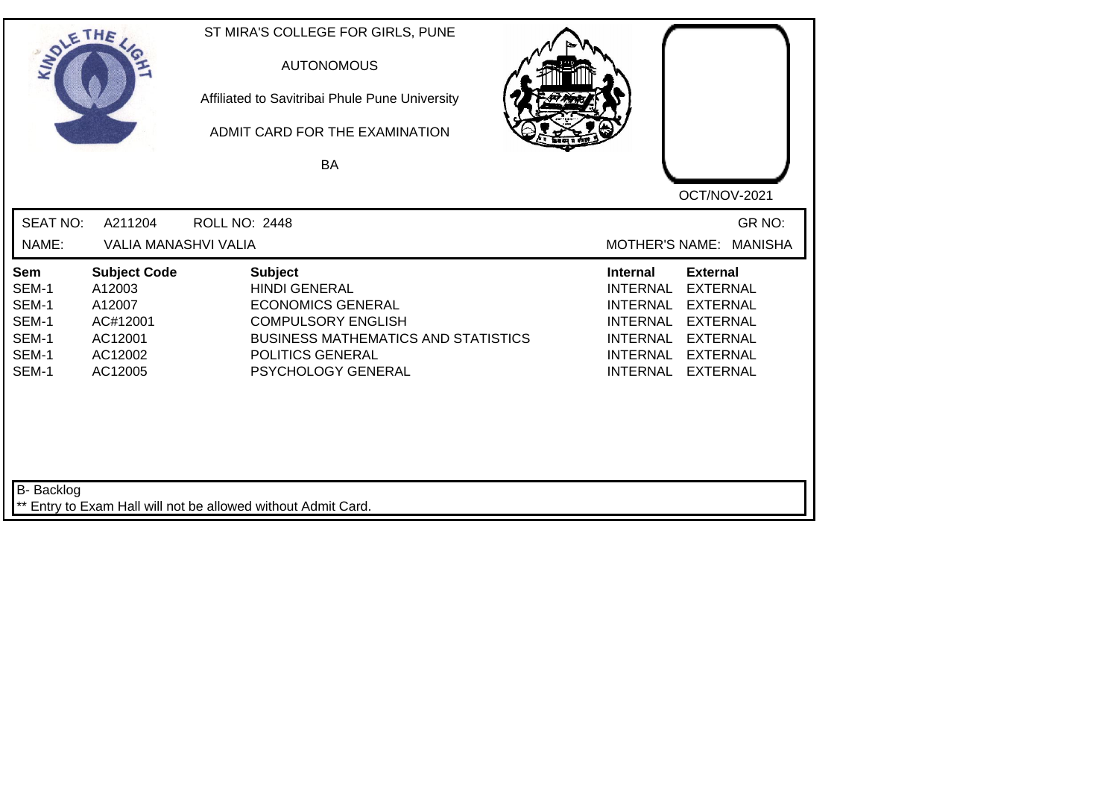| SOLE THE                                                  |                                                                                      | ST MIRA'S COLLEGE FOR GIRLS, PUNE<br><b>AUTONOMOUS</b><br>Affiliated to Savitribai Phule Pune University<br>ADMIT CARD FOR THE EXAMINATION<br><b>BA</b>                                 | OCT/NOV-2021                                                                                                                                                                                                                                                           |
|-----------------------------------------------------------|--------------------------------------------------------------------------------------|-----------------------------------------------------------------------------------------------------------------------------------------------------------------------------------------|------------------------------------------------------------------------------------------------------------------------------------------------------------------------------------------------------------------------------------------------------------------------|
| <b>SEAT NO:</b><br>NAME:                                  | A211204<br><b>VALIA MANASHVI VALIA</b>                                               | <b>ROLL NO: 2448</b>                                                                                                                                                                    | GR NO:<br>MOTHER'S NAME: MANISHA                                                                                                                                                                                                                                       |
| Sem<br>SEM-1<br>SEM-1<br>SEM-1<br>SEM-1<br>SEM-1<br>SEM-1 | <b>Subject Code</b><br>A12003<br>A12007<br>AC#12001<br>AC12001<br>AC12002<br>AC12005 | <b>Subject</b><br><b>HINDI GENERAL</b><br><b>ECONOMICS GENERAL</b><br><b>COMPULSORY ENGLISH</b><br><b>BUSINESS MATHEMATICS AND STATISTICS</b><br>POLITICS GENERAL<br>PSYCHOLOGY GENERAL | <b>External</b><br><b>Internal</b><br><b>INTERNAL</b><br><b>EXTERNAL</b><br><b>EXTERNAL</b><br><b>INTERNAL</b><br><b>INTERNAL</b><br><b>EXTERNAL</b><br><b>INTERNAL</b><br><b>EXTERNAL</b><br><b>INTERNAL</b><br><b>EXTERNAL</b><br><b>INTERNAL</b><br><b>EXTERNAL</b> |
| <b>B-</b> Backlog                                         |                                                                                      | ** Entry to Exam Hall will not be allowed without Admit Card.                                                                                                                           |                                                                                                                                                                                                                                                                        |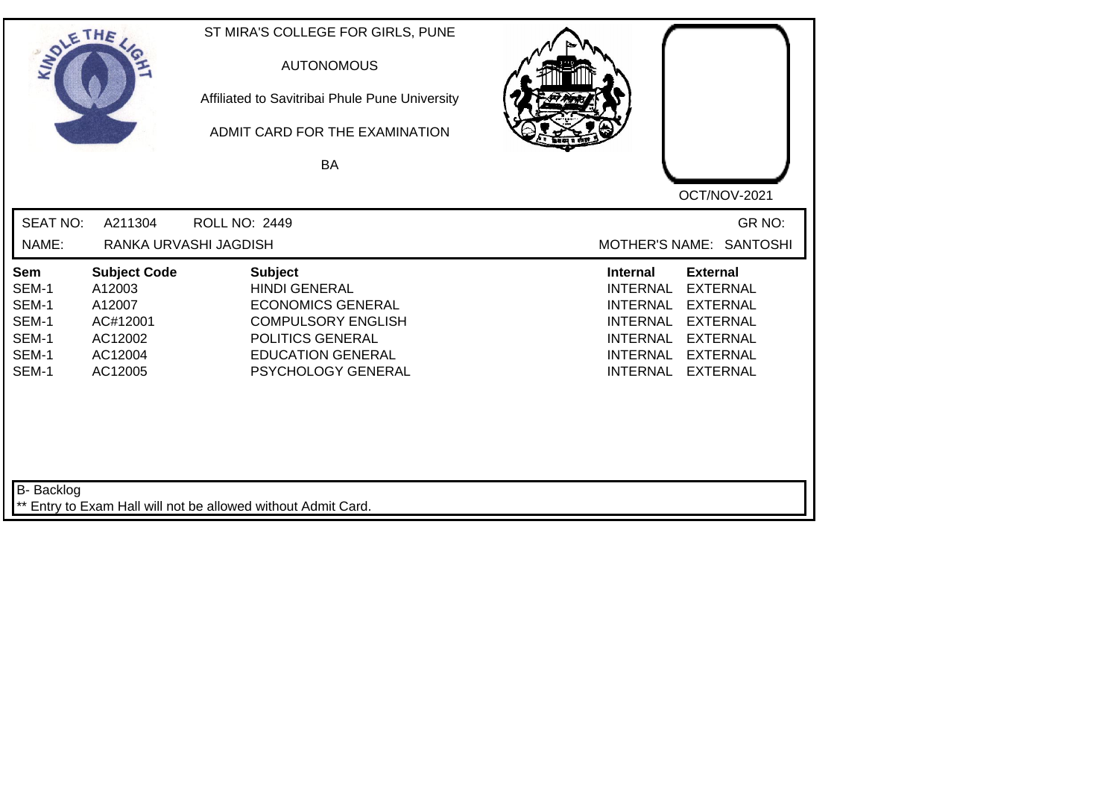| SOLETHE .                                                 |                                                                                      | ST MIRA'S COLLEGE FOR GIRLS, PUNE<br><b>AUTONOMOUS</b><br>Affiliated to Savitribai Phule Pune University<br>ADMIT CARD FOR THE EXAMINATION<br>BA                      | OCT/NOV-2021                                                                                                                                                                                                                                                           |
|-----------------------------------------------------------|--------------------------------------------------------------------------------------|-----------------------------------------------------------------------------------------------------------------------------------------------------------------------|------------------------------------------------------------------------------------------------------------------------------------------------------------------------------------------------------------------------------------------------------------------------|
| <b>SEAT NO:</b><br>NAME:                                  | A211304                                                                              | <b>ROLL NO: 2449</b><br>RANKA URVASHI JAGDISH                                                                                                                         | GR NO:<br>MOTHER'S NAME: SANTOSHI                                                                                                                                                                                                                                      |
| Sem<br>SEM-1<br>SEM-1<br>SEM-1<br>SEM-1<br>SEM-1<br>SEM-1 | <b>Subject Code</b><br>A12003<br>A12007<br>AC#12001<br>AC12002<br>AC12004<br>AC12005 | <b>Subject</b><br><b>HINDI GENERAL</b><br><b>ECONOMICS GENERAL</b><br><b>COMPULSORY ENGLISH</b><br>POLITICS GENERAL<br><b>EDUCATION GENERAL</b><br>PSYCHOLOGY GENERAL | <b>Internal</b><br><b>External</b><br><b>EXTERNAL</b><br><b>INTERNAL</b><br><b>EXTERNAL</b><br><b>INTERNAL</b><br><b>INTERNAL</b><br><b>EXTERNAL</b><br><b>INTERNAL</b><br><b>EXTERNAL</b><br><b>INTERNAL</b><br><b>EXTERNAL</b><br><b>INTERNAL</b><br><b>EXTERNAL</b> |
| B- Backlog                                                |                                                                                      | ** Entry to Exam Hall will not be allowed without Admit Card.                                                                                                         |                                                                                                                                                                                                                                                                        |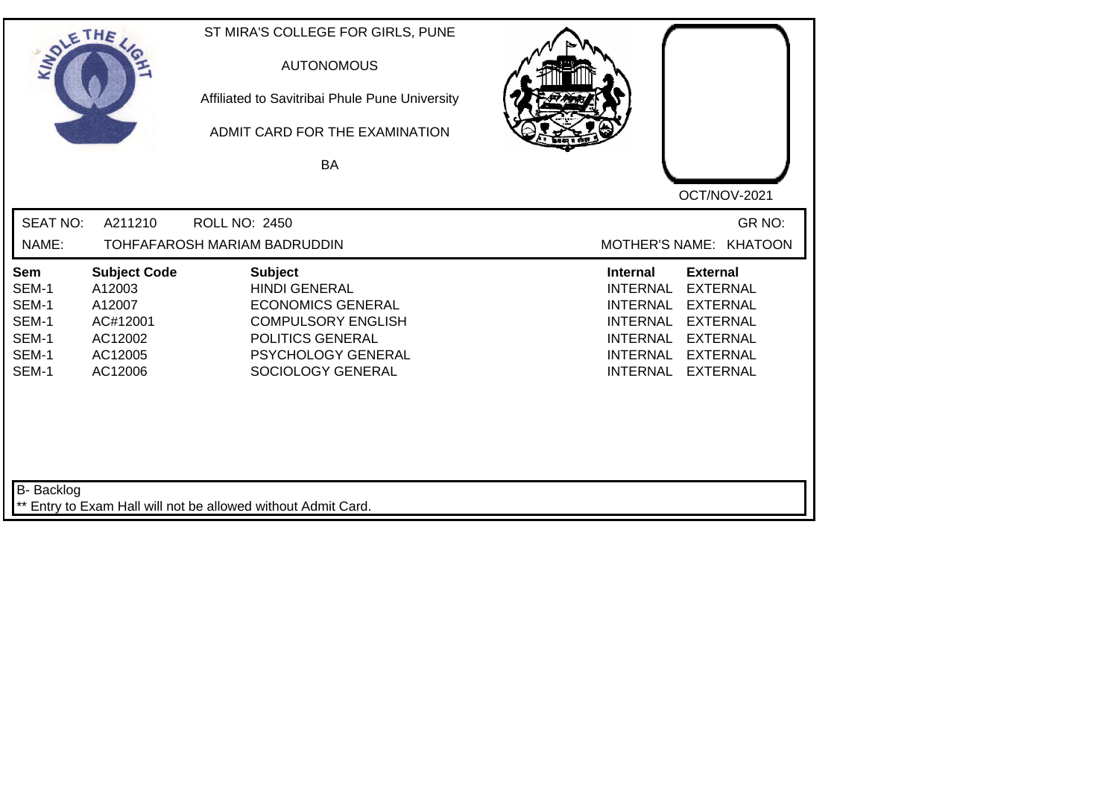| SOLETHE .                                                 |                                                                                      | ST MIRA'S COLLEGE FOR GIRLS, PUNE<br><b>AUTONOMOUS</b><br>Affiliated to Savitribai Phule Pune University<br>ADMIT CARD FOR THE EXAMINATION<br>BA               | OCT/NOV-2021                                                                                                                                                                                                                                                           |
|-----------------------------------------------------------|--------------------------------------------------------------------------------------|----------------------------------------------------------------------------------------------------------------------------------------------------------------|------------------------------------------------------------------------------------------------------------------------------------------------------------------------------------------------------------------------------------------------------------------------|
| <b>SEAT NO:</b><br>NAME:                                  | A211210                                                                              | <b>ROLL NO: 2450</b><br>TOHFAFAROSH MARIAM BADRUDDIN                                                                                                           | GR NO:<br>MOTHER'S NAME: KHATOON                                                                                                                                                                                                                                       |
| Sem<br>SEM-1<br>SEM-1<br>SEM-1<br>SEM-1<br>SEM-1<br>SEM-1 | <b>Subject Code</b><br>A12003<br>A12007<br>AC#12001<br>AC12002<br>AC12005<br>AC12006 | <b>Subject</b><br><b>HINDI GENERAL</b><br><b>ECONOMICS GENERAL</b><br><b>COMPULSORY ENGLISH</b><br>POLITICS GENERAL<br>PSYCHOLOGY GENERAL<br>SOCIOLOGY GENERAL | <b>External</b><br><b>Internal</b><br><b>INTERNAL</b><br><b>EXTERNAL</b><br><b>INTERNAL</b><br><b>EXTERNAL</b><br><b>EXTERNAL</b><br><b>INTERNAL</b><br><b>INTERNAL</b><br><b>EXTERNAL</b><br><b>INTERNAL</b><br><b>EXTERNAL</b><br><b>INTERNAL</b><br><b>EXTERNAL</b> |
| B- Backlog                                                |                                                                                      | ** Entry to Exam Hall will not be allowed without Admit Card.                                                                                                  |                                                                                                                                                                                                                                                                        |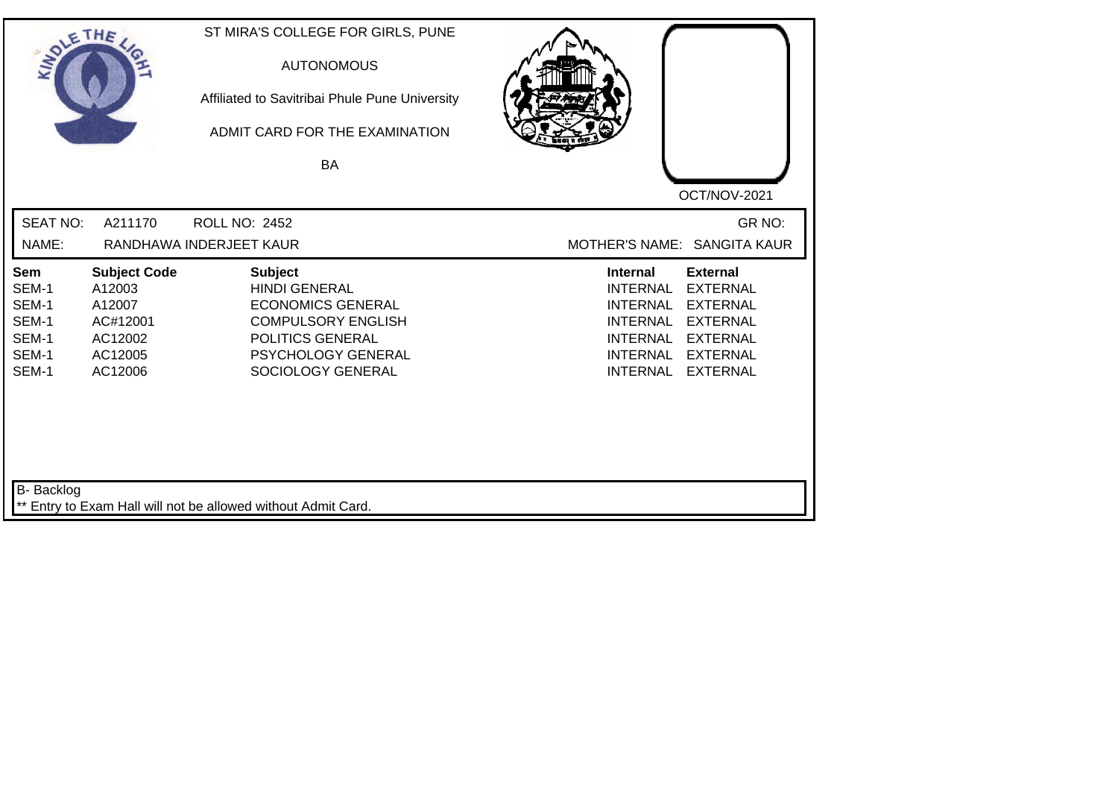| SOLETHE ,                                                        |                                                                                      | ST MIRA'S COLLEGE FOR GIRLS, PUNE<br><b>AUTONOMOUS</b><br>Affiliated to Savitribai Phule Pune University<br>ADMIT CARD FOR THE EXAMINATION<br>BA               | OCT/NOV-2021                                                                                                                                                                                                                                                           |
|------------------------------------------------------------------|--------------------------------------------------------------------------------------|----------------------------------------------------------------------------------------------------------------------------------------------------------------|------------------------------------------------------------------------------------------------------------------------------------------------------------------------------------------------------------------------------------------------------------------------|
| <b>SEAT NO:</b><br>NAME:                                         | A211170                                                                              | <b>ROLL NO: 2452</b><br>RANDHAWA INDERJEET KAUR                                                                                                                | GR NO:<br>MOTHER'S NAME: SANGITA KAUR                                                                                                                                                                                                                                  |
| <b>Sem</b><br>SEM-1<br>SEM-1<br>SEM-1<br>SEM-1<br>SEM-1<br>SEM-1 | <b>Subject Code</b><br>A12003<br>A12007<br>AC#12001<br>AC12002<br>AC12005<br>AC12006 | <b>Subject</b><br><b>HINDI GENERAL</b><br><b>ECONOMICS GENERAL</b><br><b>COMPULSORY ENGLISH</b><br>POLITICS GENERAL<br>PSYCHOLOGY GENERAL<br>SOCIOLOGY GENERAL | <b>Internal</b><br><b>External</b><br><b>INTERNAL</b><br><b>EXTERNAL</b><br><b>INTERNAL</b><br><b>EXTERNAL</b><br><b>EXTERNAL</b><br><b>INTERNAL</b><br><b>INTERNAL</b><br><b>EXTERNAL</b><br><b>INTERNAL</b><br><b>EXTERNAL</b><br><b>INTERNAL</b><br><b>EXTERNAL</b> |
| B- Backlog                                                       |                                                                                      | ** Entry to Exam Hall will not be allowed without Admit Card.                                                                                                  |                                                                                                                                                                                                                                                                        |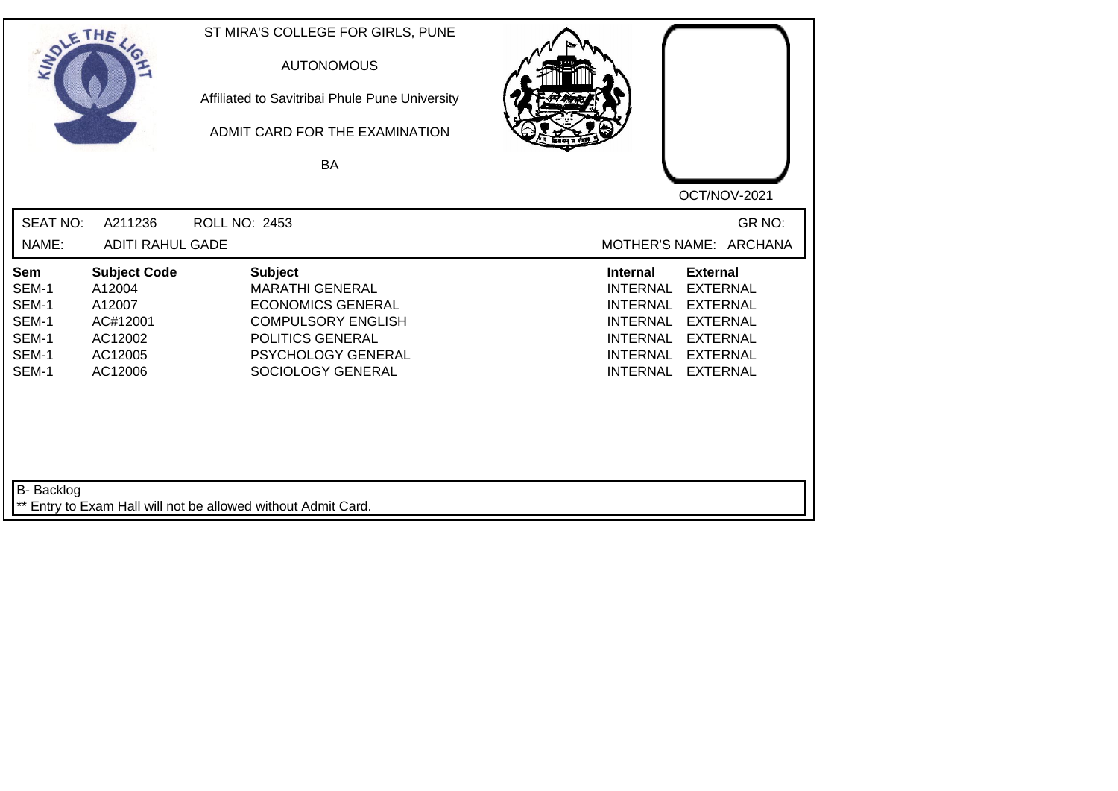| SOLE THE                                                  |                                                                                      | ST MIRA'S COLLEGE FOR GIRLS, PUNE<br><b>AUTONOMOUS</b><br>Affiliated to Savitribai Phule Pune University<br>ADMIT CARD FOR THE EXAMINATION<br>BA                        |                                                                                                                                                                                                                                                                        |
|-----------------------------------------------------------|--------------------------------------------------------------------------------------|-------------------------------------------------------------------------------------------------------------------------------------------------------------------------|------------------------------------------------------------------------------------------------------------------------------------------------------------------------------------------------------------------------------------------------------------------------|
|                                                           |                                                                                      |                                                                                                                                                                         | OCT/NOV-2021                                                                                                                                                                                                                                                           |
| <b>SEAT NO:</b><br>NAME:                                  | A211236<br><b>ADITI RAHUL GADE</b>                                                   | <b>ROLL NO: 2453</b>                                                                                                                                                    | GR NO:<br>MOTHER'S NAME: ARCHANA                                                                                                                                                                                                                                       |
| Sem<br>SEM-1<br>SEM-1<br>SEM-1<br>SEM-1<br>SEM-1<br>SEM-1 | <b>Subject Code</b><br>A12004<br>A12007<br>AC#12001<br>AC12002<br>AC12005<br>AC12006 | <b>Subject</b><br><b>MARATHI GENERAL</b><br><b>ECONOMICS GENERAL</b><br><b>COMPULSORY ENGLISH</b><br>POLITICS GENERAL<br><b>PSYCHOLOGY GENERAL</b><br>SOCIOLOGY GENERAL | <b>External</b><br><b>Internal</b><br><b>EXTERNAL</b><br><b>INTERNAL</b><br><b>INTERNAL</b><br><b>EXTERNAL</b><br><b>INTERNAL</b><br><b>EXTERNAL</b><br><b>INTERNAL</b><br><b>EXTERNAL</b><br><b>INTERNAL</b><br><b>EXTERNAL</b><br><b>INTERNAL</b><br><b>EXTERNAL</b> |
| B- Backlog                                                |                                                                                      | ** Entry to Exam Hall will not be allowed without Admit Card.                                                                                                           |                                                                                                                                                                                                                                                                        |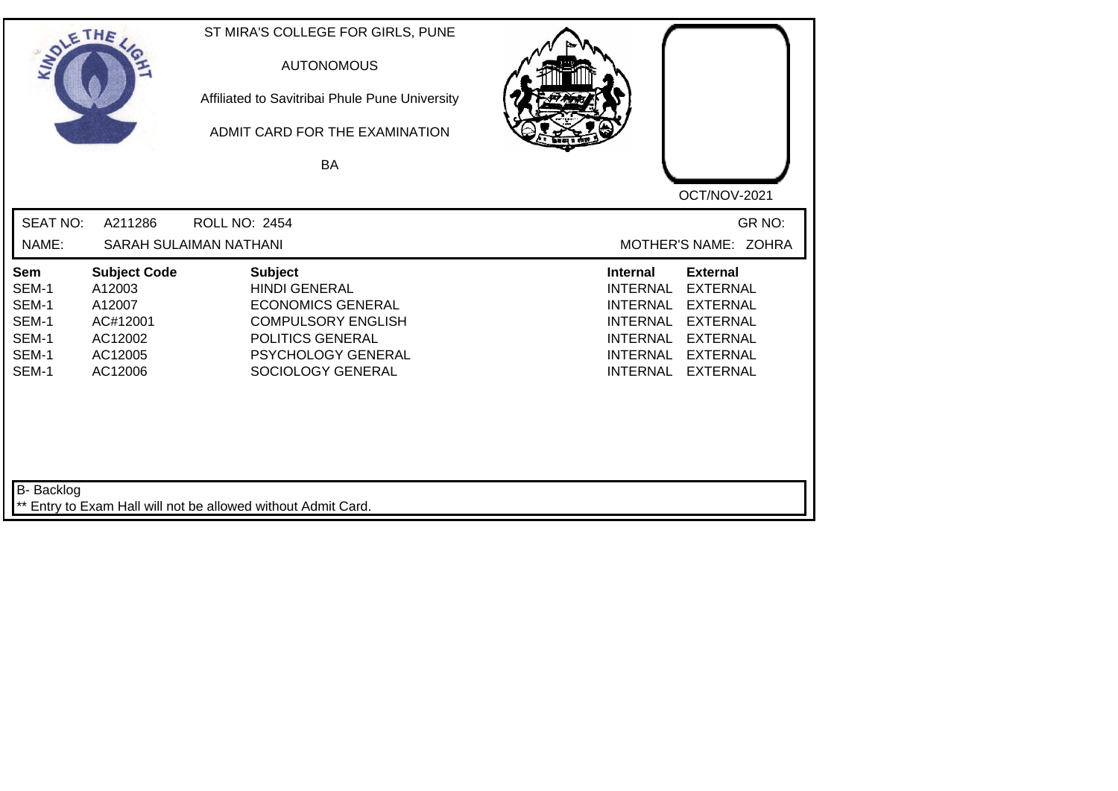| SOLETHE .                                                 |                                                                                      | ST MIRA'S COLLEGE FOR GIRLS, PUNE<br><b>AUTONOMOUS</b><br>Affiliated to Savitribai Phule Pune University<br>ADMIT CARD FOR THE EXAMINATION<br><b>BA</b>               | OCT/NOV-2021                                                                                                                                                                                                                                                    |
|-----------------------------------------------------------|--------------------------------------------------------------------------------------|-----------------------------------------------------------------------------------------------------------------------------------------------------------------------|-----------------------------------------------------------------------------------------------------------------------------------------------------------------------------------------------------------------------------------------------------------------|
| <b>SEAT NO:</b><br>NAME:                                  | A211286                                                                              | <b>ROLL NO: 2454</b><br>SARAH SULAIMAN NATHANI                                                                                                                        | GR NO:<br>MOTHER'S NAME: ZOHRA                                                                                                                                                                                                                                  |
| Sem<br>SEM-1<br>SEM-1<br>SEM-1<br>SEM-1<br>SEM-1<br>SEM-1 | <b>Subject Code</b><br>A12003<br>A12007<br>AC#12001<br>AC12002<br>AC12005<br>AC12006 | <b>Subject</b><br><b>HINDI GENERAL</b><br><b>ECONOMICS GENERAL</b><br><b>COMPULSORY ENGLISH</b><br>POLITICS GENERAL<br><b>PSYCHOLOGY GENERAL</b><br>SOCIOLOGY GENERAL | Internal<br><b>External</b><br><b>EXTERNAL</b><br><b>INTERNAL</b><br><b>EXTERNAL</b><br><b>INTERNAL</b><br><b>INTERNAL</b><br><b>EXTERNAL</b><br><b>INTERNAL</b><br><b>EXTERNAL</b><br><b>INTERNAL</b><br><b>EXTERNAL</b><br><b>INTERNAL</b><br><b>EXTERNAL</b> |
| B- Backlog                                                |                                                                                      | ** Entry to Exam Hall will not be allowed without Admit Card.                                                                                                         |                                                                                                                                                                                                                                                                 |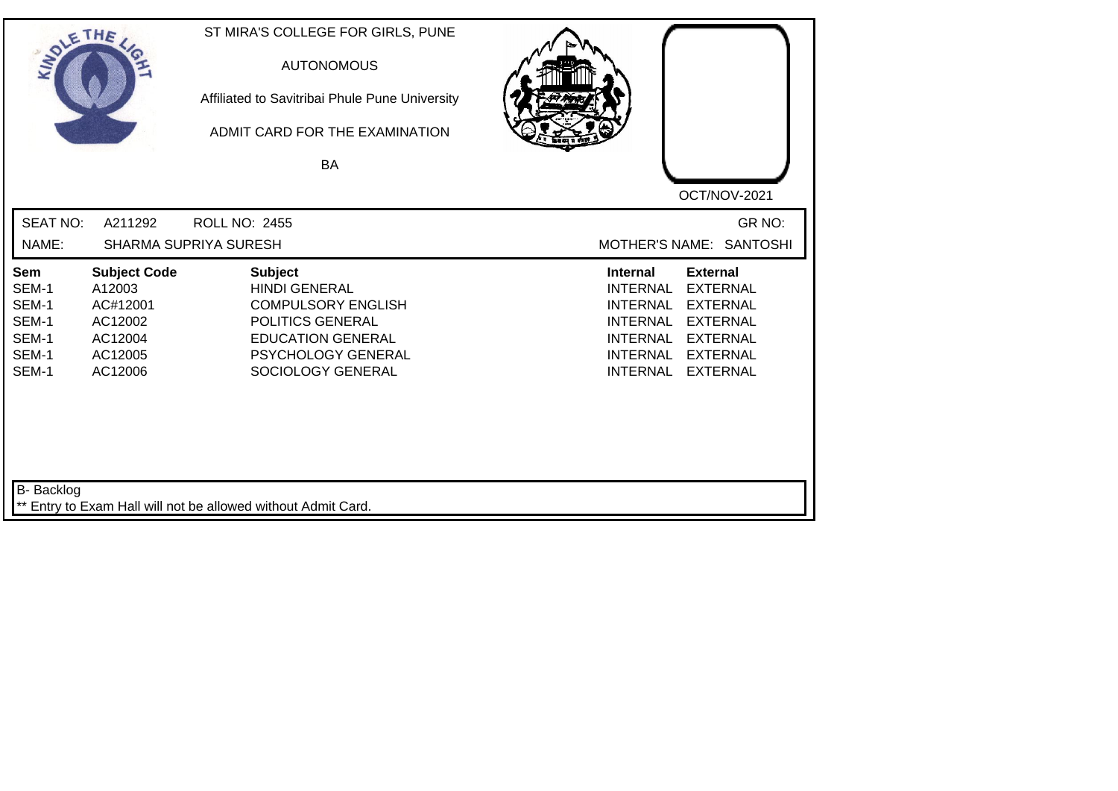| SOLETHE ,                                                 |                                                                                       | ST MIRA'S COLLEGE FOR GIRLS, PUNE<br><b>AUTONOMOUS</b><br>Affiliated to Savitribai Phule Pune University<br>ADMIT CARD FOR THE EXAMINATION<br><b>BA</b>        |                                                                                                                                                                                                                                                                        |
|-----------------------------------------------------------|---------------------------------------------------------------------------------------|----------------------------------------------------------------------------------------------------------------------------------------------------------------|------------------------------------------------------------------------------------------------------------------------------------------------------------------------------------------------------------------------------------------------------------------------|
| <b>SEAT NO:</b><br>NAME:                                  | A211292                                                                               | <b>ROLL NO: 2455</b><br><b>SHARMA SUPRIYA SURESH</b>                                                                                                           | OCT/NOV-2021<br>GR NO:<br>MOTHER'S NAME: SANTOSHI                                                                                                                                                                                                                      |
| Sem<br>SEM-1<br>SEM-1<br>SEM-1<br>SEM-1<br>SEM-1<br>SEM-1 | <b>Subject Code</b><br>A12003<br>AC#12001<br>AC12002<br>AC12004<br>AC12005<br>AC12006 | <b>Subject</b><br><b>HINDI GENERAL</b><br><b>COMPULSORY ENGLISH</b><br>POLITICS GENERAL<br><b>EDUCATION GENERAL</b><br>PSYCHOLOGY GENERAL<br>SOCIOLOGY GENERAL | <b>External</b><br><b>Internal</b><br><b>EXTERNAL</b><br><b>INTERNAL</b><br><b>EXTERNAL</b><br><b>INTERNAL</b><br><b>INTERNAL</b><br><b>EXTERNAL</b><br><b>INTERNAL</b><br><b>EXTERNAL</b><br><b>INTERNAL</b><br><b>EXTERNAL</b><br><b>INTERNAL</b><br><b>EXTERNAL</b> |
| <b>B-</b> Backlog                                         |                                                                                       | ** Entry to Exam Hall will not be allowed without Admit Card.                                                                                                  |                                                                                                                                                                                                                                                                        |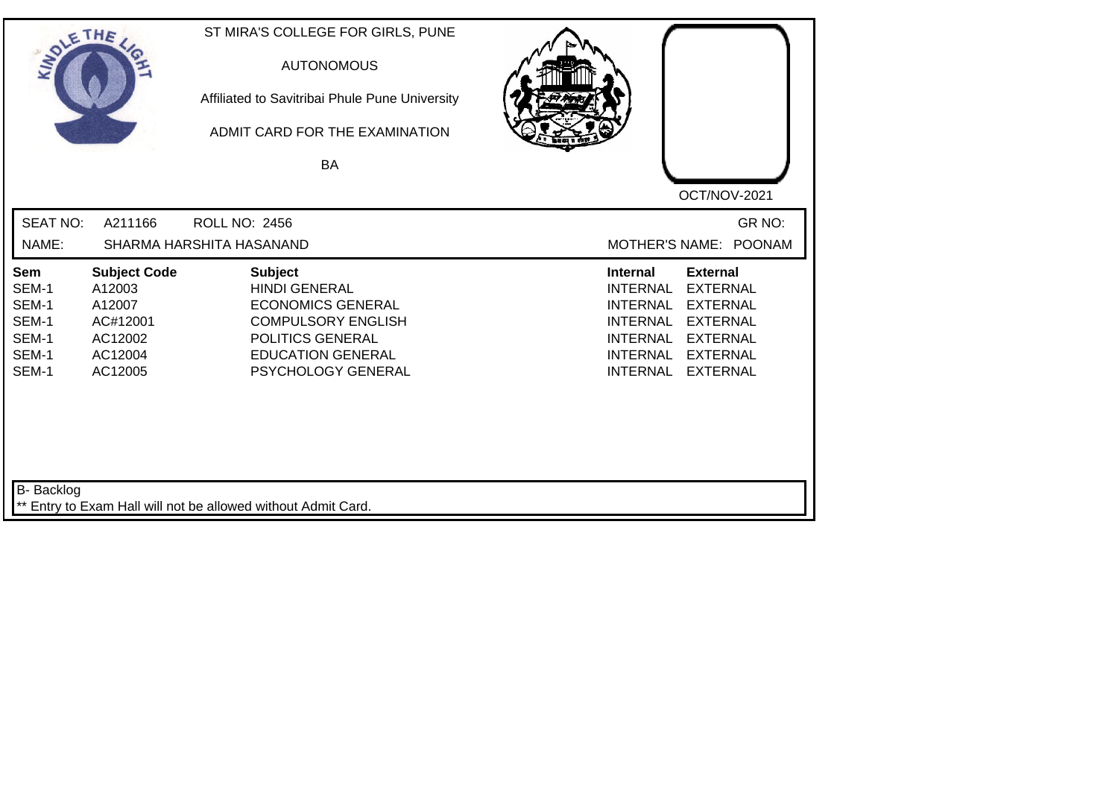| SOLETHE ,                                                 |                                                                                      | ST MIRA'S COLLEGE FOR GIRLS, PUNE<br><b>AUTONOMOUS</b><br>Affiliated to Savitribai Phule Pune University<br>ADMIT CARD FOR THE EXAMINATION<br>BA                      | OCT/NOV-2021                                                                                                                                                                                                                                                           |
|-----------------------------------------------------------|--------------------------------------------------------------------------------------|-----------------------------------------------------------------------------------------------------------------------------------------------------------------------|------------------------------------------------------------------------------------------------------------------------------------------------------------------------------------------------------------------------------------------------------------------------|
| <b>SEAT NO:</b>                                           | A211166                                                                              | <b>ROLL NO: 2456</b>                                                                                                                                                  | GR NO:                                                                                                                                                                                                                                                                 |
| NAME:                                                     |                                                                                      | SHARMA HARSHITA HASANAND                                                                                                                                              | MOTHER'S NAME: POONAM                                                                                                                                                                                                                                                  |
| Sem<br>SEM-1<br>SEM-1<br>SEM-1<br>SEM-1<br>SEM-1<br>SEM-1 | <b>Subject Code</b><br>A12003<br>A12007<br>AC#12001<br>AC12002<br>AC12004<br>AC12005 | <b>Subject</b><br><b>HINDI GENERAL</b><br><b>ECONOMICS GENERAL</b><br><b>COMPULSORY ENGLISH</b><br>POLITICS GENERAL<br><b>EDUCATION GENERAL</b><br>PSYCHOLOGY GENERAL | <b>Internal</b><br><b>External</b><br><b>INTERNAL</b><br><b>EXTERNAL</b><br><b>INTERNAL</b><br><b>EXTERNAL</b><br><b>EXTERNAL</b><br><b>INTERNAL</b><br><b>INTERNAL</b><br><b>EXTERNAL</b><br><b>INTERNAL</b><br><b>EXTERNAL</b><br><b>INTERNAL</b><br><b>EXTERNAL</b> |
| <b>B-</b> Backlog                                         |                                                                                      | ** Entry to Exam Hall will not be allowed without Admit Card.                                                                                                         |                                                                                                                                                                                                                                                                        |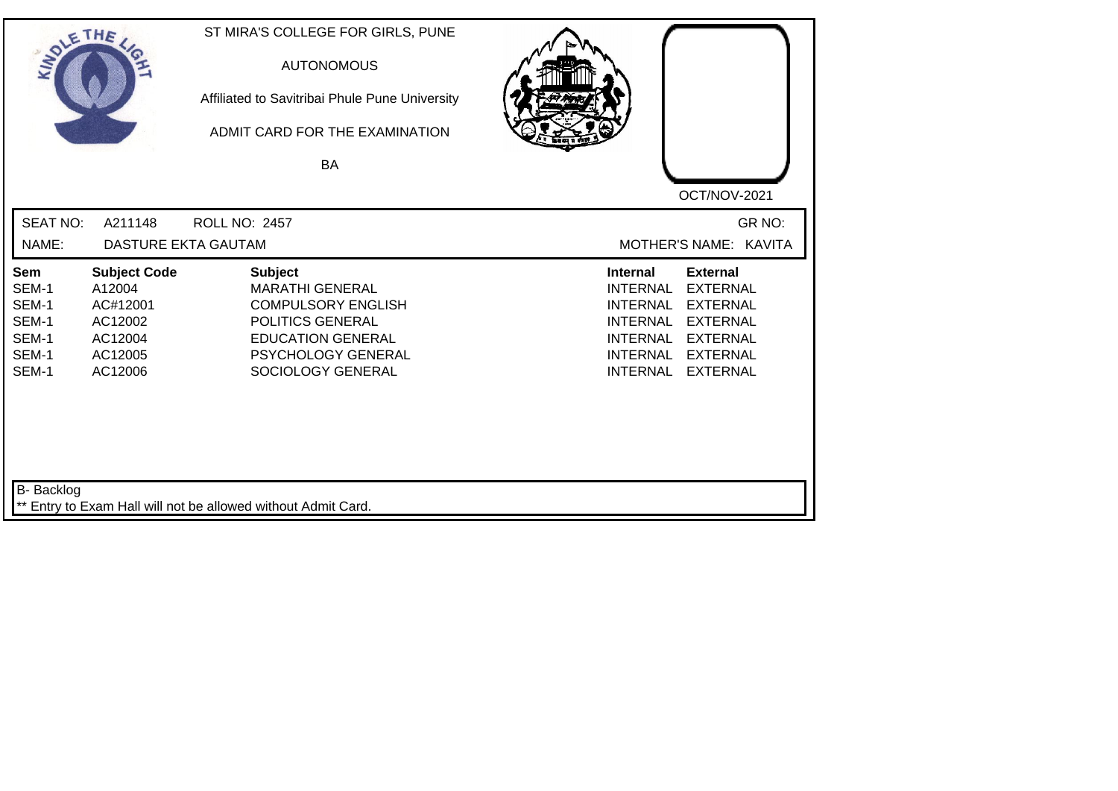| SOLETHE ,                                                 |                                                                                       | ST MIRA'S COLLEGE FOR GIRLS, PUNE<br><b>AUTONOMOUS</b><br>Affiliated to Savitribai Phule Pune University<br>ADMIT CARD FOR THE EXAMINATION<br>BA                        | OCT/NOV-2021                                                                                                                                                                                                                                                    |
|-----------------------------------------------------------|---------------------------------------------------------------------------------------|-------------------------------------------------------------------------------------------------------------------------------------------------------------------------|-----------------------------------------------------------------------------------------------------------------------------------------------------------------------------------------------------------------------------------------------------------------|
| <b>SEAT NO:</b><br>NAME:                                  | A211148<br>DASTURE EKTA GAUTAM                                                        | <b>ROLL NO: 2457</b>                                                                                                                                                    | GR NO:<br>MOTHER'S NAME: KAVITA                                                                                                                                                                                                                                 |
| Sem<br>SEM-1<br>SEM-1<br>SEM-1<br>SEM-1<br>SEM-1<br>SEM-1 | <b>Subject Code</b><br>A12004<br>AC#12001<br>AC12002<br>AC12004<br>AC12005<br>AC12006 | <b>Subject</b><br><b>MARATHI GENERAL</b><br><b>COMPULSORY ENGLISH</b><br>POLITICS GENERAL<br><b>EDUCATION GENERAL</b><br><b>PSYCHOLOGY GENERAL</b><br>SOCIOLOGY GENERAL | Internal<br><b>External</b><br><b>EXTERNAL</b><br><b>INTERNAL</b><br><b>EXTERNAL</b><br><b>INTERNAL</b><br><b>INTERNAL</b><br><b>EXTERNAL</b><br><b>INTERNAL</b><br><b>EXTERNAL</b><br><b>INTERNAL</b><br><b>EXTERNAL</b><br><b>INTERNAL</b><br><b>EXTERNAL</b> |
| B- Backlog                                                |                                                                                       | ** Entry to Exam Hall will not be allowed without Admit Card.                                                                                                           |                                                                                                                                                                                                                                                                 |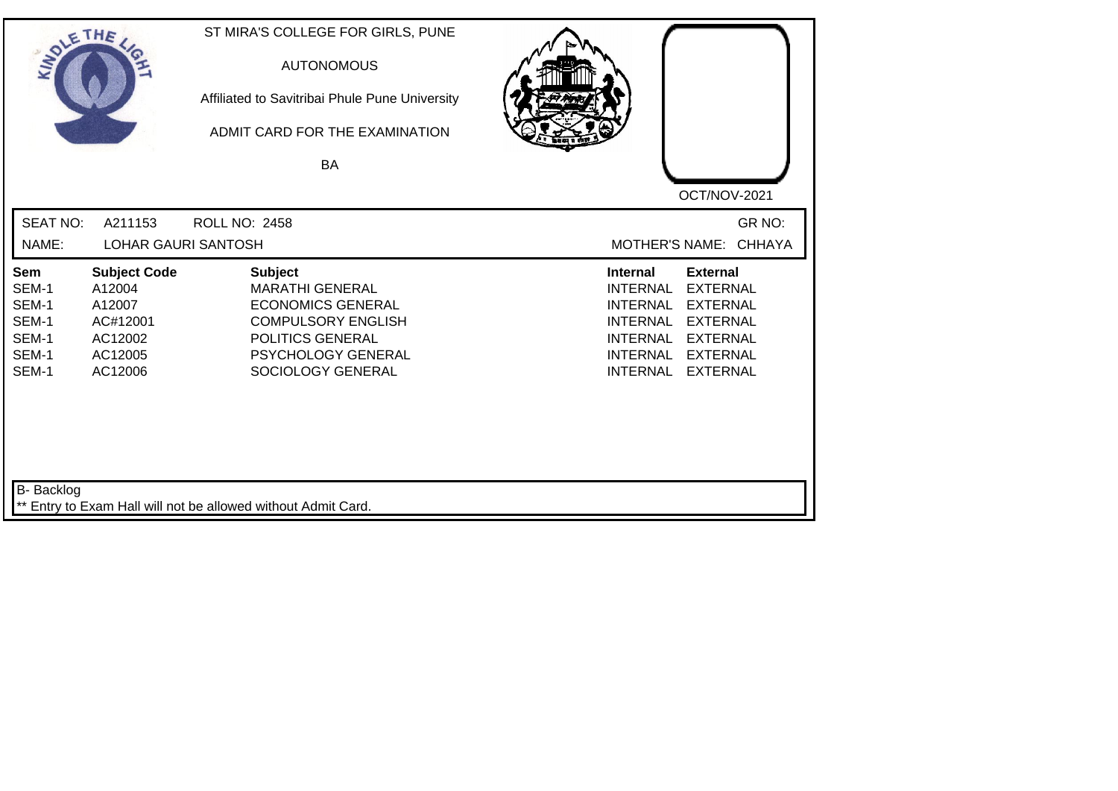| SOLE THE                                                  |                                                                                      | ST MIRA'S COLLEGE FOR GIRLS, PUNE<br><b>AUTONOMOUS</b><br>Affiliated to Savitribai Phule Pune University<br>ADMIT CARD FOR THE EXAMINATION<br>BA                 |                                                                                                                                                                                                                                                                        |
|-----------------------------------------------------------|--------------------------------------------------------------------------------------|------------------------------------------------------------------------------------------------------------------------------------------------------------------|------------------------------------------------------------------------------------------------------------------------------------------------------------------------------------------------------------------------------------------------------------------------|
|                                                           |                                                                                      |                                                                                                                                                                  | OCT/NOV-2021                                                                                                                                                                                                                                                           |
| <b>SEAT NO:</b>                                           | A211153                                                                              | <b>ROLL NO: 2458</b>                                                                                                                                             | GR NO:                                                                                                                                                                                                                                                                 |
| NAME:                                                     | <b>LOHAR GAURI SANTOSH</b>                                                           |                                                                                                                                                                  | MOTHER'S NAME: CHHAYA                                                                                                                                                                                                                                                  |
| Sem<br>SEM-1<br>SEM-1<br>SEM-1<br>SEM-1<br>SEM-1<br>SEM-1 | <b>Subject Code</b><br>A12004<br>A12007<br>AC#12001<br>AC12002<br>AC12005<br>AC12006 | <b>Subject</b><br><b>MARATHI GENERAL</b><br><b>ECONOMICS GENERAL</b><br><b>COMPULSORY ENGLISH</b><br>POLITICS GENERAL<br>PSYCHOLOGY GENERAL<br>SOCIOLOGY GENERAL | <b>Internal</b><br><b>External</b><br><b>EXTERNAL</b><br><b>INTERNAL</b><br><b>EXTERNAL</b><br><b>INTERNAL</b><br><b>EXTERNAL</b><br><b>INTERNAL</b><br><b>EXTERNAL</b><br><b>INTERNAL</b><br><b>INTERNAL</b><br><b>EXTERNAL</b><br><b>INTERNAL</b><br><b>EXTERNAL</b> |
| B- Backlog                                                |                                                                                      | ** Entry to Exam Hall will not be allowed without Admit Card.                                                                                                    |                                                                                                                                                                                                                                                                        |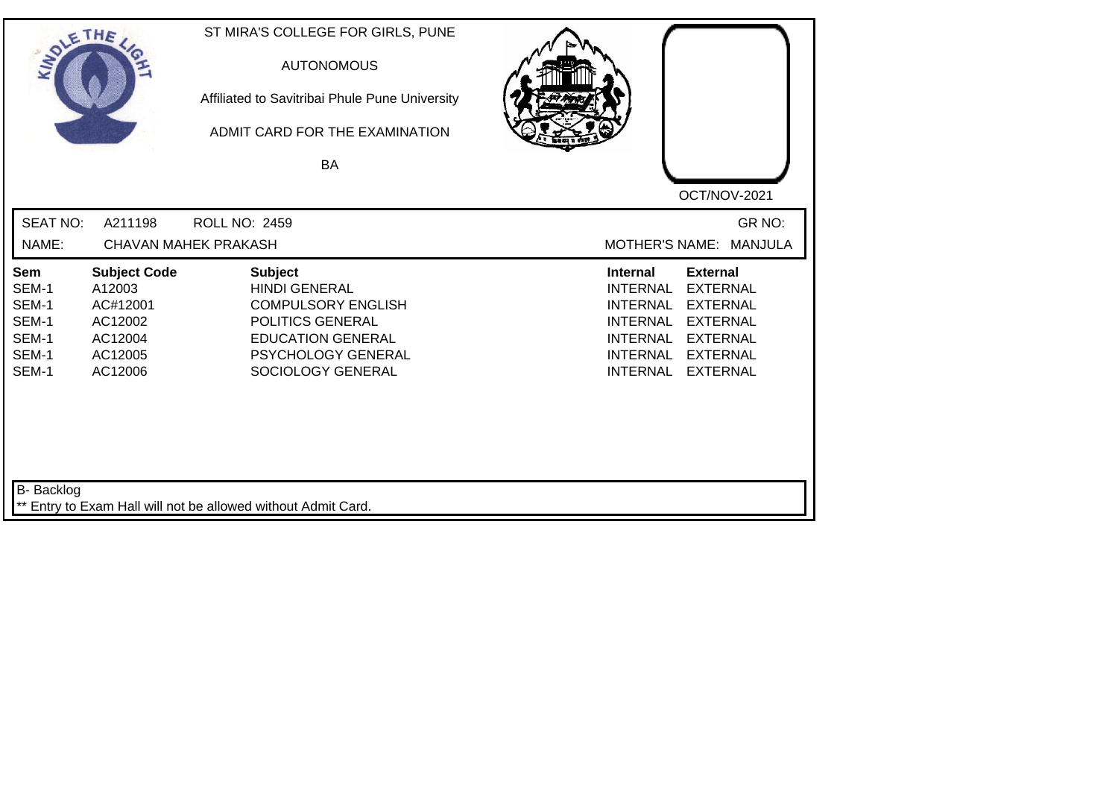| SOLETHE ,                                                 |                                                                                       | ST MIRA'S COLLEGE FOR GIRLS, PUNE<br><b>AUTONOMOUS</b><br>Affiliated to Savitribai Phule Pune University<br>ADMIT CARD FOR THE EXAMINATION<br>BA                      |                                                                                                                                                                                                                                                                        |
|-----------------------------------------------------------|---------------------------------------------------------------------------------------|-----------------------------------------------------------------------------------------------------------------------------------------------------------------------|------------------------------------------------------------------------------------------------------------------------------------------------------------------------------------------------------------------------------------------------------------------------|
| <b>SEAT NO:</b><br>NAME:                                  | A211198                                                                               | <b>ROLL NO: 2459</b><br><b>CHAVAN MAHEK PRAKASH</b>                                                                                                                   | OCT/NOV-2021<br>GR NO:<br><b>MOTHER'S NAME:</b><br><b>MANJULA</b>                                                                                                                                                                                                      |
| Sem<br>SEM-1<br>SEM-1<br>SEM-1<br>SEM-1<br>SEM-1<br>SEM-1 | <b>Subject Code</b><br>A12003<br>AC#12001<br>AC12002<br>AC12004<br>AC12005<br>AC12006 | <b>Subject</b><br><b>HINDI GENERAL</b><br><b>COMPULSORY ENGLISH</b><br>POLITICS GENERAL<br><b>EDUCATION GENERAL</b><br><b>PSYCHOLOGY GENERAL</b><br>SOCIOLOGY GENERAL | <b>Internal</b><br><b>External</b><br><b>EXTERNAL</b><br><b>INTERNAL</b><br><b>INTERNAL</b><br><b>EXTERNAL</b><br><b>INTERNAL</b><br><b>EXTERNAL</b><br><b>INTERNAL</b><br><b>EXTERNAL</b><br><b>INTERNAL</b><br><b>EXTERNAL</b><br><b>INTERNAL</b><br><b>EXTERNAL</b> |
| B- Backlog                                                |                                                                                       | ** Entry to Exam Hall will not be allowed without Admit Card.                                                                                                         |                                                                                                                                                                                                                                                                        |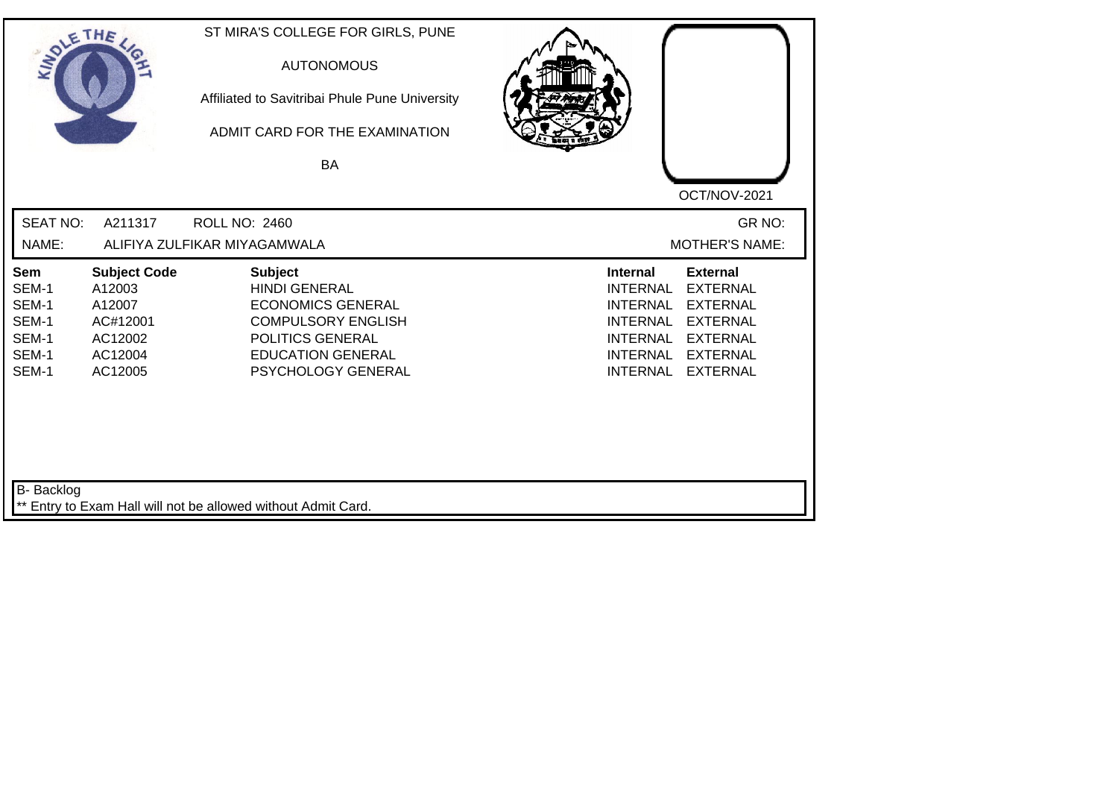| SOLETHE .                                                 |                                                                                      | ST MIRA'S COLLEGE FOR GIRLS, PUNE<br><b>AUTONOMOUS</b><br>Affiliated to Savitribai Phule Pune University<br>ADMIT CARD FOR THE EXAMINATION<br><b>BA</b>               | OCT/NOV-2021                                                                                                                                                                                                                                                           |
|-----------------------------------------------------------|--------------------------------------------------------------------------------------|-----------------------------------------------------------------------------------------------------------------------------------------------------------------------|------------------------------------------------------------------------------------------------------------------------------------------------------------------------------------------------------------------------------------------------------------------------|
| <b>SEAT NO:</b><br>NAME:                                  | A211317                                                                              | <b>ROLL NO: 2460</b><br>ALIFIYA ZULFIKAR MIYAGAMWALA                                                                                                                  | GR NO:<br><b>MOTHER'S NAME:</b>                                                                                                                                                                                                                                        |
| Sem<br>SEM-1<br>SEM-1<br>SEM-1<br>SEM-1<br>SEM-1<br>SEM-1 | <b>Subject Code</b><br>A12003<br>A12007<br>AC#12001<br>AC12002<br>AC12004<br>AC12005 | <b>Subject</b><br><b>HINDI GENERAL</b><br><b>ECONOMICS GENERAL</b><br><b>COMPULSORY ENGLISH</b><br>POLITICS GENERAL<br><b>EDUCATION GENERAL</b><br>PSYCHOLOGY GENERAL | <b>Internal</b><br><b>External</b><br><b>INTERNAL</b><br><b>EXTERNAL</b><br><b>INTERNAL</b><br><b>EXTERNAL</b><br><b>INTERNAL</b><br><b>EXTERNAL</b><br><b>INTERNAL</b><br><b>EXTERNAL</b><br><b>INTERNAL</b><br><b>EXTERNAL</b><br><b>INTERNAL</b><br><b>EXTERNAL</b> |
| B- Backlog                                                |                                                                                      | ** Entry to Exam Hall will not be allowed without Admit Card.                                                                                                         |                                                                                                                                                                                                                                                                        |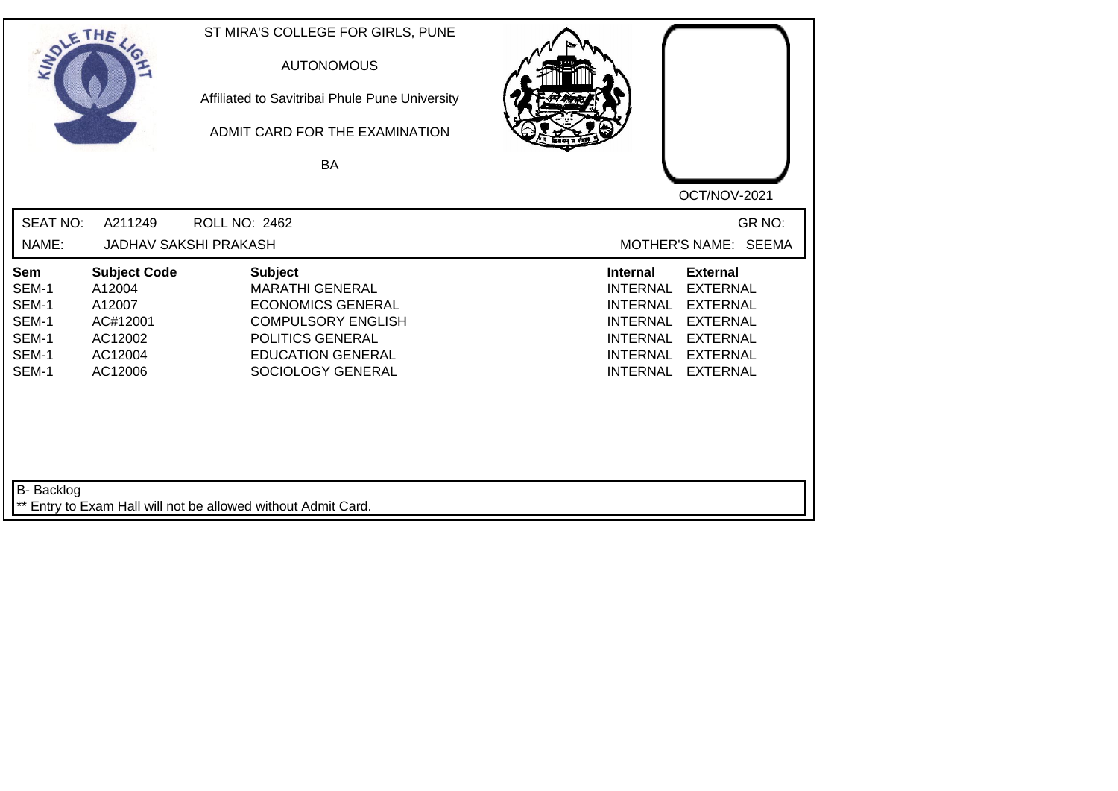| SOLETHE ,                                                 |                                                                                      | ST MIRA'S COLLEGE FOR GIRLS, PUNE<br><b>AUTONOMOUS</b><br>Affiliated to Savitribai Phule Pune University<br>ADMIT CARD FOR THE EXAMINATION<br>BA                       | OCT/NOV-2021                                                                                                                                                                                                                                                           |
|-----------------------------------------------------------|--------------------------------------------------------------------------------------|------------------------------------------------------------------------------------------------------------------------------------------------------------------------|------------------------------------------------------------------------------------------------------------------------------------------------------------------------------------------------------------------------------------------------------------------------|
| <b>SEAT NO:</b><br>NAME:                                  | A211249                                                                              | <b>ROLL NO: 2462</b><br><b>JADHAV SAKSHI PRAKASH</b>                                                                                                                   | GR NO:<br>MOTHER'S NAME: SEEMA                                                                                                                                                                                                                                         |
| Sem<br>SEM-1<br>SEM-1<br>SEM-1<br>SEM-1<br>SEM-1<br>SEM-1 | <b>Subject Code</b><br>A12004<br>A12007<br>AC#12001<br>AC12002<br>AC12004<br>AC12006 | <b>Subject</b><br><b>MARATHI GENERAL</b><br><b>ECONOMICS GENERAL</b><br><b>COMPULSORY ENGLISH</b><br>POLITICS GENERAL<br><b>EDUCATION GENERAL</b><br>SOCIOLOGY GENERAL | <b>External</b><br><b>Internal</b><br><b>EXTERNAL</b><br><b>INTERNAL</b><br><b>INTERNAL</b><br><b>EXTERNAL</b><br><b>EXTERNAL</b><br><b>INTERNAL</b><br><b>INTERNAL</b><br><b>EXTERNAL</b><br><b>EXTERNAL</b><br><b>INTERNAL</b><br><b>INTERNAL</b><br><b>EXTERNAL</b> |
| B- Backlog                                                |                                                                                      | ** Entry to Exam Hall will not be allowed without Admit Card.                                                                                                          |                                                                                                                                                                                                                                                                        |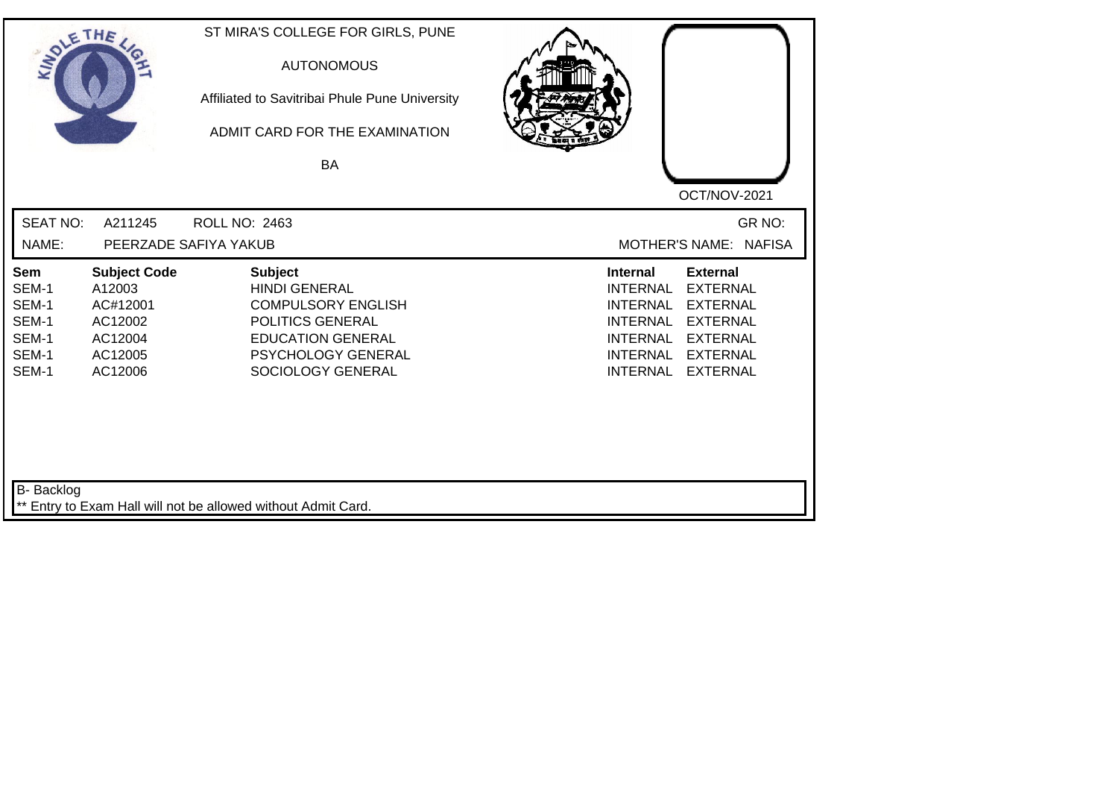| SOLETHE ,                                                 |                                                                                       | ST MIRA'S COLLEGE FOR GIRLS, PUNE<br><b>AUTONOMOUS</b><br>Affiliated to Savitribai Phule Pune University<br>ADMIT CARD FOR THE EXAMINATION<br><b>BA</b>        | OCT/NOV-2021                                                                                                                                                                                                                                                           |
|-----------------------------------------------------------|---------------------------------------------------------------------------------------|----------------------------------------------------------------------------------------------------------------------------------------------------------------|------------------------------------------------------------------------------------------------------------------------------------------------------------------------------------------------------------------------------------------------------------------------|
| <b>SEAT NO:</b>                                           | A211245                                                                               | ROLL NO: 2463                                                                                                                                                  | GR NO:                                                                                                                                                                                                                                                                 |
| NAME:                                                     |                                                                                       | PEERZADE SAFIYA YAKUB                                                                                                                                          | MOTHER'S NAME: NAFISA                                                                                                                                                                                                                                                  |
| Sem<br>SEM-1<br>SEM-1<br>SEM-1<br>SEM-1<br>SEM-1<br>SEM-1 | <b>Subject Code</b><br>A12003<br>AC#12001<br>AC12002<br>AC12004<br>AC12005<br>AC12006 | <b>Subject</b><br><b>HINDI GENERAL</b><br><b>COMPULSORY ENGLISH</b><br>POLITICS GENERAL<br><b>EDUCATION GENERAL</b><br>PSYCHOLOGY GENERAL<br>SOCIOLOGY GENERAL | <b>External</b><br><b>Internal</b><br><b>INTERNAL</b><br><b>EXTERNAL</b><br><b>INTERNAL</b><br><b>EXTERNAL</b><br><b>INTERNAL</b><br><b>EXTERNAL</b><br><b>EXTERNAL</b><br><b>INTERNAL</b><br><b>INTERNAL</b><br><b>EXTERNAL</b><br><b>INTERNAL</b><br><b>EXTERNAL</b> |
| B- Backlog                                                |                                                                                       | ** Entry to Exam Hall will not be allowed without Admit Card.                                                                                                  |                                                                                                                                                                                                                                                                        |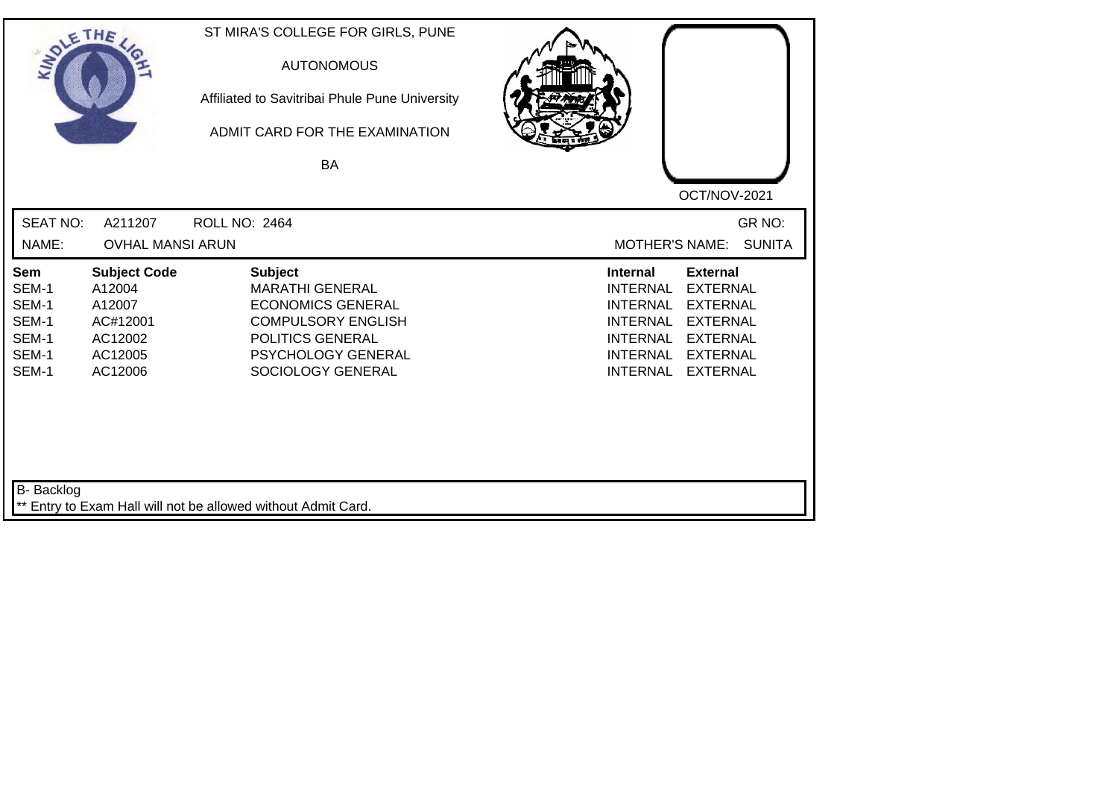| SOLE THE                                                         |                                                                                      | ST MIRA'S COLLEGE FOR GIRLS, PUNE<br><b>AUTONOMOUS</b><br>Affiliated to Savitribai Phule Pune University<br>ADMIT CARD FOR THE EXAMINATION<br>BA                        |                                                                                                                                                                                                                                                                        |
|------------------------------------------------------------------|--------------------------------------------------------------------------------------|-------------------------------------------------------------------------------------------------------------------------------------------------------------------------|------------------------------------------------------------------------------------------------------------------------------------------------------------------------------------------------------------------------------------------------------------------------|
|                                                                  |                                                                                      |                                                                                                                                                                         | OCT/NOV-2021                                                                                                                                                                                                                                                           |
| <b>SEAT NO:</b>                                                  | A211207                                                                              | <b>ROLL NO: 2464</b>                                                                                                                                                    | GR NO:                                                                                                                                                                                                                                                                 |
| NAME:                                                            | <b>OVHAL MANSI ARUN</b>                                                              |                                                                                                                                                                         | <b>MOTHER'S NAME:</b><br><b>SUNITA</b>                                                                                                                                                                                                                                 |
| <b>Sem</b><br>SEM-1<br>SEM-1<br>SEM-1<br>SEM-1<br>SEM-1<br>SEM-1 | <b>Subject Code</b><br>A12004<br>A12007<br>AC#12001<br>AC12002<br>AC12005<br>AC12006 | <b>Subject</b><br><b>MARATHI GENERAL</b><br><b>ECONOMICS GENERAL</b><br><b>COMPULSORY ENGLISH</b><br>POLITICS GENERAL<br><b>PSYCHOLOGY GENERAL</b><br>SOCIOLOGY GENERAL | <b>Internal</b><br><b>External</b><br><b>EXTERNAL</b><br><b>INTERNAL</b><br><b>EXTERNAL</b><br><b>INTERNAL</b><br><b>INTERNAL</b><br><b>EXTERNAL</b><br><b>INTERNAL</b><br><b>EXTERNAL</b><br><b>INTERNAL</b><br><b>EXTERNAL</b><br><b>INTERNAL</b><br><b>EXTERNAL</b> |
| B- Backlog                                                       |                                                                                      | ** Entry to Exam Hall will not be allowed without Admit Card.                                                                                                           |                                                                                                                                                                                                                                                                        |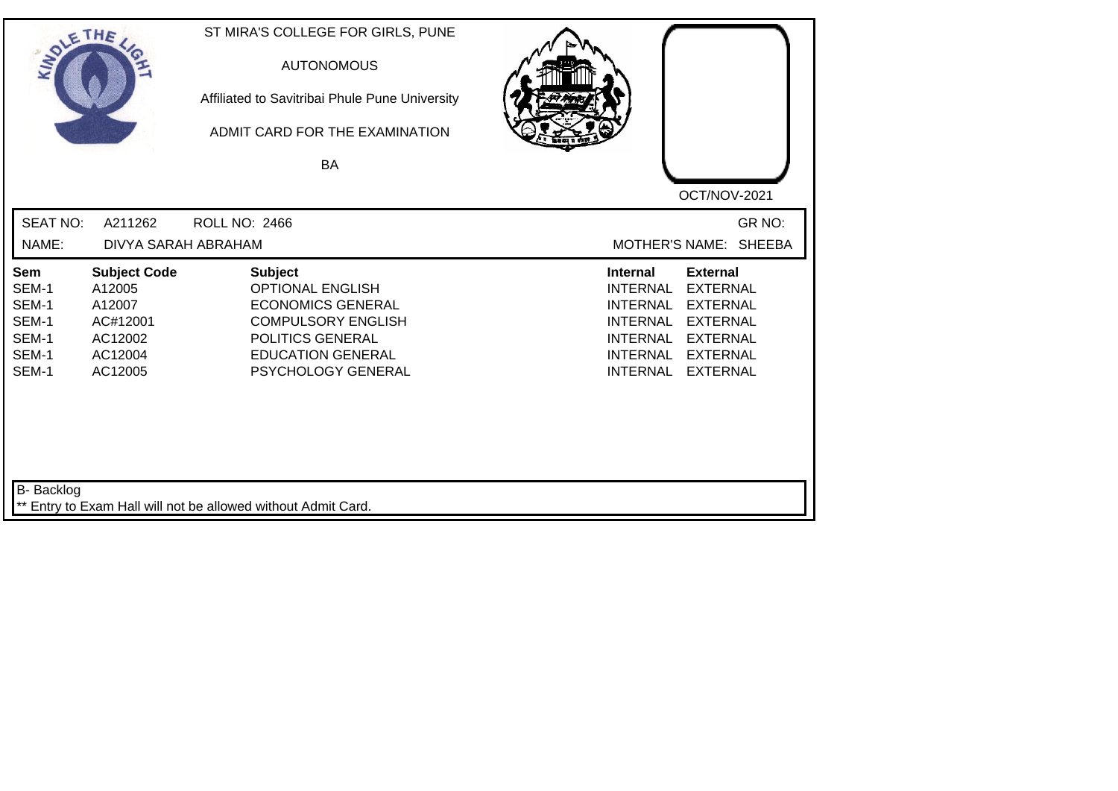| SOLETHE ,                                                 |                                                                                      | ST MIRA'S COLLEGE FOR GIRLS, PUNE<br><b>AUTONOMOUS</b><br>Affiliated to Savitribai Phule Pune University<br>ADMIT CARD FOR THE EXAMINATION<br><b>BA</b>                  | OCT/NOV-2021                                                                                                                                                                                                                                                           |
|-----------------------------------------------------------|--------------------------------------------------------------------------------------|--------------------------------------------------------------------------------------------------------------------------------------------------------------------------|------------------------------------------------------------------------------------------------------------------------------------------------------------------------------------------------------------------------------------------------------------------------|
| <b>SEAT NO:</b>                                           | A211262                                                                              | <b>ROLL NO: 2466</b>                                                                                                                                                     | GR NO:                                                                                                                                                                                                                                                                 |
| NAME:                                                     | DIVYA SARAH ABRAHAM                                                                  |                                                                                                                                                                          | MOTHER'S NAME: SHEEBA                                                                                                                                                                                                                                                  |
| Sem<br>SEM-1<br>SEM-1<br>SEM-1<br>SEM-1<br>SEM-1<br>SEM-1 | <b>Subject Code</b><br>A12005<br>A12007<br>AC#12001<br>AC12002<br>AC12004<br>AC12005 | <b>Subject</b><br><b>OPTIONAL ENGLISH</b><br><b>ECONOMICS GENERAL</b><br><b>COMPULSORY ENGLISH</b><br>POLITICS GENERAL<br><b>EDUCATION GENERAL</b><br>PSYCHOLOGY GENERAL | <b>Internal</b><br><b>External</b><br><b>EXTERNAL</b><br><b>INTERNAL</b><br><b>EXTERNAL</b><br><b>INTERNAL</b><br><b>INTERNAL</b><br><b>EXTERNAL</b><br><b>INTERNAL</b><br><b>EXTERNAL</b><br><b>INTERNAL</b><br><b>EXTERNAL</b><br><b>INTERNAL</b><br><b>EXTERNAL</b> |
| B- Backlog                                                |                                                                                      | ** Entry to Exam Hall will not be allowed without Admit Card.                                                                                                            |                                                                                                                                                                                                                                                                        |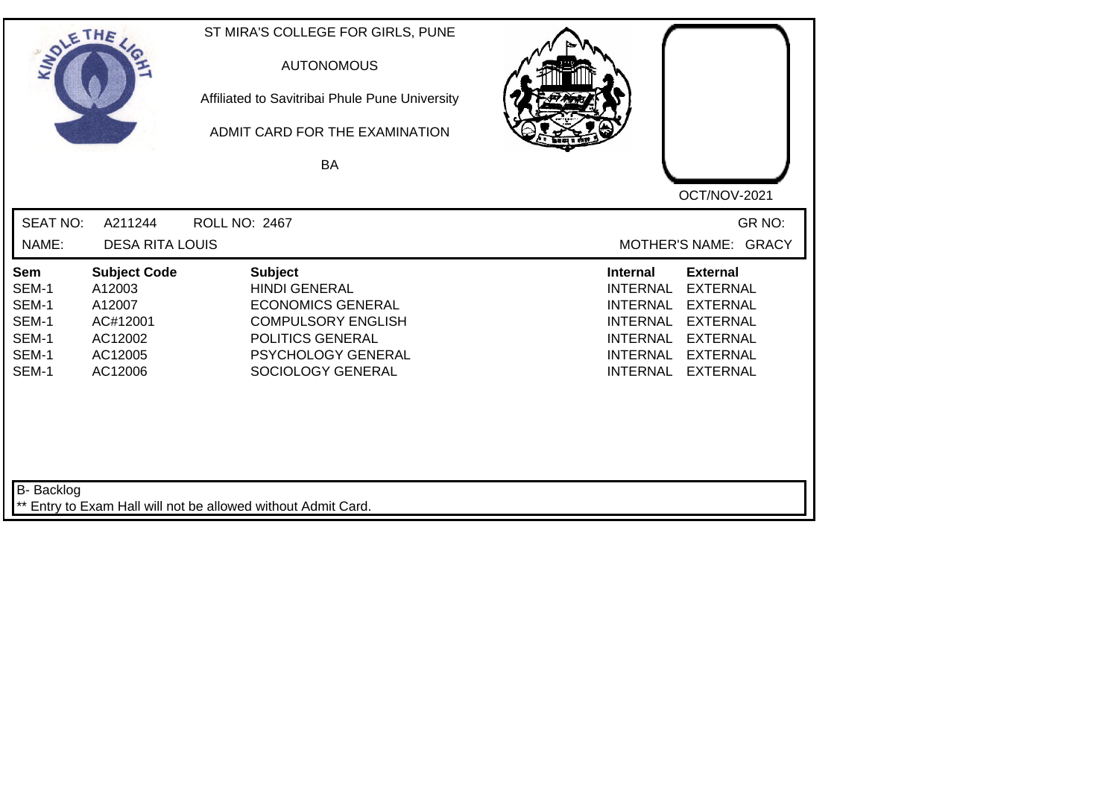| SOLE THE                                                  |                                                                                      | ST MIRA'S COLLEGE FOR GIRLS, PUNE<br><b>AUTONOMOUS</b><br>Affiliated to Savitribai Phule Pune University<br>ADMIT CARD FOR THE EXAMINATION<br>BA               |                                                                                                                                                                                                                                                                        |
|-----------------------------------------------------------|--------------------------------------------------------------------------------------|----------------------------------------------------------------------------------------------------------------------------------------------------------------|------------------------------------------------------------------------------------------------------------------------------------------------------------------------------------------------------------------------------------------------------------------------|
| <b>SEAT NO:</b><br>NAME:                                  | A211244<br><b>DESA RITA LOUIS</b>                                                    | ROLL NO: 2467                                                                                                                                                  | OCT/NOV-2021<br>GR NO:<br>MOTHER'S NAME: GRACY                                                                                                                                                                                                                         |
| Sem<br>SEM-1<br>SEM-1<br>SEM-1<br>SEM-1<br>SEM-1<br>SEM-1 | <b>Subject Code</b><br>A12003<br>A12007<br>AC#12001<br>AC12002<br>AC12005<br>AC12006 | <b>Subject</b><br><b>HINDI GENERAL</b><br><b>ECONOMICS GENERAL</b><br><b>COMPULSORY ENGLISH</b><br>POLITICS GENERAL<br>PSYCHOLOGY GENERAL<br>SOCIOLOGY GENERAL | <b>Internal</b><br><b>External</b><br><b>EXTERNAL</b><br><b>INTERNAL</b><br><b>EXTERNAL</b><br><b>INTERNAL</b><br><b>EXTERNAL</b><br><b>INTERNAL</b><br><b>EXTERNAL</b><br><b>INTERNAL</b><br><b>INTERNAL</b><br><b>EXTERNAL</b><br><b>INTERNAL</b><br><b>EXTERNAL</b> |
| B- Backlog                                                |                                                                                      | ** Entry to Exam Hall will not be allowed without Admit Card.                                                                                                  |                                                                                                                                                                                                                                                                        |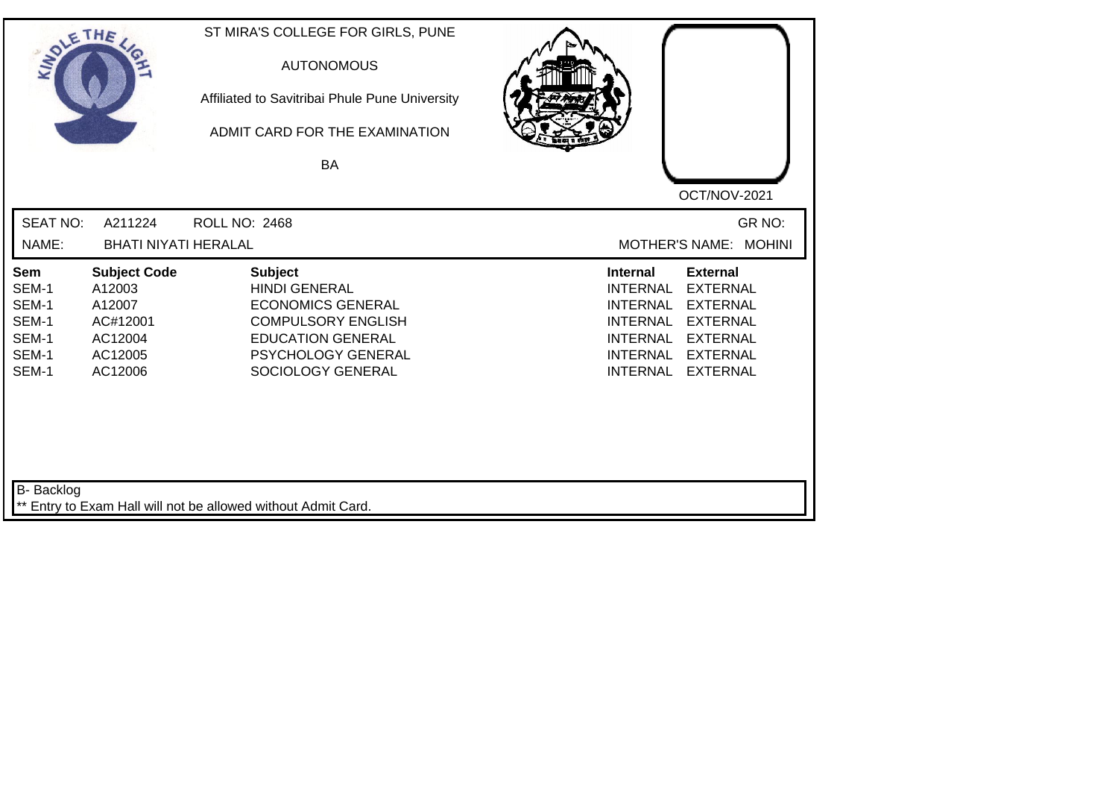| SOLE THE                                                  |                                                                                      | ST MIRA'S COLLEGE FOR GIRLS, PUNE<br><b>AUTONOMOUS</b><br>Affiliated to Savitribai Phule Pune University<br>ADMIT CARD FOR THE EXAMINATION<br><b>BA</b>                |                                                                                                                                                                                                                                                                        |
|-----------------------------------------------------------|--------------------------------------------------------------------------------------|------------------------------------------------------------------------------------------------------------------------------------------------------------------------|------------------------------------------------------------------------------------------------------------------------------------------------------------------------------------------------------------------------------------------------------------------------|
| <b>SEAT NO:</b><br>NAME:                                  | A211224<br><b>BHATI NIYATI HERALAL</b>                                               | <b>ROLL NO: 2468</b>                                                                                                                                                   | OCT/NOV-2021<br>GR NO:<br>MOTHER'S NAME: MOHINI                                                                                                                                                                                                                        |
| Sem<br>SEM-1<br>SEM-1<br>SEM-1<br>SEM-1<br>SEM-1<br>SEM-1 | <b>Subject Code</b><br>A12003<br>A12007<br>AC#12001<br>AC12004<br>AC12005<br>AC12006 | <b>Subject</b><br><b>HINDI GENERAL</b><br><b>ECONOMICS GENERAL</b><br><b>COMPULSORY ENGLISH</b><br><b>EDUCATION GENERAL</b><br>PSYCHOLOGY GENERAL<br>SOCIOLOGY GENERAL | <b>External</b><br><b>Internal</b><br><b>EXTERNAL</b><br><b>INTERNAL</b><br><b>INTERNAL</b><br><b>EXTERNAL</b><br><b>EXTERNAL</b><br><b>INTERNAL</b><br><b>INTERNAL</b><br><b>EXTERNAL</b><br><b>INTERNAL</b><br><b>EXTERNAL</b><br><b>INTERNAL</b><br><b>EXTERNAL</b> |
| B- Backlog                                                |                                                                                      | ** Entry to Exam Hall will not be allowed without Admit Card.                                                                                                          |                                                                                                                                                                                                                                                                        |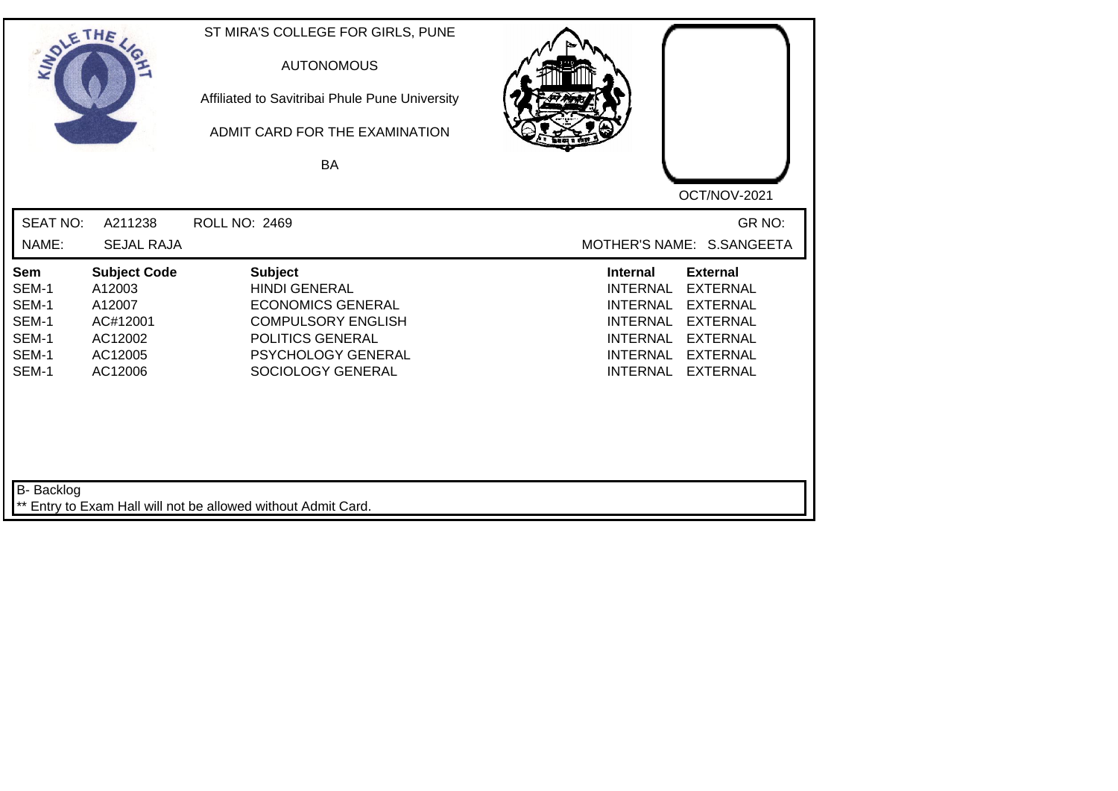| SOLETHE ,                                                                   |                                                                                      | ST MIRA'S COLLEGE FOR GIRLS, PUNE<br><b>AUTONOMOUS</b><br>Affiliated to Savitribai Phule Pune University<br>ADMIT CARD FOR THE EXAMINATION<br><b>BA</b>               | OCT/NOV-2021                                                                                                                                                                                                                                                           |  |
|-----------------------------------------------------------------------------|--------------------------------------------------------------------------------------|-----------------------------------------------------------------------------------------------------------------------------------------------------------------------|------------------------------------------------------------------------------------------------------------------------------------------------------------------------------------------------------------------------------------------------------------------------|--|
| <b>SEAT NO:</b><br>NAME:                                                    | A211238<br><b>SEJAL RAJA</b>                                                         | ROLL NO: 2469                                                                                                                                                         | GR NO:<br>MOTHER'S NAME: S.SANGEETA                                                                                                                                                                                                                                    |  |
| Sem<br>SEM-1<br>SEM-1<br>SEM-1<br>SEM-1<br>SEM-1<br>SEM-1                   | <b>Subject Code</b><br>A12003<br>A12007<br>AC#12001<br>AC12002<br>AC12005<br>AC12006 | <b>Subject</b><br><b>HINDI GENERAL</b><br><b>ECONOMICS GENERAL</b><br><b>COMPULSORY ENGLISH</b><br><b>POLITICS GENERAL</b><br>PSYCHOLOGY GENERAL<br>SOCIOLOGY GENERAL | <b>Internal</b><br><b>External</b><br><b>EXTERNAL</b><br><b>INTERNAL</b><br><b>INTERNAL</b><br><b>EXTERNAL</b><br><b>INTERNAL</b><br><b>EXTERNAL</b><br><b>EXTERNAL</b><br><b>INTERNAL</b><br><b>INTERNAL</b><br><b>EXTERNAL</b><br><b>INTERNAL</b><br><b>EXTERNAL</b> |  |
| B- Backlog<br>** Entry to Exam Hall will not be allowed without Admit Card. |                                                                                      |                                                                                                                                                                       |                                                                                                                                                                                                                                                                        |  |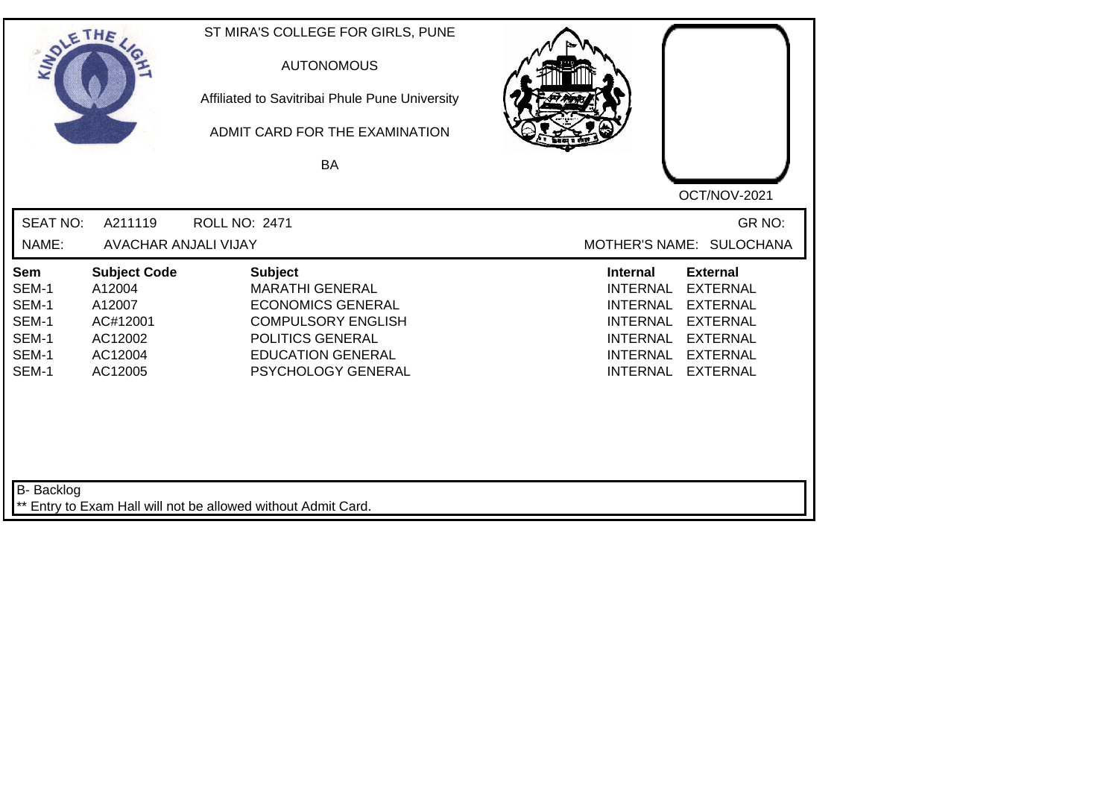| SOLETHE .                                                 |                                                                                      | ST MIRA'S COLLEGE FOR GIRLS, PUNE<br><b>AUTONOMOUS</b><br>Affiliated to Savitribai Phule Pune University<br>ADMIT CARD FOR THE EXAMINATION<br>BA                        | OCT/NOV-2021                                                                                                                                                                                                                                                           |
|-----------------------------------------------------------|--------------------------------------------------------------------------------------|-------------------------------------------------------------------------------------------------------------------------------------------------------------------------|------------------------------------------------------------------------------------------------------------------------------------------------------------------------------------------------------------------------------------------------------------------------|
| <b>SEAT NO:</b><br>NAME:                                  | A211119<br>AVACHAR ANJALI VIJAY                                                      | <b>ROLL NO: 2471</b>                                                                                                                                                    | GR NO:<br>MOTHER'S NAME: SULOCHANA                                                                                                                                                                                                                                     |
| Sem<br>SEM-1<br>SEM-1<br>SEM-1<br>SEM-1<br>SEM-1<br>SEM-1 | <b>Subject Code</b><br>A12004<br>A12007<br>AC#12001<br>AC12002<br>AC12004<br>AC12005 | <b>Subject</b><br><b>MARATHI GENERAL</b><br><b>ECONOMICS GENERAL</b><br><b>COMPULSORY ENGLISH</b><br>POLITICS GENERAL<br><b>EDUCATION GENERAL</b><br>PSYCHOLOGY GENERAL | <b>Internal</b><br><b>External</b><br><b>INTERNAL</b><br><b>EXTERNAL</b><br><b>INTERNAL</b><br><b>EXTERNAL</b><br><b>INTERNAL</b><br><b>EXTERNAL</b><br><b>INTERNAL</b><br><b>EXTERNAL</b><br><b>INTERNAL</b><br><b>EXTERNAL</b><br><b>INTERNAL</b><br><b>EXTERNAL</b> |
| B- Backlog                                                |                                                                                      | ** Entry to Exam Hall will not be allowed without Admit Card.                                                                                                           |                                                                                                                                                                                                                                                                        |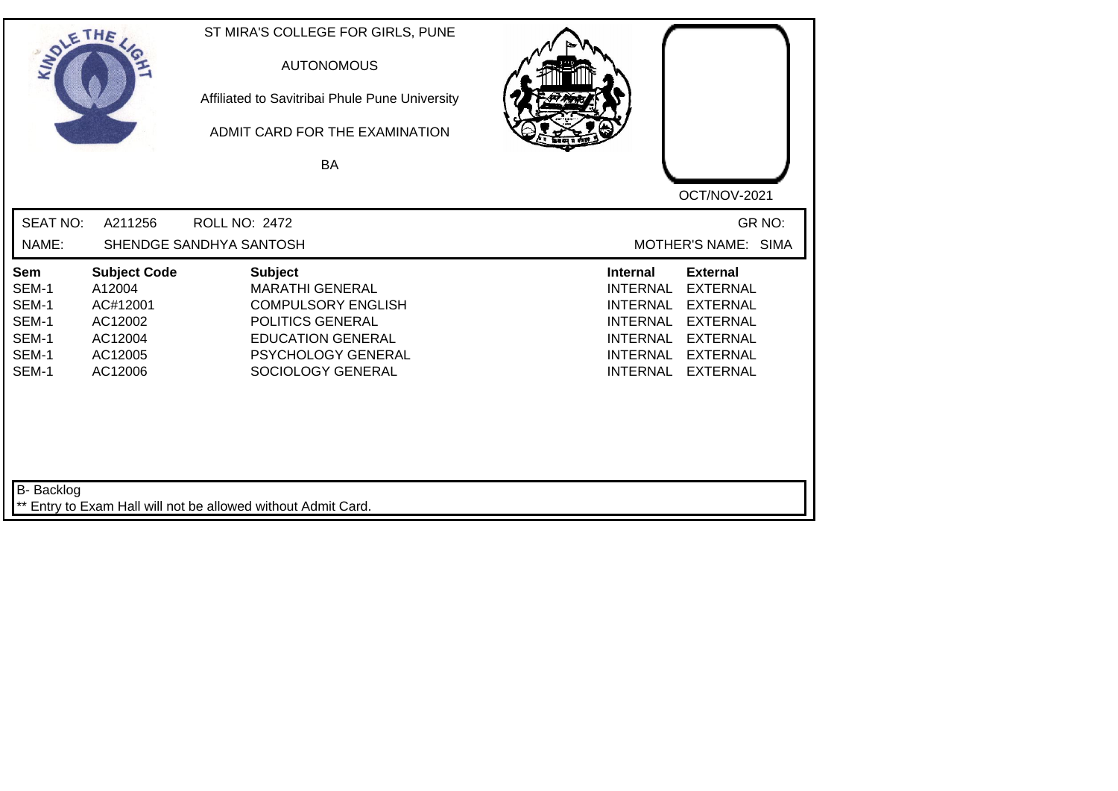| SOLETHE ,                                                        |                                                                                       | ST MIRA'S COLLEGE FOR GIRLS, PUNE<br><b>AUTONOMOUS</b><br>Affiliated to Savitribai Phule Pune University<br>ADMIT CARD FOR THE EXAMINATION<br>BA                 | OCT/NOV-2021                                                                                                                                                                                                                                                    |
|------------------------------------------------------------------|---------------------------------------------------------------------------------------|------------------------------------------------------------------------------------------------------------------------------------------------------------------|-----------------------------------------------------------------------------------------------------------------------------------------------------------------------------------------------------------------------------------------------------------------|
| <b>SEAT NO:</b><br>NAME:                                         | A211256                                                                               | <b>ROLL NO: 2472</b><br>SHENDGE SANDHYA SANTOSH                                                                                                                  | GR NO:<br>MOTHER'S NAME: SIMA                                                                                                                                                                                                                                   |
| <b>Sem</b><br>SEM-1<br>SEM-1<br>SEM-1<br>SEM-1<br>SEM-1<br>SEM-1 | <b>Subject Code</b><br>A12004<br>AC#12001<br>AC12002<br>AC12004<br>AC12005<br>AC12006 | <b>Subject</b><br><b>MARATHI GENERAL</b><br><b>COMPULSORY ENGLISH</b><br>POLITICS GENERAL<br><b>EDUCATION GENERAL</b><br>PSYCHOLOGY GENERAL<br>SOCIOLOGY GENERAL | <b>External</b><br><b>Internal</b><br><b>INTERNAL</b><br><b>EXTERNAL</b><br><b>INTERNAL</b><br><b>EXTERNAL</b><br><b>INTERNAL</b><br><b>EXTERNAL</b><br><b>INTERNAL</b><br><b>EXTERNAL</b><br>INTERNAL<br><b>EXTERNAL</b><br><b>INTERNAL</b><br><b>EXTERNAL</b> |
| B- Backlog                                                       |                                                                                       | ** Entry to Exam Hall will not be allowed without Admit Card.                                                                                                    |                                                                                                                                                                                                                                                                 |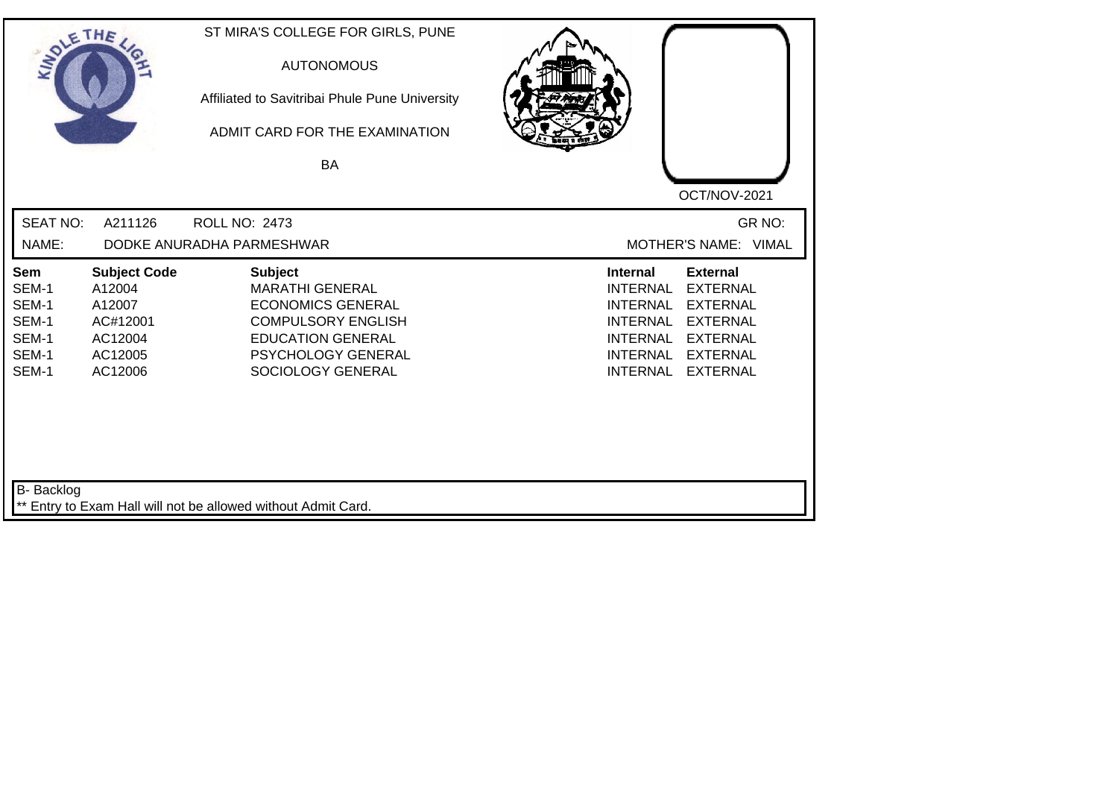| SOLE THE                                                         |                                                                                      | ST MIRA'S COLLEGE FOR GIRLS, PUNE<br><b>AUTONOMOUS</b><br>Affiliated to Savitribai Phule Pune University<br>ADMIT CARD FOR THE EXAMINATION<br>BA                         |                                                                                                                                                                                                                                                                        |
|------------------------------------------------------------------|--------------------------------------------------------------------------------------|--------------------------------------------------------------------------------------------------------------------------------------------------------------------------|------------------------------------------------------------------------------------------------------------------------------------------------------------------------------------------------------------------------------------------------------------------------|
|                                                                  |                                                                                      |                                                                                                                                                                          | OCT/NOV-2021                                                                                                                                                                                                                                                           |
| <b>SEAT NO:</b>                                                  | A211126                                                                              | <b>ROLL NO: 2473</b>                                                                                                                                                     | GR NO:                                                                                                                                                                                                                                                                 |
| NAME:                                                            |                                                                                      | DODKE ANURADHA PARMESHWAR                                                                                                                                                | MOTHER'S NAME: VIMAL                                                                                                                                                                                                                                                   |
| <b>Sem</b><br>SEM-1<br>SEM-1<br>SEM-1<br>SEM-1<br>SEM-1<br>SEM-1 | <b>Subject Code</b><br>A12004<br>A12007<br>AC#12001<br>AC12004<br>AC12005<br>AC12006 | <b>Subject</b><br><b>MARATHI GENERAL</b><br><b>ECONOMICS GENERAL</b><br><b>COMPULSORY ENGLISH</b><br><b>EDUCATION GENERAL</b><br>PSYCHOLOGY GENERAL<br>SOCIOLOGY GENERAL | <b>External</b><br><b>Internal</b><br><b>INTERNAL</b><br><b>EXTERNAL</b><br><b>INTERNAL</b><br><b>EXTERNAL</b><br><b>EXTERNAL</b><br><b>INTERNAL</b><br><b>INTERNAL</b><br><b>EXTERNAL</b><br><b>INTERNAL</b><br><b>EXTERNAL</b><br><b>INTERNAL</b><br><b>EXTERNAL</b> |
| B- Backlog                                                       |                                                                                      | ** Entry to Exam Hall will not be allowed without Admit Card.                                                                                                            |                                                                                                                                                                                                                                                                        |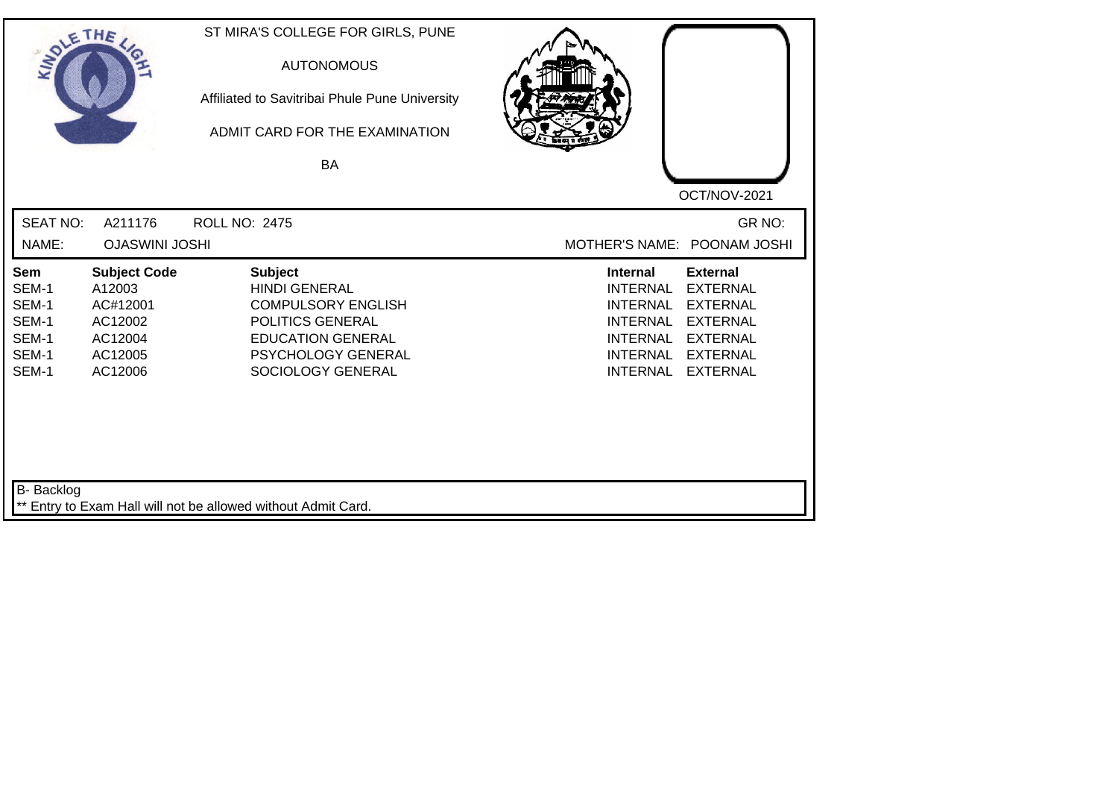| SOLETHE ,                                                        |                                                                                       | ST MIRA'S COLLEGE FOR GIRLS, PUNE<br><b>AUTONOMOUS</b><br>Affiliated to Savitribai Phule Pune University<br>ADMIT CARD FOR THE EXAMINATION<br>BA                      | OCT/NOV-2021                                                                                                                                                                                                                                                           |
|------------------------------------------------------------------|---------------------------------------------------------------------------------------|-----------------------------------------------------------------------------------------------------------------------------------------------------------------------|------------------------------------------------------------------------------------------------------------------------------------------------------------------------------------------------------------------------------------------------------------------------|
| <b>SEAT NO:</b><br>NAME:                                         | A211176<br><b>OJASWINI JOSHI</b>                                                      | <b>ROLL NO: 2475</b>                                                                                                                                                  | GR NO:<br>MOTHER'S NAME: POONAM JOSHI                                                                                                                                                                                                                                  |
| <b>Sem</b><br>SEM-1<br>SEM-1<br>SEM-1<br>SEM-1<br>SEM-1<br>SEM-1 | <b>Subject Code</b><br>A12003<br>AC#12001<br>AC12002<br>AC12004<br>AC12005<br>AC12006 | <b>Subject</b><br><b>HINDI GENERAL</b><br><b>COMPULSORY ENGLISH</b><br>POLITICS GENERAL<br><b>EDUCATION GENERAL</b><br><b>PSYCHOLOGY GENERAL</b><br>SOCIOLOGY GENERAL | <b>Internal</b><br><b>External</b><br><b>INTERNAL</b><br><b>EXTERNAL</b><br><b>EXTERNAL</b><br><b>INTERNAL</b><br><b>INTERNAL</b><br><b>EXTERNAL</b><br><b>INTERNAL</b><br><b>EXTERNAL</b><br><b>INTERNAL</b><br><b>EXTERNAL</b><br><b>INTERNAL</b><br><b>EXTERNAL</b> |
| B- Backlog                                                       |                                                                                       | ** Entry to Exam Hall will not be allowed without Admit Card.                                                                                                         |                                                                                                                                                                                                                                                                        |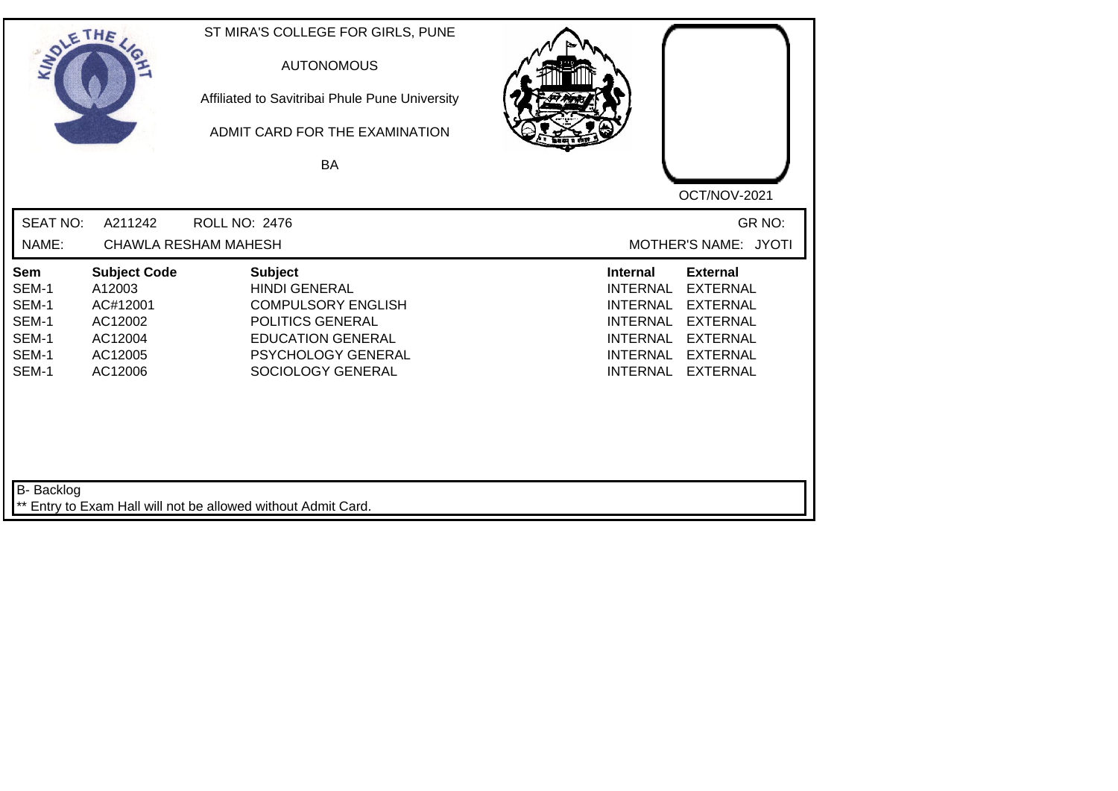| SOLETHE ,                                                 |                                                                                       | ST MIRA'S COLLEGE FOR GIRLS, PUNE<br><b>AUTONOMOUS</b><br>Affiliated to Savitribai Phule Pune University<br>ADMIT CARD FOR THE EXAMINATION<br><b>BA</b>        |                                                                                                                                                                                                                                                                        |
|-----------------------------------------------------------|---------------------------------------------------------------------------------------|----------------------------------------------------------------------------------------------------------------------------------------------------------------|------------------------------------------------------------------------------------------------------------------------------------------------------------------------------------------------------------------------------------------------------------------------|
| <b>SEAT NO:</b><br>NAME:                                  | A211242                                                                               | <b>ROLL NO: 2476</b><br><b>CHAWLA RESHAM MAHESH</b>                                                                                                            | OCT/NOV-2021<br>GR NO:<br>MOTHER'S NAME: JYOTI                                                                                                                                                                                                                         |
| Sem<br>SEM-1<br>SEM-1<br>SEM-1<br>SEM-1<br>SEM-1<br>SEM-1 | <b>Subject Code</b><br>A12003<br>AC#12001<br>AC12002<br>AC12004<br>AC12005<br>AC12006 | <b>Subject</b><br><b>HINDI GENERAL</b><br><b>COMPULSORY ENGLISH</b><br>POLITICS GENERAL<br><b>EDUCATION GENERAL</b><br>PSYCHOLOGY GENERAL<br>SOCIOLOGY GENERAL | <b>External</b><br><b>Internal</b><br><b>EXTERNAL</b><br><b>INTERNAL</b><br><b>INTERNAL</b><br><b>EXTERNAL</b><br><b>EXTERNAL</b><br><b>INTERNAL</b><br><b>INTERNAL</b><br><b>EXTERNAL</b><br><b>INTERNAL</b><br><b>EXTERNAL</b><br><b>INTERNAL</b><br><b>EXTERNAL</b> |
| <b>B-</b> Backlog                                         |                                                                                       | ** Entry to Exam Hall will not be allowed without Admit Card.                                                                                                  |                                                                                                                                                                                                                                                                        |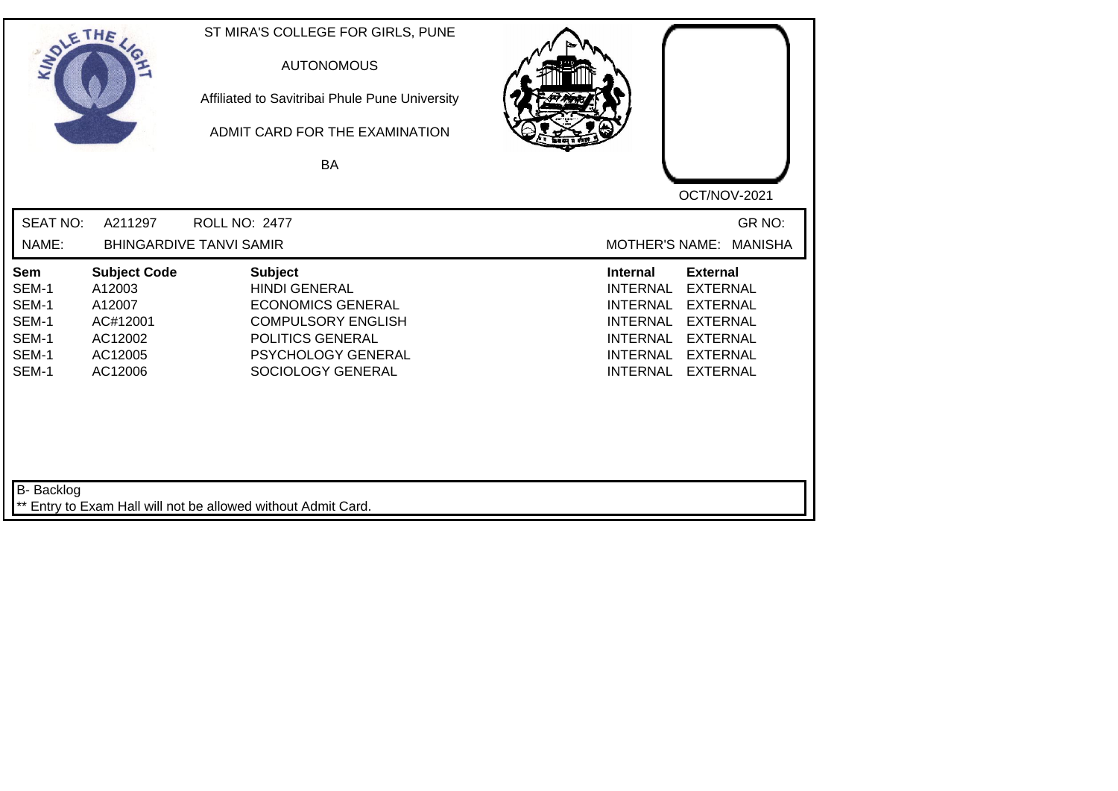| SOLETHE ,                                                 |                                                                                      | ST MIRA'S COLLEGE FOR GIRLS, PUNE<br><b>AUTONOMOUS</b><br>Affiliated to Savitribai Phule Pune University<br>ADMIT CARD FOR THE EXAMINATION<br>BA                      | OCT/NOV-2021                                                                                                                                                                                                                                                           |
|-----------------------------------------------------------|--------------------------------------------------------------------------------------|-----------------------------------------------------------------------------------------------------------------------------------------------------------------------|------------------------------------------------------------------------------------------------------------------------------------------------------------------------------------------------------------------------------------------------------------------------|
| <b>SEAT NO:</b>                                           | A211297                                                                              | <b>ROLL NO: 2477</b>                                                                                                                                                  | GR NO:                                                                                                                                                                                                                                                                 |
| NAME:                                                     |                                                                                      | <b>BHINGARDIVE TANVI SAMIR</b>                                                                                                                                        | <b>MOTHER'S NAME:</b><br><b>MANISHA</b>                                                                                                                                                                                                                                |
| Sem<br>SEM-1<br>SEM-1<br>SEM-1<br>SEM-1<br>SEM-1<br>SEM-1 | <b>Subject Code</b><br>A12003<br>A12007<br>AC#12001<br>AC12002<br>AC12005<br>AC12006 | <b>Subject</b><br><b>HINDI GENERAL</b><br><b>ECONOMICS GENERAL</b><br><b>COMPULSORY ENGLISH</b><br>POLITICS GENERAL<br><b>PSYCHOLOGY GENERAL</b><br>SOCIOLOGY GENERAL | <b>External</b><br><b>Internal</b><br><b>INTERNAL</b><br><b>EXTERNAL</b><br><b>EXTERNAL</b><br><b>INTERNAL</b><br><b>INTERNAL</b><br><b>EXTERNAL</b><br><b>INTERNAL</b><br><b>EXTERNAL</b><br><b>INTERNAL</b><br><b>EXTERNAL</b><br><b>EXTERNAL</b><br><b>INTERNAL</b> |
| <b>B-</b> Backlog                                         |                                                                                      | ** Entry to Exam Hall will not be allowed without Admit Card.                                                                                                         |                                                                                                                                                                                                                                                                        |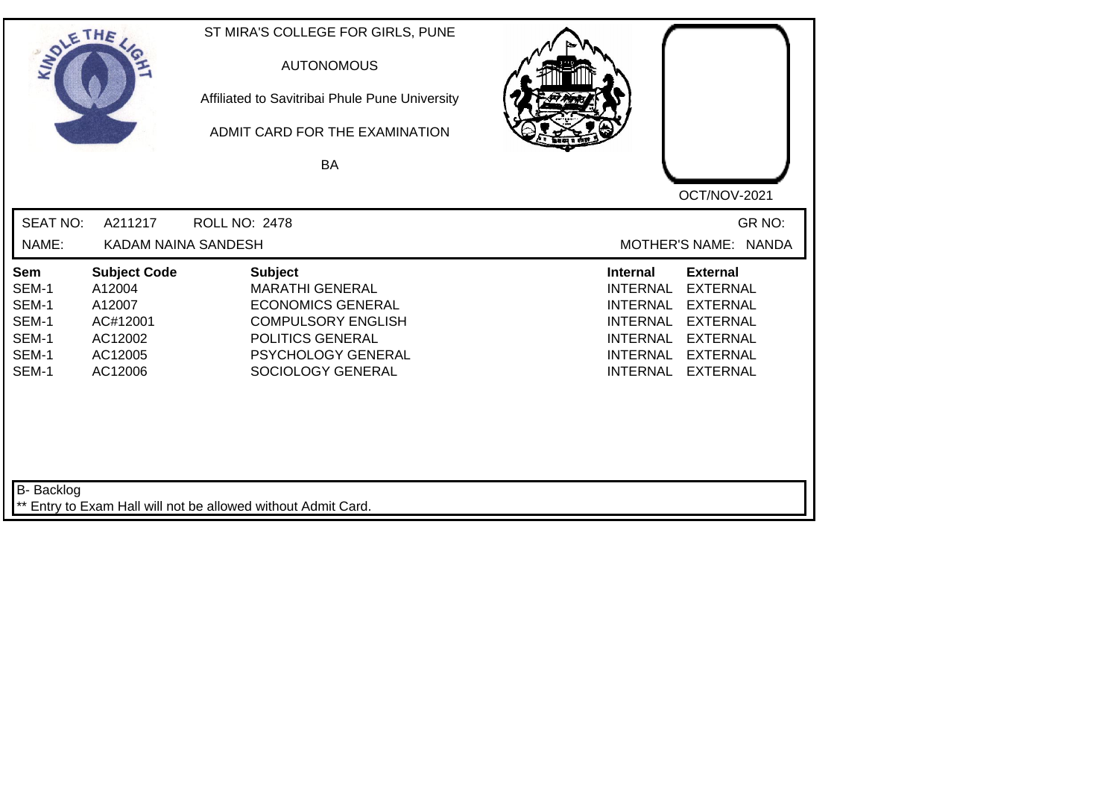| SOLE THE                                                  |                                                                                      | ST MIRA'S COLLEGE FOR GIRLS, PUNE<br><b>AUTONOMOUS</b><br>Affiliated to Savitribai Phule Pune University<br>ADMIT CARD FOR THE EXAMINATION<br><b>BA</b>          |                                                                                                                                                                                                                                                                        |
|-----------------------------------------------------------|--------------------------------------------------------------------------------------|------------------------------------------------------------------------------------------------------------------------------------------------------------------|------------------------------------------------------------------------------------------------------------------------------------------------------------------------------------------------------------------------------------------------------------------------|
|                                                           |                                                                                      |                                                                                                                                                                  | OCT/NOV-2021                                                                                                                                                                                                                                                           |
| <b>SEAT NO:</b><br>NAME:                                  | A211217<br>KADAM NAINA SANDESH                                                       | <b>ROLL NO: 2478</b>                                                                                                                                             | GR NO:<br>MOTHER'S NAME: NANDA                                                                                                                                                                                                                                         |
| Sem<br>SEM-1<br>SEM-1<br>SEM-1<br>SEM-1<br>SEM-1<br>SEM-1 | <b>Subject Code</b><br>A12004<br>A12007<br>AC#12001<br>AC12002<br>AC12005<br>AC12006 | <b>Subject</b><br><b>MARATHI GENERAL</b><br><b>ECONOMICS GENERAL</b><br><b>COMPULSORY ENGLISH</b><br>POLITICS GENERAL<br>PSYCHOLOGY GENERAL<br>SOCIOLOGY GENERAL | <b>External</b><br><b>Internal</b><br><b>EXTERNAL</b><br><b>INTERNAL</b><br><b>INTERNAL</b><br><b>EXTERNAL</b><br><b>EXTERNAL</b><br><b>INTERNAL</b><br><b>INTERNAL</b><br><b>EXTERNAL</b><br><b>INTERNAL</b><br><b>EXTERNAL</b><br><b>INTERNAL</b><br><b>EXTERNAL</b> |
| B- Backlog                                                |                                                                                      | ** Entry to Exam Hall will not be allowed without Admit Card.                                                                                                    |                                                                                                                                                                                                                                                                        |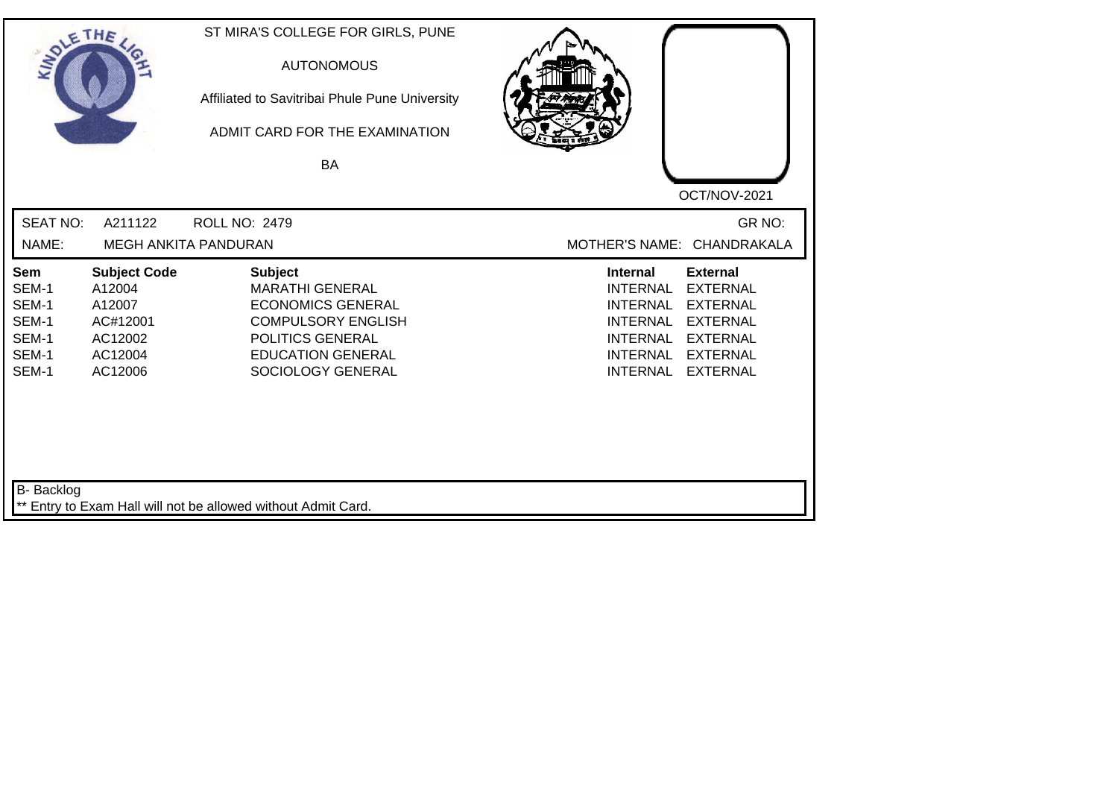| SOLETHE ,                                                        |                                                                                      | ST MIRA'S COLLEGE FOR GIRLS, PUNE<br><b>AUTONOMOUS</b><br>Affiliated to Savitribai Phule Pune University<br>ADMIT CARD FOR THE EXAMINATION<br>BA                       | OCT/NOV-2021                                                                                                                                                                                                                                                           |
|------------------------------------------------------------------|--------------------------------------------------------------------------------------|------------------------------------------------------------------------------------------------------------------------------------------------------------------------|------------------------------------------------------------------------------------------------------------------------------------------------------------------------------------------------------------------------------------------------------------------------|
| <b>SEAT NO:</b><br>NAME:                                         | A211122                                                                              | ROLL NO: 2479<br>MEGH ANKITA PANDURAN                                                                                                                                  | GR NO:<br>MOTHER'S NAME: CHANDRAKALA                                                                                                                                                                                                                                   |
| <b>Sem</b><br>SEM-1<br>SEM-1<br>SEM-1<br>SEM-1<br>SEM-1<br>SEM-1 | <b>Subject Code</b><br>A12004<br>A12007<br>AC#12001<br>AC12002<br>AC12004<br>AC12006 | <b>Subject</b><br><b>MARATHI GENERAL</b><br><b>ECONOMICS GENERAL</b><br><b>COMPULSORY ENGLISH</b><br>POLITICS GENERAL<br><b>EDUCATION GENERAL</b><br>SOCIOLOGY GENERAL | <b>External</b><br><b>Internal</b><br><b>INTERNAL</b><br><b>EXTERNAL</b><br><b>INTERNAL</b><br><b>EXTERNAL</b><br><b>EXTERNAL</b><br><b>INTERNAL</b><br><b>EXTERNAL</b><br><b>INTERNAL</b><br><b>INTERNAL</b><br><b>EXTERNAL</b><br><b>INTERNAL</b><br><b>EXTERNAL</b> |
| B- Backlog                                                       |                                                                                      | ** Entry to Exam Hall will not be allowed without Admit Card.                                                                                                          |                                                                                                                                                                                                                                                                        |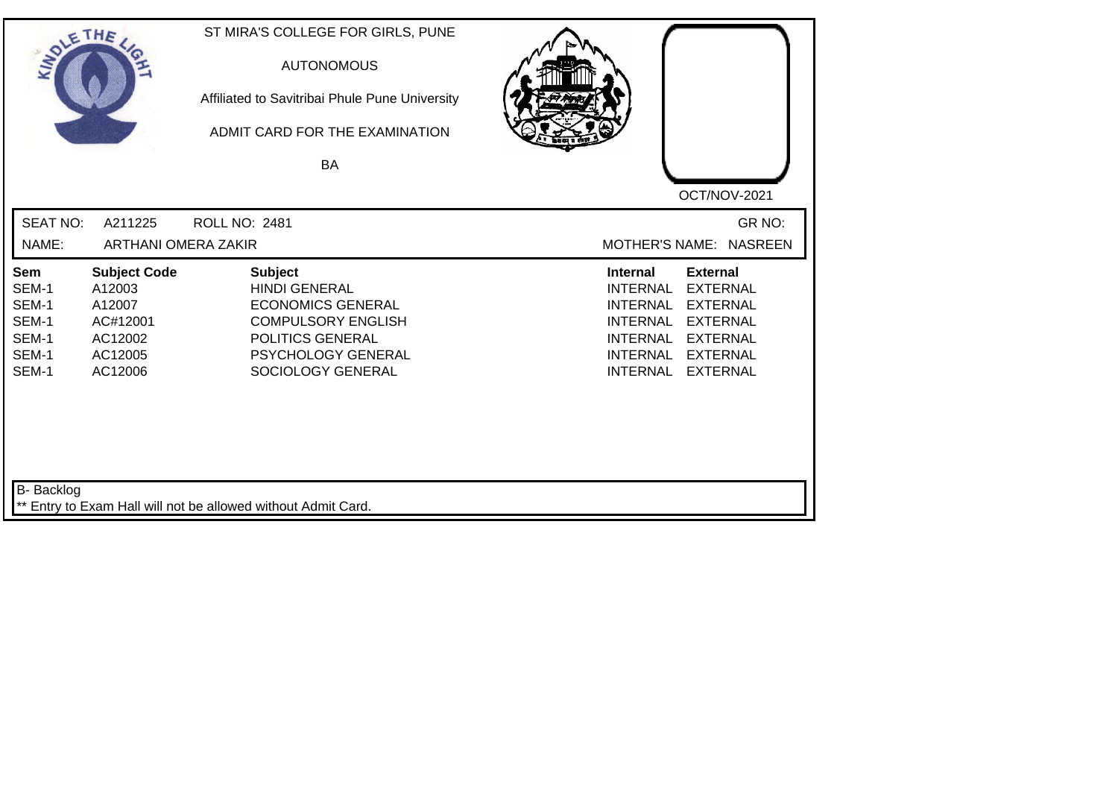| SOLE THE                                                         |                                                                                      | ST MIRA'S COLLEGE FOR GIRLS, PUNE<br><b>AUTONOMOUS</b><br>Affiliated to Savitribai Phule Pune University<br>ADMIT CARD FOR THE EXAMINATION<br>BA                      |                                                                                                                                                                                                                                                                        |
|------------------------------------------------------------------|--------------------------------------------------------------------------------------|-----------------------------------------------------------------------------------------------------------------------------------------------------------------------|------------------------------------------------------------------------------------------------------------------------------------------------------------------------------------------------------------------------------------------------------------------------|
| <b>SEAT NO:</b>                                                  | A211225                                                                              | <b>ROLL NO: 2481</b>                                                                                                                                                  | OCT/NOV-2021<br>GR NO:                                                                                                                                                                                                                                                 |
| NAME:                                                            | <b>ARTHANI OMERA ZAKIR</b>                                                           |                                                                                                                                                                       | MOTHER'S NAME: NASREEN                                                                                                                                                                                                                                                 |
| <b>Sem</b><br>SEM-1<br>SEM-1<br>SEM-1<br>SEM-1<br>SEM-1<br>SEM-1 | <b>Subject Code</b><br>A12003<br>A12007<br>AC#12001<br>AC12002<br>AC12005<br>AC12006 | <b>Subject</b><br><b>HINDI GENERAL</b><br><b>ECONOMICS GENERAL</b><br><b>COMPULSORY ENGLISH</b><br>POLITICS GENERAL<br><b>PSYCHOLOGY GENERAL</b><br>SOCIOLOGY GENERAL | <b>Internal</b><br><b>External</b><br><b>EXTERNAL</b><br><b>INTERNAL</b><br><b>EXTERNAL</b><br><b>INTERNAL</b><br><b>INTERNAL</b><br><b>EXTERNAL</b><br><b>INTERNAL</b><br><b>EXTERNAL</b><br><b>INTERNAL</b><br><b>EXTERNAL</b><br><b>EXTERNAL</b><br><b>INTERNAL</b> |
| B- Backlog                                                       |                                                                                      | ** Entry to Exam Hall will not be allowed without Admit Card.                                                                                                         |                                                                                                                                                                                                                                                                        |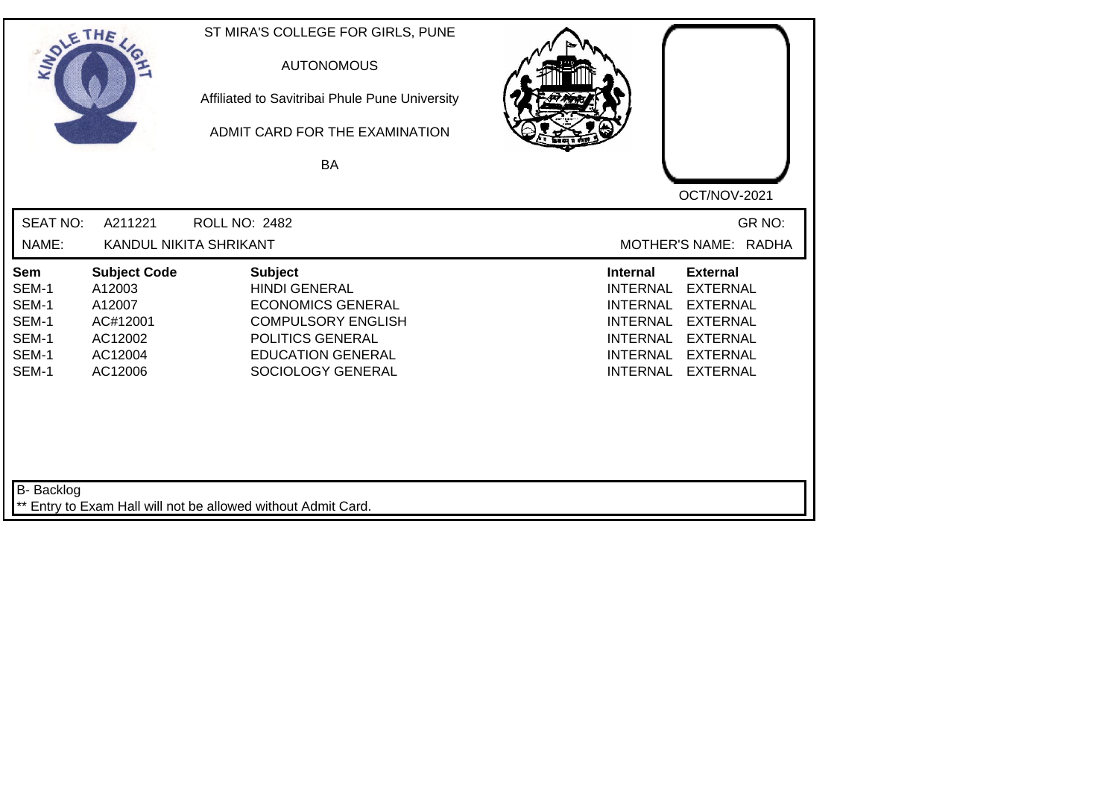| SOLETHE ,                                                                          |                                                                                      | ST MIRA'S COLLEGE FOR GIRLS, PUNE<br><b>AUTONOMOUS</b><br>Affiliated to Savitribai Phule Pune University<br>ADMIT CARD FOR THE EXAMINATION<br>BA                     | OCT/NOV-2021                                                                                                                                                                                                                                                           |  |
|------------------------------------------------------------------------------------|--------------------------------------------------------------------------------------|----------------------------------------------------------------------------------------------------------------------------------------------------------------------|------------------------------------------------------------------------------------------------------------------------------------------------------------------------------------------------------------------------------------------------------------------------|--|
| <b>SEAT NO:</b><br>NAME:                                                           | A211221                                                                              | <b>ROLL NO: 2482</b><br>KANDUL NIKITA SHRIKANT                                                                                                                       | GR NO:<br>MOTHER'S NAME: RADHA                                                                                                                                                                                                                                         |  |
| Sem<br>SEM-1<br>SEM-1<br>SEM-1<br>SEM-1<br>SEM-1<br>SEM-1                          | <b>Subject Code</b><br>A12003<br>A12007<br>AC#12001<br>AC12002<br>AC12004<br>AC12006 | <b>Subject</b><br><b>HINDI GENERAL</b><br><b>ECONOMICS GENERAL</b><br><b>COMPULSORY ENGLISH</b><br>POLITICS GENERAL<br><b>EDUCATION GENERAL</b><br>SOCIOLOGY GENERAL | <b>External</b><br><b>Internal</b><br><b>EXTERNAL</b><br><b>INTERNAL</b><br><b>INTERNAL</b><br><b>EXTERNAL</b><br><b>EXTERNAL</b><br><b>INTERNAL</b><br><b>INTERNAL</b><br><b>EXTERNAL</b><br><b>EXTERNAL</b><br><b>INTERNAL</b><br><b>INTERNAL</b><br><b>EXTERNAL</b> |  |
| <b>B-</b> Backlog<br>** Entry to Exam Hall will not be allowed without Admit Card. |                                                                                      |                                                                                                                                                                      |                                                                                                                                                                                                                                                                        |  |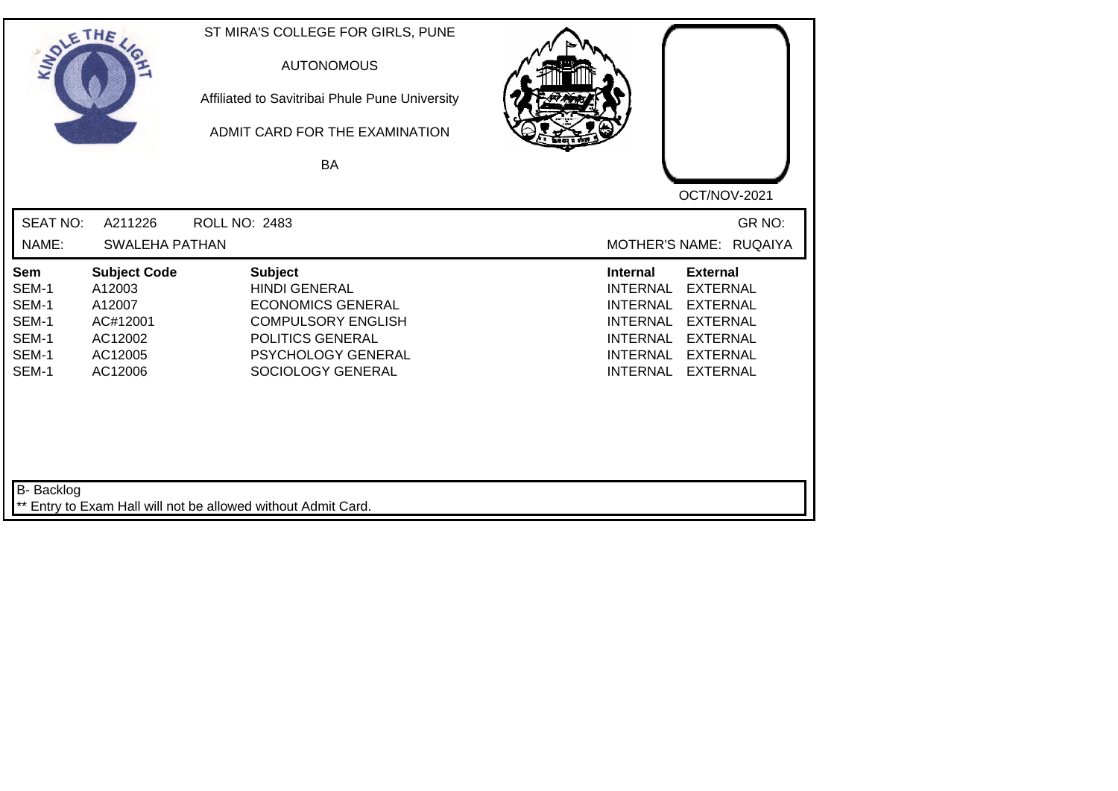| SOLE THE                                                  |                                                                                      | ST MIRA'S COLLEGE FOR GIRLS, PUNE<br><b>AUTONOMOUS</b><br>Affiliated to Savitribai Phule Pune University<br>ADMIT CARD FOR THE EXAMINATION<br>BA               |                                                                                                                                                                                                                                                                        |
|-----------------------------------------------------------|--------------------------------------------------------------------------------------|----------------------------------------------------------------------------------------------------------------------------------------------------------------|------------------------------------------------------------------------------------------------------------------------------------------------------------------------------------------------------------------------------------------------------------------------|
| <b>SEAT NO:</b><br>NAME:                                  | A211226<br>SWALEHA PATHAN                                                            | ROLL NO: 2483                                                                                                                                                  | OCT/NOV-2021<br>GR NO:<br>MOTHER'S NAME: RUQAIYA                                                                                                                                                                                                                       |
| Sem<br>SEM-1<br>SEM-1<br>SEM-1<br>SEM-1<br>SEM-1<br>SEM-1 | <b>Subject Code</b><br>A12003<br>A12007<br>AC#12001<br>AC12002<br>AC12005<br>AC12006 | <b>Subject</b><br><b>HINDI GENERAL</b><br><b>ECONOMICS GENERAL</b><br><b>COMPULSORY ENGLISH</b><br>POLITICS GENERAL<br>PSYCHOLOGY GENERAL<br>SOCIOLOGY GENERAL | <b>Internal</b><br><b>External</b><br><b>INTERNAL</b><br><b>EXTERNAL</b><br><b>EXTERNAL</b><br><b>INTERNAL</b><br><b>INTERNAL</b><br><b>EXTERNAL</b><br><b>INTERNAL</b><br><b>EXTERNAL</b><br><b>INTERNAL</b><br><b>EXTERNAL</b><br><b>INTERNAL</b><br><b>EXTERNAL</b> |
| <b>B-</b> Backlog                                         |                                                                                      | ** Entry to Exam Hall will not be allowed without Admit Card.                                                                                                  |                                                                                                                                                                                                                                                                        |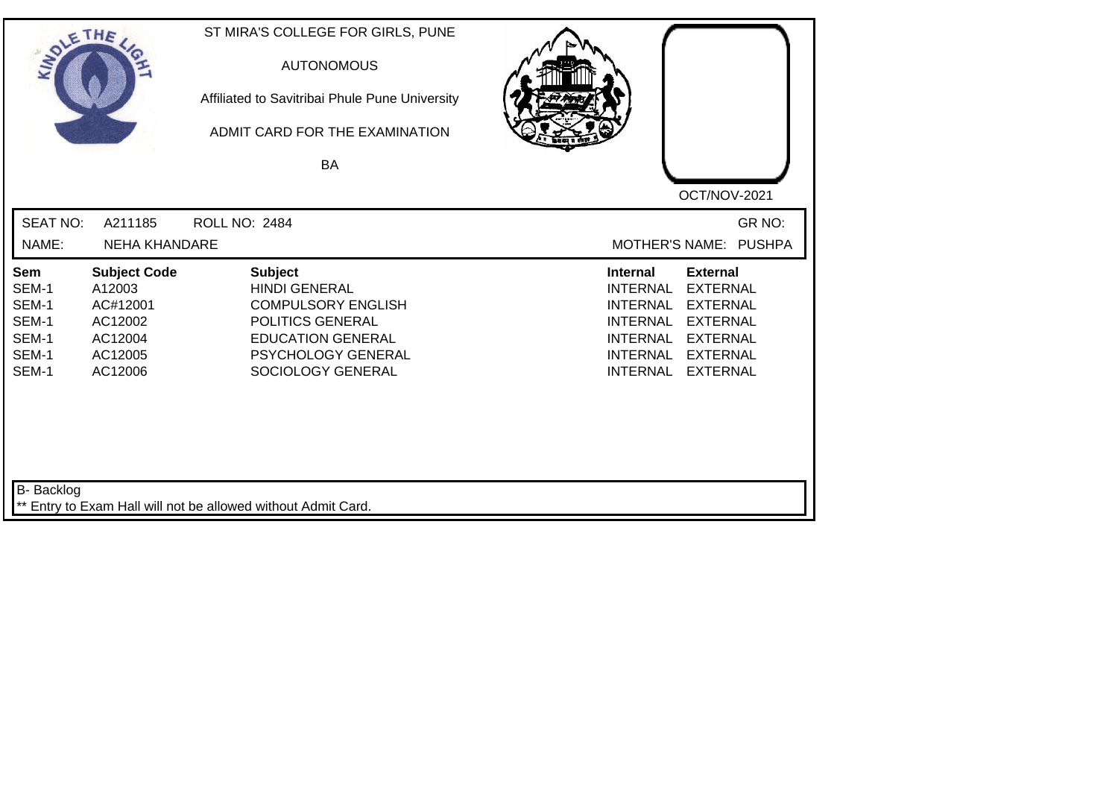| SOLE THE                                                  |                                                                                       | ST MIRA'S COLLEGE FOR GIRLS, PUNE<br><b>AUTONOMOUS</b><br>Affiliated to Savitribai Phule Pune University<br>ADMIT CARD FOR THE EXAMINATION<br><b>BA</b>        |                                                                                                                                                                                                                                                                        |
|-----------------------------------------------------------|---------------------------------------------------------------------------------------|----------------------------------------------------------------------------------------------------------------------------------------------------------------|------------------------------------------------------------------------------------------------------------------------------------------------------------------------------------------------------------------------------------------------------------------------|
|                                                           |                                                                                       |                                                                                                                                                                | OCT/NOV-2021                                                                                                                                                                                                                                                           |
| <b>SEAT NO:</b>                                           | A211185                                                                               | <b>ROLL NO: 2484</b>                                                                                                                                           | GR NO:                                                                                                                                                                                                                                                                 |
| NAME:                                                     | <b>NEHA KHANDARE</b>                                                                  |                                                                                                                                                                | MOTHER'S NAME: PUSHPA                                                                                                                                                                                                                                                  |
| Sem<br>SEM-1<br>SEM-1<br>SEM-1<br>SEM-1<br>SEM-1<br>SEM-1 | <b>Subject Code</b><br>A12003<br>AC#12001<br>AC12002<br>AC12004<br>AC12005<br>AC12006 | <b>Subject</b><br><b>HINDI GENERAL</b><br><b>COMPULSORY ENGLISH</b><br>POLITICS GENERAL<br><b>EDUCATION GENERAL</b><br>PSYCHOLOGY GENERAL<br>SOCIOLOGY GENERAL | <b>External</b><br><b>Internal</b><br><b>EXTERNAL</b><br><b>INTERNAL</b><br><b>INTERNAL</b><br><b>EXTERNAL</b><br><b>INTERNAL</b><br><b>EXTERNAL</b><br><b>INTERNAL</b><br><b>EXTERNAL</b><br><b>EXTERNAL</b><br><b>INTERNAL</b><br><b>INTERNAL</b><br><b>EXTERNAL</b> |
| B- Backlog                                                |                                                                                       | ** Entry to Exam Hall will not be allowed without Admit Card.                                                                                                  |                                                                                                                                                                                                                                                                        |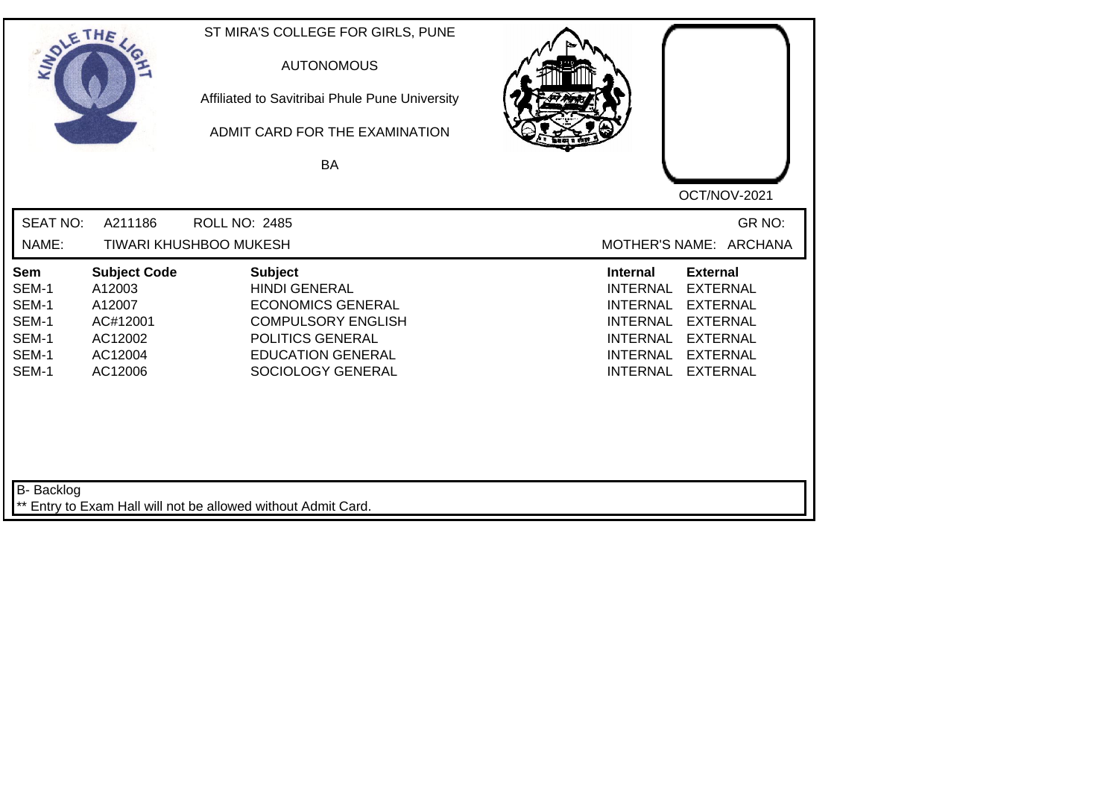| SOLETHE .                                                 |                                                                                      | ST MIRA'S COLLEGE FOR GIRLS, PUNE<br><b>AUTONOMOUS</b><br>Affiliated to Savitribai Phule Pune University<br>ADMIT CARD FOR THE EXAMINATION<br>BA                     | OCT/NOV-2021                                                                                                                                                                                                                                                           |
|-----------------------------------------------------------|--------------------------------------------------------------------------------------|----------------------------------------------------------------------------------------------------------------------------------------------------------------------|------------------------------------------------------------------------------------------------------------------------------------------------------------------------------------------------------------------------------------------------------------------------|
| <b>SEAT NO:</b><br>NAME:                                  | A211186                                                                              | <b>ROLL NO: 2485</b><br><b>TIWARI KHUSHBOO MUKESH</b>                                                                                                                | GR NO:<br>MOTHER'S NAME: ARCHANA                                                                                                                                                                                                                                       |
| Sem<br>SEM-1<br>SEM-1<br>SEM-1<br>SEM-1<br>SEM-1<br>SEM-1 | <b>Subject Code</b><br>A12003<br>A12007<br>AC#12001<br>AC12002<br>AC12004<br>AC12006 | <b>Subject</b><br><b>HINDI GENERAL</b><br><b>ECONOMICS GENERAL</b><br><b>COMPULSORY ENGLISH</b><br>POLITICS GENERAL<br><b>EDUCATION GENERAL</b><br>SOCIOLOGY GENERAL | <b>External</b><br><b>Internal</b><br><b>EXTERNAL</b><br><b>INTERNAL</b><br><b>INTERNAL</b><br><b>EXTERNAL</b><br><b>EXTERNAL</b><br><b>INTERNAL</b><br><b>INTERNAL</b><br><b>EXTERNAL</b><br><b>INTERNAL</b><br><b>EXTERNAL</b><br><b>INTERNAL</b><br><b>EXTERNAL</b> |
| <b>B-</b> Backlog                                         |                                                                                      | ** Entry to Exam Hall will not be allowed without Admit Card.                                                                                                        |                                                                                                                                                                                                                                                                        |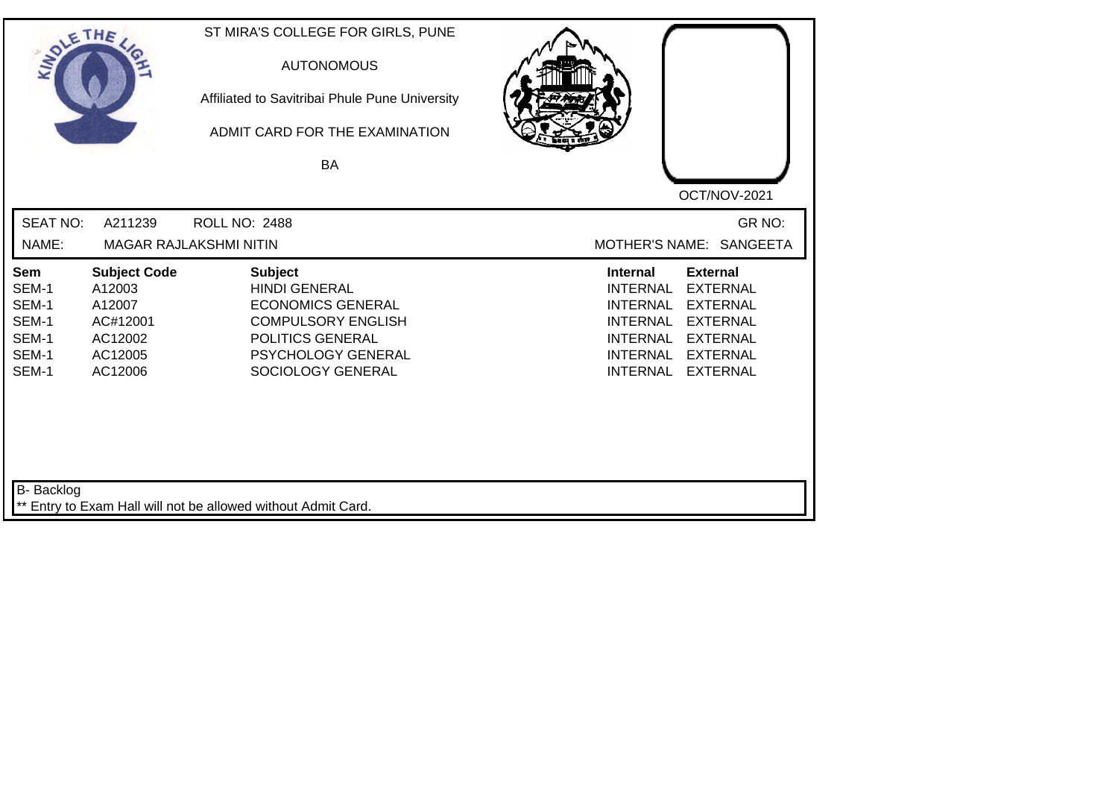| SOLETHE .                                                 |                                                                                      | ST MIRA'S COLLEGE FOR GIRLS, PUNE<br><b>AUTONOMOUS</b><br>Affiliated to Savitribai Phule Pune University<br>ADMIT CARD FOR THE EXAMINATION<br><b>BA</b>               | OCT/NOV-2021                                                                                                                                                                                                                                                           |
|-----------------------------------------------------------|--------------------------------------------------------------------------------------|-----------------------------------------------------------------------------------------------------------------------------------------------------------------------|------------------------------------------------------------------------------------------------------------------------------------------------------------------------------------------------------------------------------------------------------------------------|
| <b>SEAT NO:</b><br>NAME:                                  | A211239                                                                              | <b>ROLL NO: 2488</b><br><b>MAGAR RAJLAKSHMI NITIN</b>                                                                                                                 | GR NO:<br>MOTHER'S NAME: SANGEETA                                                                                                                                                                                                                                      |
| Sem<br>SEM-1<br>SEM-1<br>SEM-1<br>SEM-1<br>SEM-1<br>SEM-1 | <b>Subject Code</b><br>A12003<br>A12007<br>AC#12001<br>AC12002<br>AC12005<br>AC12006 | <b>Subject</b><br><b>HINDI GENERAL</b><br><b>ECONOMICS GENERAL</b><br><b>COMPULSORY ENGLISH</b><br>POLITICS GENERAL<br><b>PSYCHOLOGY GENERAL</b><br>SOCIOLOGY GENERAL | <b>Internal</b><br><b>External</b><br><b>EXTERNAL</b><br><b>INTERNAL</b><br><b>EXTERNAL</b><br><b>INTERNAL</b><br><b>INTERNAL</b><br><b>EXTERNAL</b><br><b>INTERNAL</b><br><b>EXTERNAL</b><br><b>INTERNAL</b><br><b>EXTERNAL</b><br><b>INTERNAL</b><br><b>EXTERNAL</b> |
| B- Backlog                                                |                                                                                      | ** Entry to Exam Hall will not be allowed without Admit Card.                                                                                                         |                                                                                                                                                                                                                                                                        |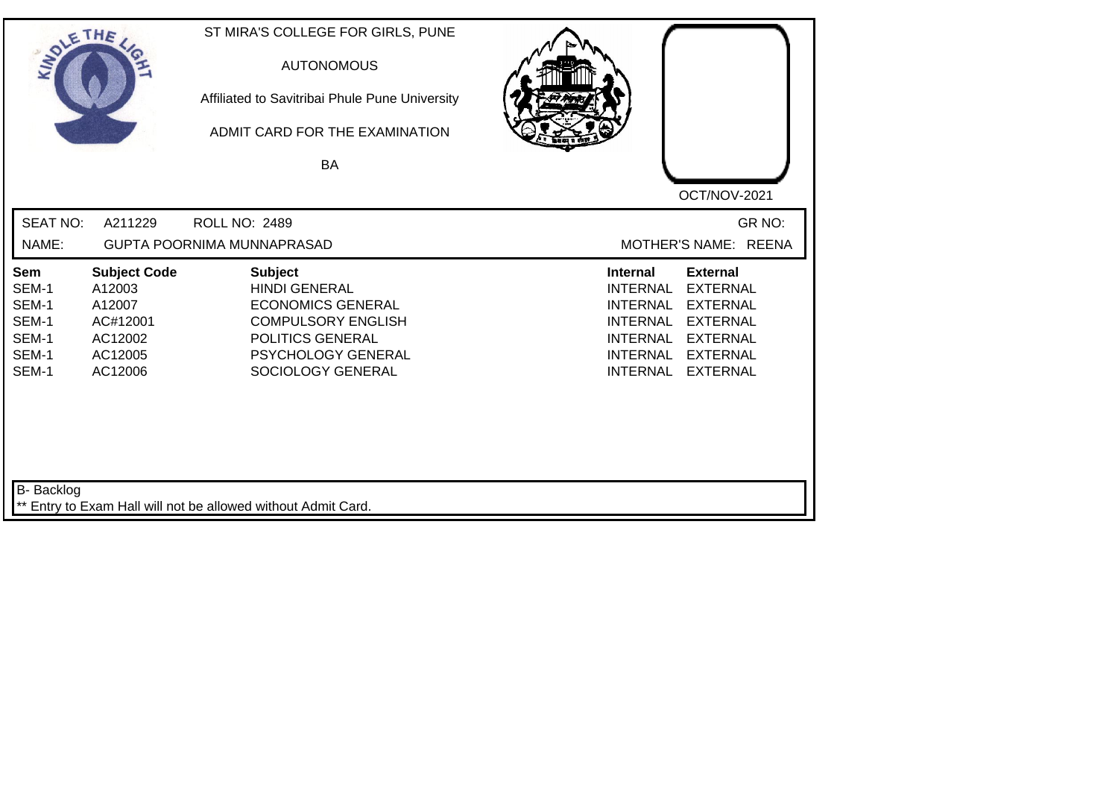| SOLETHE .                                                 |                                                                                      | ST MIRA'S COLLEGE FOR GIRLS, PUNE<br><b>AUTONOMOUS</b><br>Affiliated to Savitribai Phule Pune University<br>ADMIT CARD FOR THE EXAMINATION<br><b>BA</b>        | OCT/NOV-2021                                                                                                                                                                                                                                                           |
|-----------------------------------------------------------|--------------------------------------------------------------------------------------|----------------------------------------------------------------------------------------------------------------------------------------------------------------|------------------------------------------------------------------------------------------------------------------------------------------------------------------------------------------------------------------------------------------------------------------------|
| <b>SEAT NO:</b><br>NAME:                                  | A211229                                                                              | ROLL NO: 2489<br>GUPTA POORNIMA MUNNAPRASAD                                                                                                                    | GR NO:<br>MOTHER'S NAME: REENA                                                                                                                                                                                                                                         |
| Sem<br>SEM-1<br>SEM-1<br>SEM-1<br>SEM-1<br>SEM-1<br>SEM-1 | <b>Subject Code</b><br>A12003<br>A12007<br>AC#12001<br>AC12002<br>AC12005<br>AC12006 | <b>Subject</b><br><b>HINDI GENERAL</b><br><b>ECONOMICS GENERAL</b><br><b>COMPULSORY ENGLISH</b><br>POLITICS GENERAL<br>PSYCHOLOGY GENERAL<br>SOCIOLOGY GENERAL | <b>External</b><br><b>Internal</b><br><b>INTERNAL</b><br><b>EXTERNAL</b><br><b>INTERNAL</b><br><b>EXTERNAL</b><br><b>EXTERNAL</b><br><b>INTERNAL</b><br><b>INTERNAL</b><br><b>EXTERNAL</b><br><b>INTERNAL</b><br><b>EXTERNAL</b><br><b>INTERNAL</b><br><b>EXTERNAL</b> |
| B- Backlog                                                |                                                                                      | ** Entry to Exam Hall will not be allowed without Admit Card.                                                                                                  |                                                                                                                                                                                                                                                                        |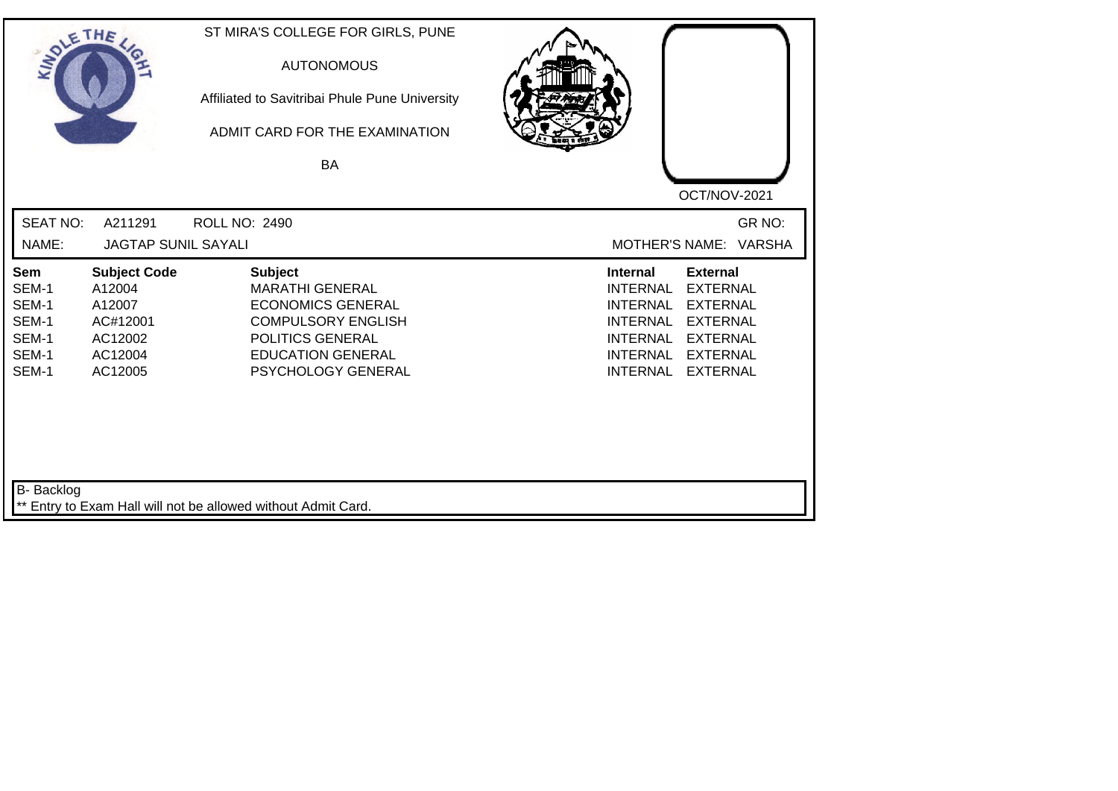| SOLE THE                                                  |                                                                                      | ST MIRA'S COLLEGE FOR GIRLS, PUNE<br><b>AUTONOMOUS</b><br>Affiliated to Savitribai Phule Pune University<br>ADMIT CARD FOR THE EXAMINATION<br>BA                        |                                                                                                                                                                                                                                                                        |
|-----------------------------------------------------------|--------------------------------------------------------------------------------------|-------------------------------------------------------------------------------------------------------------------------------------------------------------------------|------------------------------------------------------------------------------------------------------------------------------------------------------------------------------------------------------------------------------------------------------------------------|
| <b>SEAT NO:</b>                                           |                                                                                      |                                                                                                                                                                         | OCT/NOV-2021                                                                                                                                                                                                                                                           |
| NAME:                                                     | A211291<br><b>JAGTAP SUNIL SAYALI</b>                                                | <b>ROLL NO: 2490</b>                                                                                                                                                    | GR NO:<br>MOTHER'S NAME: VARSHA                                                                                                                                                                                                                                        |
| Sem<br>SEM-1<br>SEM-1<br>SEM-1<br>SEM-1<br>SEM-1<br>SEM-1 | <b>Subject Code</b><br>A12004<br>A12007<br>AC#12001<br>AC12002<br>AC12004<br>AC12005 | <b>Subject</b><br><b>MARATHI GENERAL</b><br><b>ECONOMICS GENERAL</b><br><b>COMPULSORY ENGLISH</b><br>POLITICS GENERAL<br><b>EDUCATION GENERAL</b><br>PSYCHOLOGY GENERAL | <b>External</b><br><b>Internal</b><br><b>INTERNAL</b><br><b>EXTERNAL</b><br><b>INTERNAL</b><br><b>EXTERNAL</b><br><b>EXTERNAL</b><br><b>INTERNAL</b><br><b>INTERNAL</b><br><b>EXTERNAL</b><br><b>INTERNAL</b><br><b>EXTERNAL</b><br><b>INTERNAL</b><br><b>EXTERNAL</b> |
| <b>B-</b> Backlog                                         |                                                                                      | ** Entry to Exam Hall will not be allowed without Admit Card.                                                                                                           |                                                                                                                                                                                                                                                                        |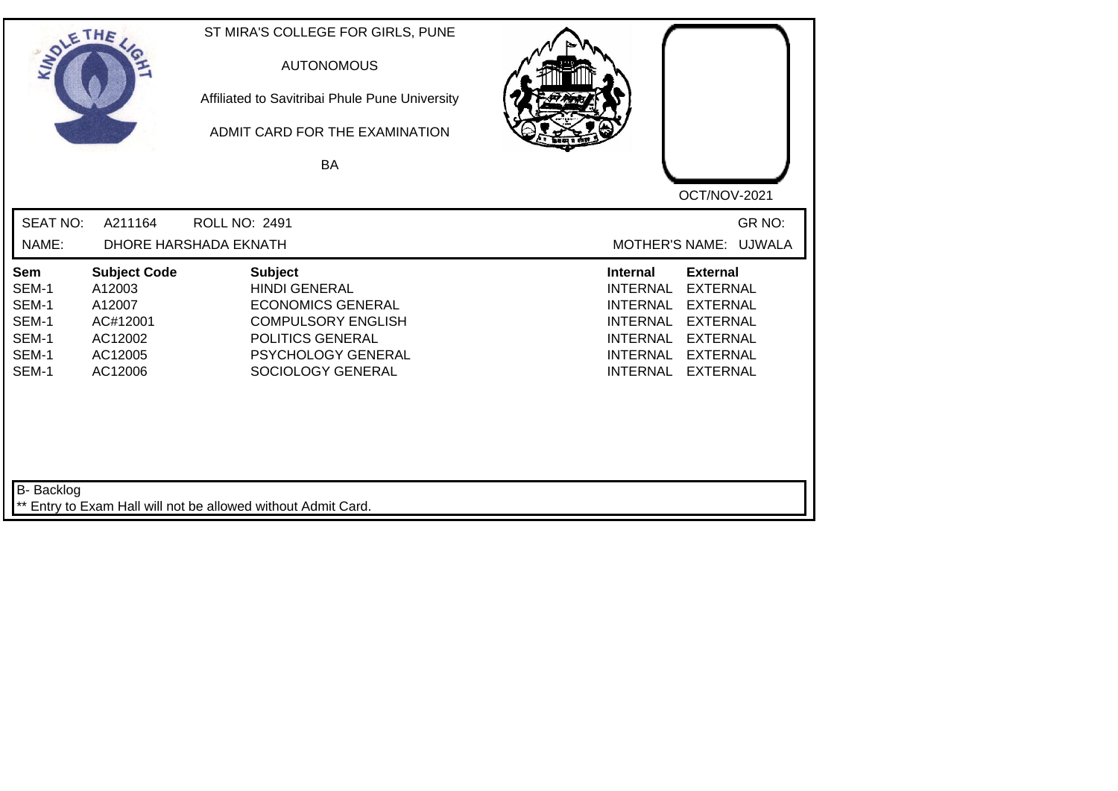| <b>SEAT NO:</b><br>GR NO:<br>A211164<br><b>ROLL NO: 2491</b><br>NAME:<br>DHORE HARSHADA EKNATH<br>MOTHER'S NAME: UJWALA<br><b>Subject Code</b><br><b>Subject</b><br><b>External</b><br>Sem<br><b>Internal</b><br><b>EXTERNAL</b><br>SEM-1<br>A12003<br><b>HINDI GENERAL</b><br><b>INTERNAL</b><br>SEM-1<br>A12007<br><b>ECONOMICS GENERAL</b><br><b>INTERNAL</b><br><b>EXTERNAL</b><br>SEM-1<br><b>COMPULSORY ENGLISH</b><br><b>EXTERNAL</b><br>AC#12001<br><b>INTERNAL</b><br>SEM-1<br>POLITICS GENERAL<br>AC12002<br><b>INTERNAL</b><br><b>EXTERNAL</b><br>SEM-1<br>PSYCHOLOGY GENERAL<br><b>EXTERNAL</b><br>AC12005<br><b>INTERNAL</b><br>SEM-1<br>AC12006<br>SOCIOLOGY GENERAL<br><b>INTERNAL</b><br><b>EXTERNAL</b> | SOLETHE , | ST MIRA'S COLLEGE FOR GIRLS, PUNE<br><b>AUTONOMOUS</b><br>Affiliated to Savitribai Phule Pune University<br>ADMIT CARD FOR THE EXAMINATION<br>BA | OCT/NOV-2021 |
|--------------------------------------------------------------------------------------------------------------------------------------------------------------------------------------------------------------------------------------------------------------------------------------------------------------------------------------------------------------------------------------------------------------------------------------------------------------------------------------------------------------------------------------------------------------------------------------------------------------------------------------------------------------------------------------------------------------------------|-----------|--------------------------------------------------------------------------------------------------------------------------------------------------|--------------|
|                                                                                                                                                                                                                                                                                                                                                                                                                                                                                                                                                                                                                                                                                                                          |           |                                                                                                                                                  |              |
|                                                                                                                                                                                                                                                                                                                                                                                                                                                                                                                                                                                                                                                                                                                          |           |                                                                                                                                                  |              |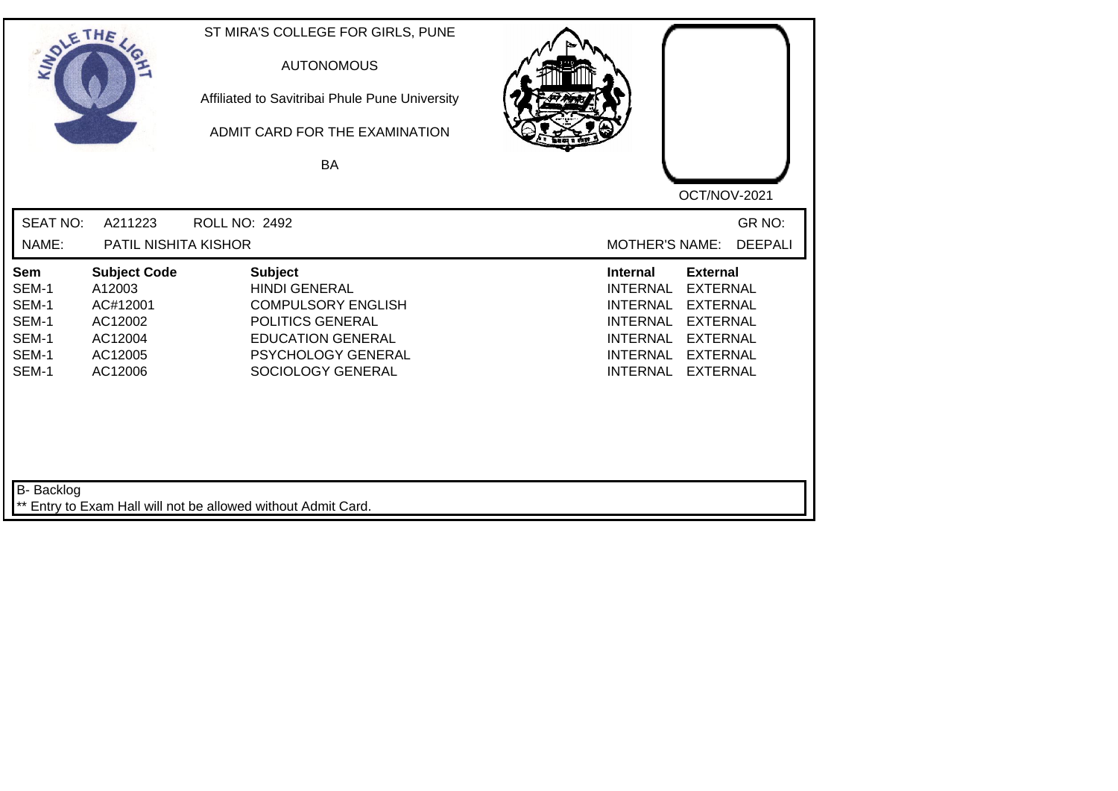| SOLETHE .                                                 |                                                                                       | ST MIRA'S COLLEGE FOR GIRLS, PUNE<br><b>AUTONOMOUS</b><br>Affiliated to Savitribai Phule Pune University<br>ADMIT CARD FOR THE EXAMINATION<br>BA               | OCT/NOV-2021                                                                                                                                                                                                                                                           |
|-----------------------------------------------------------|---------------------------------------------------------------------------------------|----------------------------------------------------------------------------------------------------------------------------------------------------------------|------------------------------------------------------------------------------------------------------------------------------------------------------------------------------------------------------------------------------------------------------------------------|
| <b>SEAT NO:</b>                                           | A211223                                                                               | <b>ROLL NO: 2492</b>                                                                                                                                           | GR NO:                                                                                                                                                                                                                                                                 |
| NAME:                                                     | PATIL NISHITA KISHOR                                                                  |                                                                                                                                                                | <b>MOTHER'S NAME:</b><br><b>DEEPALI</b>                                                                                                                                                                                                                                |
| Sem<br>SEM-1<br>SEM-1<br>SEM-1<br>SEM-1<br>SEM-1<br>SEM-1 | <b>Subject Code</b><br>A12003<br>AC#12001<br>AC12002<br>AC12004<br>AC12005<br>AC12006 | <b>Subject</b><br><b>HINDI GENERAL</b><br><b>COMPULSORY ENGLISH</b><br>POLITICS GENERAL<br><b>EDUCATION GENERAL</b><br>PSYCHOLOGY GENERAL<br>SOCIOLOGY GENERAL | <b>External</b><br><b>Internal</b><br><b>INTERNAL</b><br><b>EXTERNAL</b><br><b>INTERNAL</b><br><b>EXTERNAL</b><br><b>EXTERNAL</b><br><b>INTERNAL</b><br><b>INTERNAL</b><br><b>EXTERNAL</b><br><b>INTERNAL</b><br><b>EXTERNAL</b><br><b>INTERNAL</b><br><b>EXTERNAL</b> |
| B- Backlog                                                |                                                                                       | ** Entry to Exam Hall will not be allowed without Admit Card.                                                                                                  |                                                                                                                                                                                                                                                                        |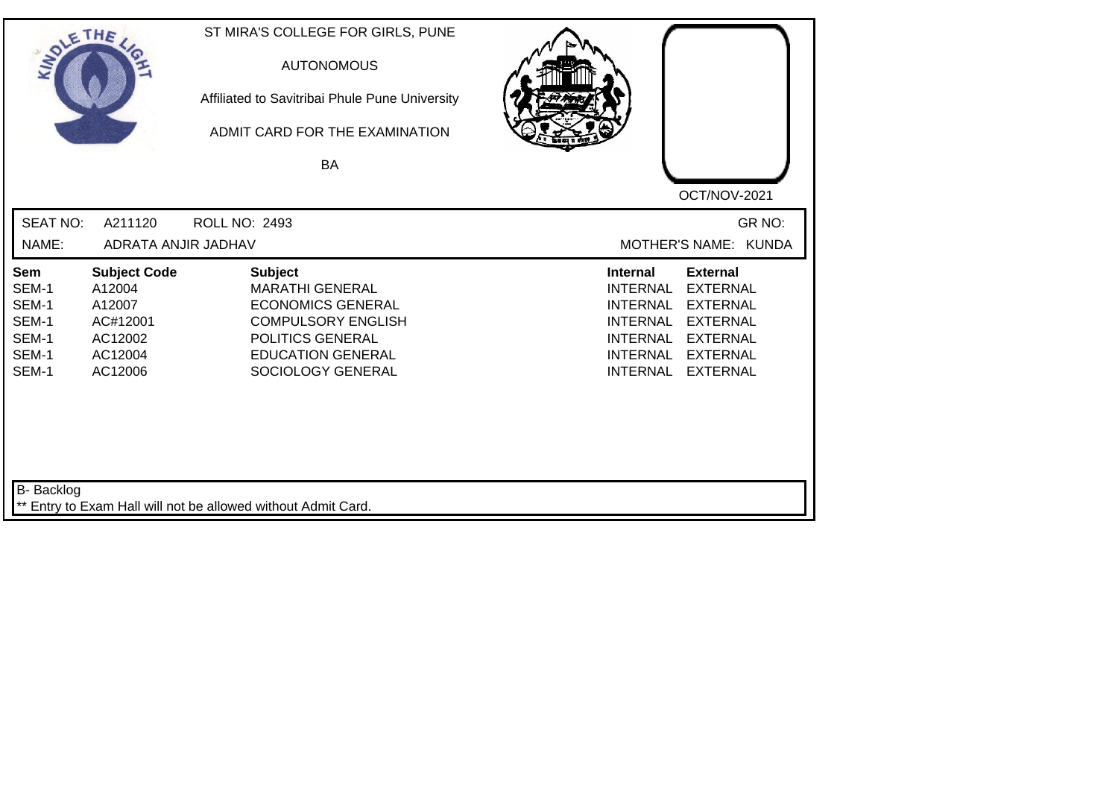| SOLE THE                                                  |                                                                                      | ST MIRA'S COLLEGE FOR GIRLS, PUNE<br><b>AUTONOMOUS</b><br>Affiliated to Savitribai Phule Pune University<br>ADMIT CARD FOR THE EXAMINATION<br><b>BA</b>                |                                                                                                                                                                                                                                                                        |
|-----------------------------------------------------------|--------------------------------------------------------------------------------------|------------------------------------------------------------------------------------------------------------------------------------------------------------------------|------------------------------------------------------------------------------------------------------------------------------------------------------------------------------------------------------------------------------------------------------------------------|
| <b>SEAT NO:</b>                                           | A211120                                                                              | <b>ROLL NO: 2493</b>                                                                                                                                                   | OCT/NOV-2021<br>GR NO:                                                                                                                                                                                                                                                 |
| NAME:                                                     | ADRATA ANJIR JADHAV                                                                  |                                                                                                                                                                        | MOTHER'S NAME: KUNDA                                                                                                                                                                                                                                                   |
| Sem<br>SEM-1<br>SEM-1<br>SEM-1<br>SEM-1<br>SEM-1<br>SEM-1 | <b>Subject Code</b><br>A12004<br>A12007<br>AC#12001<br>AC12002<br>AC12004<br>AC12006 | <b>Subject</b><br><b>MARATHI GENERAL</b><br><b>ECONOMICS GENERAL</b><br><b>COMPULSORY ENGLISH</b><br>POLITICS GENERAL<br><b>EDUCATION GENERAL</b><br>SOCIOLOGY GENERAL | <b>External</b><br><b>Internal</b><br><b>EXTERNAL</b><br><b>INTERNAL</b><br><b>INTERNAL</b><br><b>EXTERNAL</b><br><b>EXTERNAL</b><br><b>INTERNAL</b><br><b>INTERNAL</b><br><b>EXTERNAL</b><br><b>INTERNAL</b><br><b>EXTERNAL</b><br><b>INTERNAL</b><br><b>EXTERNAL</b> |
| B- Backlog                                                |                                                                                      | ** Entry to Exam Hall will not be allowed without Admit Card.                                                                                                          |                                                                                                                                                                                                                                                                        |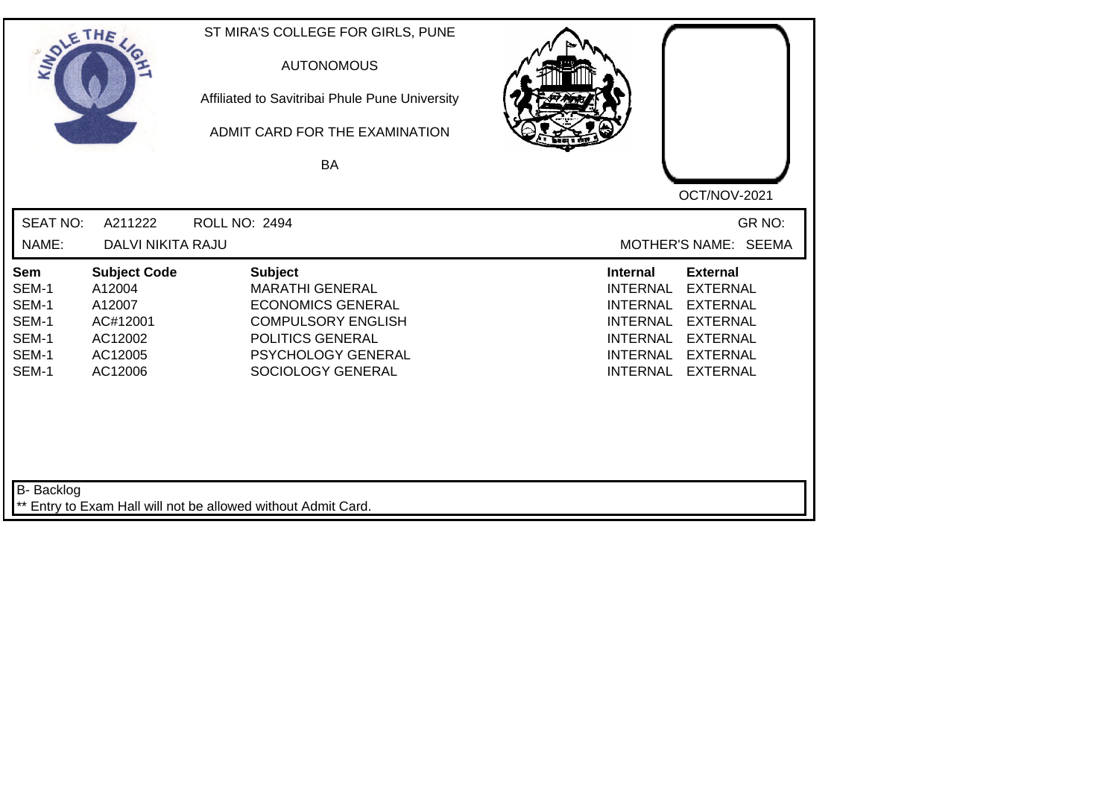| SOLE THE                                                  |                                                                                      | ST MIRA'S COLLEGE FOR GIRLS, PUNE<br><b>AUTONOMOUS</b><br>Affiliated to Savitribai Phule Pune University<br>ADMIT CARD FOR THE EXAMINATION<br><b>BA</b>          |                                                                                                                                                                                                                                                                        |
|-----------------------------------------------------------|--------------------------------------------------------------------------------------|------------------------------------------------------------------------------------------------------------------------------------------------------------------|------------------------------------------------------------------------------------------------------------------------------------------------------------------------------------------------------------------------------------------------------------------------|
| <b>SEAT NO:</b><br>NAME:                                  | A211222<br><b>DALVI NIKITA RAJU</b>                                                  | <b>ROLL NO: 2494</b>                                                                                                                                             | OCT/NOV-2021<br>GR NO:<br>MOTHER'S NAME: SEEMA                                                                                                                                                                                                                         |
| Sem<br>SEM-1<br>SEM-1<br>SEM-1<br>SEM-1<br>SEM-1<br>SEM-1 | <b>Subject Code</b><br>A12004<br>A12007<br>AC#12001<br>AC12002<br>AC12005<br>AC12006 | <b>Subject</b><br><b>MARATHI GENERAL</b><br><b>ECONOMICS GENERAL</b><br><b>COMPULSORY ENGLISH</b><br>POLITICS GENERAL<br>PSYCHOLOGY GENERAL<br>SOCIOLOGY GENERAL | <b>External</b><br><b>Internal</b><br><b>INTERNAL</b><br><b>EXTERNAL</b><br><b>INTERNAL</b><br><b>EXTERNAL</b><br><b>INTERNAL</b><br><b>EXTERNAL</b><br><b>EXTERNAL</b><br><b>INTERNAL</b><br><b>INTERNAL</b><br><b>EXTERNAL</b><br><b>EXTERNAL</b><br><b>INTERNAL</b> |
| <b>B-</b> Backlog                                         |                                                                                      | ** Entry to Exam Hall will not be allowed without Admit Card.                                                                                                    |                                                                                                                                                                                                                                                                        |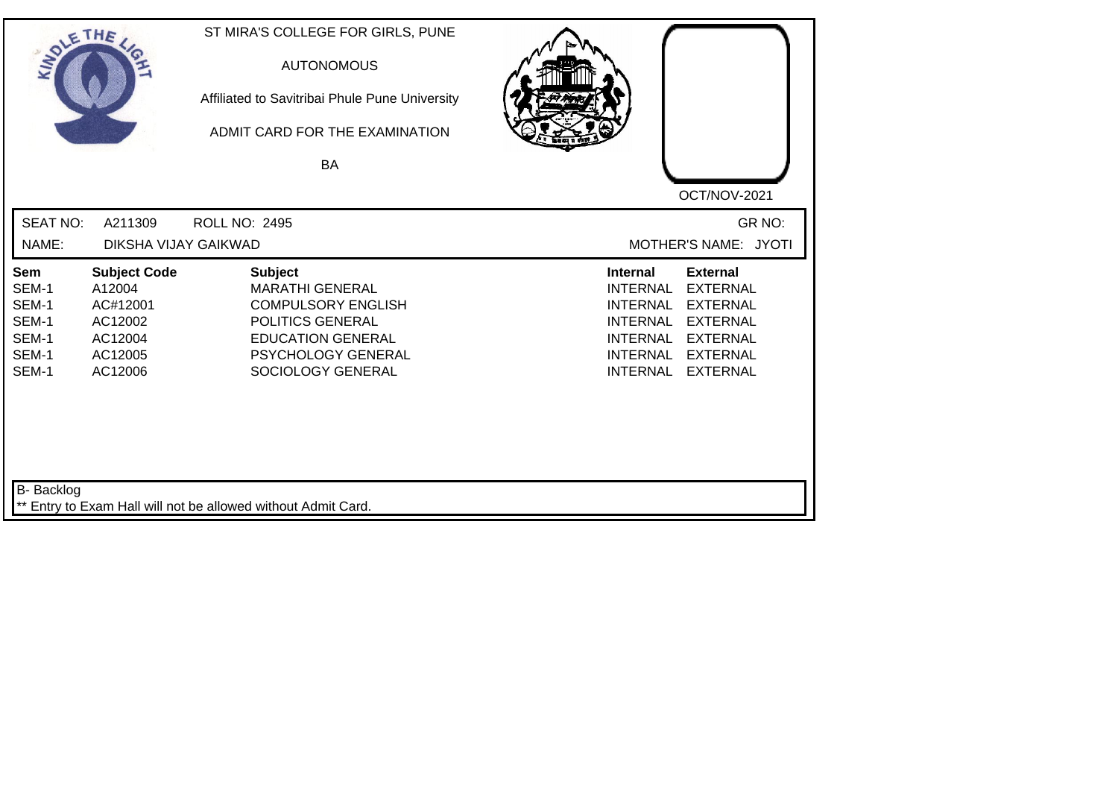| SOLETHE ,                                                 |                                                                                       | ST MIRA'S COLLEGE FOR GIRLS, PUNE<br><b>AUTONOMOUS</b><br>Affiliated to Savitribai Phule Pune University<br>ADMIT CARD FOR THE EXAMINATION<br>BA                 | OCT/NOV-2021                                                                                                                                                                                                                                                           |
|-----------------------------------------------------------|---------------------------------------------------------------------------------------|------------------------------------------------------------------------------------------------------------------------------------------------------------------|------------------------------------------------------------------------------------------------------------------------------------------------------------------------------------------------------------------------------------------------------------------------|
| <b>SEAT NO:</b><br>NAME:                                  | A211309<br>DIKSHA VIJAY GAIKWAD                                                       | <b>ROLL NO: 2495</b>                                                                                                                                             | GR NO:<br>MOTHER'S NAME: JYOTI                                                                                                                                                                                                                                         |
| Sem<br>SEM-1<br>SEM-1<br>SEM-1<br>SEM-1<br>SEM-1<br>SEM-1 | <b>Subject Code</b><br>A12004<br>AC#12001<br>AC12002<br>AC12004<br>AC12005<br>AC12006 | <b>Subject</b><br><b>MARATHI GENERAL</b><br><b>COMPULSORY ENGLISH</b><br>POLITICS GENERAL<br><b>EDUCATION GENERAL</b><br>PSYCHOLOGY GENERAL<br>SOCIOLOGY GENERAL | <b>External</b><br><b>Internal</b><br><b>EXTERNAL</b><br><b>INTERNAL</b><br><b>INTERNAL</b><br><b>EXTERNAL</b><br><b>EXTERNAL</b><br><b>INTERNAL</b><br><b>INTERNAL</b><br><b>EXTERNAL</b><br><b>EXTERNAL</b><br><b>INTERNAL</b><br><b>INTERNAL</b><br><b>EXTERNAL</b> |
| <b>B-</b> Backlog                                         |                                                                                       | ** Entry to Exam Hall will not be allowed without Admit Card.                                                                                                    |                                                                                                                                                                                                                                                                        |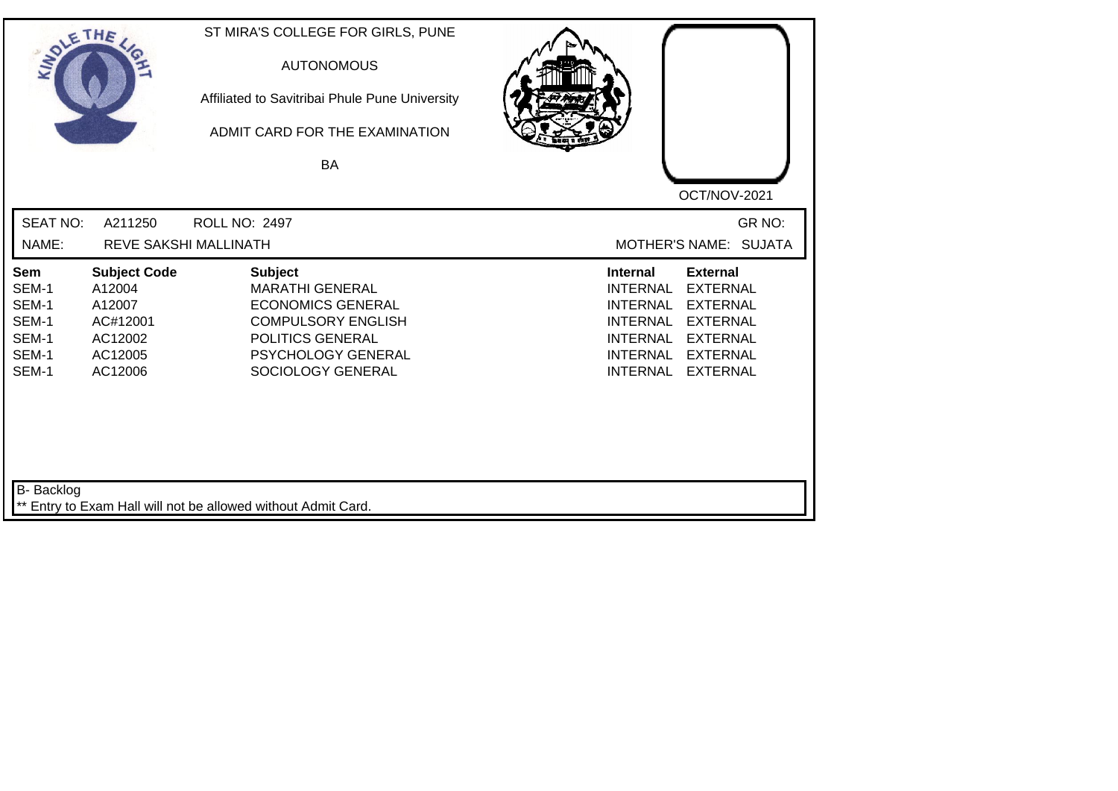| SOLETHE ,                                                 |                                                                                      | ST MIRA'S COLLEGE FOR GIRLS, PUNE<br><b>AUTONOMOUS</b><br>Affiliated to Savitribai Phule Pune University<br>ADMIT CARD FOR THE EXAMINATION<br>BA                        | OCT/NOV-2021                                                                                                                                                                                                                                                           |
|-----------------------------------------------------------|--------------------------------------------------------------------------------------|-------------------------------------------------------------------------------------------------------------------------------------------------------------------------|------------------------------------------------------------------------------------------------------------------------------------------------------------------------------------------------------------------------------------------------------------------------|
| <b>SEAT NO:</b><br>NAME:                                  | A211250                                                                              | <b>ROLL NO: 2497</b><br>REVE SAKSHI MALLINATH                                                                                                                           | GR NO:<br>MOTHER'S NAME: SUJATA                                                                                                                                                                                                                                        |
| Sem<br>SEM-1<br>SEM-1<br>SEM-1<br>SEM-1<br>SEM-1<br>SEM-1 | <b>Subject Code</b><br>A12004<br>A12007<br>AC#12001<br>AC12002<br>AC12005<br>AC12006 | <b>Subject</b><br><b>MARATHI GENERAL</b><br><b>ECONOMICS GENERAL</b><br><b>COMPULSORY ENGLISH</b><br>POLITICS GENERAL<br><b>PSYCHOLOGY GENERAL</b><br>SOCIOLOGY GENERAL | <b>Internal</b><br><b>External</b><br><b>EXTERNAL</b><br><b>INTERNAL</b><br><b>EXTERNAL</b><br><b>INTERNAL</b><br><b>INTERNAL</b><br><b>EXTERNAL</b><br><b>INTERNAL</b><br><b>EXTERNAL</b><br><b>INTERNAL</b><br><b>EXTERNAL</b><br><b>INTERNAL</b><br><b>EXTERNAL</b> |
| B- Backlog                                                |                                                                                      | ** Entry to Exam Hall will not be allowed without Admit Card.                                                                                                           |                                                                                                                                                                                                                                                                        |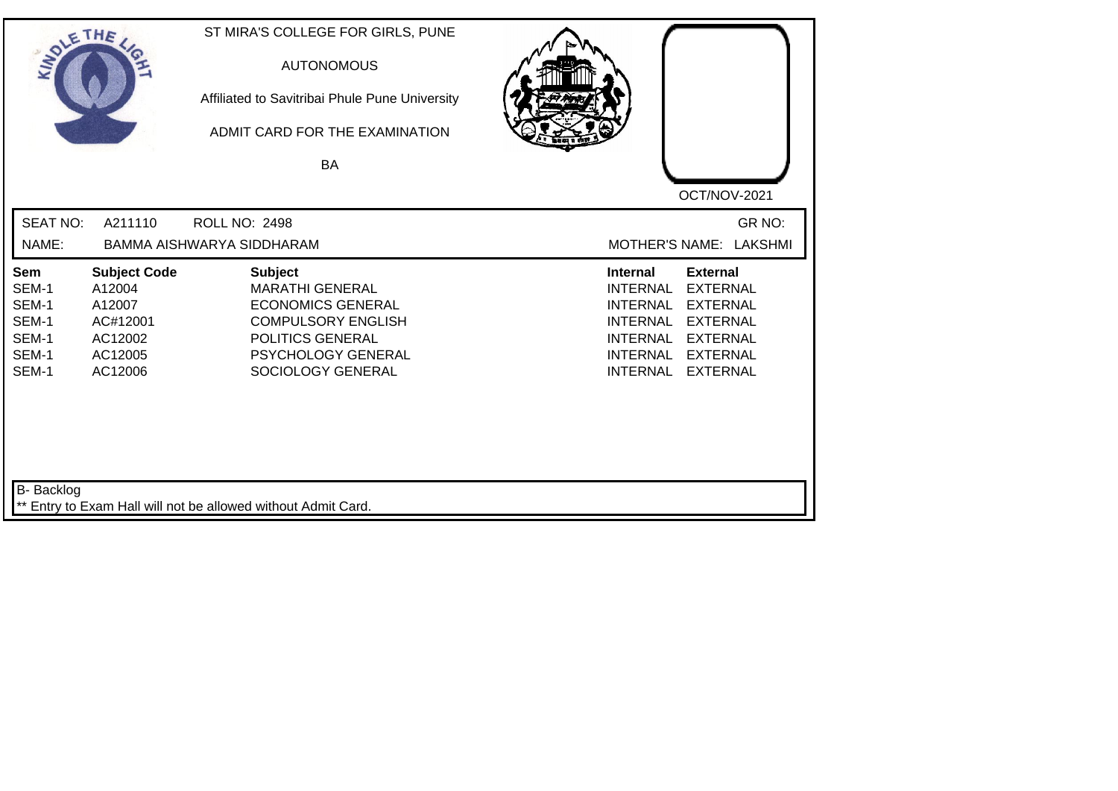| SOLE THE                                                  |                                                                                      | ST MIRA'S COLLEGE FOR GIRLS, PUNE<br><b>AUTONOMOUS</b><br>Affiliated to Savitribai Phule Pune University<br>ADMIT CARD FOR THE EXAMINATION<br>BA                 |                                                                                                                                                                                                                                                                        |
|-----------------------------------------------------------|--------------------------------------------------------------------------------------|------------------------------------------------------------------------------------------------------------------------------------------------------------------|------------------------------------------------------------------------------------------------------------------------------------------------------------------------------------------------------------------------------------------------------------------------|
| <b>SEAT NO:</b>                                           | A211110                                                                              | <b>ROLL NO: 2498</b>                                                                                                                                             | OCT/NOV-2021<br>GR NO:                                                                                                                                                                                                                                                 |
| NAME:                                                     |                                                                                      | BAMMA AISHWARYA SIDDHARAM                                                                                                                                        | MOTHER'S NAME: LAKSHMI                                                                                                                                                                                                                                                 |
| Sem<br>SEM-1<br>SEM-1<br>SEM-1<br>SEM-1<br>SEM-1<br>SEM-1 | <b>Subject Code</b><br>A12004<br>A12007<br>AC#12001<br>AC12002<br>AC12005<br>AC12006 | <b>Subject</b><br><b>MARATHI GENERAL</b><br><b>ECONOMICS GENERAL</b><br><b>COMPULSORY ENGLISH</b><br>POLITICS GENERAL<br>PSYCHOLOGY GENERAL<br>SOCIOLOGY GENERAL | <b>Internal</b><br><b>External</b><br><b>INTERNAL</b><br><b>EXTERNAL</b><br><b>EXTERNAL</b><br><b>INTERNAL</b><br><b>INTERNAL</b><br><b>EXTERNAL</b><br><b>INTERNAL</b><br><b>EXTERNAL</b><br><b>INTERNAL</b><br><b>EXTERNAL</b><br><b>INTERNAL</b><br><b>EXTERNAL</b> |
| <b>B-</b> Backlog                                         |                                                                                      | ** Entry to Exam Hall will not be allowed without Admit Card.                                                                                                    |                                                                                                                                                                                                                                                                        |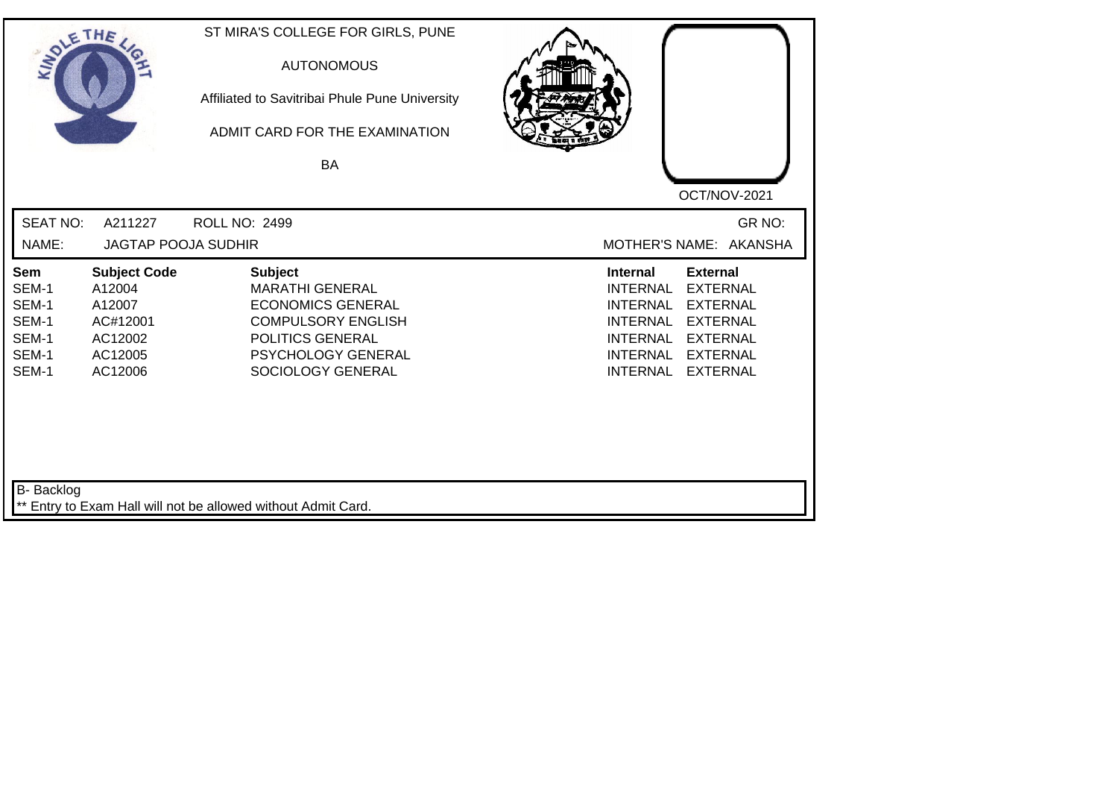| SOLETHE .                                                 |                                                                                      | ST MIRA'S COLLEGE FOR GIRLS, PUNE<br><b>AUTONOMOUS</b><br>Affiliated to Savitribai Phule Pune University<br>ADMIT CARD FOR THE EXAMINATION<br><b>BA</b>                 | OCT/NOV-2021                                                                                                                                                                                                                                                           |
|-----------------------------------------------------------|--------------------------------------------------------------------------------------|-------------------------------------------------------------------------------------------------------------------------------------------------------------------------|------------------------------------------------------------------------------------------------------------------------------------------------------------------------------------------------------------------------------------------------------------------------|
| <b>SEAT NO:</b><br>NAME:                                  | A211227<br><b>JAGTAP POOJA SUDHIR</b>                                                | <b>ROLL NO: 2499</b>                                                                                                                                                    | GR NO:<br>MOTHER'S NAME: AKANSHA                                                                                                                                                                                                                                       |
| Sem<br>SEM-1<br>SEM-1<br>SEM-1<br>SEM-1<br>SEM-1<br>SEM-1 | <b>Subject Code</b><br>A12004<br>A12007<br>AC#12001<br>AC12002<br>AC12005<br>AC12006 | <b>Subject</b><br><b>MARATHI GENERAL</b><br><b>ECONOMICS GENERAL</b><br><b>COMPULSORY ENGLISH</b><br>POLITICS GENERAL<br><b>PSYCHOLOGY GENERAL</b><br>SOCIOLOGY GENERAL | <b>Internal</b><br><b>External</b><br><b>EXTERNAL</b><br><b>INTERNAL</b><br><b>EXTERNAL</b><br><b>INTERNAL</b><br><b>INTERNAL</b><br><b>EXTERNAL</b><br><b>INTERNAL</b><br><b>EXTERNAL</b><br><b>INTERNAL</b><br><b>EXTERNAL</b><br><b>INTERNAL</b><br><b>EXTERNAL</b> |
| B- Backlog                                                |                                                                                      | ** Entry to Exam Hall will not be allowed without Admit Card.                                                                                                           |                                                                                                                                                                                                                                                                        |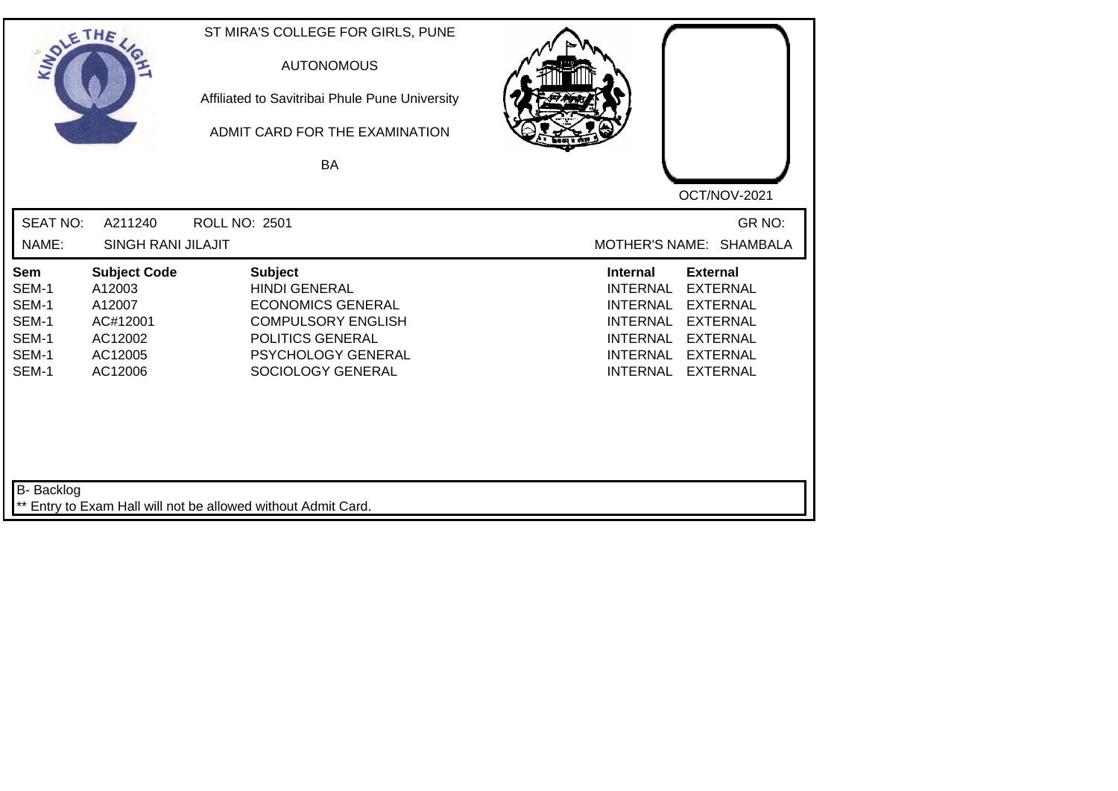| SOLE THE                                                  |                                                                                      | ST MIRA'S COLLEGE FOR GIRLS, PUNE<br><b>AUTONOMOUS</b><br>Affiliated to Savitribai Phule Pune University<br>ADMIT CARD FOR THE EXAMINATION<br><b>BA</b>        |                                                                                                                                                                                                                                                                        |
|-----------------------------------------------------------|--------------------------------------------------------------------------------------|----------------------------------------------------------------------------------------------------------------------------------------------------------------|------------------------------------------------------------------------------------------------------------------------------------------------------------------------------------------------------------------------------------------------------------------------|
|                                                           |                                                                                      |                                                                                                                                                                | OCT/NOV-2021                                                                                                                                                                                                                                                           |
| <b>SEAT NO:</b><br>NAME:                                  | A211240<br>SINGH RANI JILAJIT                                                        | <b>ROLL NO: 2501</b>                                                                                                                                           | GR NO:<br>MOTHER'S NAME: SHAMBALA                                                                                                                                                                                                                                      |
| Sem<br>SEM-1<br>SEM-1<br>SEM-1<br>SEM-1<br>SEM-1<br>SEM-1 | <b>Subject Code</b><br>A12003<br>A12007<br>AC#12001<br>AC12002<br>AC12005<br>AC12006 | <b>Subject</b><br><b>HINDI GENERAL</b><br><b>ECONOMICS GENERAL</b><br><b>COMPULSORY ENGLISH</b><br>POLITICS GENERAL<br>PSYCHOLOGY GENERAL<br>SOCIOLOGY GENERAL | <b>External</b><br><b>Internal</b><br><b>EXTERNAL</b><br><b>INTERNAL</b><br><b>EXTERNAL</b><br><b>INTERNAL</b><br><b>EXTERNAL</b><br><b>INTERNAL</b><br><b>EXTERNAL</b><br><b>INTERNAL</b><br><b>INTERNAL</b><br><b>EXTERNAL</b><br><b>INTERNAL</b><br><b>EXTERNAL</b> |
| <b>B-</b> Backlog                                         |                                                                                      | ** Entry to Exam Hall will not be allowed without Admit Card.                                                                                                  |                                                                                                                                                                                                                                                                        |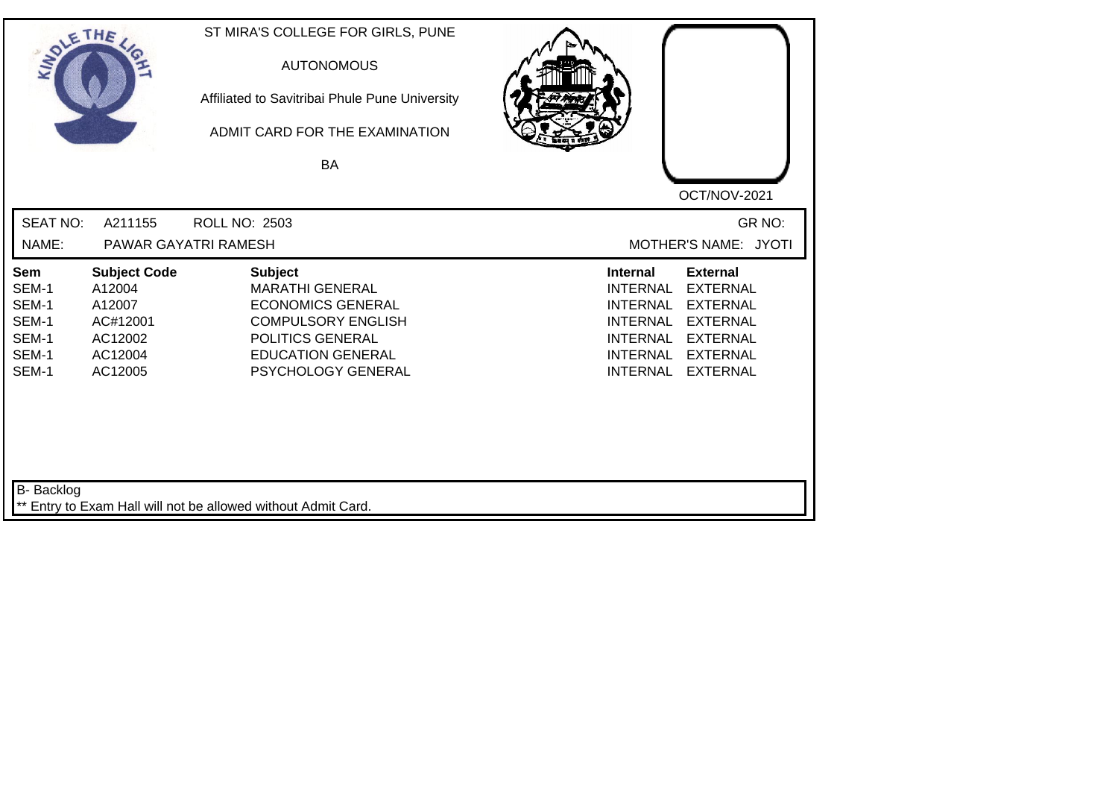| SOLETHE ,                                                 |                                                                                      | ST MIRA'S COLLEGE FOR GIRLS, PUNE<br><b>AUTONOMOUS</b><br>Affiliated to Savitribai Phule Pune University<br>ADMIT CARD FOR THE EXAMINATION<br>BA                        | OCT/NOV-2021                                                                                                                                                                                                                                                           |
|-----------------------------------------------------------|--------------------------------------------------------------------------------------|-------------------------------------------------------------------------------------------------------------------------------------------------------------------------|------------------------------------------------------------------------------------------------------------------------------------------------------------------------------------------------------------------------------------------------------------------------|
| <b>SEAT NO:</b><br>NAME:                                  | A211155                                                                              | <b>ROLL NO: 2503</b><br>PAWAR GAYATRI RAMESH                                                                                                                            | GR NO:<br>MOTHER'S NAME: JYOTI                                                                                                                                                                                                                                         |
|                                                           |                                                                                      |                                                                                                                                                                         |                                                                                                                                                                                                                                                                        |
| Sem<br>SEM-1<br>SEM-1<br>SEM-1<br>SEM-1<br>SEM-1<br>SEM-1 | <b>Subject Code</b><br>A12004<br>A12007<br>AC#12001<br>AC12002<br>AC12004<br>AC12005 | <b>Subject</b><br><b>MARATHI GENERAL</b><br><b>ECONOMICS GENERAL</b><br><b>COMPULSORY ENGLISH</b><br>POLITICS GENERAL<br><b>EDUCATION GENERAL</b><br>PSYCHOLOGY GENERAL | <b>External</b><br><b>Internal</b><br><b>INTERNAL</b><br><b>EXTERNAL</b><br><b>INTERNAL</b><br><b>EXTERNAL</b><br><b>EXTERNAL</b><br><b>INTERNAL</b><br><b>INTERNAL</b><br><b>EXTERNAL</b><br><b>INTERNAL</b><br><b>EXTERNAL</b><br><b>INTERNAL</b><br><b>EXTERNAL</b> |
| B- Backlog                                                |                                                                                      | ** Entry to Exam Hall will not be allowed without Admit Card.                                                                                                           |                                                                                                                                                                                                                                                                        |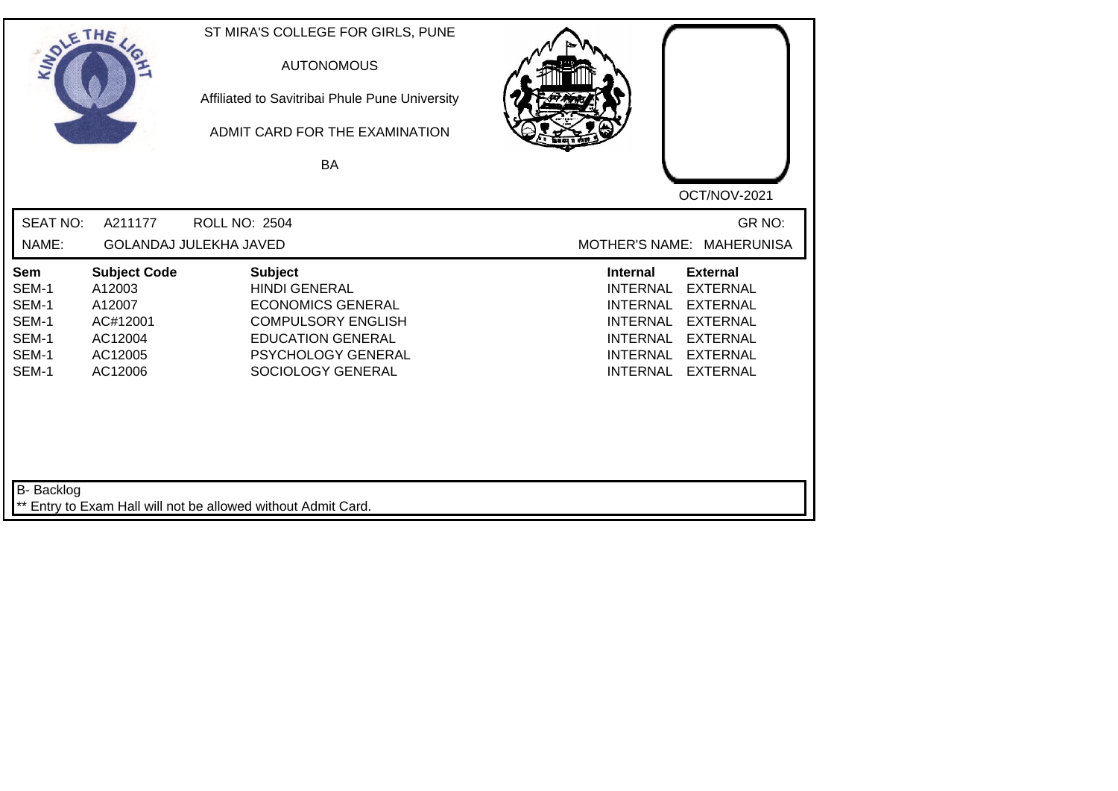| SOLETHE ,                                                 |                                                                                      | ST MIRA'S COLLEGE FOR GIRLS, PUNE<br><b>AUTONOMOUS</b><br>Affiliated to Savitribai Phule Pune University<br>ADMIT CARD FOR THE EXAMINATION<br>BA                              | OCT/NOV-2021                                                                                                                                                                                                                                                           |
|-----------------------------------------------------------|--------------------------------------------------------------------------------------|-------------------------------------------------------------------------------------------------------------------------------------------------------------------------------|------------------------------------------------------------------------------------------------------------------------------------------------------------------------------------------------------------------------------------------------------------------------|
| <b>SEAT NO:</b><br>NAME:                                  | A211177                                                                              | <b>ROLL NO: 2504</b><br><b>GOLANDAJ JULEKHA JAVED</b>                                                                                                                         | GR NO:<br>MOTHER'S NAME: MAHERUNISA                                                                                                                                                                                                                                    |
| Sem<br>SEM-1<br>SEM-1<br>SEM-1<br>SEM-1<br>SEM-1<br>SEM-1 | <b>Subject Code</b><br>A12003<br>A12007<br>AC#12001<br>AC12004<br>AC12005<br>AC12006 | <b>Subject</b><br><b>HINDI GENERAL</b><br><b>ECONOMICS GENERAL</b><br><b>COMPULSORY ENGLISH</b><br><b>EDUCATION GENERAL</b><br><b>PSYCHOLOGY GENERAL</b><br>SOCIOLOGY GENERAL | <b>Internal</b><br><b>External</b><br><b>INTERNAL</b><br><b>EXTERNAL</b><br><b>EXTERNAL</b><br><b>INTERNAL</b><br><b>INTERNAL</b><br><b>EXTERNAL</b><br><b>INTERNAL</b><br><b>EXTERNAL</b><br><b>INTERNAL</b><br><b>EXTERNAL</b><br><b>INTERNAL</b><br><b>EXTERNAL</b> |
| B- Backlog                                                |                                                                                      | ** Entry to Exam Hall will not be allowed without Admit Card.                                                                                                                 |                                                                                                                                                                                                                                                                        |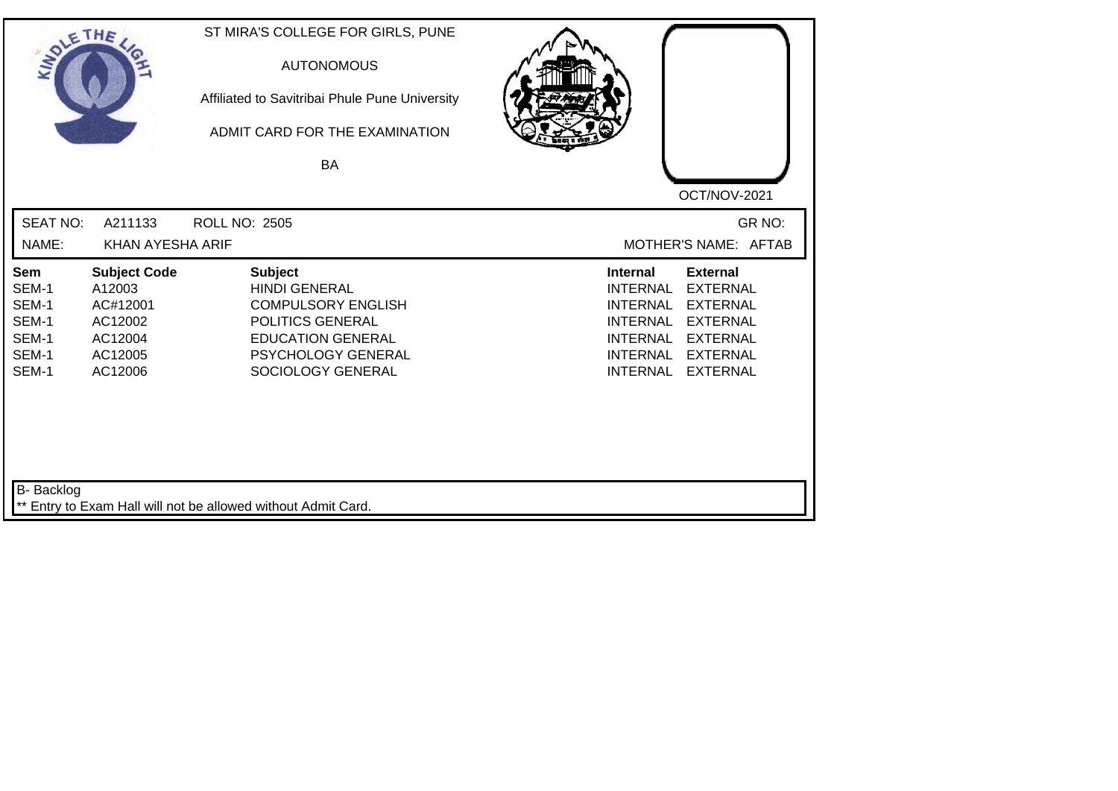| SOLETHE .                                                 |                                                                                       | ST MIRA'S COLLEGE FOR GIRLS, PUNE<br><b>AUTONOMOUS</b><br>Affiliated to Savitribai Phule Pune University<br>ADMIT CARD FOR THE EXAMINATION<br><b>BA</b>        | OCT/NOV-2021                                                                                                                                                                                                                                                           |
|-----------------------------------------------------------|---------------------------------------------------------------------------------------|----------------------------------------------------------------------------------------------------------------------------------------------------------------|------------------------------------------------------------------------------------------------------------------------------------------------------------------------------------------------------------------------------------------------------------------------|
| <b>SEAT NO:</b><br>NAME:                                  | A211133<br><b>KHAN AYESHA ARIF</b>                                                    | <b>ROLL NO: 2505</b>                                                                                                                                           | GR NO:<br>MOTHER'S NAME: AFTAB                                                                                                                                                                                                                                         |
| Sem<br>SEM-1<br>SEM-1<br>SEM-1<br>SEM-1<br>SEM-1<br>SEM-1 | <b>Subject Code</b><br>A12003<br>AC#12001<br>AC12002<br>AC12004<br>AC12005<br>AC12006 | <b>Subject</b><br><b>HINDI GENERAL</b><br><b>COMPULSORY ENGLISH</b><br>POLITICS GENERAL<br><b>EDUCATION GENERAL</b><br>PSYCHOLOGY GENERAL<br>SOCIOLOGY GENERAL | <b>External</b><br><b>Internal</b><br><b>INTERNAL</b><br><b>EXTERNAL</b><br><b>INTERNAL</b><br><b>EXTERNAL</b><br><b>INTERNAL</b><br><b>EXTERNAL</b><br><b>INTERNAL</b><br><b>EXTERNAL</b><br><b>INTERNAL</b><br><b>EXTERNAL</b><br><b>INTERNAL</b><br><b>EXTERNAL</b> |
| B- Backlog                                                |                                                                                       | ** Entry to Exam Hall will not be allowed without Admit Card.                                                                                                  |                                                                                                                                                                                                                                                                        |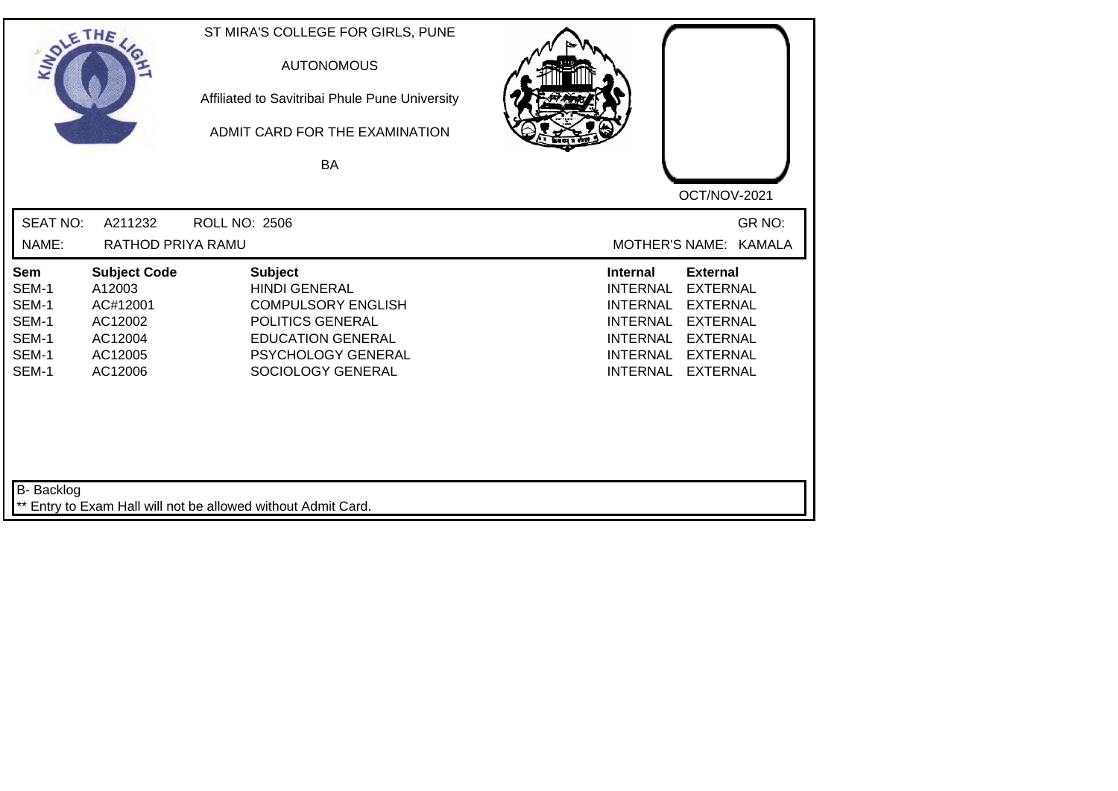| SOLE THE                                                  |                                                                                       | ST MIRA'S COLLEGE FOR GIRLS, PUNE<br><b>AUTONOMOUS</b><br>Affiliated to Savitribai Phule Pune University<br>ADMIT CARD FOR THE EXAMINATION<br><b>BA</b>        |                                                                                                                                                                                                                                                                        |
|-----------------------------------------------------------|---------------------------------------------------------------------------------------|----------------------------------------------------------------------------------------------------------------------------------------------------------------|------------------------------------------------------------------------------------------------------------------------------------------------------------------------------------------------------------------------------------------------------------------------|
|                                                           |                                                                                       |                                                                                                                                                                | OCT/NOV-2021                                                                                                                                                                                                                                                           |
| <b>SEAT NO:</b>                                           | A211232                                                                               | <b>ROLL NO: 2506</b>                                                                                                                                           | GR NO:                                                                                                                                                                                                                                                                 |
| NAME:                                                     | RATHOD PRIYA RAMU                                                                     |                                                                                                                                                                | MOTHER'S NAME: KAMALA                                                                                                                                                                                                                                                  |
| Sem<br>SEM-1<br>SEM-1<br>SEM-1<br>SEM-1<br>SEM-1<br>SEM-1 | <b>Subject Code</b><br>A12003<br>AC#12001<br>AC12002<br>AC12004<br>AC12005<br>AC12006 | <b>Subject</b><br><b>HINDI GENERAL</b><br><b>COMPULSORY ENGLISH</b><br>POLITICS GENERAL<br><b>EDUCATION GENERAL</b><br>PSYCHOLOGY GENERAL<br>SOCIOLOGY GENERAL | <b>Internal</b><br><b>External</b><br><b>INTERNAL</b><br><b>EXTERNAL</b><br><b>INTERNAL</b><br><b>EXTERNAL</b><br><b>INTERNAL</b><br><b>EXTERNAL</b><br><b>EXTERNAL</b><br><b>INTERNAL</b><br><b>INTERNAL</b><br><b>EXTERNAL</b><br><b>INTERNAL</b><br><b>EXTERNAL</b> |
| B- Backlog                                                |                                                                                       | ** Entry to Exam Hall will not be allowed without Admit Card.                                                                                                  |                                                                                                                                                                                                                                                                        |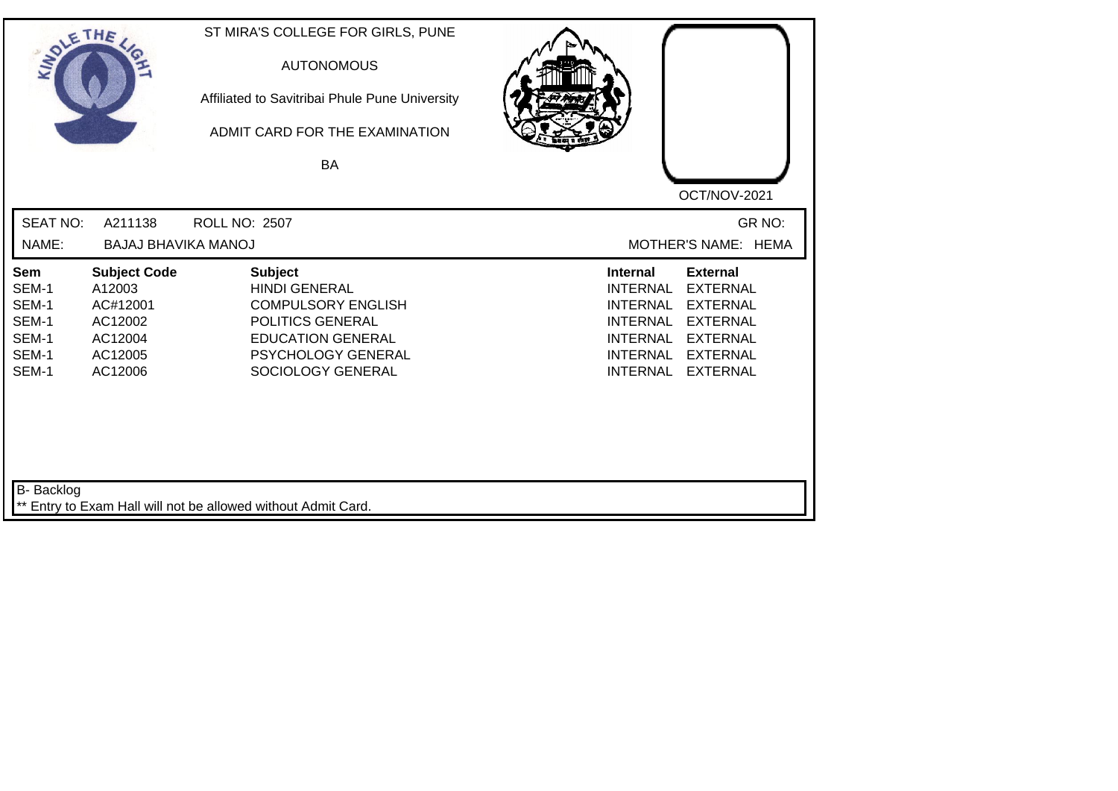| SOLE THE                                                  |                                                                                       | ST MIRA'S COLLEGE FOR GIRLS, PUNE<br><b>AUTONOMOUS</b><br>Affiliated to Savitribai Phule Pune University<br>ADMIT CARD FOR THE EXAMINATION<br><b>BA</b>        |                                                                                                                                                                                                                                                                        |
|-----------------------------------------------------------|---------------------------------------------------------------------------------------|----------------------------------------------------------------------------------------------------------------------------------------------------------------|------------------------------------------------------------------------------------------------------------------------------------------------------------------------------------------------------------------------------------------------------------------------|
|                                                           |                                                                                       |                                                                                                                                                                | OCT/NOV-2021                                                                                                                                                                                                                                                           |
| <b>SEAT NO:</b>                                           | A211138                                                                               | ROLL NO: 2507                                                                                                                                                  | GR NO:                                                                                                                                                                                                                                                                 |
| NAME:                                                     | <b>BAJAJ BHAVIKA MANOJ</b>                                                            |                                                                                                                                                                | MOTHER'S NAME: HEMA                                                                                                                                                                                                                                                    |
| Sem<br>SEM-1<br>SEM-1<br>SEM-1<br>SEM-1<br>SEM-1<br>SEM-1 | <b>Subject Code</b><br>A12003<br>AC#12001<br>AC12002<br>AC12004<br>AC12005<br>AC12006 | <b>Subject</b><br><b>HINDI GENERAL</b><br><b>COMPULSORY ENGLISH</b><br>POLITICS GENERAL<br><b>EDUCATION GENERAL</b><br>PSYCHOLOGY GENERAL<br>SOCIOLOGY GENERAL | <b>Internal</b><br><b>External</b><br><b>INTERNAL</b><br><b>EXTERNAL</b><br><b>INTERNAL</b><br><b>EXTERNAL</b><br><b>INTERNAL</b><br><b>EXTERNAL</b><br><b>EXTERNAL</b><br><b>INTERNAL</b><br><b>INTERNAL</b><br><b>EXTERNAL</b><br><b>INTERNAL</b><br><b>EXTERNAL</b> |
| B- Backlog                                                |                                                                                       | ** Entry to Exam Hall will not be allowed without Admit Card.                                                                                                  |                                                                                                                                                                                                                                                                        |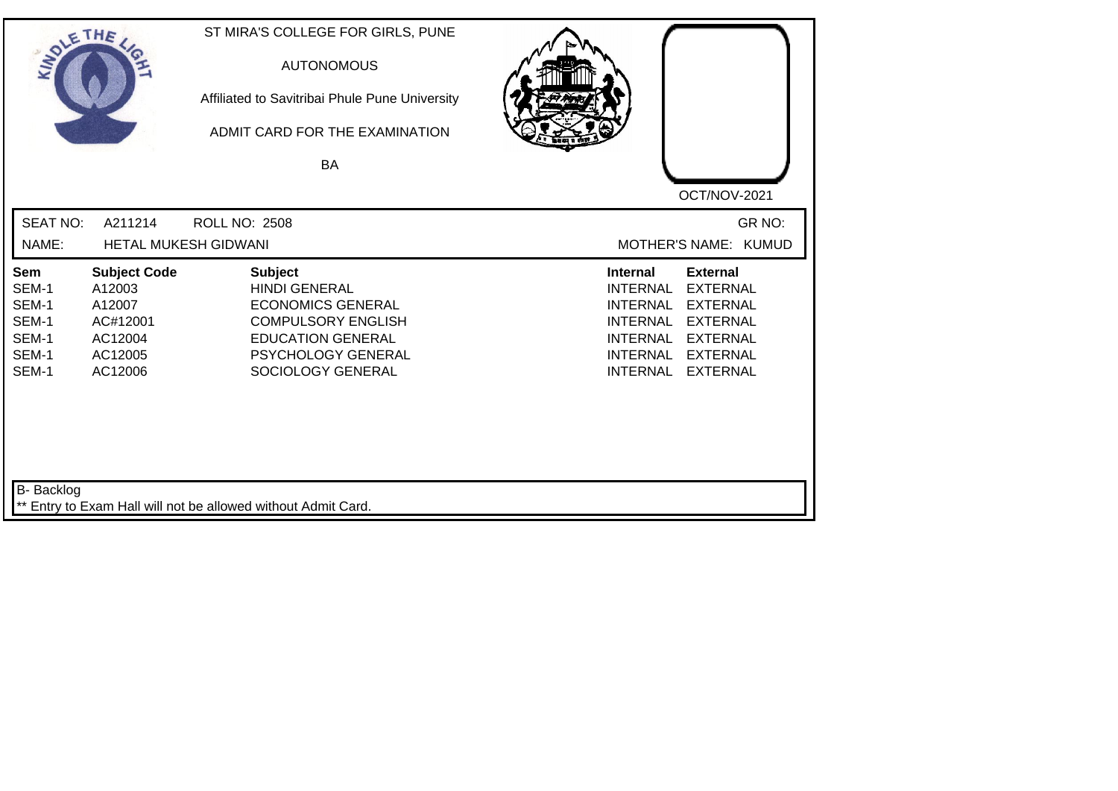| SOLETHE .                                                 |                                                                                      | ST MIRA'S COLLEGE FOR GIRLS, PUNE<br><b>AUTONOMOUS</b><br>Affiliated to Savitribai Phule Pune University<br>ADMIT CARD FOR THE EXAMINATION<br>BA                              | OCT/NOV-2021                                                                                                                                                                                                                                                    |
|-----------------------------------------------------------|--------------------------------------------------------------------------------------|-------------------------------------------------------------------------------------------------------------------------------------------------------------------------------|-----------------------------------------------------------------------------------------------------------------------------------------------------------------------------------------------------------------------------------------------------------------|
| <b>SEAT NO:</b>                                           | A211214                                                                              | <b>ROLL NO: 2508</b>                                                                                                                                                          | GR NO:                                                                                                                                                                                                                                                          |
| NAME:                                                     | HETAL MUKESH GIDWANI                                                                 |                                                                                                                                                                               | MOTHER'S NAME: KUMUD                                                                                                                                                                                                                                            |
| Sem<br>SEM-1<br>SEM-1<br>SEM-1<br>SEM-1<br>SEM-1<br>SEM-1 | <b>Subject Code</b><br>A12003<br>A12007<br>AC#12001<br>AC12004<br>AC12005<br>AC12006 | <b>Subject</b><br><b>HINDI GENERAL</b><br><b>ECONOMICS GENERAL</b><br><b>COMPULSORY ENGLISH</b><br><b>EDUCATION GENERAL</b><br><b>PSYCHOLOGY GENERAL</b><br>SOCIOLOGY GENERAL | Internal<br><b>External</b><br><b>EXTERNAL</b><br><b>INTERNAL</b><br><b>INTERNAL</b><br><b>EXTERNAL</b><br><b>INTERNAL</b><br><b>EXTERNAL</b><br><b>INTERNAL</b><br><b>EXTERNAL</b><br><b>INTERNAL</b><br><b>EXTERNAL</b><br><b>INTERNAL</b><br><b>EXTERNAL</b> |
| <b>B-</b> Backlog                                         |                                                                                      | ** Entry to Exam Hall will not be allowed without Admit Card.                                                                                                                 |                                                                                                                                                                                                                                                                 |